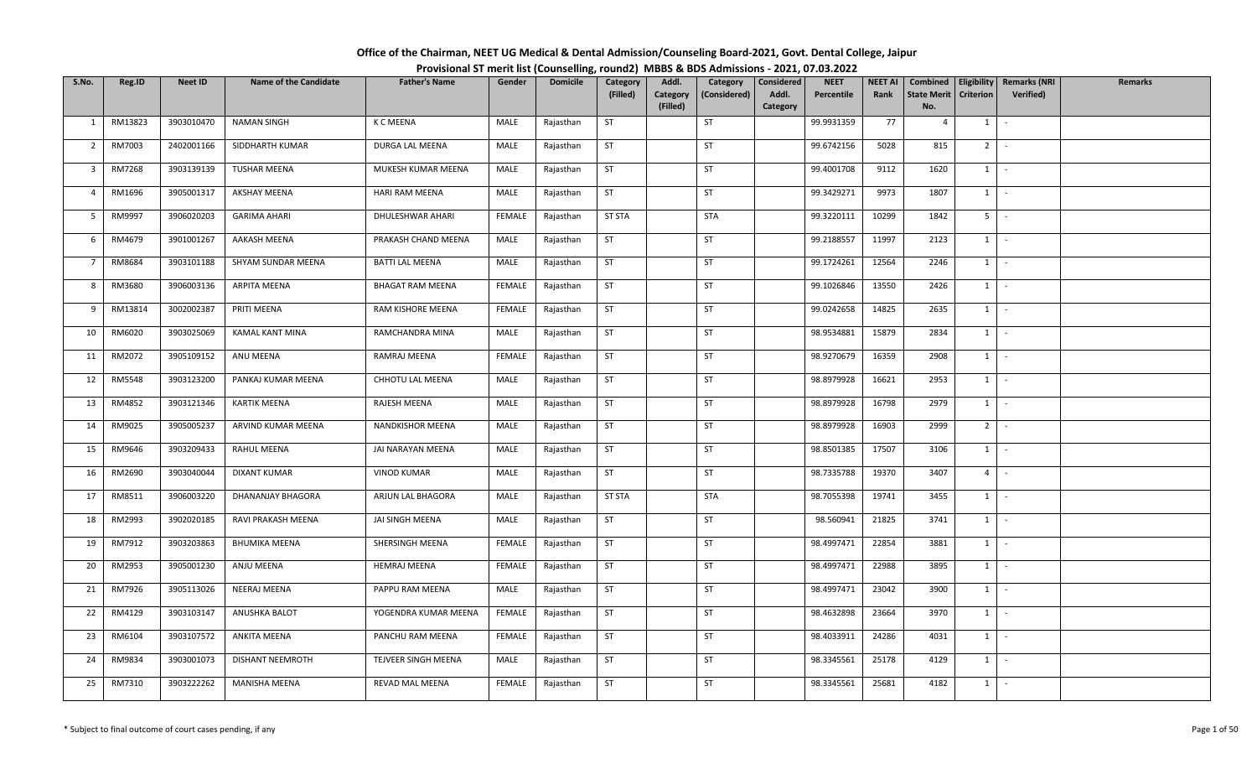| Office of the Chairman, NEET UG Medical & Dental Admission/Counseling Board-2021, Govt. Dental College, Jaipur |  |
|----------------------------------------------------------------------------------------------------------------|--|
| Provisional ST merit list (Counselling, round2) MBBS & BDS Admissions - 2021, 07.03.2022                       |  |

| S.No.           | Reg.ID        | <b>Neet ID</b> | <b>Name of the Candidate</b> | <b>Father's Name</b>    | Gender        | <b>Domicile</b> | Category      | Addl.    | Category     | Considered | <b>NEET</b> | <b>NEET AI</b> | Combined           |                | Eligibility   Remarks (NRI | <b>Remarks</b> |
|-----------------|---------------|----------------|------------------------------|-------------------------|---------------|-----------------|---------------|----------|--------------|------------|-------------|----------------|--------------------|----------------|----------------------------|----------------|
|                 |               |                |                              |                         |               |                 | (Filled)      | Category | (Considered) | Addl.      | Percentile  | Rank           | <b>State Merit</b> | Criterion      | Verified)                  |                |
|                 |               |                |                              |                         |               |                 |               | (Filled) |              | Category   |             |                | No.                |                |                            |                |
| 1               | RM13823       | 3903010470     | <b>NAMAN SINGH</b>           | K C MEENA               | MALE          | Rajasthan       | ST            |          | ST           |            | 99.9931359  | 77             | $\overline{4}$     | 1              | $\sim$                     |                |
| $\overline{2}$  | RM7003        | 2402001166     | SIDDHARTH KUMAR              | DURGA LAL MEENA         | MALE          | Rajasthan       | <b>ST</b>     |          | ST           |            | 99.6742156  | 5028           | 815                | 2 <sup>1</sup> | $\sim$                     |                |
| 3               | RM7268        | 3903139139     | <b>TUSHAR MEENA</b>          | MUKESH KUMAR MEENA      | MALE          | Rajasthan       | <b>ST</b>     |          | ST           |            | 99.4001708  | 9112           | 1620               | $1 \mid$       | $\sim$                     |                |
| $\overline{4}$  | RM1696        | 3905001317     | AKSHAY MEENA                 | <b>HARI RAM MEENA</b>   | MALE          | Rajasthan       | <b>ST</b>     |          | ST           |            | 99.3429271  | 9973           | 1807               | $1 \vert -$    |                            |                |
| 5               | RM9997        | 3906020203     | <b>GARIMA AHARI</b>          | DHULESHWAR AHARI        | <b>FEMALE</b> | Rajasthan       | <b>ST STA</b> |          | <b>STA</b>   |            | 99.3220111  | 10299          | 1842               | 5 <sub>1</sub> | $\sim$                     |                |
| 6               | RM4679        | 3901001267     | <b>AAKASH MEENA</b>          | PRAKASH CHAND MEENA     | MALE          | Rajasthan       | ST            |          | <b>ST</b>    |            | 99.2188557  | 11997          | 2123               |                | $1 \mid -$                 |                |
| $7\overline{ }$ | RM8684        | 3903101188     | SHYAM SUNDAR MEENA           | <b>BATTI LAL MEENA</b>  | MALE          | Rajasthan       | <b>ST</b>     |          | <b>ST</b>    |            | 99.1724261  | 12564          | 2246               | 1              | $\sim$                     |                |
| 8               | RM3680        | 3906003136     | ARPITA MEENA                 | <b>BHAGAT RAM MEENA</b> | FEMALE        | Rajasthan       | <b>ST</b>     |          | ST           |            | 99.1026846  | 13550          | 2426               | 1              | $\sim$                     |                |
| 9               | RM13814       | 3002002387     | PRITI MEENA                  | RAM KISHORE MEENA       | FEMALE        | Rajasthan       | ST            |          | <b>ST</b>    |            | 99.0242658  | 14825          | 2635               | $1 \quad$      | $\sim$                     |                |
| 10              | RM6020        | 3903025069     | KAMAL KANT MINA              | RAMCHANDRA MINA         | MALE          | Rajasthan       | <b>ST</b>     |          | ST           |            | 98.9534881  | 15879          | 2834               | $1 \quad$      | $\sim$                     |                |
| 11              | RM2072        | 3905109152     | ANU MEENA                    | RAMRAJ MEENA            | <b>FEMALE</b> | Rajasthan       | ST            |          | <b>ST</b>    |            | 98.9270679  | 16359          | 2908               | $1 \mid$       | $\sim$                     |                |
| 12              | <b>RM5548</b> | 3903123200     | PANKAJ KUMAR MEENA           | CHHOTU LAL MEENA        | MALE          | Rajasthan       | <b>ST</b>     |          | ST           |            | 98.8979928  | 16621          | 2953               | $1\phantom{0}$ | $\sim$                     |                |
| 13              | RM4852        | 3903121346     | <b>KARTIK MEENA</b>          | RAJESH MEENA            | MALE          | Rajasthan       | ST            |          | ST           |            | 98.8979928  | 16798          | 2979               | 1              | $\sim$                     |                |
| 14              | RM9025        | 3905005237     | ARVIND KUMAR MEENA           | NANDKISHOR MEENA        | MALE          | Rajasthan       | <b>ST</b>     |          | <b>ST</b>    |            | 98.8979928  | 16903          | 2999               | 2 <sup>1</sup> | $\sim$                     |                |
| 15              | RM9646        | 3903209433     | RAHUL MEENA                  | JAI NARAYAN MEENA       | MALE          | Rajasthan       | <b>ST</b>     |          | <b>ST</b>    |            | 98.8501385  | 17507          | 3106               | 1              | $\sim$                     |                |
| 16              | RM2690        | 3903040044     | DIXANT KUMAR                 | VINOD KUMAR             | MALE          | Rajasthan       | <b>ST</b>     |          | ST           |            | 98.7335788  | 19370          | 3407               | 4              | $\sim$                     |                |
| 17              | RM8511        | 3906003220     | DHANANJAY BHAGORA            | ARJUN LAL BHAGORA       | MALE          | Rajasthan       | <b>ST STA</b> |          | <b>STA</b>   |            | 98.7055398  | 19741          | 3455               | 1              | $\mathbb{Z}^2$             |                |
| 18              | RM2993        | 3902020185     | RAVI PRAKASH MEENA           | JAI SINGH MEENA         | MALE          | Rajasthan       | <b>ST</b>     |          | ST           |            | 98.560941   | 21825          | 3741               | $1$ $-$        |                            |                |
| 19              | RM7912        | 3903203863     | BHUMIKA MEENA                | SHERSINGH MEENA         | FEMALE        | Rajasthan       | <b>ST</b>     |          | ST           |            | 98.4997471  | 22854          | 3881               | $1$ $-$        |                            |                |
| 20              | RM2953        | 3905001230     | ANJU MEENA                   | <b>HEMRAJ MEENA</b>     | FEMALE        | Rajasthan       | <b>ST</b>     |          | ST           |            | 98.4997471  | 22988          | 3895               | 1              | $\sim$                     |                |
| 21              | RM7926        | 3905113026     | NEERAJ MEENA                 | PAPPU RAM MEENA         | MALE          | Rajasthan       | <b>ST</b>     |          | ST           |            | 98.4997471  | 23042          | 3900               | 1              | $\sim$                     |                |
| 22              | RM4129        | 3903103147     | ANUSHKA BALOT                | YOGENDRA KUMAR MEENA    | FEMALE        | Rajasthan       | ST            |          | <b>ST</b>    |            | 98.4632898  | 23664          | 3970               | $1 \vert -$    |                            |                |
| 23              | RM6104        | 3903107572     | ANKITA MEENA                 | PANCHU RAM MEENA        | FEMALE        | Rajasthan       | ST            |          | <b>ST</b>    |            | 98.4033911  | 24286          | 4031               | 1              | $\sim$                     |                |
| 24              | RM9834        | 3903001073     | DISHANT NEEMROTH             | TEJVEER SINGH MEENA     | MALE          | Rajasthan       | <b>ST</b>     |          | <b>ST</b>    |            | 98.3345561  | 25178          | 4129               | $1 \quad$      | $\sim$ $-$                 |                |
| 25              | RM7310        | 3903222262     | MANISHA MEENA                | <b>REVAD MAL MEENA</b>  | FEMALE        | Rajasthan       | <b>ST</b>     |          | ST           |            | 98.3345561  | 25681          | 4182               | $1 \quad$      | $\sim$                     |                |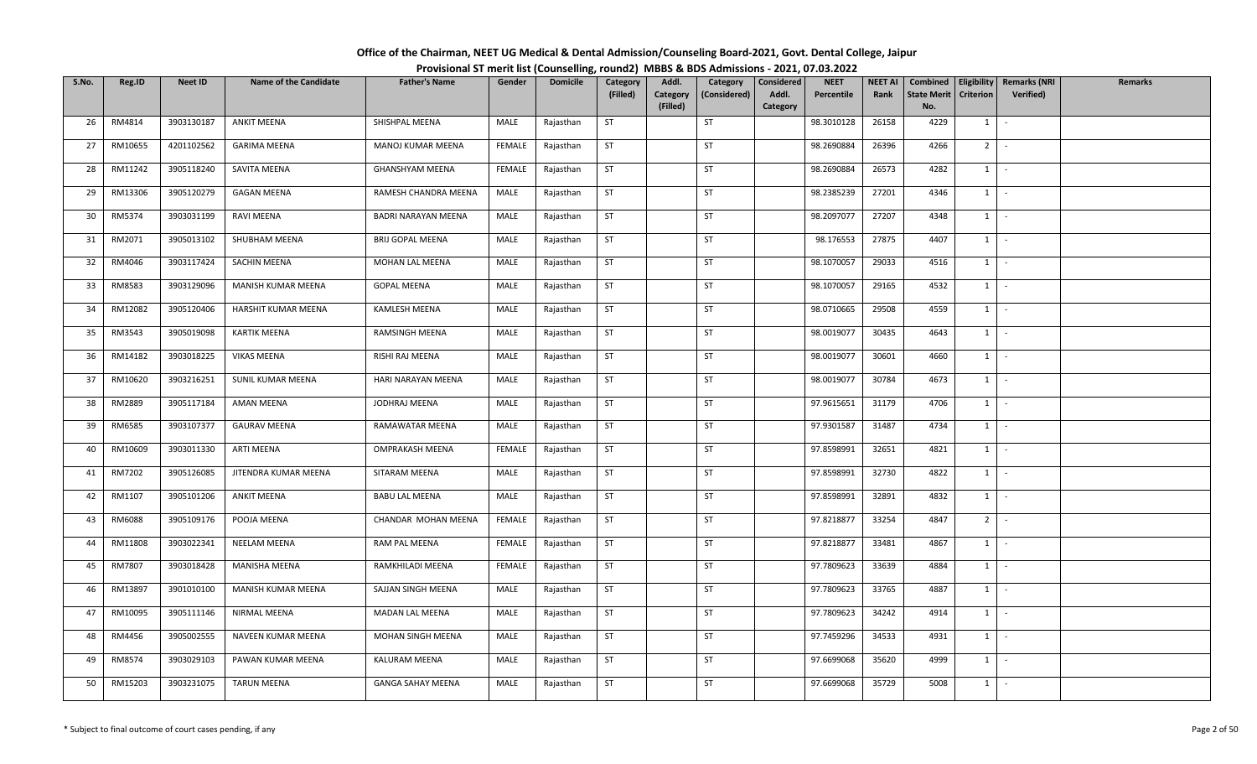| Office of the Chairman, NEET UG Medical & Dental Admission/Counseling Board-2021, Govt. Dental College, Jaipur |  |
|----------------------------------------------------------------------------------------------------------------|--|
| Provisional ST merit list (Counselling, round2) MBBS & BDS Admissions - 2021, 07.03.2022                       |  |

| S.No. | Reg.ID  | <b>Neet ID</b> | <b>Name of the Candidate</b> | <b>Father's Name</b>     | Gender        | <b>Domicile</b> | Category  | Addl.    | Category     | Considered | <b>NEET</b> | <b>NEET AI</b> | Combined           | Eligibility    | <b>Remarks (NRI</b> | <b>Remarks</b> |
|-------|---------|----------------|------------------------------|--------------------------|---------------|-----------------|-----------|----------|--------------|------------|-------------|----------------|--------------------|----------------|---------------------|----------------|
|       |         |                |                              |                          |               |                 | (Filled)  | Category | (Considered) | Addl.      | Percentile  | Rank           | <b>State Merit</b> | Criterion      | Verified)           |                |
|       |         |                |                              |                          |               |                 |           | (Filled) |              | Category   |             |                | No.                |                |                     |                |
| 26    | RM4814  | 3903130187     | <b>ANKIT MEENA</b>           | SHISHPAL MEENA           | MALE          | Rajasthan       | ST        |          | ST           |            | 98.3010128  | 26158          | 4229               | $1 \quad$      | $\sim$              |                |
| 27    | RM10655 | 4201102562     | <b>GARIMA MEENA</b>          | MANOJ KUMAR MEENA        | FEMALE        | Rajasthan       | <b>ST</b> |          | ST           |            | 98.2690884  | 26396          | 4266               | 2 <sup>1</sup> | $\sim$              |                |
| 28    | RM11242 | 3905118240     | SAVITA MEENA                 | GHANSHYAM MEENA          | FEMALE        | Rajasthan       | ST        |          | ST           |            | 98.2690884  | 26573          | 4282               | $1 \quad$      | $\sim$              |                |
| 29    | RM13306 | 3905120279     | <b>GAGAN MEENA</b>           | RAMESH CHANDRA MEENA     | MALE          | Rajasthan       | <b>ST</b> |          | ST           |            | 98.2385239  | 27201          | 4346               | $1 \mid$       | $\sim$              |                |
| 30    | RM5374  | 3903031199     | RAVI MEENA                   | BADRI NARAYAN MEENA      | MALE          | Rajasthan       | <b>ST</b> |          | ST           |            | 98.2097077  | 27207          | 4348               | 1              | $\sim$              |                |
| 31    | RM2071  | 3905013102     | SHUBHAM MEENA                | <b>BRIJ GOPAL MEENA</b>  | MALE          | Rajasthan       | ST        |          | ST           |            | 98.176553   | 27875          | 4407               | $1 \mid -$     |                     |                |
| 32    | RM4046  | 3903117424     | <b>SACHIN MEENA</b>          | MOHAN LAL MEENA          | MALE          | Rajasthan       | <b>ST</b> |          | <b>ST</b>    |            | 98.1070057  | 29033          | 4516               | 1              | $\sim$              |                |
| 33    | RM8583  | 3903129096     | MANISH KUMAR MEENA           | <b>GOPAL MEENA</b>       | MALE          | Rajasthan       | <b>ST</b> |          | ST           |            | 98.1070057  | 29165          | 4532               | 1              | $\sim$              |                |
| 34    | RM12082 | 3905120406     | HARSHIT KUMAR MEENA          | <b>KAMLESH MEENA</b>     | MALE          | Rajasthan       | <b>ST</b> |          | ST           |            | 98.0710665  | 29508          | 4559               | $1 \quad$      | $\sim$              |                |
| 35    | RM3543  | 3905019098     | KARTIK MEENA                 | RAMSINGH MEENA           | MALE          | Rajasthan       | <b>ST</b> |          | ST           |            | 98.0019077  | 30435          | 4643               | $1 \quad$      | $\sim$              |                |
| 36    | RM14182 | 3903018225     | <b>VIKAS MEENA</b>           | RISHI RAJ MEENA          | MALE          | Rajasthan       | ST        |          | ST           |            | 98.0019077  | 30601          | 4660               | 1              | $\sim$              |                |
| 37    | RM10620 | 3903216251     | SUNIL KUMAR MEENA            | HARI NARAYAN MEENA       | MALE          | Rajasthan       | <b>ST</b> |          | ST           |            | 98.0019077  | 30784          | 4673               | $1\phantom{0}$ | $\sim$              |                |
| 38    | RM2889  | 3905117184     | AMAN MEENA                   | JODHRAJ MEENA            | MALE          | Rajasthan       | ST        |          | ST           |            | 97.9615651  | 31179          | 4706               | 1              | $\sim$              |                |
| 39    | RM6585  | 3903107377     | <b>GAURAV MEENA</b>          | RAMAWATAR MEENA          | MALE          | Rajasthan       | <b>ST</b> |          | ST           |            | 97.9301587  | 31487          | 4734               | $1 \quad$      | $\sim$              |                |
| 40    | RM10609 | 3903011330     | ARTI MEENA                   | OMPRAKASH MEENA          | <b>FEMALE</b> | Rajasthan       | <b>ST</b> |          | <b>ST</b>    |            | 97.8598991  | 32651          | 4821               | 1              | $\sim$              |                |
| 41    | RM7202  | 3905126085     | JITENDRA KUMAR MEENA         | SITARAM MEENA            | MALE          | Rajasthan       | <b>ST</b> |          | <b>ST</b>    |            | 97.8598991  | 32730          | 4822               | 1              | $\sim$              |                |
| 42    | RM1107  | 3905101206     | <b>ANKIT MEENA</b>           | <b>BABU LAL MEENA</b>    | MALE          | Rajasthan       | <b>ST</b> |          | ST           |            | 97.8598991  | 32891          | 4832               | 1              | $\sim$              |                |
| 43    | RM6088  | 3905109176     | POOJA MEENA                  | CHANDAR MOHAN MEENA      | FEMALE        | Rajasthan       | <b>ST</b> |          | ST           |            | 97.8218877  | 33254          | 4847               | $2$ -          |                     |                |
| 44    | RM11808 | 3903022341     | NEELAM MEENA                 | RAM PAL MEENA            | FEMALE        | Rajasthan       | <b>ST</b> |          | ST           |            | 97.8218877  | 33481          | 4867               | $1 \vert$      | $\sim$              |                |
| 45    | RM7807  | 3903018428     | MANISHA MEENA                | RAMKHILADI MEENA         | FEMALE        | Rajasthan       | ST        |          | ST           |            | 97.7809623  | 33639          | 4884               | 1              | $\sim$              |                |
| 46    | RM13897 | 3901010100     | MANISH KUMAR MEENA           | SAJJAN SINGH MEENA       | MALE          | Rajasthan       | <b>ST</b> |          | ST           |            | 97.7809623  | 33765          | 4887               | 1              | $\sim$              |                |
| 47    | RM10095 | 3905111146     | NIRMAL MEENA                 | MADAN LAL MEENA          | MALE          | Rajasthan       | ST        |          | <b>ST</b>    |            | 97.7809623  | 34242          | 4914               | $1 \cdot$      |                     |                |
| 48    | RM4456  | 3905002555     | NAVEEN KUMAR MEENA           | MOHAN SINGH MEENA        | MALE          | Rajasthan       | ST        |          | <b>ST</b>    |            | 97.7459296  | 34533          | 4931               | 1              | $\sim$              |                |
| 49    | RM8574  | 3903029103     | PAWAN KUMAR MEENA            | KALURAM MEENA            | MALE          | Rajasthan       | <b>ST</b> |          | <b>ST</b>    |            | 97.6699068  | 35620          | 4999               | $1 \quad$      | $\sim$              |                |
| 50    | RM15203 | 3903231075     | <b>TARUN MEENA</b>           | <b>GANGA SAHAY MEENA</b> | MALE          | Rajasthan       | <b>ST</b> |          | <b>ST</b>    |            | 97.6699068  | 35729          | 5008               | $1 \quad$      | $\sim$              |                |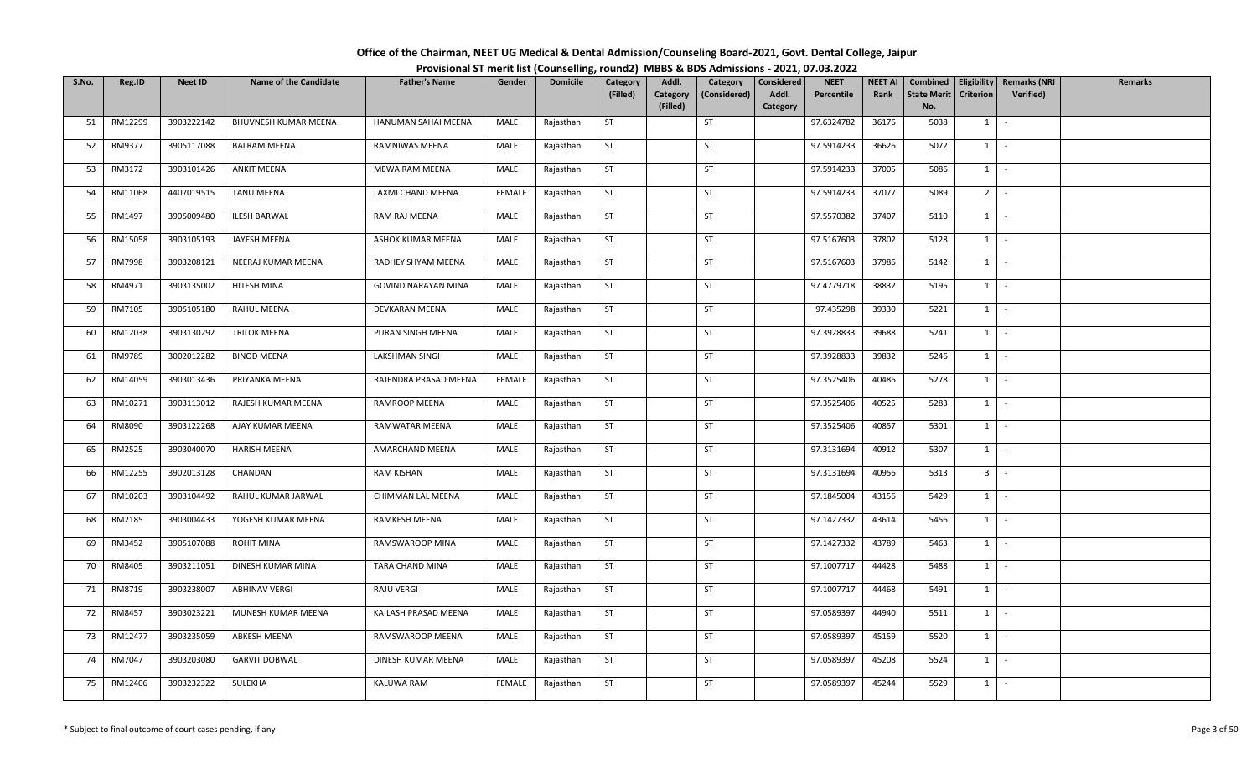| Office of the Chairman, NEET UG Medical & Dental Admission/Counseling Board-2021, Govt. Dental College, Jaipur |                                                                                          |
|----------------------------------------------------------------------------------------------------------------|------------------------------------------------------------------------------------------|
|                                                                                                                | Provisional ST merit list (Counselling, round2) MBBS & BDS Admissions - 2021, 07.03.2022 |

| S.No. | Reg.ID  | <b>Neet ID</b> | <b>Name of the Candidate</b> | <b>Father's Name</b>       | Gender        | <b>Domicile</b> | Category  | Addl.    | Category     | Considered | <b>NEET</b> | <b>NEET AI</b> | Combined           | Eligibility    | <b>Remarks (NRI</b> | <b>Remarks</b> |
|-------|---------|----------------|------------------------------|----------------------------|---------------|-----------------|-----------|----------|--------------|------------|-------------|----------------|--------------------|----------------|---------------------|----------------|
|       |         |                |                              |                            |               |                 | (Filled)  | Category | (Considered) | Addl.      | Percentile  | Rank           | <b>State Merit</b> | Criterion      | Verified)           |                |
|       |         |                |                              |                            |               |                 |           | (Filled) |              | Category   |             |                | No.                |                |                     |                |
| 51    | RM12299 | 3903222142     | BHUVNESH KUMAR MEENA         | HANUMAN SAHAI MEENA        | MALE          | Rajasthan       | ST        |          | ST           |            | 97.6324782  | 36176          | 5038               | $1 \quad$      | $\sim$              |                |
| 52    | RM9377  | 3905117088     | <b>BALRAM MEENA</b>          | RAMNIWAS MEENA             | MALE          | Rajasthan       | <b>ST</b> |          | ST           |            | 97.5914233  | 36626          | 5072               | 1              | $\sim$              |                |
| 53    | RM3172  | 3903101426     | <b>ANKIT MEENA</b>           | MEWA RAM MEENA             | MALE          | Rajasthan       | ST        |          | ST           |            | 97.5914233  | 37005          | 5086               | $1 \quad$      | $\sim$              |                |
| 54    | RM11068 | 4407019515     | TANU MEENA                   | LAXMI CHAND MEENA          | <b>FEMALE</b> | Rajasthan       | <b>ST</b> |          | ST           |            | 97.5914233  | 37077          | 5089               | $2$ -          |                     |                |
| 55    | RM1497  | 3905009480     | <b>ILESH BARWAL</b>          | RAM RAJ MEENA              | MALE          | Rajasthan       | <b>ST</b> |          | ST           |            | 97.5570382  | 37407          | 5110               | 1              | $\sim$              |                |
| 56    | RM15058 | 3903105193     | JAYESH MEENA                 | ASHOK KUMAR MEENA          | MALE          | Rajasthan       | ST        |          | ST           |            | 97.5167603  | 37802          | 5128               |                | $1 \mid -$          |                |
| 57    | RM7998  | 3903208121     | NEERAJ KUMAR MEENA           | RADHEY SHYAM MEENA         | MALE          | Rajasthan       | <b>ST</b> |          | <b>ST</b>    |            | 97.5167603  | 37986          | 5142               | 1              | $\sim$              |                |
| 58    | RM4971  | 3903135002     | HITESH MINA                  | <b>GOVIND NARAYAN MINA</b> | MALE          | Rajasthan       | <b>ST</b> |          | ST           |            | 97.4779718  | 38832          | 5195               | 1              | $\sim$ $-$          |                |
| 59    | RM7105  | 3905105180     | RAHUL MEENA                  | DEVKARAN MEENA             | MALE          | Rajasthan       | <b>ST</b> |          | ST           |            | 97.435298   | 39330          | 5221               | $1 \quad$      | $\sim$              |                |
| 60    | RM12038 | 3903130292     | <b>TRILOK MEENA</b>          | PURAN SINGH MEENA          | MALE          | Rajasthan       | <b>ST</b> |          | ST           |            | 97.3928833  | 39688          | 5241               | $1 \quad$      | $\sim$              |                |
| 61    | RM9789  | 3002012282     | <b>BINOD MEENA</b>           | LAKSHMAN SINGH             | MALE          | Rajasthan       | ST        |          | ST           |            | 97.3928833  | 39832          | 5246               | $1 \mid$       | $\sim$              |                |
| 62    | RM14059 | 3903013436     | PRIYANKA MEENA               | RAJENDRA PRASAD MEENA      | <b>FEMALE</b> | Rajasthan       | <b>ST</b> |          | ST           |            | 97.3525406  | 40486          | 5278               | $1\phantom{0}$ | $\sim$              |                |
| 63    | RM10271 | 3903113012     | RAJESH KUMAR MEENA           | RAMROOP MEENA              | MALE          | Rajasthan       | ST        |          | ST           |            | 97.3525406  | 40525          | 5283               | 1              | $\sim$              |                |
| 64    | RM8090  | 3903122268     | AJAY KUMAR MEENA             | RAMWATAR MEENA             | MALE          | Rajasthan       | <b>ST</b> |          | <b>ST</b>    |            | 97.3525406  | 40857          | 5301               | $1 \quad$      | $\sim$              |                |
| 65    | RM2525  | 3903040070     | HARISH MEENA                 | AMARCHAND MEENA            | MALE          | Rajasthan       | <b>ST</b> |          | <b>ST</b>    |            | 97.3131694  | 40912          | 5307               | 1              | $\sim$              |                |
| 66    | RM12255 | 3902013128     | CHANDAN                      | RAM KISHAN                 | MALE          | Rajasthan       | <b>ST</b> |          | <b>ST</b>    |            | 97.3131694  | 40956          | 5313               | 3 <sup>1</sup> | $\sim$              |                |
| 67    | RM10203 | 3903104492     | RAHUL KUMAR JARWAL           | CHIMMAN LAL MEENA          | MALE          | Rajasthan       | <b>ST</b> |          | <b>ST</b>    |            | 97.1845004  | 43156          | 5429               | 1              | $\sim$              |                |
| 68    | RM2185  | 3903004433     | YOGESH KUMAR MEENA           | RAMKESH MEENA              | MALE          | Rajasthan       | <b>ST</b> |          | ST           |            | 97.1427332  | 43614          | 5456               | $1$ $\cdot$    |                     |                |
| 69    | RM3452  | 3905107088     | <b>ROHIT MINA</b>            | RAMSWAROOP MINA            | MALE          | Rajasthan       | <b>ST</b> |          | ST           |            | 97.1427332  | 43789          | 5463               | $1 \vert$      | $\sim$              |                |
| 70    | RM8405  | 3903211051     | DINESH KUMAR MINA            | TARA CHAND MINA            | MALE          | Rajasthan       | ST        |          | ST           |            | 97.1007717  | 44428          | 5488               | 1              | $\sim$              |                |
| 71    | RM8719  | 3903238007     | ABHINAV VERGI                | RAJU VERGI                 | MALE          | Rajasthan       | <b>ST</b> |          | ST           |            | 97.1007717  | 44468          | 5491               | 1              | $\sim$              |                |
| 72    | RM8457  | 3903023221     | MUNESH KUMAR MEENA           | KAILASH PRASAD MEENA       | MALE          | Rajasthan       | ST        |          | <b>ST</b>    |            | 97.0589397  | 44940          | 5511               | $1$ $-$        |                     |                |
| 73    | RM12477 | 3903235059     | ABKESH MEENA                 | RAMSWAROOP MEENA           | MALE          | Rajasthan       | ST        |          | <b>ST</b>    |            | 97.0589397  | 45159          | 5520               | 1              | $\sim$              |                |
| 74    | RM7047  | 3903203080     | <b>GARVIT DOBWAL</b>         | DINESH KUMAR MEENA         | MALE          | Rajasthan       | <b>ST</b> |          | <b>ST</b>    |            | 97.0589397  | 45208          | 5524               | $1 \quad$      | $\sim$ $-$          |                |
| 75    | RM12406 | 3903232322     | SULEKHA                      | KALUWA RAM                 | FEMALE        | Rajasthan       | <b>ST</b> |          | <b>ST</b>    |            | 97.0589397  | 45244          | 5529               | $1 \quad$      | $\sim$              |                |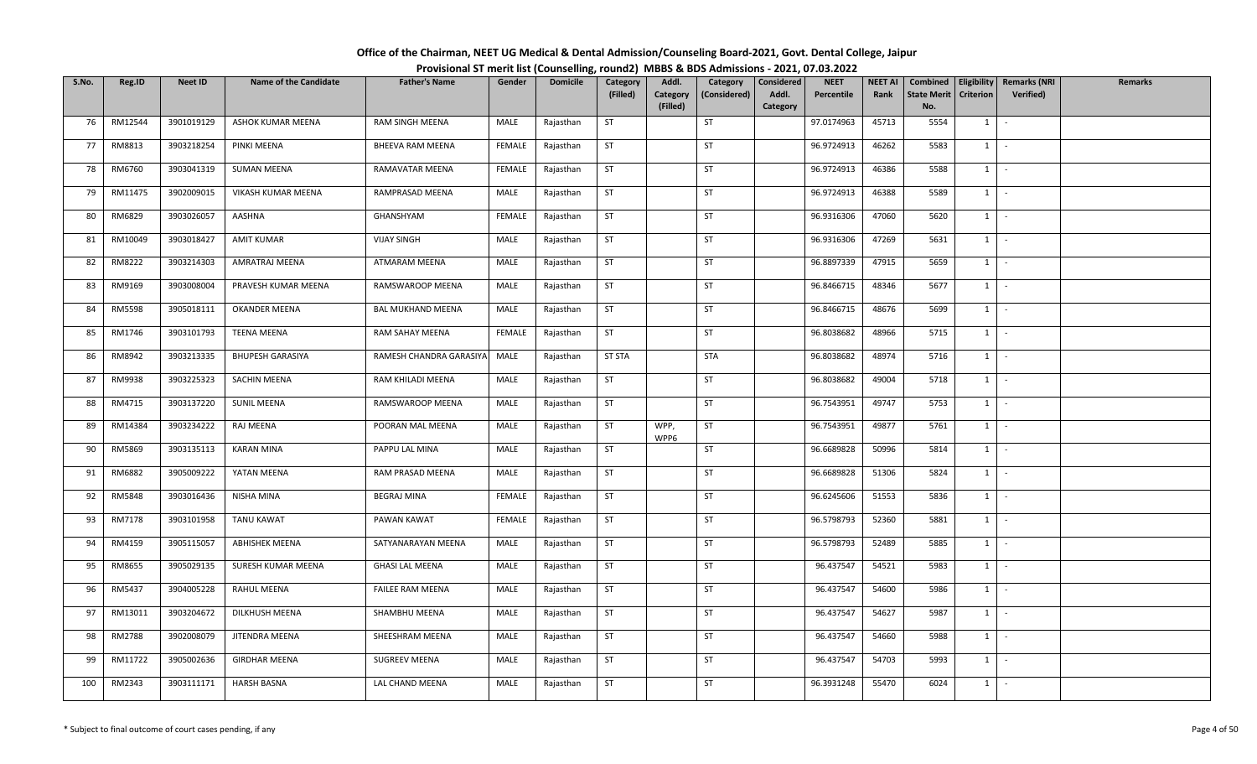| Office of the Chairman, NEET UG Medical & Dental Admission/Counseling Board-2021, Govt. Dental College, Jaipur |                                                                                          |
|----------------------------------------------------------------------------------------------------------------|------------------------------------------------------------------------------------------|
|                                                                                                                | Provisional ST merit list (Counselling, round2) MBBS & BDS Admissions - 2021, 07.03.2022 |

| S.No. | Reg.ID        | <b>Neet ID</b> | <b>Name of the Candidate</b> | <b>Father's Name</b>     | Gender        | <b>Domicile</b> | Category      | Addl.        | Category     | Considered | <b>NEET</b> | <b>NEET AI</b> | Combined           |                | Eligibility   Remarks (NRI | <b>Remarks</b> |
|-------|---------------|----------------|------------------------------|--------------------------|---------------|-----------------|---------------|--------------|--------------|------------|-------------|----------------|--------------------|----------------|----------------------------|----------------|
|       |               |                |                              |                          |               |                 | (Filled)      | Category     | (Considered) | Addl.      | Percentile  | Rank           | <b>State Merit</b> | Criterion      | Verified)                  |                |
|       |               |                |                              |                          |               |                 |               | (Filled)     |              | Category   |             |                | No.                |                |                            |                |
| 76    | RM12544       | 3901019129     | ASHOK KUMAR MEENA            | RAM SINGH MEENA          | MALE          | Rajasthan       | <b>ST</b>     |              | ST           |            | 97.0174963  | 45713          | 5554               | $1 \quad$      | $\sim$                     |                |
| 77    | RM8813        | 3903218254     | PINKI MEENA                  | BHEEVA RAM MEENA         | FEMALE        | Rajasthan       | <b>ST</b>     |              | ST           |            | 96.9724913  | 46262          | 5583               | 1              | $\sim$                     |                |
| 78    | RM6760        | 3903041319     | SUMAN MEENA                  | RAMAVATAR MEENA          | FEMALE        | Rajasthan       | <b>ST</b>     |              | ST           |            | 96.9724913  | 46386          | 5588               | $1 \quad$      | $\sim$                     |                |
| 79    | RM11475       | 3902009015     | VIKASH KUMAR MEENA           | RAMPRASAD MEENA          | MALE          | Rajasthan       | <b>ST</b>     |              | ST           |            | 96.9724913  | 46388          | 5589               | $1 \mid$       | $\sim$                     |                |
| 80    | RM6829        | 3903026057     | AASHNA                       | GHANSHYAM                | FEMALE        | Rajasthan       | <b>ST</b>     |              | ST           |            | 96.9316306  | 47060          | 5620               | 1              | $\sim$                     |                |
| 81    | RM10049       | 3903018427     | <b>AMIT KUMAR</b>            | <b>VIJAY SINGH</b>       | MALE          | Rajasthan       | ST            |              | ST           |            | 96.9316306  | 47269          | 5631               | $1 \mid -$     |                            |                |
| 82    | RM8222        | 3903214303     | AMRATRAJ MEENA               | ATMARAM MEENA            | MALE          | Rajasthan       | <b>ST</b>     |              | ST           |            | 96.8897339  | 47915          | 5659               | 1              | $\sim$                     |                |
| 83    | RM9169        | 3903008004     | PRAVESH KUMAR MEENA          | RAMSWAROOP MEENA         | MALE          | Rajasthan       | <b>ST</b>     |              | ST           |            | 96.8466715  | 48346          | 5677               | 1              | $\sim$                     |                |
| 84    | <b>RM5598</b> | 3905018111     | <b>OKANDER MEENA</b>         | <b>BAL MUKHAND MEENA</b> | MALE          | Rajasthan       | <b>ST</b>     |              | ST           |            | 96.8466715  | 48676          | 5699               | $1 \quad$      | $\sim$                     |                |
| 85    | RM1746        | 3903101793     | <b>TEENA MEENA</b>           | RAM SAHAY MEENA          | FEMALE        | Rajasthan       | <b>ST</b>     |              | ST           |            | 96.8038682  | 48966          | 5715               | $1 \quad$      | $\sim$                     |                |
| 86    | RM8942        | 3903213335     | <b>BHUPESH GARASIYA</b>      | RAMESH CHANDRA GARASIYA  | MALE          | Rajasthan       | <b>ST STA</b> |              | <b>STA</b>   |            | 96.8038682  | 48974          | 5716               | $1 \mid$       | $\sim$                     |                |
| 87    | RM9938        | 3903225323     | <b>SACHIN MEENA</b>          | RAM KHILADI MEENA        | MALE          | Rajasthan       | <b>ST</b>     |              | ST           |            | 96.8038682  | 49004          | 5718               | $1\phantom{0}$ | $\sim$                     |                |
| 88    | RM4715        | 3903137220     | <b>SUNIL MEENA</b>           | RAMSWAROOP MEENA         | MALE          | Rajasthan       | ST            |              | ST           |            | 96.7543951  | 49747          | 5753               | 1              | $\sim$                     |                |
| 89    | RM14384       | 3903234222     | RAJ MEENA                    | POORAN MAL MEENA         | MALE          | Rajasthan       | <b>ST</b>     | WPP,<br>WPP6 | ST           |            | 96.7543951  | 49877          | 5761               | $1 \quad$      | $\sim$                     |                |
| 90    | RM5869        | 3903135113     | KARAN MINA                   | PAPPU LAL MINA           | MALE          | Rajasthan       | <b>ST</b>     |              | <b>ST</b>    |            | 96.6689828  | 50996          | 5814               | 1              | $\sim$                     |                |
| 91    | RM6882        | 3905009222     | YATAN MEENA                  | RAM PRASAD MEENA         | MALE          | Rajasthan       | <b>ST</b>     |              | ST           |            | 96.6689828  | 51306          | 5824               | 1              | $\sim$                     |                |
| 92    | RM5848        | 3903016436     | NISHA MINA                   | <b>BEGRAJ MINA</b>       | <b>FEMALE</b> | Rajasthan       | <b>ST</b>     |              | <b>ST</b>    |            | 96.6245606  | 51553          | 5836               | 1              | $\mathbb{Z}^2$             |                |
| 93    | RM7178        | 3903101958     | <b>TANU KAWAT</b>            | PAWAN KAWAT              | <b>FEMALE</b> | Rajasthan       | <b>ST</b>     |              | ST           |            | 96.5798793  | 52360          | 5881               | $1$ $-$        |                            |                |
| 94    | RM4159        | 3905115057     | <b>ABHISHEK MEENA</b>        | SATYANARAYAN MEENA       | MALE          | Rajasthan       | <b>ST</b>     |              | ST           |            | 96.5798793  | 52489          | 5885               | $1 \vert$      | $\sim$                     |                |
| 95    | RM8655        | 3905029135     | SURESH KUMAR MEENA           | <b>GHASI LAL MEENA</b>   | MALE          | Rajasthan       | <b>ST</b>     |              | ST           |            | 96.437547   | 54521          | 5983               | 1              | $\sim$                     |                |
| 96    | RM5437        | 3904005228     | RAHUL MEENA                  | <b>FAILEE RAM MEENA</b>  | MALE          | Rajasthan       | <b>ST</b>     |              | ST           |            | 96.437547   | 54600          | 5986               | 1              | $\sim$                     |                |
| 97    | RM13011       | 3903204672     | DILKHUSH MEENA               | SHAMBHU MEENA            | MALE          | Rajasthan       | ST            |              | <b>ST</b>    |            | 96.437547   | 54627          | 5987               | $1 \cdot$      |                            |                |
| 98    | RM2788        | 3902008079     | JITENDRA MEENA               | SHEESHRAM MEENA          | MALE          | Rajasthan       | ST            |              | <b>ST</b>    |            | 96.437547   | 54660          | 5988               | 1              | $\sim$                     |                |
| 99    | RM11722       | 3905002636     | <b>GIRDHAR MEENA</b>         | <b>SUGREEV MEENA</b>     | MALE          | Rajasthan       | <b>ST</b>     |              | <b>ST</b>    |            | 96.437547   | 54703          | 5993               | $1 \quad$      | $\sim$                     |                |
| 100   | RM2343        | 3903111171     | <b>HARSH BASNA</b>           | LAL CHAND MEENA          | MALE          | Rajasthan       | <b>ST</b>     |              | <b>ST</b>    |            | 96.3931248  | 55470          | 6024               | $1 \quad$      | $\sim$                     |                |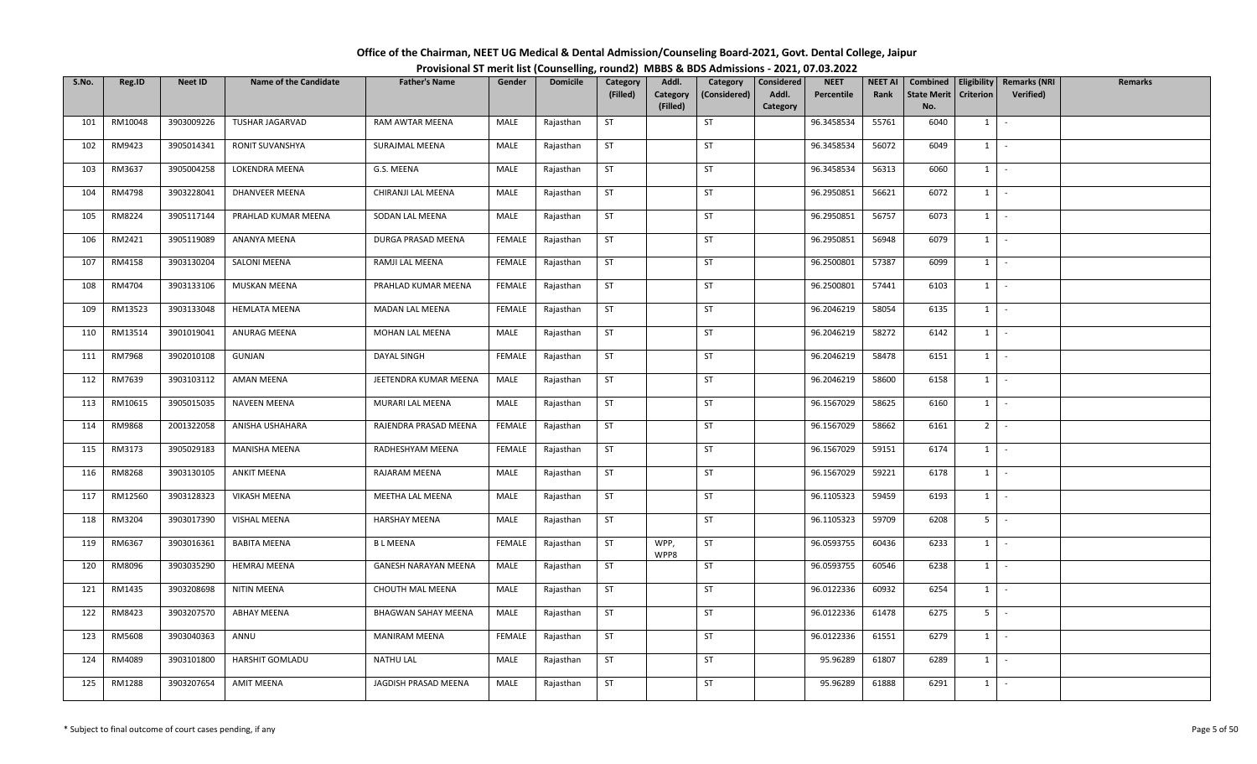| Office of the Chairman, NEET UG Medical & Dental Admission/Counseling Board-2021, Govt. Dental College, Jaipur |                                                                                          |
|----------------------------------------------------------------------------------------------------------------|------------------------------------------------------------------------------------------|
|                                                                                                                | Provisional ST merit list (Counselling, round2) MBBS & BDS Admissions - 2021, 07.03.2022 |

| S.No. | Reg.ID  | <b>Neet ID</b> | <b>Name of the Candidate</b> | <b>Father's Name</b>        | Gender        | <b>Domicile</b> | Category  | Addl.        | Category     | Considered | <b>NEET</b> | <b>NEET AI</b> | Combined           | Eligibility      | <b>Remarks (NRI</b> | <b>Remarks</b> |
|-------|---------|----------------|------------------------------|-----------------------------|---------------|-----------------|-----------|--------------|--------------|------------|-------------|----------------|--------------------|------------------|---------------------|----------------|
|       |         |                |                              |                             |               |                 | (Filled)  | Category     | (Considered) | Addl.      | Percentile  | Rank           | <b>State Merit</b> | <b>Criterion</b> | Verified)           |                |
|       |         |                |                              |                             |               |                 |           | (Filled)     |              | Category   |             |                | No.                |                  |                     |                |
| 101   | RM10048 | 3903009226     | TUSHAR JAGARVAD              | RAM AWTAR MEENA             | MALE          | Rajasthan       | ST        |              | ST           |            | 96.3458534  | 55761          | 6040               | $1 \quad$        | $\sim$              |                |
| 102   | RM9423  | 3905014341     | RONIT SUVANSHYA              | SURAJMAL MEENA              | MALE          | Rajasthan       | <b>ST</b> |              | ST           |            | 96.3458534  | 56072          | 6049               | 1                | $\sim$              |                |
| 103   | RM3637  | 3905004258     | LOKENDRA MEENA               | G.S. MEENA                  | MALE          | Rajasthan       | ST        |              | ST           |            | 96.3458534  | 56313          | 6060               | $1 \quad$        | $\sim$              |                |
| 104   | RM4798  | 3903228041     | DHANVEER MEENA               | CHIRANJI LAL MEENA          | MALE          | Rajasthan       | <b>ST</b> |              | ST           |            | 96.2950851  | 56621          | 6072               | $1 \mid$         | $\sim$              |                |
| 105   | RM8224  | 3905117144     | PRAHLAD KUMAR MEENA          | SODAN LAL MEENA             | MALE          | Rajasthan       | <b>ST</b> |              | ST           |            | 96.2950851  | 56757          | 6073               | 1                | $\sim$              |                |
| 106   | RM2421  | 3905119089     | ANANYA MEENA                 | DURGA PRASAD MEENA          | FEMALE        | Rajasthan       | ST        |              | ST           |            | 96.2950851  | 56948          | 6079               | $1 \mid -$       |                     |                |
| 107   | RM4158  | 3903130204     | <b>SALONI MEENA</b>          | RAMJI LAL MEENA             | FEMALE        | Rajasthan       | <b>ST</b> |              | <b>ST</b>    |            | 96.2500801  | 57387          | 6099               | 1                | $\sim$              |                |
| 108   | RM4704  | 3903133106     | MUSKAN MEENA                 | PRAHLAD KUMAR MEENA         | <b>FEMALE</b> | Rajasthan       | <b>ST</b> |              | ST           |            | 96.2500801  | 57441          | 6103               | 1                | $\sim$              |                |
| 109   | RM13523 | 3903133048     | <b>HEMLATA MEENA</b>         | MADAN LAL MEENA             | FEMALE        | Rajasthan       | <b>ST</b> |              | ST           |            | 96.2046219  | 58054          | 6135               | $1 \quad$        | $\sim$              |                |
| 110   | RM13514 | 3901019041     | ANURAG MEENA                 | MOHAN LAL MEENA             | MALE          | Rajasthan       | <b>ST</b> |              | ST           |            | 96.2046219  | 58272          | 6142               | $1 \quad$        | $\sim$              |                |
| 111   | RM7968  | 3902010108     | GUNJAN                       | DAYAL SINGH                 | <b>FEMALE</b> | Rajasthan       | ST        |              | ST           |            | 96.2046219  | 58478          | 6151               | $1 \mid$         | $\sim$              |                |
| 112   | RM7639  | 3903103112     | <b>AMAN MEENA</b>            | JEETENDRA KUMAR MEENA       | MALE          | Rajasthan       | <b>ST</b> |              | ST           |            | 96.2046219  | 58600          | 6158               | $1\phantom{0}$   | $\sim$              |                |
| 113   | RM10615 | 3905015035     | <b>NAVEEN MEENA</b>          | MURARI LAL MEENA            | MALE          | Rajasthan       | ST        |              | ST           |            | 96.1567029  | 58625          | 6160               | 1                | $\sim$              |                |
| 114   | RM9868  | 2001322058     | ANISHA USHAHARA              | RAJENDRA PRASAD MEENA       | FEMALE        | Rajasthan       | <b>ST</b> |              | <b>ST</b>    |            | 96.1567029  | 58662          | 6161               | 2 <sup>1</sup>   | $\sim$              |                |
| 115   | RM3173  | 3905029183     | MANISHA MEENA                | RADHESHYAM MEENA            | FEMALE        | Rajasthan       | <b>ST</b> |              | <b>ST</b>    |            | 96.1567029  | 59151          | 6174               | 1                | $\sim$              |                |
| 116   | RM8268  | 3903130105     | <b>ANKIT MEENA</b>           | RAJARAM MEENA               | MALE          | Rajasthan       | <b>ST</b> |              | ST           |            | 96.1567029  | 59221          | 6178               | 1                | $\sim$              |                |
| 117   | RM12560 | 3903128323     | <b>VIKASH MEENA</b>          | MEETHA LAL MEENA            | MALE          | Rajasthan       | <b>ST</b> |              | <b>ST</b>    |            | 96.1105323  | 59459          | 6193               | 1                | $\sim$              |                |
| 118   | RM3204  | 3903017390     | VISHAL MEENA                 | <b>HARSHAY MEENA</b>        | MALE          | Rajasthan       | <b>ST</b> |              | ST           |            | 96.1105323  | 59709          | 6208               | 5 <sub>1</sub>   | $\sim$              |                |
| 119   | RM6367  | 3903016361     | <b>BABITA MEENA</b>          | <b>BLMEENA</b>              | <b>FEMALE</b> | Rajasthan       | <b>ST</b> | WPP,<br>WPP8 | ST           |            | 96.0593755  | 60436          | 6233               | $1 \vert$        | $\sim$              |                |
| 120   | RM8096  | 3903035290     | <b>HEMRAJ MEENA</b>          | <b>GANESH NARAYAN MEENA</b> | MALE          | Rajasthan       | ST        |              | ST           |            | 96.0593755  | 60546          | 6238               | 1                | $\sim$              |                |
| 121   | RM1435  | 3903208698     | NITIN MEENA                  | CHOUTH MAL MEENA            | MALE          | Rajasthan       | <b>ST</b> |              | ST           |            | 96.0122336  | 60932          | 6254               | 1                | $\sim$              |                |
| 122   | RM8423  | 3903207570     | <b>ABHAY MEENA</b>           | <b>BHAGWAN SAHAY MEENA</b>  | MALE          | Rajasthan       | ST        |              | ST           |            | 96.0122336  | 61478          | 6275               | 5 <sub>1</sub>   | $\sim$              |                |
| 123   | RM5608  | 3903040363     | ANNU                         | <b>MANIRAM MEENA</b>        | FEMALE        | Rajasthan       | <b>ST</b> |              | <b>ST</b>    |            | 96.0122336  | 61551          | 6279               | 1                | $\sim$              |                |
| 124   | RM4089  | 3903101800     | HARSHIT GOMLADU              | NATHU LAL                   | MALE          | Rajasthan       | <b>ST</b> |              | <b>ST</b>    |            | 95.96289    | 61807          | 6289               | $1 \quad$        | $\sim$              |                |
| 125   | RM1288  | 3903207654     | <b>AMIT MEENA</b>            | JAGDISH PRASAD MEENA        | MALE          | Rajasthan       | <b>ST</b> |              | <b>ST</b>    |            | 95.96289    | 61888          | 6291               | $1 \quad$        | $\sim$              |                |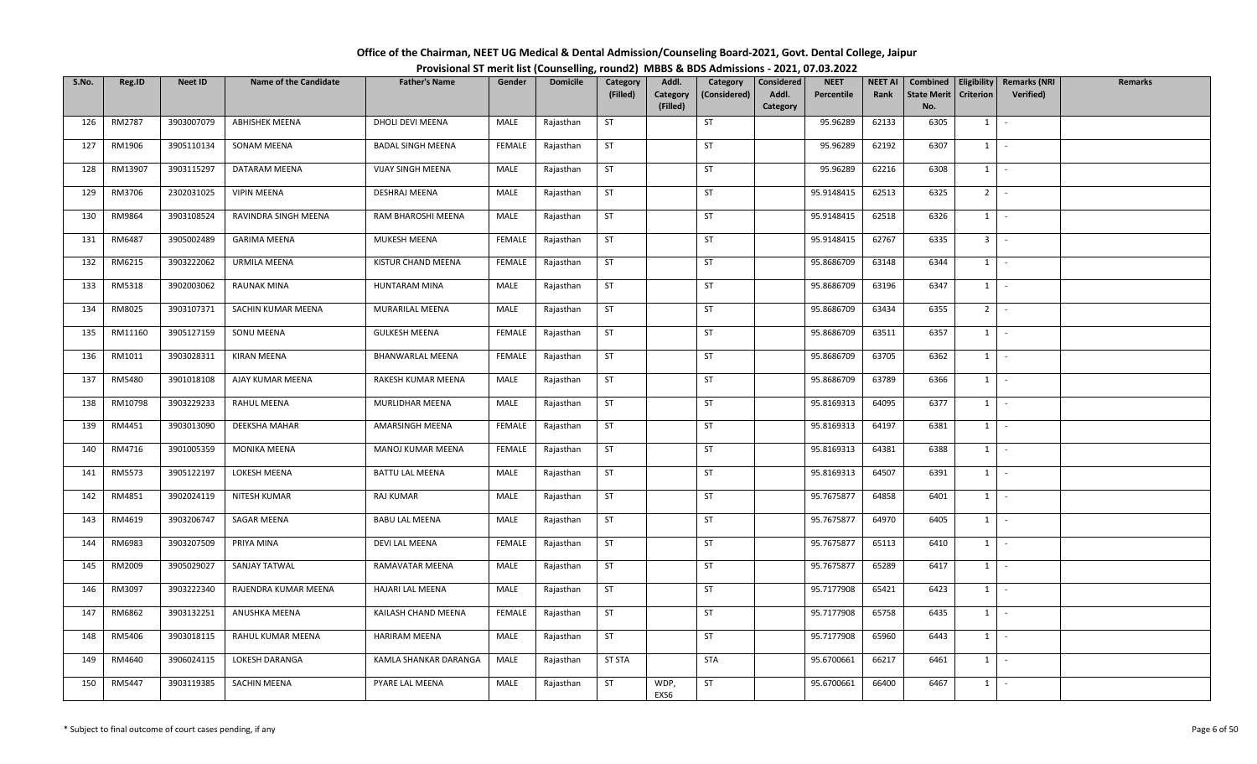| Office of the Chairman, NEET UG Medical & Dental Admission/Counseling Board-2021, Govt. Dental College, Jaipur |  |
|----------------------------------------------------------------------------------------------------------------|--|
| Provisional ST merit list (Counselling, round2) MBBS & BDS Admissions - 2021, 07.03.2022                       |  |

| S.No. | Reg.ID  | <b>Neet ID</b> | <b>Name of the Candidate</b> | <b>Father's Name</b>     | Gender        | <b>Domicile</b> | Category      | Addl.        | Category     | Considered | <b>NEET</b> | <b>NEET AI</b> | Combined           |                     | Eligibility   Remarks (NRI | <b>Remarks</b> |
|-------|---------|----------------|------------------------------|--------------------------|---------------|-----------------|---------------|--------------|--------------|------------|-------------|----------------|--------------------|---------------------|----------------------------|----------------|
|       |         |                |                              |                          |               |                 | (Filled)      | Category     | (Considered) | Addl.      | Percentile  | Rank           | <b>State Merit</b> | Criterion           | Verified)                  |                |
|       |         |                |                              |                          |               |                 |               | (Filled)     |              | Category   |             |                | No.                |                     |                            |                |
| 126   | RM2787  | 3903007079     | <b>ABHISHEK MEENA</b>        | DHOLI DEVI MEENA         | MALE          | Rajasthan       | ST            |              | ST           |            | 95.96289    | 62133          | 6305               | $1 \quad$           | $\sim$                     |                |
| 127   | RM1906  | 3905110134     | <b>SONAM MEENA</b>           | <b>BADAL SINGH MEENA</b> | <b>FEMALE</b> | Rajasthan       | <b>ST</b>     |              | ST           |            | 95.96289    | 62192          | 6307               | $1 \quad$           | $\sim$                     |                |
| 128   | RM13907 | 3903115297     | DATARAM MEENA                | VIJAY SINGH MEENA        | MALE          | Rajasthan       | <b>ST</b>     |              | ST           |            | 95.96289    | 62216          | 6308               | 1                   | $\sim$                     |                |
| 129   | RM3706  | 2302031025     | <b>VIPIN MEENA</b>           | DESHRAJ MEENA            | MALE          | Rajasthan       | <b>ST</b>     |              | ST           |            | 95.9148415  | 62513          | 6325               | $2$ -               |                            |                |
| 130   | RM9864  | 3903108524     | RAVINDRA SINGH MEENA         | RAM BHAROSHI MEENA       | MALE          | Rajasthan       | <b>ST</b>     |              | ST           |            | 95.9148415  | 62518          | 6326               | $1 \quad$           | $\sim$                     |                |
| 131   | RM6487  | 3905002489     | <b>GARIMA MEENA</b>          | MUKESH MEENA             | FEMALE        | Rajasthan       | ST            |              | ST           |            | 95.9148415  | 62767          | 6335               | $3$ $\vert$ $\vert$ |                            |                |
| 132   | RM6215  | 3903222062     | <b>URMILA MEENA</b>          | KISTUR CHAND MEENA       | FEMALE        | Rajasthan       | <b>ST</b>     |              | ST           |            | 95.8686709  | 63148          | 6344               | 1                   | $\sim$                     |                |
| 133   | RM5318  | 3902003062     | RAUNAK MINA                  | HUNTARAM MINA            | MALE          | Rajasthan       | ST            |              | ST           |            | 95.8686709  | 63196          | 6347               | $1 \vert$           | $\sim$                     |                |
| 134   | RM8025  | 3903107371     | SACHIN KUMAR MEENA           | MURARILAL MEENA          | MALE          | Rajasthan       | <b>ST</b>     |              | <b>ST</b>    |            | 95.8686709  | 63434          | 6355               | 2 <sup>1</sup>      | $\sim$                     |                |
| 135   | RM11160 | 3905127159     | SONU MEENA                   | <b>GULKESH MEENA</b>     | FEMALE        | Rajasthan       | <b>ST</b>     |              | ST           |            | 95.8686709  | 63511          | 6357               | 1                   | $\sim$                     |                |
| 136   | RM1011  | 3903028311     | KIRAN MEENA                  | <b>BHANWARLAL MEENA</b>  | FEMALE        | Rajasthan       | <b>ST</b>     |              | <b>ST</b>    |            | 95.8686709  | 63705          | 6362               | 1                   | $\sim$                     |                |
| 137   | RM5480  | 3901018108     | AJAY KUMAR MEENA             | RAKESH KUMAR MEENA       | MALE          | Rajasthan       | <b>ST</b>     |              | ST           |            | 95.8686709  | 63789          | 6366               | $1 \mid$            | $\sim$                     |                |
| 138   | RM10798 | 3903229233     | RAHUL MEENA                  | MURLIDHAR MEENA          | MALE          | Rajasthan       | <b>ST</b>     |              | ST           |            | 95.8169313  | 64095          | 6377               | 1                   | $\sim$                     |                |
| 139   | RM4451  | 3903013090     | <b>DEEKSHA MAHAR</b>         | AMARSINGH MEENA          | <b>FEMALE</b> | Rajasthan       | <b>ST</b>     |              | ST           |            | 95.8169313  | 64197          | 6381               | $1 \vert$           | $\sim$                     |                |
| 140   | RM4716  | 3901005359     | MONIKA MEENA                 | MANOJ KUMAR MEENA        | FEMALE        | Rajasthan       | <b>ST</b>     |              | ST           |            | 95.8169313  | 64381          | 6388               | 1                   | $\sim$                     |                |
| 141   | RM5573  | 3905122197     | LOKESH MEENA                 | <b>BATTU LAL MEENA</b>   | MALE          | Rajasthan       | <b>ST</b>     |              | <b>ST</b>    |            | 95.8169313  | 64507          | 6391               | $1 \mid -$          |                            |                |
| 142   | RM4851  | 3902024119     | NITESH KUMAR                 | RAJ KUMAR                | MALE          | Rajasthan       | <b>ST</b>     |              | <b>ST</b>    |            | 95.7675877  | 64858          | 6401               | $1 \vert$           | $\sim$                     |                |
| 143   | RM4619  | 3903206747     | SAGAR MEENA                  | <b>BABU LAL MEENA</b>    | MALE          | Rajasthan       | <b>ST</b>     |              | <b>ST</b>    |            | 95.7675877  | 64970          | 6405               | $1 \quad$           | $\sim$                     |                |
| 144   | RM6983  | 3903207509     | PRIYA MINA                   | DEVI LAL MEENA           | FEMALE        | Rajasthan       | <b>ST</b>     |              | ST           |            | 95.7675877  | 65113          | 6410               | $1 \cdot$           |                            |                |
| 145   | RM2009  | 3905029027     | SANJAY TATWAL                | RAMAVATAR MEENA          | MALE          | Rajasthan       | <b>ST</b>     |              | ST           |            | 95.7675877  | 65289          | 6417               | 1                   | $\sim$                     |                |
| 146   | RM3097  | 3903222340     | RAJENDRA KUMAR MEENA         | HAJARI LAL MEENA         | MALE          | Rajasthan       | <b>ST</b>     |              | ST           |            | 95.7177908  | 65421          | 6423               | 1                   | $\sim$                     |                |
| 147   | RM6862  | 3903132251     | ANUSHKA MEENA                | KAILASH CHAND MEENA      | <b>FEMALE</b> | Rajasthan       | ST            |              | ST           |            | 95.7177908  | 65758          | 6435               | 1                   | $\sim$                     |                |
| 148   | RM5406  | 3903018115     | RAHUL KUMAR MEENA            | <b>HARIRAM MEENA</b>     | MALE          | Rajasthan       | <b>ST</b>     |              | <b>ST</b>    |            | 95.7177908  | 65960          | 6443               | $1 \quad$           | $\sim$                     |                |
| 149   | RM4640  | 3906024115     | LOKESH DARANGA               | KAMLA SHANKAR DARANGA    | MALE          | Rajasthan       | <b>ST STA</b> |              | STA          |            | 95.6700661  | 66217          | 6461               | $1 \quad$           | $\sim$                     |                |
| 150   | RM5447  | 3903119385     | SACHIN MEENA                 | PYARE LAL MEENA          | MALE          | Rajasthan       | ST            | WDP,<br>EXS6 | ST           |            | 95.6700661  | 66400          | 6467               | $1 \quad$           | $\sim$                     |                |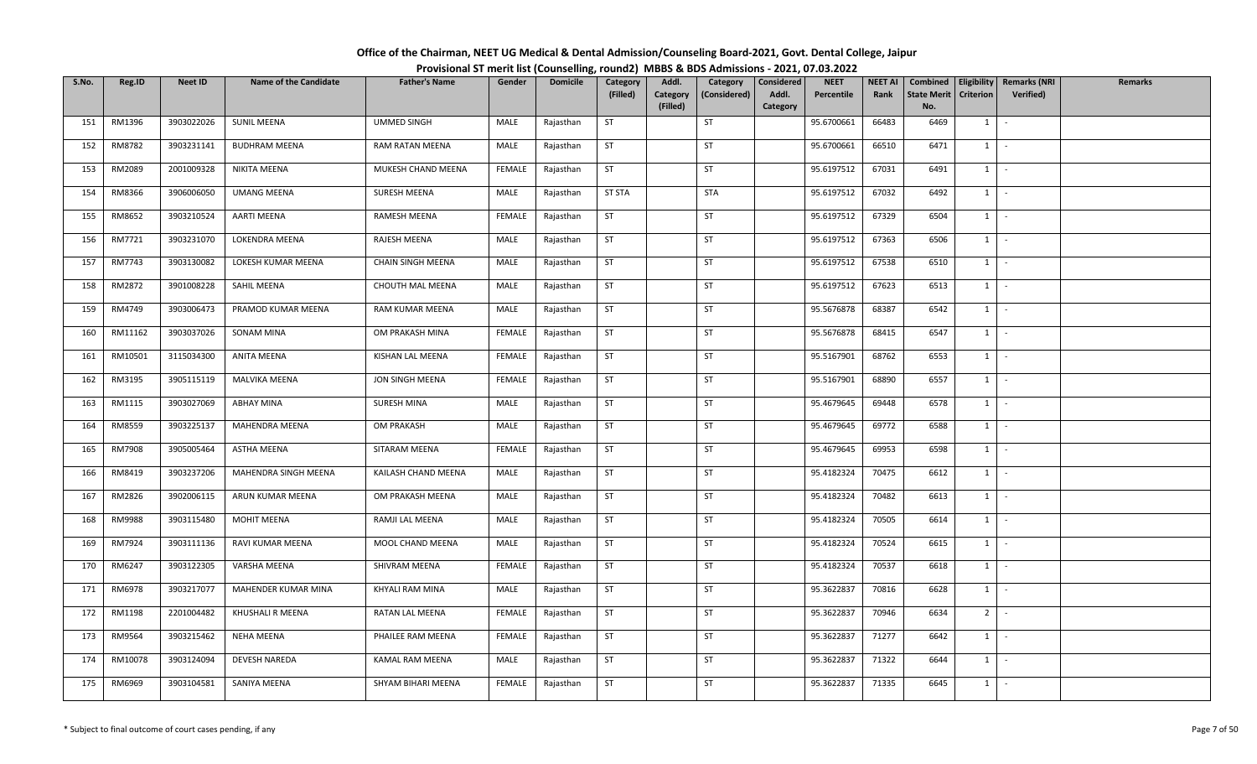| Office of the Chairman, NEET UG Medical & Dental Admission/Counseling Board-2021, Govt. Dental College, Jaipur |  |
|----------------------------------------------------------------------------------------------------------------|--|
| Provisional ST merit list (Counselling, round2) MBBS & BDS Admissions - 2021, 07.03.2022                       |  |

| S.No. | Reg.ID        | <b>Neet ID</b> | <b>Name of the Candidate</b> | <b>Father's Name</b> | Gender        | <b>Domicile</b> | Category      | Addl.                | Category     | Considered        | <b>NEET</b> | <b>NEET AI</b> | Combined                  | Eligibility    | <b>Remarks (NRI</b> | <b>Remarks</b> |
|-------|---------------|----------------|------------------------------|----------------------|---------------|-----------------|---------------|----------------------|--------------|-------------------|-------------|----------------|---------------------------|----------------|---------------------|----------------|
|       |               |                |                              |                      |               |                 | (Filled)      | Category<br>(Filled) | (Considered) | Addl.<br>Category | Percentile  | Rank           | <b>State Merit</b><br>No. | Criterion      | Verified)           |                |
| 151   | RM1396        | 3903022026     | <b>SUNIL MEENA</b>           | <b>UMMED SINGH</b>   | MALE          | Rajasthan       | ST            |                      | ST           |                   | 95.6700661  | 66483          | 6469                      | $1 \quad$      | $\sim$              |                |
|       |               |                |                              |                      |               |                 |               |                      |              |                   |             |                |                           |                |                     |                |
| 152   | RM8782        | 3903231141     | <b>BUDHRAM MEENA</b>         | RAM RATAN MEENA      | MALE          | Rajasthan       | <b>ST</b>     |                      | ST           |                   | 95.6700661  | 66510          | 6471                      | $1 \quad$      | $\sim$              |                |
| 153   | RM2089        | 2001009328     | NIKITA MEENA                 | MUKESH CHAND MEENA   | FEMALE        | Rajasthan       | <b>ST</b>     |                      | ST           |                   | 95.6197512  | 67031          | 6491                      | $1 \quad$      | $\sim$              |                |
| 154   | RM8366        | 3906006050     | <b>UMANG MEENA</b>           | SURESH MEENA         | MALE          | Rajasthan       | <b>ST STA</b> |                      | <b>STA</b>   |                   | 95.6197512  | 67032          | 6492                      | $1 \mid$       | $\sim$              |                |
| 155   | RM8652        | 3903210524     | <b>AARTI MEENA</b>           | RAMESH MEENA         | FEMALE        | Rajasthan       | <b>ST</b>     |                      | ST           |                   | 95.6197512  | 67329          | 6504                      | 1              | $\sim$              |                |
| 156   | RM7721        | 3903231070     | LOKENDRA MEENA               | RAJESH MEENA         | MALE          | Rajasthan       | ST            |                      | ST           |                   | 95.6197512  | 67363          | 6506                      | $1 \mid -$     |                     |                |
| 157   | RM7743        | 3903130082     | LOKESH KUMAR MEENA           | CHAIN SINGH MEENA    | MALE          | Rajasthan       | <b>ST</b>     |                      | <b>ST</b>    |                   | 95.6197512  | 67538          | 6510                      | 1              | $\sim$              |                |
| 158   | RM2872        | 3901008228     | SAHIL MEENA                  | CHOUTH MAL MEENA     | MALE          | Rajasthan       | <b>ST</b>     |                      | ST           |                   | 95.6197512  | 67623          | 6513                      | 1              | $\sim$              |                |
| 159   | RM4749        | 3903006473     | PRAMOD KUMAR MEENA           | RAM KUMAR MEENA      | MALE          | Rajasthan       | <b>ST</b>     |                      | ST           |                   | 95.5676878  | 68387          | 6542                      | $1 \quad$      | $\sim$              |                |
| 160   | RM11162       | 3903037026     | SONAM MINA                   | OM PRAKASH MINA      | FEMALE        | Rajasthan       | <b>ST</b>     |                      | ST           |                   | 95.5676878  | 68415          | 6547                      | $1 \quad$      | $\sim$              |                |
| 161   | RM10501       | 3115034300     | ANITA MEENA                  | KISHAN LAL MEENA     | FEMALE        | Rajasthan       | ST            |                      | ST           |                   | 95.5167901  | 68762          | 6553                      | $1 \mid$       | $\sim$              |                |
| 162   | RM3195        | 3905115119     | <b>MALVIKA MEENA</b>         | JON SINGH MEENA      | <b>FEMALE</b> | Rajasthan       | <b>ST</b>     |                      | ST           |                   | 95.5167901  | 68890          | 6557                      | $1\phantom{0}$ | $\sim$              |                |
| 163   | RM1115        | 3903027069     | <b>ABHAY MINA</b>            | SURESH MINA          | MALE          | Rajasthan       | ST            |                      | ST           |                   | 95.4679645  | 69448          | 6578                      | 1              | $\sim$              |                |
| 164   | RM8559        | 3903225137     | MAHENDRA MEENA               | OM PRAKASH           | MALE          | Rajasthan       | <b>ST</b>     |                      | <b>ST</b>    |                   | 95.4679645  | 69772          | 6588                      | $1 \quad$      | $\sim$              |                |
| 165   | <b>RM7908</b> | 3905005464     | ASTHA MEENA                  | SITARAM MEENA        | FEMALE        | Rajasthan       | <b>ST</b>     |                      | <b>ST</b>    |                   | 95.4679645  | 69953          | 6598                      | 1              | $\sim$              |                |
| 166   | RM8419        | 3903237206     | MAHENDRA SINGH MEENA         | KAILASH CHAND MEENA  | MALE          | Rajasthan       | <b>ST</b>     |                      | <b>ST</b>    |                   | 95.4182324  | 70475          | 6612                      | 1              | $\sim$              |                |
| 167   | RM2826        | 3902006115     | ARUN KUMAR MEENA             | OM PRAKASH MEENA     | MALE          | Rajasthan       | <b>ST</b>     |                      | <b>ST</b>    |                   | 95.4182324  | 70482          | 6613                      | 1              | $\sim$              |                |
| 168   | RM9988        | 3903115480     | <b>MOHIT MEENA</b>           | RAMJI LAL MEENA      | MALE          | Rajasthan       | <b>ST</b>     |                      | ST           |                   | 95.4182324  | 70505          | 6614                      | $1 \mid$       | $\sim$              |                |
| 169   | RM7924        | 3903111136     | RAVI KUMAR MEENA             | MOOL CHAND MEENA     | MALE          | Rajasthan       | <b>ST</b>     |                      | ST           |                   | 95.4182324  | 70524          | 6615                      | $1 \vert$      | $\sim$              |                |
| 170   | RM6247        | 3903122305     | VARSHA MEENA                 | SHIVRAM MEENA        | FEMALE        | Rajasthan       | ST            |                      | ST           |                   | 95.4182324  | 70537          | 6618                      | $1 \quad$      | $\sim$              |                |
| 171   | RM6978        | 3903217077     | MAHENDER KUMAR MINA          | KHYALI RAM MINA      | MALE          | Rajasthan       | <b>ST</b>     |                      | ST           |                   | 95.3622837  | 70816          | 6628                      | 1              | $\sim$              |                |
| 172   | RM1198        | 2201004482     | KHUSHALI R MEENA             | RATAN LAL MEENA      | FEMALE        | Rajasthan       | ST            |                      | <b>ST</b>    |                   | 95.3622837  | 70946          | 6634                      | $2$ -          |                     |                |
| 173   | RM9564        | 3903215462     | NEHA MEENA                   | PHAILEE RAM MEENA    | FEMALE        | Rajasthan       | <b>ST</b>     |                      | <b>ST</b>    |                   | 95.3622837  | 71277          | 6642                      | 1              | $\sim$              |                |
| 174   | RM10078       | 3903124094     | DEVESH NAREDA                | KAMAL RAM MEENA      | MALE          | Rajasthan       | <b>ST</b>     |                      | <b>ST</b>    |                   | 95.3622837  | 71322          | 6644                      | $1 \quad$      | $\sim$              |                |
| 175   | RM6969        | 3903104581     | SANIYA MEENA                 | SHYAM BIHARI MEENA   | FEMALE        | Rajasthan       | <b>ST</b>     |                      | <b>ST</b>    |                   | 95.3622837  | 71335          | 6645                      | $1 \quad$      | $\sim$              |                |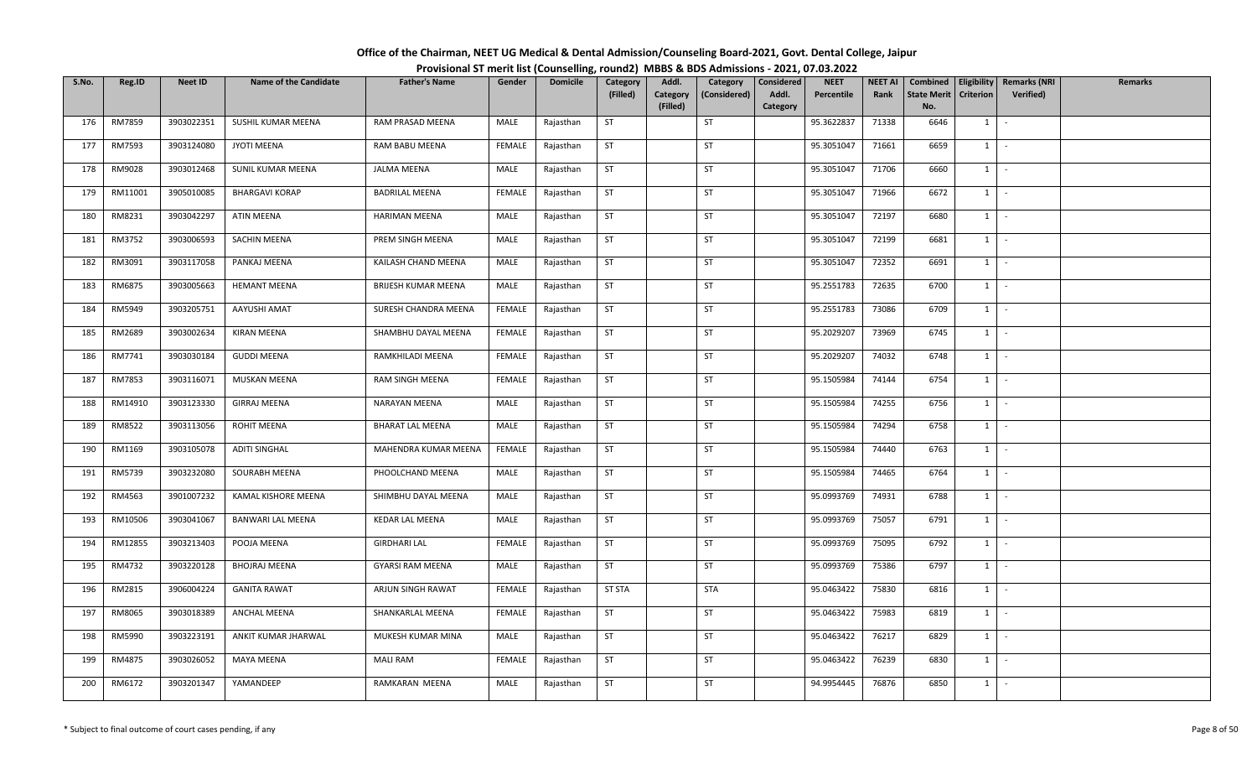| Office of the Chairman, NEET UG Medical & Dental Admission/Counseling Board-2021, Govt. Dental College, Jaipur |  |
|----------------------------------------------------------------------------------------------------------------|--|
| Provisional ST merit list (Counselling, round2) MBBS & BDS Admissions - 2021, 07.03.2022                       |  |

| S.No. | Reg.ID  | <b>Neet ID</b> | <b>Name of the Candidate</b> | <b>Father's Name</b>    | Gender        | <b>Domicile</b> | Category      | Addl.    | Category     | Considered | <b>NEET</b> | <b>NEET AI</b> | Combined           | Eligibility      | <b>Remarks (NRI</b> | <b>Remarks</b> |
|-------|---------|----------------|------------------------------|-------------------------|---------------|-----------------|---------------|----------|--------------|------------|-------------|----------------|--------------------|------------------|---------------------|----------------|
|       |         |                |                              |                         |               |                 | (Filled)      | Category | (Considered) | Addl.      | Percentile  | Rank           | <b>State Merit</b> | <b>Criterion</b> | Verified)           |                |
|       |         |                |                              |                         |               |                 |               | (Filled) |              | Category   |             |                | No.                |                  |                     |                |
| 176   | RM7859  | 3903022351     | SUSHIL KUMAR MEENA           | RAM PRASAD MEENA        | MALE          | Rajasthan       | ST            |          | ST           |            | 95.3622837  | 71338          | 6646               | $1 \quad$        | $\sim$              |                |
| 177   | RM7593  | 3903124080     | JYOTI MEENA                  | RAM BABU MEENA          | FEMALE        | Rajasthan       | <b>ST</b>     |          | ST           |            | 95.3051047  | 71661          | 6659               | $1 \quad$        | $\sim$              |                |
| 178   | RM9028  | 3903012468     | SUNIL KUMAR MEENA            | <b>JALMA MEENA</b>      | MALE          | Rajasthan       | <b>ST</b>     |          | ST           |            | 95.3051047  | 71706          | 6660               | $1 \quad$        | $\sim$              |                |
| 179   | RM11001 | 3905010085     | <b>BHARGAVI KORAP</b>        | <b>BADRILAL MEENA</b>   | <b>FEMALE</b> | Rajasthan       | <b>ST</b>     |          | ST           |            | 95.3051047  | 71966          | 6672               | $1 \mid$         | $\sim$              |                |
| 180   | RM8231  | 3903042297     | ATIN MEENA                   | <b>HARIMAN MEENA</b>    | MALE          | Rajasthan       | <b>ST</b>     |          | ST           |            | 95.3051047  | 72197          | 6680               | 1                | $\sim$              |                |
| 181   | RM3752  | 3903006593     | <b>SACHIN MEENA</b>          | PREM SINGH MEENA        | MALE          | Rajasthan       | ST            |          | ST           |            | 95.3051047  | 72199          | 6681               |                  | $1 \mid -$          |                |
| 182   | RM3091  | 3903117058     | PANKAJ MEENA                 | KAILASH CHAND MEENA     | MALE          | Rajasthan       | <b>ST</b>     |          | <b>ST</b>    |            | 95.3051047  | 72352          | 6691               | 1                | $\sim$              |                |
| 183   | RM6875  | 3903005663     | <b>HEMANT MEENA</b>          | BRIJESH KUMAR MEENA     | MALE          | Rajasthan       | <b>ST</b>     |          | ST           |            | 95.2551783  | 72635          | 6700               | 1                | $\sim$              |                |
| 184   | RM5949  | 3903205751     | AAYUSHI AMAT                 | SURESH CHANDRA MEENA    | FEMALE        | Rajasthan       | <b>ST</b>     |          | ST           |            | 95.2551783  | 73086          | 6709               | $1 \quad$        | $\sim$              |                |
| 185   | RM2689  | 3903002634     | <b>KIRAN MEENA</b>           | SHAMBHU DAYAL MEENA     | FEMALE        | Rajasthan       | <b>ST</b>     |          | <b>ST</b>    |            | 95.2029207  | 73969          | 6745               | $1 \quad$        | $\sim$              |                |
| 186   | RM7741  | 3903030184     | <b>GUDDI MEENA</b>           | RAMKHILADI MEENA        | <b>FEMALE</b> | Rajasthan       | ST            |          | ST           |            | 95.2029207  | 74032          | 6748               | $1 \mid$         | $\sim$              |                |
| 187   | RM7853  | 3903116071     | MUSKAN MEENA                 | RAM SINGH MEENA         | FEMALE        | Rajasthan       | <b>ST</b>     |          | ST           |            | 95.1505984  | 74144          | 6754               | $1\phantom{0}$   | $\sim$              |                |
| 188   | RM14910 | 3903123330     | <b>GIRRAJ MEENA</b>          | NARAYAN MEENA           | MALE          | Rajasthan       | ST            |          | ST           |            | 95.1505984  | 74255          | 6756               | 1                | $\sim$              |                |
| 189   | RM8522  | 3903113056     | <b>ROHIT MEENA</b>           | <b>BHARAT LAL MEENA</b> | MALE          | Rajasthan       | <b>ST</b>     |          | <b>ST</b>    |            | 95.1505984  | 74294          | 6758               | $1 \quad$        | $\sim$              |                |
| 190   | RM1169  | 3903105078     | ADITI SINGHAL                | MAHENDRA KUMAR MEENA    | FEMALE        | Rajasthan       | <b>ST</b>     |          | <b>ST</b>    |            | 95.1505984  | 74440          | 6763               | 1                | $\sim$              |                |
| 191   | RM5739  | 3903232080     | SOURABH MEENA                | PHOOLCHAND MEENA        | MALE          | Rajasthan       | <b>ST</b>     |          | <b>ST</b>    |            | 95.1505984  | 74465          | 6764               | 1                | $\sim$              |                |
| 192   | RM4563  | 3901007232     | KAMAL KISHORE MEENA          | SHIMBHU DAYAL MEENA     | MALE          | Rajasthan       | <b>ST</b>     |          | <b>ST</b>    |            | 95.0993769  | 74931          | 6788               | 1                | $\sim$              |                |
| 193   | RM10506 | 3903041067     | BANWARI LAL MEENA            | <b>KEDAR LAL MEENA</b>  | MALE          | Rajasthan       | <b>ST</b>     |          | ST           |            | 95.0993769  | 75057          | 6791               | $1 \mid$         | $\sim$              |                |
| 194   | RM12855 | 3903213403     | POOJA MEENA                  | <b>GIRDHARI LAL</b>     | FEMALE        | Rajasthan       | <b>ST</b>     |          | ST           |            | 95.0993769  | 75095          | 6792               | $1 \vert$        | $\sim$              |                |
| 195   | RM4732  | 3903220128     | <b>BHOJRAJ MEENA</b>         | <b>GYARSI RAM MEENA</b> | MALE          | Rajasthan       | <b>ST</b>     |          | ST           |            | 95.0993769  | 75386          | 6797               | 1                | $\sim$              |                |
| 196   | RM2815  | 3906004224     | <b>GANITA RAWAT</b>          | ARJUN SINGH RAWAT       | <b>FEMALE</b> | Rajasthan       | <b>ST STA</b> |          | STA          |            | 95.0463422  | 75830          | 6816               | 1                | $\sim$              |                |
| 197   | RM8065  | 3903018389     | <b>ANCHAL MEENA</b>          | SHANKARLAL MEENA        | FEMALE        | Rajasthan       | ST            |          | ST           |            | 95.0463422  | 75983          | 6819               | $1 \cdot$        |                     |                |
| 198   | RM5990  | 3903223191     | ANKIT KUMAR JHARWAL          | MUKESH KUMAR MINA       | MALE          | Rajasthan       | <b>ST</b>     |          | <b>ST</b>    |            | 95.0463422  | 76217          | 6829               | 1                | $\sim$              |                |
| 199   | RM4875  | 3903026052     | MAYA MEENA                   | <b>MALI RAM</b>         | FEMALE        | Rajasthan       | <b>ST</b>     |          | <b>ST</b>    |            | 95.0463422  | 76239          | 6830               | $1 \quad$        | $\sim$              |                |
| 200   | RM6172  | 3903201347     | YAMANDEEP                    | RAMKARAN MEENA          | MALE          | Rajasthan       | <b>ST</b>     |          | <b>ST</b>    |            | 94.9954445  | 76876          | 6850               | $1 \quad$        | $\sim$              |                |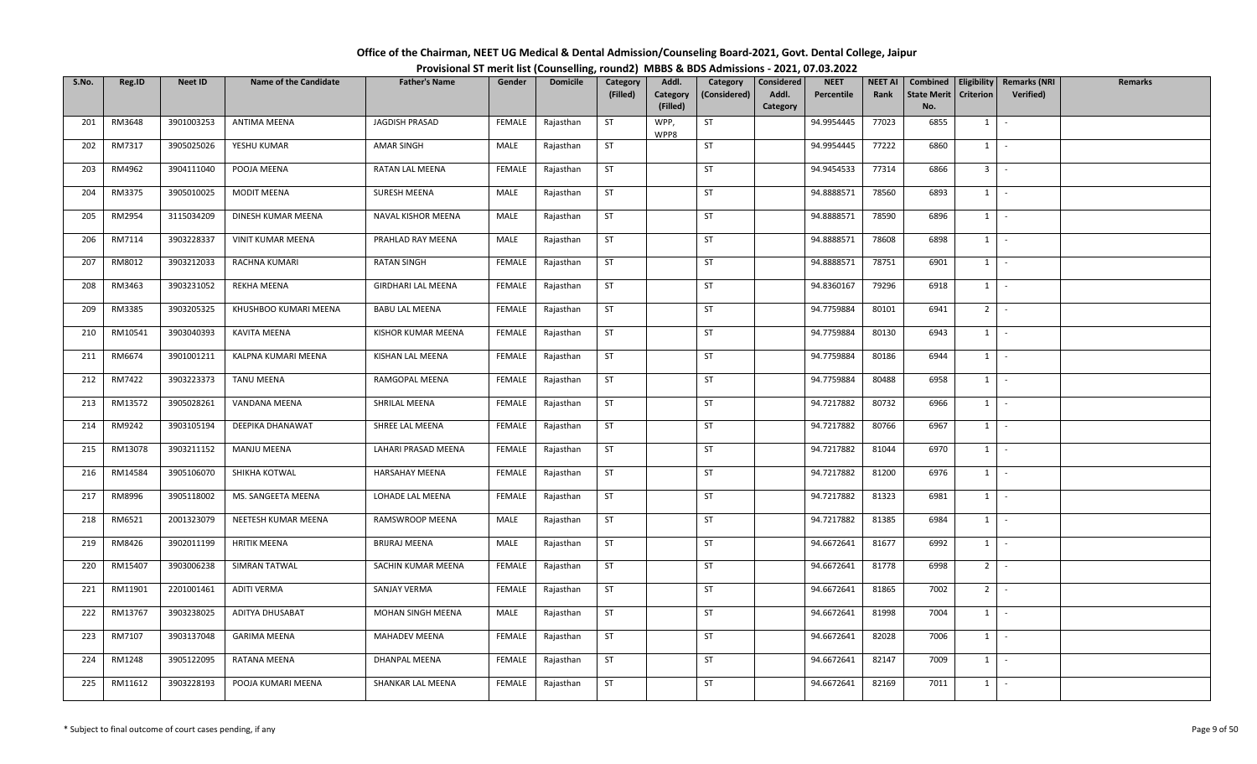| Office of the Chairman, NEET UG Medical & Dental Admission/Counseling Board-2021, Govt. Dental College, Jaipur |  |
|----------------------------------------------------------------------------------------------------------------|--|
| Provisional ST merit list (Counselling, round2) MBBS & BDS Admissions - 2021, 07.03.2022                       |  |

| S.No. | Reg.ID  | <b>Neet ID</b> | <b>Name of the Candidate</b> | <b>Father's Name</b>      | Gender        | <b>Domicile</b> | Category  | Addl.        | Category     | Considered | <b>NEET</b> | <b>NEET AI</b> | Combined           |                  | Eligibility   Remarks (NRI | <b>Remarks</b> |
|-------|---------|----------------|------------------------------|---------------------------|---------------|-----------------|-----------|--------------|--------------|------------|-------------|----------------|--------------------|------------------|----------------------------|----------------|
|       |         |                |                              |                           |               |                 | (Filled)  | Category     | (Considered) | Addl.      | Percentile  | Rank           | <b>State Merit</b> | <b>Criterion</b> | <b>Verified</b> )          |                |
|       |         |                |                              |                           |               |                 |           | (Filled)     |              | Category   |             |                | No.                |                  |                            |                |
| 201   | RM3648  | 3901003253     | <b>ANTIMA MEENA</b>          | JAGDISH PRASAD            | FEMALE        | Rajasthan       | <b>ST</b> | WPP,<br>WPP8 | ST           |            | 94.9954445  | 77023          | 6855               | 1                | $\sim$                     |                |
| 202   | RM7317  | 3905025026     | YESHU KUMAR                  | AMAR SINGH                | MALE          | Rajasthan       | ST        |              | <b>ST</b>    |            | 94.9954445  | 77222          | 6860               | $1 \quad$        | $\sim$                     |                |
| 203   | RM4962  | 3904111040     | POOJA MEENA                  | RATAN LAL MEENA           | <b>FEMALE</b> | Rajasthan       | <b>ST</b> |              | ST           |            | 94.9454533  | 77314          | 6866               | 3 <sup>1</sup>   | $\sim$ $-$                 |                |
| 204   | RM3375  | 3905010025     | <b>MODIT MEENA</b>           | SURESH MEENA              | MALE          | Rajasthan       | ST        |              | ST           |            | 94.8888571  | 78560          | 6893               | $1 \mid$         | $\sim$                     |                |
| 205   | RM2954  | 3115034209     | DINESH KUMAR MEENA           | NAVAL KISHOR MEENA        | MALE          | Rajasthan       | <b>ST</b> |              | ST           |            | 94.8888571  | 78590          | 6896               | $1 \mid$         | $\sim$                     |                |
| 206   | RM7114  | 3903228337     | <b>VINIT KUMAR MEENA</b>     | PRAHLAD RAY MEENA         | MALE          | Rajasthan       | <b>ST</b> |              | ST           |            | 94.8888571  | 78608          | 6898               | 1                | $\sim$                     |                |
| 207   | RM8012  | 3903212033     | RACHNA KUMARI                | <b>RATAN SINGH</b>        | FEMALE        | Rajasthan       | ST        |              | ST           |            | 94.8888571  | 78751          | 6901               | $1 \quad$        | $\sim$                     |                |
| 208   | RM3463  | 3903231052     | REKHA MEENA                  | <b>GIRDHARI LAL MEENA</b> | <b>FEMALE</b> | Rajasthan       | <b>ST</b> |              | ST           |            | 94.8360167  | 79296          | 6918               | 1                | $\sim$                     |                |
| 209   | RM3385  | 3903205325     | KHUSHBOO KUMARI MEENA        | <b>BABU LAL MEENA</b>     | FEMALE        | Rajasthan       | <b>ST</b> |              | ST           |            | 94.7759884  | 80101          | 6941               | 2 <sup>1</sup>   | $\sim$                     |                |
| 210   | RM10541 | 3903040393     | KAVITA MEENA                 | KISHOR KUMAR MEENA        | FEMALE        | Rajasthan       | ST        |              | ST           |            | 94.7759884  | 80130          | 6943               | 1                | $\sim$                     |                |
| 211   | RM6674  | 3901001211     | KALPNA KUMARI MEENA          | KISHAN LAL MEENA          | FEMALE        | Rajasthan       | ST        |              | ST           |            | 94.7759884  | 80186          | 6944               | $1$ $-$          |                            |                |
| 212   | RM7422  | 3903223373     | <b>TANU MEENA</b>            | RAMGOPAL MEENA            | FEMALE        | Rajasthan       | <b>ST</b> |              | ST           |            | 94.7759884  | 80488          | 6958               | $1 \quad$        | $\sim$                     |                |
| 213   | RM13572 | 3905028261     | VANDANA MEENA                | SHRILAL MEENA             | FEMALE        | Rajasthan       | <b>ST</b> |              | ST           |            | 94.7217882  | 80732          | 6966               | 1                | $\sim$                     |                |
| 214   | RM9242  | 3903105194     | DEEPIKA DHANAWAT             | SHREE LAL MEENA           | FEMALE        | Rajasthan       | <b>ST</b> |              | <b>ST</b>    |            | 94.7217882  | 80766          | 6967               | $1 \quad$        | $\sim$                     |                |
| 215   | RM13078 | 3903211152     | <b>MANJU MEENA</b>           | LAHARI PRASAD MEENA       | FEMALE        | Rajasthan       | ST        |              | <b>ST</b>    |            | 94.7217882  | 81044          | 6970               | $1 \quad$        | $\sim$                     |                |
| 216   | RM14584 | 3905106070     | SHIKHA KOTWAL                | HARSAHAY MEENA            | FEMALE        | Rajasthan       | <b>ST</b> |              | <b>ST</b>    |            | 94.7217882  | 81200          | 6976               | $1 \mid$         | $\sim$                     |                |
| 217   | RM8996  | 3905118002     | MS. SANGEETA MEENA           | LOHADE LAL MEENA          | FEMALE        | Rajasthan       | <b>ST</b> |              | ST           |            | 94.7217882  | 81323          | 6981               | 1                | $\sim$                     |                |
| 218   | RM6521  | 2001323079     | NEETESH KUMAR MEENA          | RAMSWROOP MEENA           | MALE          | Rajasthan       | <b>ST</b> |              | <b>ST</b>    |            | 94.7217882  | 81385          | 6984               | 1                | $\sim$                     |                |
| 219   | RM8426  | 3902011199     | <b>HRITIK MEENA</b>          | <b>BRIJRAJ MEENA</b>      | MALE          | Rajasthan       | <b>ST</b> |              | ST           |            | 94.6672641  | 81677          | 6992               |                  | $1 \cdot$                  |                |
| 220   | RM15407 | 3903006238     | SIMRAN TATWAL                | SACHIN KUMAR MEENA        | FEMALE        | Rajasthan       | <b>ST</b> |              | ST           |            | 94.6672641  | 81778          | 6998               | $2^{\circ}$      | $\sim$                     |                |
| 221   | RM11901 | 2201001461     | <b>ADITI VERMA</b>           | SANJAY VERMA              | FEMALE        | Rajasthan       | <b>ST</b> |              | <b>ST</b>    |            | 94.6672641  | 81865          | 7002               | $2^{\circ}$      | $\sim$                     |                |
| 222   | RM13767 | 3903238025     | ADITYA DHUSABAT              | MOHAN SINGH MEENA         | MALE          | Rajasthan       | <b>ST</b> |              | ST           |            | 94.6672641  | 81998          | 7004               | 1                | $\sim$                     |                |
| 223   | RM7107  | 3903137048     | <b>GARIMA MEENA</b>          | <b>MAHADEV MEENA</b>      | FEMALE        | Rajasthan       | ST        |              | ST           |            | 94.6672641  | 82028          | 7006               | $1 \quad$        | $\sim$                     |                |
| 224   | RM1248  | 3905122095     | RATANA MEENA                 | DHANPAL MEENA             | FEMALE        | Rajasthan       | <b>ST</b> |              | <b>ST</b>    |            | 94.6672641  | 82147          | 7009               | $1 \quad$        | $\sim$                     |                |
| 225   | RM11612 | 3903228193     | POOJA KUMARI MEENA           | SHANKAR LAL MEENA         | <b>FEMALE</b> | Rajasthan       | ST        |              | ST           |            | 94.6672641  | 82169          | 7011               | $1 \quad$        | $\sim$                     |                |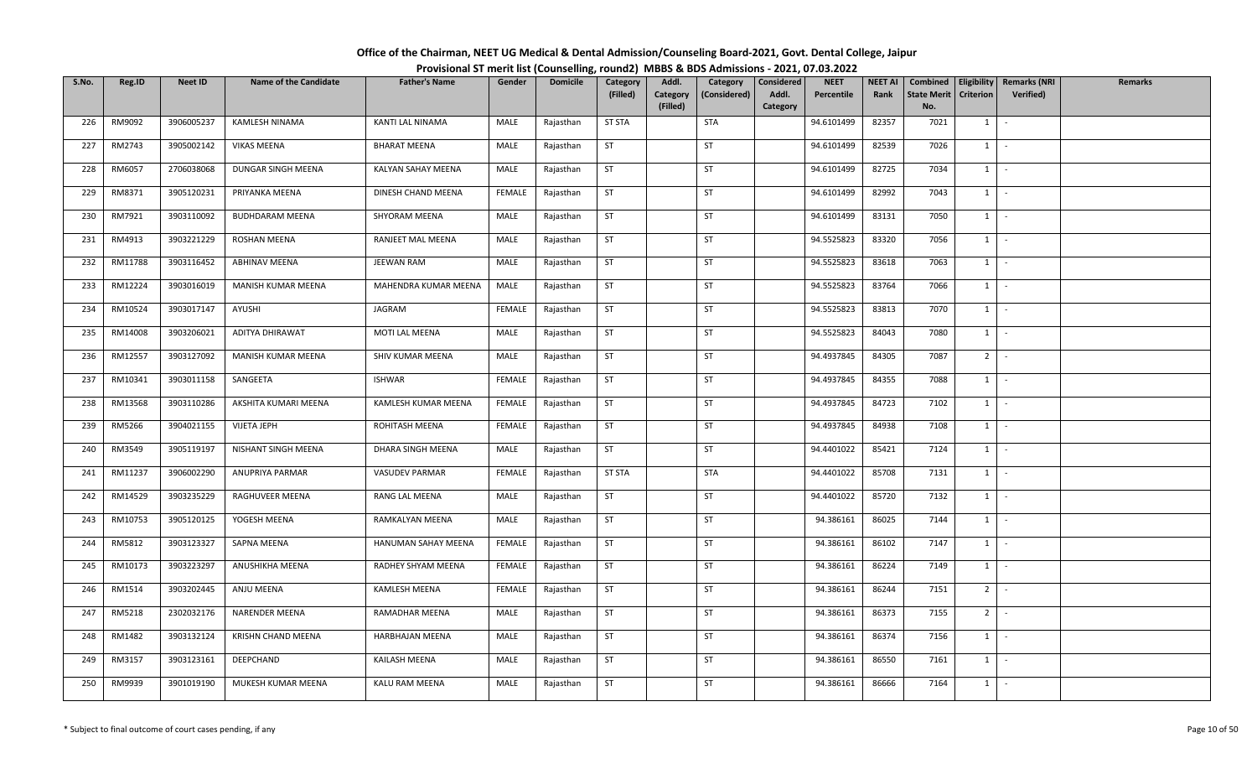| Office of the Chairman, NEET UG Medical & Dental Admission/Counseling Board-2021, Govt. Dental College, Jaipur |  |
|----------------------------------------------------------------------------------------------------------------|--|
| Provisional ST merit list (Counselling, round2) MBBS & BDS Admissions - 2021, 07.03.2022                       |  |

| S.No. | Reg.ID  | <b>Neet ID</b> | <b>Name of the Candidate</b> | <b>Father's Name</b> | Gender        | <b>Domicile</b> | Category      | Addl.                | Category     | Considered        | <b>NEET</b> | <b>NEET AI</b> | Combined                  |                  | Eligibility   Remarks (NRI | Remarks |
|-------|---------|----------------|------------------------------|----------------------|---------------|-----------------|---------------|----------------------|--------------|-------------------|-------------|----------------|---------------------------|------------------|----------------------------|---------|
|       |         |                |                              |                      |               |                 | (Filled)      | Category<br>(Filled) | (Considered) | Addl.<br>Category | Percentile  | Rank           | <b>State Merit</b><br>No. | <b>Criterion</b> | <b>Verified</b> )          |         |
| 226   | RM9092  | 3906005237     | KAMLESH NINAMA               | KANTI LAL NINAMA     | MALE          | Rajasthan       | <b>ST STA</b> |                      | <b>STA</b>   |                   | 94.6101499  | 82357          | 7021                      | 1                | $\sim$                     |         |
|       |         |                |                              |                      |               |                 |               |                      |              |                   |             |                |                           |                  |                            |         |
| 227   | RM2743  | 3905002142     | VIKAS MEENA                  | <b>BHARAT MEENA</b>  | MALE          | Rajasthan       | <b>ST</b>     |                      | <b>ST</b>    |                   | 94.6101499  | 82539          | 7026                      | 1                | $\sim$                     |         |
| 228   | RM6057  | 2706038068     | DUNGAR SINGH MEENA           | KALYAN SAHAY MEENA   | MALE          | Rajasthan       | <b>ST</b>     |                      | ST           |                   | 94.6101499  | 82725          | 7034                      | $1 \cdot$        |                            |         |
| 229   | RM8371  | 3905120231     | PRIYANKA MEENA               | DINESH CHAND MEENA   | <b>FEMALE</b> | Rajasthan       | ST            |                      | ST           |                   | 94.6101499  | 82992          | 7043                      | $1$ $-$          |                            |         |
| 230   | RM7921  | 3903110092     | <b>BUDHDARAM MEENA</b>       | SHYORAM MEENA        | MALE          | Rajasthan       | ST            |                      | ST           |                   | 94.6101499  | 83131          | 7050                      | $1 \mid$         | $\sim$                     |         |
| 231   | RM4913  | 3903221229     | ROSHAN MEENA                 | RANJEET MAL MEENA    | MALE          | Rajasthan       | <b>ST</b>     |                      | ST           |                   | 94.5525823  | 83320          | 7056                      | 1                | $\sim$                     |         |
| 232   | RM11788 | 3903116452     | ABHINAV MEENA                | <b>JEEWAN RAM</b>    | MALE          | Rajasthan       | ST            |                      | ST           |                   | 94.5525823  | 83618          | 7063                      | $1 \quad$        | $\sim$                     |         |
| 233   | RM12224 | 3903016019     | MANISH KUMAR MEENA           | MAHENDRA KUMAR MEENA | MALE          | Rajasthan       | <b>ST</b>     |                      | ST           |                   | 94.5525823  | 83764          | 7066                      | 1                | $\sim$                     |         |
| 234   | RM10524 | 3903017147     | AYUSHI                       | JAGRAM               | <b>FEMALE</b> | Rajasthan       | ST            |                      | ST           |                   | 94.5525823  | 83813          | 7070                      | 1                | $\sim$                     |         |
| 235   | RM14008 | 3903206021     | ADITYA DHIRAWAT              | MOTI LAL MEENA       | MALE          | Rajasthan       | ST            |                      | ST           |                   | 94.5525823  | 84043          | 7080                      | 1                | $\sim$                     |         |
| 236   | RM12557 | 3903127092     | MANISH KUMAR MEENA           | SHIV KUMAR MEENA     | MALE          | Rajasthan       | ST            |                      | ST           |                   | 94.4937845  | 84305          | 7087                      | $2$ -            |                            |         |
| 237   | RM10341 | 3903011158     | SANGEETA                     | <b>ISHWAR</b>        | <b>FEMALE</b> | Rajasthan       | <b>ST</b>     |                      | ST           |                   | 94.4937845  | 84355          | 7088                      | $1 \quad$        | $\sim$                     |         |
| 238   | RM13568 | 3903110286     | AKSHITA KUMARI MEENA         | KAMLESH KUMAR MEENA  | FEMALE        | Rajasthan       | <b>ST</b>     |                      | ST           |                   | 94.4937845  | 84723          | 7102                      | 1                | $\sim$                     |         |
| 239   | RM5266  | 3904021155     | <b>VIJETA JEPH</b>           | ROHITASH MEENA       | FEMALE        | Rajasthan       | <b>ST</b>     |                      | <b>ST</b>    |                   | 94.4937845  | 84938          | 7108                      | $1 \quad$        | $\sim$                     |         |
| 240   | RM3549  | 3905119197     | NISHANT SINGH MEENA          | DHARA SINGH MEENA    | MALE          | Rajasthan       | <b>ST</b>     |                      | <b>ST</b>    |                   | 94.4401022  | 85421          | 7124                      | $1 \quad$        | $\sim$                     |         |
| 241   | RM11237 | 3906002290     | ANUPRIYA PARMAR              | VASUDEV PARMAR       | FEMALE        | Rajasthan       | <b>ST STA</b> |                      | <b>STA</b>   |                   | 94.4401022  | 85708          | 7131                      | $1 \mid$         | $\sim$                     |         |
| 242   | RM14529 | 3903235229     | RAGHUVEER MEENA              | RANG LAL MEENA       | MALE          | Rajasthan       | <b>ST</b>     |                      | ST           |                   | 94.4401022  | 85720          | 7132                      | 1                | $\sim$                     |         |
| 243   | RM10753 | 3905120125     | YOGESH MEENA                 | RAMKALYAN MEENA      | MALE          | Rajasthan       | ST            |                      | <b>ST</b>    |                   | 94.386161   | 86025          | 7144                      | 1                | $\sim$                     |         |
| 244   | RM5812  | 3903123327     | SAPNA MEENA                  | HANUMAN SAHAY MEENA  | FEMALE        | Rajasthan       | <b>ST</b>     |                      | ST           |                   | 94.386161   | 86102          | 7147                      | $1 \cdot$        |                            |         |
| 245   | RM10173 | 3903223297     | ANUSHIKHA MEENA              | RADHEY SHYAM MEENA   | FEMALE        | Rajasthan       | <b>ST</b>     |                      | <b>ST</b>    |                   | 94.386161   | 86224          | 7149                      | $1 \vert$        | $\sim$                     |         |
| 246   | RM1514  | 3903202445     | ANJU MEENA                   | KAMLESH MEENA        | <b>FEMALE</b> | Rajasthan       | <b>ST</b>     |                      | <b>ST</b>    |                   | 94.386161   | 86244          | 7151                      | 2 <sup>1</sup>   | $\sim$                     |         |
| 247   | RM5218  | 2302032176     | NARENDER MEENA               | RAMADHAR MEENA       | MALE          | Rajasthan       | <b>ST</b>     |                      | ST           |                   | 94.386161   | 86373          | 7155                      | 2 <sup>1</sup>   | $\sim$                     |         |
| 248   | RM1482  | 3903132124     | <b>KRISHN CHAND MEENA</b>    | HARBHAJAN MEENA      | MALE          | Rajasthan       | ST            |                      | ST           |                   | 94.386161   | 86374          | 7156                      | $1 \quad$        | $\sim$                     |         |
| 249   | RM3157  | 3903123161     | DEEPCHAND                    | KAILASH MEENA        | MALE          | Rajasthan       | <b>ST</b>     |                      | <b>ST</b>    |                   | 94.386161   | 86550          | 7161                      | $1 \quad$        | $\sim$                     |         |
| 250   | RM9939  | 3901019190     | MUKESH KUMAR MEENA           | KALU RAM MEENA       | MALE          | Rajasthan       | ST            |                      | ST           |                   | 94.386161   | 86666          | 7164                      | $1 \quad$        | $\sim$                     |         |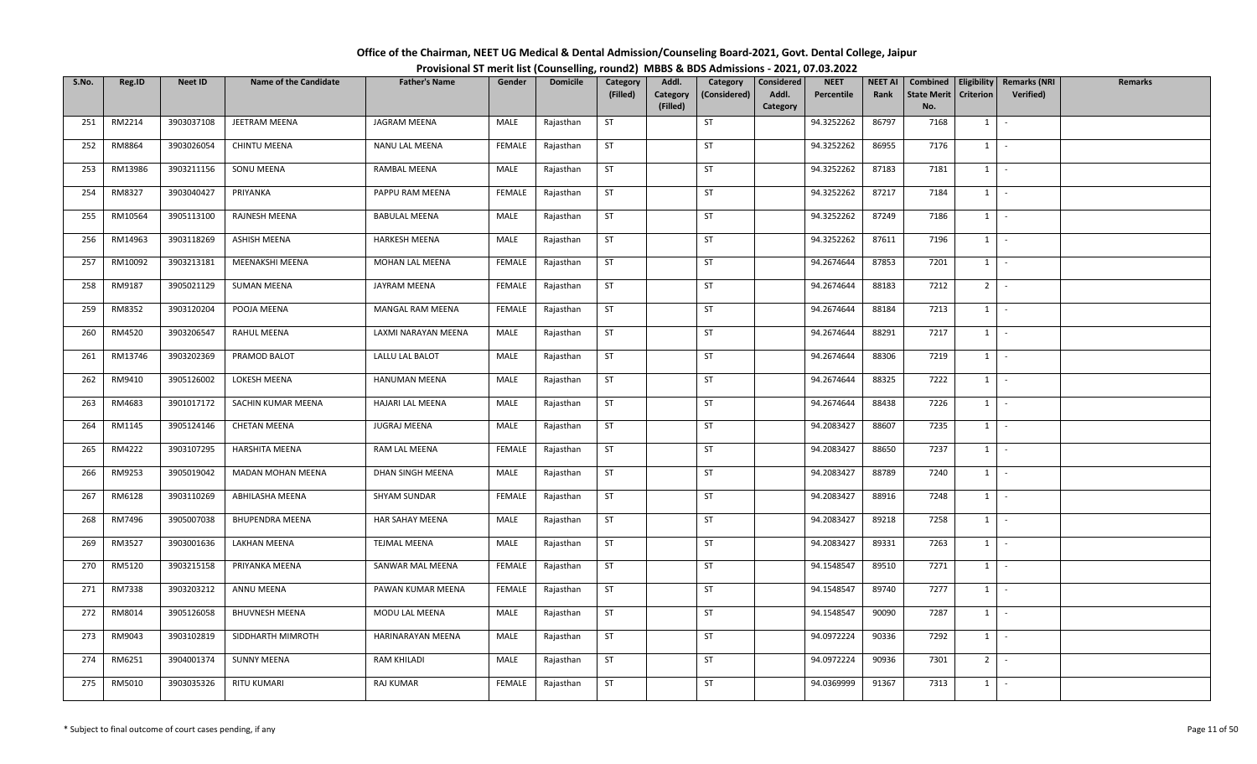| Office of the Chairman, NEET UG Medical & Dental Admission/Counseling Board-2021, Govt. Dental College, Jaipur |  |
|----------------------------------------------------------------------------------------------------------------|--|
| Provisional ST merit list (Counselling, round2) MBBS & BDS Admissions - 2021, 07.03.2022                       |  |

| S.No. | Reg.ID  | Neet ID    | <b>Name of the Candidate</b> | <b>Father's Name</b> | Gender        | <b>Domicile</b> | Category  | Addl.                | Category     | Considered        | <b>NEET</b> | <b>NEET AI</b> | Combined                  |                  | <b>Eligibility   Remarks (NRI</b> | Remarks |
|-------|---------|------------|------------------------------|----------------------|---------------|-----------------|-----------|----------------------|--------------|-------------------|-------------|----------------|---------------------------|------------------|-----------------------------------|---------|
|       |         |            |                              |                      |               |                 | (Filled)  | Category<br>(Filled) | (Considered) | Addl.<br>Category | Percentile  | Rank           | <b>State Merit</b><br>No. | <b>Criterion</b> | <b>Verified</b> )                 |         |
| 251   | RM2214  | 3903037108 | JEETRAM MEENA                | JAGRAM MEENA         | MALE          | Rajasthan       | <b>ST</b> |                      | ST           |                   | 94.3252262  | 86797          | 7168                      | 1                | $\sim$                            |         |
| 252   | RM8864  | 3903026054 | <b>CHINTU MEENA</b>          | NANU LAL MEENA       | FEMALE        | Rajasthan       | ST        |                      | <b>ST</b>    |                   | 94.3252262  | 86955          | 7176                      | $1 \quad$        | $\sim$                            |         |
| 253   | RM13986 | 3903211156 | SONU MEENA                   | RAMBAL MEENA         | MALE          | Rajasthan       | <b>ST</b> |                      | <b>ST</b>    |                   | 94.3252262  | 87183          | 7181                      |                  | $1 \cdot$                         |         |
| 254   | RM8327  | 3903040427 | PRIYANKA                     | PAPPU RAM MEENA      | FEMALE        | Rajasthan       | ST        |                      | ST           |                   | 94.3252262  | 87217          | 7184                      |                  | $1 \cdot$                         |         |
| 255   | RM10564 | 3905113100 | RAJNESH MEENA                | <b>BABULAL MEENA</b> | MALE          | Rajasthan       | <b>ST</b> |                      | ST           |                   | 94.3252262  | 87249          | 7186                      |                  | $1 \mid -$                        |         |
| 256   | RM14963 | 3903118269 | ASHISH MEENA                 | HARKESH MEENA        | MALE          | Rajasthan       | ST        |                      | ST           |                   | 94.3252262  | 87611          | 7196                      |                  | $1 \cdot$                         |         |
| 257   | RM10092 | 3903213181 | MEENAKSHI MEENA              | MOHAN LAL MEENA      | <b>FEMALE</b> | Rajasthan       | <b>ST</b> |                      | ST           |                   | 94.2674644  | 87853          | 7201                      | $1 \mid$         | $\sim$                            |         |
| 258   | RM9187  | 3905021129 | <b>SUMAN MEENA</b>           | JAYRAM MEENA         | <b>FEMALE</b> | Rajasthan       | <b>ST</b> |                      | ST           |                   | 94.2674644  | 88183          | 7212                      | 2 <sup>1</sup>   | $\sim$ $-$                        |         |
| 259   | RM8352  | 3903120204 | POOJA MEENA                  | MANGAL RAM MEENA     | FEMALE        | Rajasthan       | ST        |                      | ST           |                   | 94.2674644  | 88184          | 7213                      |                  | $1$ $-$                           |         |
| 260   | RM4520  | 3903206547 | RAHUL MEENA                  | LAXMI NARAYAN MEENA  | MALE          | Rajasthan       | ST        |                      | <b>ST</b>    |                   | 94.2674644  | 88291          | 7217                      | $1 \quad$        | $\sim$ $-$                        |         |
| 261   | RM13746 | 3903202369 | PRAMOD BALOT                 | LALLU LAL BALOT      | MALE          | Rajasthan       | ST        |                      | ST           |                   | 94.2674644  | 88306          | 7219                      |                  | $1 \cdot$                         |         |
| 262   | RM9410  | 3905126002 | LOKESH MEENA                 | HANUMAN MEENA        | MALE          | Rajasthan       | <b>ST</b> |                      | <b>ST</b>    |                   | 94.2674644  | 88325          | 7222                      |                  | $1$ $\vert$ $\vert$               |         |
| 263   | RM4683  | 3901017172 | SACHIN KUMAR MEENA           | HAJARI LAL MEENA     | MALE          | Rajasthan       | <b>ST</b> |                      | ST           |                   | 94.2674644  | 88438          | 7226                      | 1                | $\sim$ $-$                        |         |
| 264   | RM1145  | 3905124146 | <b>CHETAN MEENA</b>          | <b>JUGRAJ MEENA</b>  | MALE          | Rajasthan       | <b>ST</b> |                      | <b>ST</b>    |                   | 94.2083427  | 88607          | 7235                      | $1 \mid$         | $\sim$                            |         |
| 265   | RM4222  | 3903107295 | HARSHITA MEENA               | RAM LAL MEENA        | FEMALE        | Rajasthan       | <b>ST</b> |                      | ST           |                   | 94.2083427  | 88650          | 7237                      | $1 \quad$        | $\sim$ $-$                        |         |
| 266   | RM9253  | 3905019042 | MADAN MOHAN MEENA            | DHAN SINGH MEENA     | MALE          | Rajasthan       | <b>ST</b> |                      | <b>ST</b>    |                   | 94.2083427  | 88789          | 7240                      |                  | $1 \mid -$                        |         |
| 267   | RM6128  | 3903110269 | ABHILASHA MEENA              | SHYAM SUNDAR         | FEMALE        | Rajasthan       | ST        |                      | ST           |                   | 94.2083427  | 88916          | 7248                      | $1 \mid$         | $\sim$                            |         |
| 268   | RM7496  | 3905007038 | <b>BHUPENDRA MEENA</b>       | HAR SAHAY MEENA      | MALE          | Rajasthan       | <b>ST</b> |                      | ST           |                   | 94.2083427  | 89218          | 7258                      | $1 \mid$         | $\sim$                            |         |
| 269   | RM3527  | 3903001636 | LAKHAN MEENA                 | <b>TEJMAL MEENA</b>  | MALE          | Rajasthan       | <b>ST</b> |                      | ST           |                   | 94.2083427  | 89331          | 7263                      |                  | $1 \cdot$                         |         |
| 270   | RM5120  | 3903215158 | PRIYANKA MEENA               | SANWAR MAL MEENA     | <b>FEMALE</b> | Rajasthan       | <b>ST</b> |                      | <b>ST</b>    |                   | 94.1548547  | 89510          | 7271                      | 1                | $\sim$                            |         |
| 271   | RM7338  | 3903203212 | ANNU MEENA                   | PAWAN KUMAR MEENA    | FEMALE        | Rajasthan       | <b>ST</b> |                      | <b>ST</b>    |                   | 94.1548547  | 89740          | 7277                      |                  | $1 \mid -$                        |         |
| 272   | RM8014  | 3905126058 | <b>BHUVNESH MEENA</b>        | MODU LAL MEENA       | MALE          | Rajasthan       | <b>ST</b> |                      | ST           |                   | 94.1548547  | 90090          | 7287                      |                  | $1$ $-$                           |         |
| 273   | RM9043  | 3903102819 | SIDDHARTH MIMROTH            | HARINARAYAN MEENA    | MALE          | Rajasthan       | <b>ST</b> |                      | ST           |                   | 94.0972224  | 90336          | 7292                      | $1 \mid$         | $\sim$                            |         |
| 274   | RM6251  | 3904001374 | <b>SUNNY MEENA</b>           | RAM KHILADI          | MALE          | Rajasthan       | <b>ST</b> |                      | ST           |                   | 94.0972224  | 90936          | 7301                      | 2 <sup>1</sup>   | оФ,                               |         |
| 275   | RM5010  | 3903035326 | RITU KUMARI                  | RAJ KUMAR            | <b>FEMALE</b> | Rajasthan       | ST        |                      | ST           |                   | 94.0369999  | 91367          | 7313                      | $1 \quad$        | $\sim$                            |         |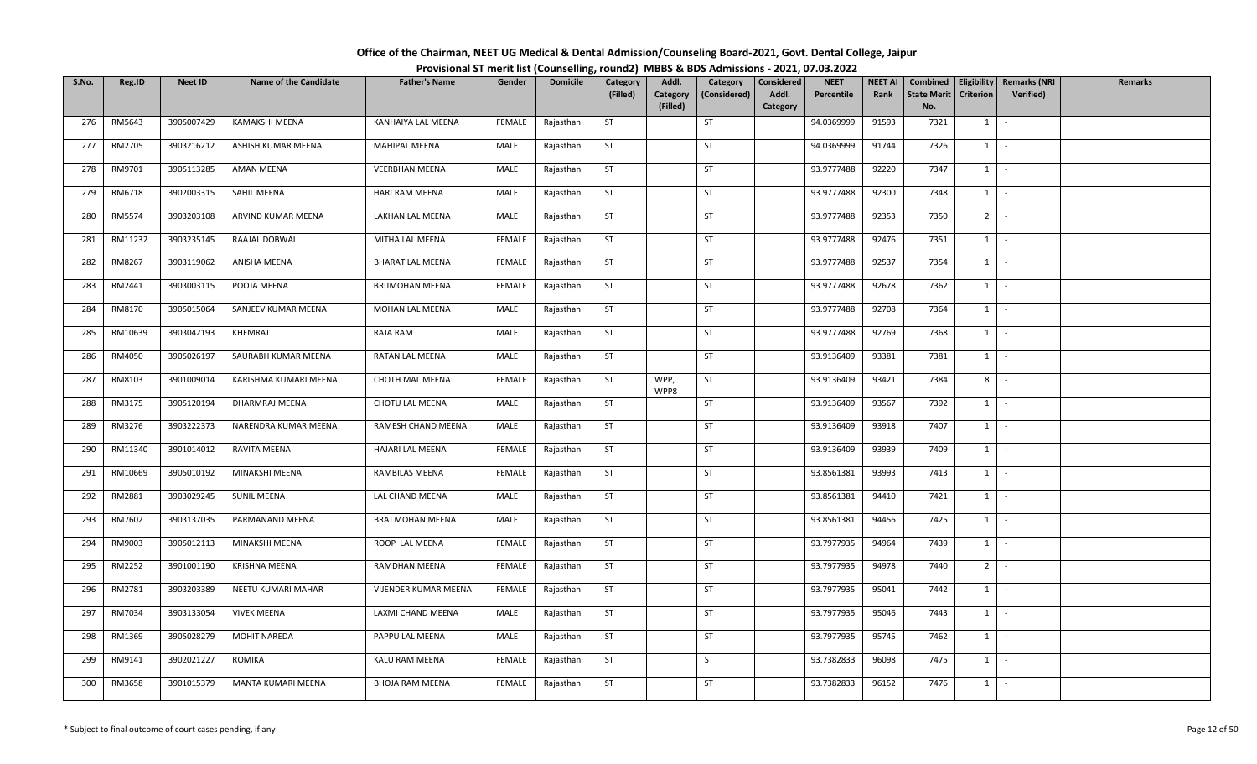| Office of the Chairman, NEET UG Medical & Dental Admission/Counseling Board-2021, Govt. Dental College, Jaipur |  |
|----------------------------------------------------------------------------------------------------------------|--|
| Provisional ST merit list (Counselling, round2) MBBS & BDS Admissions - 2021, 07.03.2022                       |  |

| S.No. | Reg.ID  | Neet ID    | <b>Name of the Candidate</b> | <b>Father's Name</b>    | Gender        | <b>Domicile</b> | Category  | Addl.                | Category     | Considered        | <b>NEET</b> | <b>NEET AI</b> | Combined                  |                  | <b>Eligibility   Remarks (NRI</b> | Remarks |
|-------|---------|------------|------------------------------|-------------------------|---------------|-----------------|-----------|----------------------|--------------|-------------------|-------------|----------------|---------------------------|------------------|-----------------------------------|---------|
|       |         |            |                              |                         |               |                 | (Filled)  | Category<br>(Filled) | (Considered) | Addl.<br>Category | Percentile  | Rank           | <b>State Merit</b><br>No. | <b>Criterion</b> | Verified)                         |         |
| 276   | RM5643  | 3905007429 | KAMAKSHI MEENA               | KANHAIYA LAL MEENA      | FEMALE        | Rajasthan       | <b>ST</b> |                      | ST           |                   | 94.0369999  | 91593          | 7321                      | 1                | $\sim$                            |         |
|       |         |            |                              |                         |               |                 |           |                      |              |                   |             |                |                           |                  |                                   |         |
| 277   | RM2705  | 3903216212 | ASHISH KUMAR MEENA           | <b>MAHIPAL MEENA</b>    | MALE          | Rajasthan       | ST        |                      | <b>ST</b>    |                   | 94.0369999  | 91744          | 7326                      | $1 \quad$        | $\sim$                            |         |
| 278   | RM9701  | 3905113285 | AMAN MEENA                   | <b>VEERBHAN MEENA</b>   | MALE          | Rajasthan       | <b>ST</b> |                      | <b>ST</b>    |                   | 93.9777488  | 92220          | 7347                      |                  | $1 \cdot$                         |         |
| 279   | RM6718  | 3902003315 | SAHIL MEENA                  | <b>HARI RAM MEENA</b>   | MALE          | Rajasthan       | <b>ST</b> |                      | ST           |                   | 93.9777488  | 92300          | 7348                      |                  | $1$ $-$                           |         |
| 280   | RM5574  | 3903203108 | ARVIND KUMAR MEENA           | LAKHAN LAL MEENA        | MALE          | Rajasthan       | ST        |                      | ST           |                   | 93.9777488  | 92353          | 7350                      | 2 <sup>1</sup>   | $\sim$ $-$                        |         |
| 281   | RM11232 | 3903235145 | RAAJAL DOBWAL                | MITHA LAL MEENA         | FEMALE        | Rajasthan       | <b>ST</b> |                      | ST           |                   | 93.9777488  | 92476          | 7351                      |                  | $1 \cdot$                         |         |
| 282   | RM8267  | 3903119062 | ANISHA MEENA                 | <b>BHARAT LAL MEENA</b> | FEMALE        | Rajasthan       | ST        |                      | ST           |                   | 93.9777488  | 92537          | 7354                      | $1 \quad$        | $\sim$                            |         |
| 283   | RM2441  | 3903003115 | POOJA MEENA                  | <b>BRIJMOHAN MEENA</b>  | <b>FEMALE</b> | Rajasthan       | ST        |                      | ST           |                   | 93.9777488  | 92678          | 7362                      | $1 \mid$         | $\sim$ $-$                        |         |
| 284   | RM8170  | 3905015064 | SANJEEV KUMAR MEENA          | MOHAN LAL MEENA         | MALE          | Rajasthan       | <b>ST</b> |                      | ST           |                   | 93.9777488  | 92708          | 7364                      |                  | $1$ $-$                           |         |
| 285   | RM10639 | 3903042193 | KHEMRAJ                      | RAJA RAM                | MALE          | Rajasthan       | ST        |                      | <b>ST</b>    |                   | 93.9777488  | 92769          | 7368                      | $1 \quad$        | $\sim$ $-$                        |         |
| 286   | RM4050  | 3905026197 | SAURABH KUMAR MEENA          | RATAN LAL MEENA         | MALE          | Rajasthan       | <b>ST</b> |                      | ST           |                   | 93.9136409  | 93381          | 7381                      |                  | $1 \cdot$                         |         |
| 287   | RM8103  | 3901009014 | KARISHMA KUMARI MEENA        | CHOTH MAL MEENA         | <b>FEMALE</b> | Rajasthan       | <b>ST</b> | WPP,<br>WPP8         | ST           |                   | 93.9136409  | 93421          | 7384                      | 8 <sup>1</sup>   | $\sim$                            |         |
| 288   | RM3175  | 3905120194 | DHARMRAJ MEENA               | CHOTU LAL MEENA         | MALE          | Rajasthan       | ST        |                      | ST           |                   | 93.9136409  | 93567          | 7392                      | 1                | $\sim$                            |         |
| 289   | RM3276  | 3903222373 | NARENDRA KUMAR MEENA         | RAMESH CHAND MEENA      | MALE          | Rajasthan       | <b>ST</b> |                      | <b>ST</b>    |                   | 93.9136409  | 93918          | 7407                      | $1 \quad$        | $\sim$                            |         |
| 290   | RM11340 | 3901014012 | RAVITA MEENA                 | HAJARI LAL MEENA        | FEMALE        | Rajasthan       | ST        |                      | ST           |                   | 93.9136409  | 93939          | 7409                      | $1 \quad$        | $\sim$ $-$                        |         |
| 291   | RM10669 | 3905010192 | MINAKSHI MEENA               | RAMBILAS MEENA          | FEMALE        | Rajasthan       | <b>ST</b> |                      | <b>ST</b>    |                   | 93.8561381  | 93993          | 7413                      |                  | $1 \mid -$                        |         |
| 292   | RM2881  | 3903029245 | <b>SUNIL MEENA</b>           | LAL CHAND MEENA         | MALE          | Rajasthan       | ST        |                      | ST           |                   | 93.8561381  | 94410          | 7421                      |                  | $1$ $-$                           |         |
| 293   | RM7602  | 3903137035 | PARMANAND MEENA              | <b>BRAJ MOHAN MEENA</b> | MALE          | Rajasthan       | ST        |                      | ST           |                   | 93.8561381  | 94456          | 7425                      | $1 \mid$         | $\sim$                            |         |
| 294   | RM9003  | 3905012113 | MINAKSHI MEENA               | ROOP LAL MEENA          | FEMALE        | Rajasthan       | <b>ST</b> |                      | ST           |                   | 93.7977935  | 94964          | 7439                      |                  | $1 \cdot$                         |         |
| 295   | RM2252  | 3901001190 | KRISHNA MEENA                | RAMDHAN MEENA           | FEMALE        | Rajasthan       | <b>ST</b> |                      | <b>ST</b>    |                   | 93.7977935  | 94978          | 7440                      | 2 <sup>1</sup>   | $\sim$                            |         |
| 296   | RM2781  | 3903203389 | NEETU KUMARI MAHAR           | VIJENDER KUMAR MEENA    | FEMALE        | Rajasthan       | <b>ST</b> |                      | ST           |                   | 93.7977935  | 95041          | 7442                      |                  | $1 \mid -$                        |         |
| 297   | RM7034  | 3903133054 | <b>VIVEK MEENA</b>           | LAXMI CHAND MEENA       | MALE          | Rajasthan       | <b>ST</b> |                      | ST           |                   | 93.7977935  | 95046          | 7443                      |                  | $1$ $-$                           |         |
| 298   | RM1369  | 3905028279 | <b>MOHIT NAREDA</b>          | PAPPU LAL MEENA         | MALE          | Rajasthan       | ST        |                      | ST           |                   | 93.7977935  | 95745          | 7462                      | $1 \quad$        | $\sim$                            |         |
| 299   | RM9141  | 3902021227 | ROMIKA                       | KALU RAM MEENA          | FEMALE        | Rajasthan       | <b>ST</b> |                      | ST           |                   | 93.7382833  | 96098          | 7475                      | $1 \quad$        | $\sim$                            |         |
| 300   | RM3658  | 3901015379 | MANTA KUMARI MEENA           | BHOJA RAM MEENA         | FEMALE        | Rajasthan       | ST        |                      | ST           |                   | 93.7382833  | 96152          | 7476                      | $1 \quad$        | $\sim$                            |         |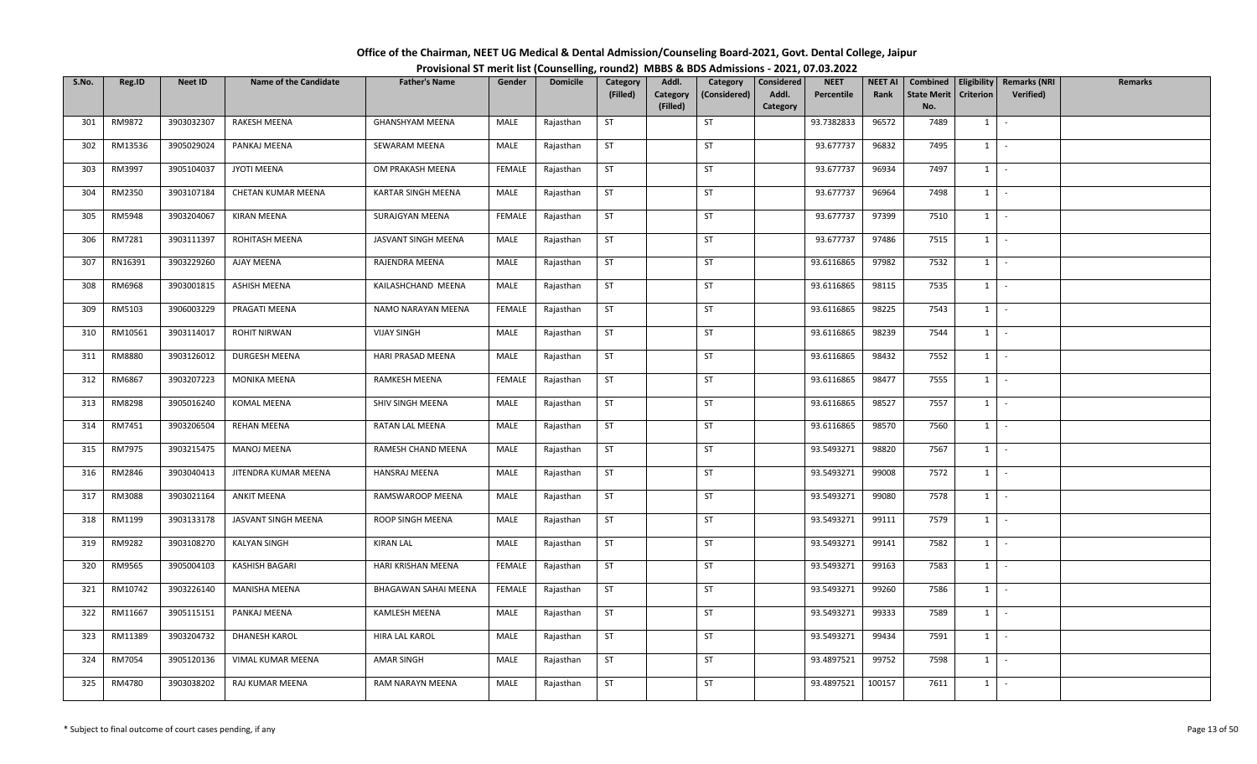| Office of the Chairman, NEET UG Medical & Dental Admission/Counseling Board-2021, Govt. Dental College, Jaipur |  |
|----------------------------------------------------------------------------------------------------------------|--|
| Provisional ST merit list (Counselling, round2) MBBS & BDS Admissions - 2021, 07.03.2022                       |  |

| S.No. | Reg.ID  | <b>Neet ID</b> | <b>Name of the Candidate</b> | <b>Father's Name</b>        | Gender        | <b>Domicile</b> | Category  | Addl.                | Category     | Considered        | <b>NEET</b> | <b>NEET AI</b> | Combined                  |                  | Eligibility   Remarks (NRI | <b>Remarks</b> |
|-------|---------|----------------|------------------------------|-----------------------------|---------------|-----------------|-----------|----------------------|--------------|-------------------|-------------|----------------|---------------------------|------------------|----------------------------|----------------|
|       |         |                |                              |                             |               |                 | (Filled)  | Category<br>(Filled) | (Considered) | Addl.<br>Category | Percentile  | Rank           | <b>State Merit</b><br>No. | <b>Criterion</b> | <b>Verified</b> )          |                |
| 301   | RM9872  | 3903032307     | RAKESH MEENA                 | <b>GHANSHYAM MEENA</b>      | MALE          | Rajasthan       | <b>ST</b> |                      | <b>ST</b>    |                   | 93.7382833  | 96572          | 7489                      | 1                | $\sim$                     |                |
| 302   | RM13536 | 3905029024     | PANKAJ MEENA                 | SEWARAM MEENA               | MALE          | Rajasthan       | ST        |                      | <b>ST</b>    |                   | 93.677737   | 96832          | 7495                      | 1                | $\sim$                     |                |
| 303   | RM3997  | 3905104037     | JYOTI MEENA                  | OM PRAKASH MEENA            | <b>FEMALE</b> | Rajasthan       | <b>ST</b> |                      | ST           |                   | 93.677737   | 96934          | 7497                      | $1 \cdot$        |                            |                |
| 304   | RM2350  | 3903107184     | CHETAN KUMAR MEENA           | <b>KARTAR SINGH MEENA</b>   | MALE          | Rajasthan       | ST        |                      | ST           |                   | 93.677737   | 96964          | 7498                      | $1$ $-$          |                            |                |
| 305   | RM5948  | 3903204067     | <b>KIRAN MEENA</b>           | SURAJGYAN MEENA             | <b>FEMALE</b> | Rajasthan       | ST        |                      | ST           |                   | 93.677737   | 97399          | 7510                      | $1$ $-$          |                            |                |
| 306   | RM7281  | 3903111397     | ROHITASH MEENA               | JASVANT SINGH MEENA         | MALE          | Rajasthan       | <b>ST</b> |                      | <b>ST</b>    |                   | 93.677737   | 97486          | 7515                      | 1                | $\sim$ $-$                 |                |
| 307   | RN16391 | 3903229260     | AJAY MEENA                   | RAJENDRA MEENA              | MALE          | Rajasthan       | ST        |                      | ST           |                   | 93.6116865  | 97982          | 7532                      | $1 \quad$        | $\sim$                     |                |
| 308   | RM6968  | 3903001815     | ASHISH MEENA                 | KAILASHCHAND MEENA          | MALE          | Rajasthan       | <b>ST</b> |                      | ST           |                   | 93.6116865  | 98115          | 7535                      | $1 \mid$         | $\sim$                     |                |
| 309   | RM5103  | 3906003229     | PRAGATI MEENA                | NAMO NARAYAN MEENA          | FEMALE        | Rajasthan       | <b>ST</b> |                      | ST           |                   | 93.6116865  | 98225          | 7543                      | 1                | $\sim$                     |                |
| 310   | RM10561 | 3903114017     | ROHIT NIRWAN                 | <b>VIJAY SINGH</b>          | MALE          | Rajasthan       | ST        |                      | ST           |                   | 93.6116865  | 98239          | 7544                      | 1                | $\sim$ $-$                 |                |
|       |         |                |                              |                             |               |                 |           |                      |              |                   |             |                |                           |                  |                            |                |
| 311   | RM8880  | 3903126012     | DURGESH MEENA                | HARI PRASAD MEENA           | MALE          | Rajasthan       | ST        |                      | <b>ST</b>    |                   | 93.6116865  | 98432          | 7552                      | $1$ $-$          |                            |                |
| 312   | RM6867  | 3903207223     | MONIKA MEENA                 | RAMKESH MEENA               | <b>FEMALE</b> | Rajasthan       | <b>ST</b> |                      | <b>ST</b>    |                   | 93.6116865  | 98477          | 7555                      | 1                | $\sim$                     |                |
| 313   | RM8298  | 3905016240     | KOMAL MEENA                  | SHIV SINGH MEENA            | MALE          | Rajasthan       | <b>ST</b> |                      | ST           |                   | 93.6116865  | 98527          | 7557                      | 1                | $\sim$                     |                |
| 314   | RM7451  | 3903206504     | <b>REHAN MEENA</b>           | RATAN LAL MEENA             | MALE          | Rajasthan       | <b>ST</b> |                      | <b>ST</b>    |                   | 93.6116865  | 98570          | 7560                      | $1 \quad$        | $\sim$                     |                |
| 315   | RM7975  | 3903215475     | <b>MANOJ MEENA</b>           | RAMESH CHAND MEENA          | MALE          | Rajasthan       | <b>ST</b> |                      | <b>ST</b>    |                   | 93.5493271  | 98820          | 7567                      | $1 \quad$        | $\sim$                     |                |
| 316   | RM2846  | 3903040413     | JITENDRA KUMAR MEENA         | HANSRAJ MEENA               | MALE          | Rajasthan       | <b>ST</b> |                      | <b>ST</b>    |                   | 93.5493271  | 99008          | 7572                      | $1 \cdot$        |                            |                |
| 317   | RM3088  | 3903021164     | <b>ANKIT MEENA</b>           | RAMSWAROOP MEENA            | MALE          | Rajasthan       | <b>ST</b> |                      | ST           |                   | 93.5493271  | 99080          | 7578                      | 1                | $\sim$                     |                |
| 318   | RM1199  | 3903133178     | JASVANT SINGH MEENA          | ROOP SINGH MEENA            | MALE          | Rajasthan       | ST        |                      | <b>ST</b>    |                   | 93.5493271  | 99111          | 7579                      | 1                | $\sim$                     |                |
| 319   | RM9282  | 3903108270     | <b>KALYAN SINGH</b>          | <b>KIRAN LAL</b>            | MALE          | Rajasthan       | <b>ST</b> |                      | ST           |                   | 93.5493271  | 99141          | 7582                      | $1 \cdot$        |                            |                |
| 320   | RM9565  | 3905004103     | KASHISH BAGARI               | HARI KRISHAN MEENA          | FEMALE        | Rajasthan       | <b>ST</b> |                      | ST           |                   | 93.5493271  | 99163          | 7583                      | $1 \mid$         | $\sim$                     |                |
| 321   | RM10742 | 3903226140     | MANISHA MEENA                | <b>BHAGAWAN SAHAI MEENA</b> | <b>FEMALE</b> | Rajasthan       | <b>ST</b> |                      | <b>ST</b>    |                   | 93.5493271  | 99260          | 7586                      | $1 \mid$         | $\sim$ $-$                 |                |
| 322   | RM11667 | 3905115151     | PANKAJ MEENA                 | <b>KAMLESH MEENA</b>        | MALE          | Rajasthan       | <b>ST</b> |                      | ST           |                   | 93.5493271  | 99333          | 7589                      | 1                | $\sim$                     |                |
| 323   | RM11389 | 3903204732     | <b>DHANESH KAROL</b>         | HIRA LAL KAROL              | MALE          | Rajasthan       | <b>ST</b> |                      | <b>ST</b>    |                   | 93.5493271  | 99434          | 7591                      | $1 \quad$        | $\sim$                     |                |
| 324   | RM7054  | 3905120136     | VIMAL KUMAR MEENA            | AMAR SINGH                  | MALE          | Rajasthan       | <b>ST</b> |                      | <b>ST</b>    |                   | 93.4897521  | 99752          | 7598                      | 1                | $\sim$                     |                |
| 325   | RM4780  | 3903038202     | RAJ KUMAR MEENA              | RAM NARAYN MEENA            | MALE          | Rajasthan       | ST        |                      | ST           |                   | 93.4897521  | 100157         | 7611                      | $1 \quad$        | $\sim$                     |                |
|       |         |                |                              |                             |               |                 |           |                      |              |                   |             |                |                           |                  |                            |                |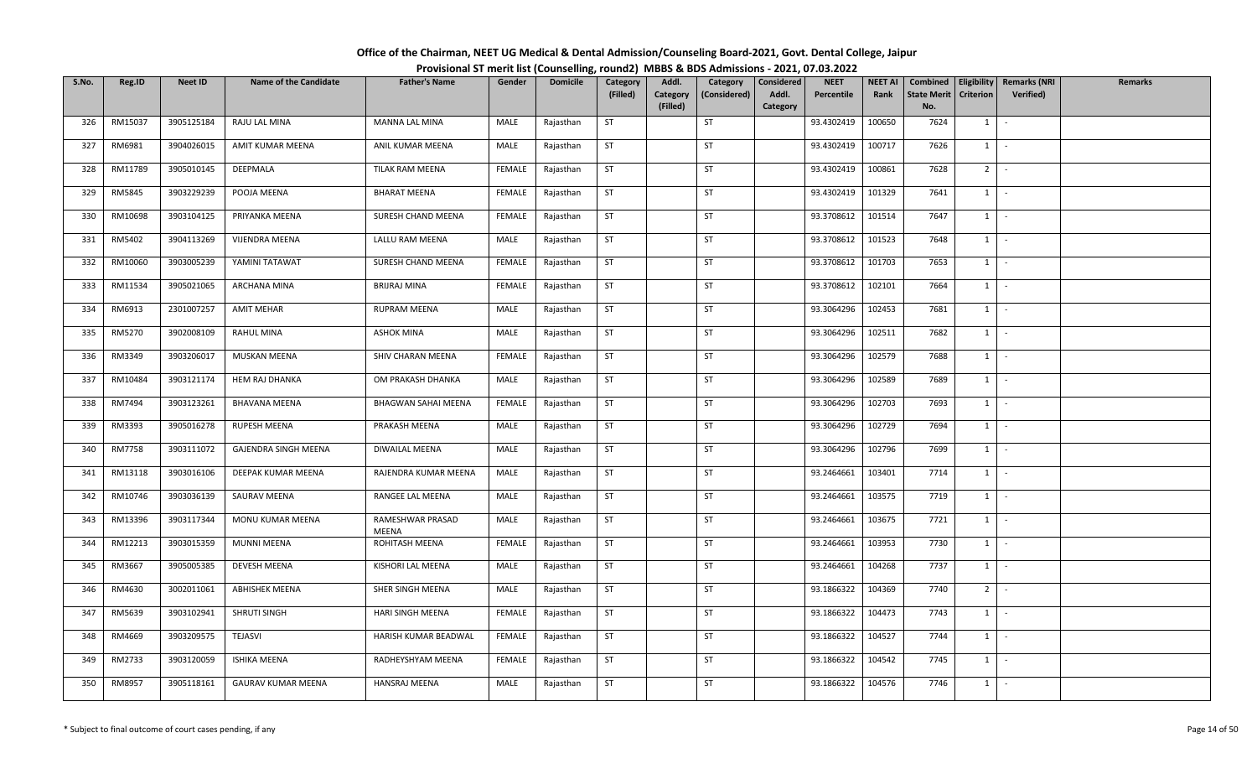| Office of the Chairman, NEET UG Medical & Dental Admission/Counseling Board-2021, Govt. Dental College, Jaipur |  |
|----------------------------------------------------------------------------------------------------------------|--|
| Provisional ST merit list (Counselling, round2) MBBS & BDS Admissions - 2021, 07.03.2022                       |  |

| S.No. | Reg.ID  | <b>Neet ID</b> | <b>Name of the Candidate</b> | <b>Father's Name</b>      | Gender        | <b>Domicile</b> | Category  | Addl.                | Category     | Considered        | <b>NEET</b> | <b>NEET AI</b> | Combined                  |                  | <b>Eligibility   Remarks (NRI</b> | Remarks |
|-------|---------|----------------|------------------------------|---------------------------|---------------|-----------------|-----------|----------------------|--------------|-------------------|-------------|----------------|---------------------------|------------------|-----------------------------------|---------|
|       |         |                |                              |                           |               |                 | (Filled)  | Category<br>(Filled) | (Considered) | Addl.<br>Category | Percentile  | Rank           | <b>State Merit</b><br>No. | <b>Criterion</b> | Verified)                         |         |
| 326   | RM15037 | 3905125184     | RAJU LAL MINA                | MANNA LAL MINA            | MALE          | Rajasthan       | <b>ST</b> |                      | ST           |                   | 93.4302419  | 100650         | 7624                      | 1                | $\sim$                            |         |
| 327   | RM6981  | 3904026015     | AMIT KUMAR MEENA             | ANIL KUMAR MEENA          | MALE          | Rajasthan       | ST        |                      | <b>ST</b>    |                   | 93.4302419  | 100717         | 7626                      | $1 \quad$        | $\sim$                            |         |
| 328   | RM11789 | 3905010145     | DEEPMALA                     | TILAK RAM MEENA           | FEMALE        | Rajasthan       | <b>ST</b> |                      | <b>ST</b>    |                   | 93.4302419  | 100861         | 7628                      |                  | $2$ -                             |         |
| 329   | RM5845  | 3903229239     | POOJA MEENA                  | <b>BHARAT MEENA</b>       | <b>FEMALE</b> | Rajasthan       | <b>ST</b> |                      | ST           |                   | 93.4302419  | 101329         | 7641                      |                  | $1$ $-$                           |         |
| 330   | RM10698 | 3903104125     | PRIYANKA MEENA               | SURESH CHAND MEENA        | <b>FEMALE</b> | Rajasthan       | ST        |                      | ST           |                   | 93.3708612  | 101514         | 7647                      | $1 \mid$         | $\sim$ $-$                        |         |
| 331   | RM5402  | 3904113269     | VIJENDRA MEENA               | LALLU RAM MEENA           | MALE          | Rajasthan       | <b>ST</b> |                      | ST           |                   | 93.3708612  | 101523         | 7648                      | $1 \mid$         | $\sim$                            |         |
| 332   | RM10060 | 3903005239     | YAMINI TATAWAT               | SURESH CHAND MEENA        | FEMALE        | Rajasthan       | ST        |                      | <b>ST</b>    |                   | 93.3708612  | 101703         | 7653                      | $1 \quad$        | $\sim$                            |         |
| 333   | RM11534 | 3905021065     | ARCHANA MINA                 | BRIJRAJ MINA              | <b>FEMALE</b> | Rajasthan       | ST        |                      | ST           |                   | 93.3708612  | 102101         | 7664                      | 1                | $\sim$                            |         |
| 334   | RM6913  | 2301007257     | <b>AMIT MEHAR</b>            | RUPRAM MEENA              | MALE          | Rajasthan       | <b>ST</b> |                      | ST           |                   | 93.3064296  | 102453         | 7681                      |                  | $1$ $-$                           |         |
| 335   | RM5270  | 3902008109     | RAHUL MINA                   | <b>ASHOK MINA</b>         | MALE          | Rajasthan       | ST        |                      | <b>ST</b>    |                   | 93.3064296  | 102511         | 7682                      | $1 \quad$        | $\sim$ $-$                        |         |
| 336   | RM3349  | 3903206017     | MUSKAN MEENA                 | SHIV CHARAN MEENA         | <b>FEMALE</b> | Rajasthan       | <b>ST</b> |                      | ST           |                   | 93.3064296  | 102579         | 7688                      |                  | $1 \cdot$                         |         |
| 337   | RM10484 | 3903121174     | HEM RAJ DHANKA               | OM PRAKASH DHANKA         | MALE          | Rajasthan       | <b>ST</b> |                      | <b>ST</b>    |                   | 93.3064296  | 102589         | 7689                      |                  | $1$ $\vert$ $\vert$               |         |
| 338   | RM7494  | 3903123261     | <b>BHAVANA MEENA</b>         | BHAGWAN SAHAI MEENA       | FEMALE        | Rajasthan       | ST        |                      | ST           |                   | 93.3064296  | 102703         | 7693                      | 1                | $\sim$                            |         |
| 339   | RM3393  | 3905016278     | RUPESH MEENA                 | PRAKASH MEENA             | MALE          | Rajasthan       | <b>ST</b> |                      | <b>ST</b>    |                   | 93.3064296  | 102729         | 7694                      | $1 \quad$        | $\sim$                            |         |
| 340   | RM7758  | 3903111072     | GAJENDRA SINGH MEENA         | DIWAILAL MEENA            | MALE          | Rajasthan       | ST        |                      | ST           |                   | 93.3064296  | 102796         | 7699                      | 1                | $\sim$ $-$                        |         |
| 341   | RM13118 | 3903016106     | DEEPAK KUMAR MEENA           | RAJENDRA KUMAR MEENA      | MALE          | Rajasthan       | <b>ST</b> |                      | <b>ST</b>    |                   | 93.2464661  | 103401         | 7714                      |                  | $1 \mid -$                        |         |
| 342   | RM10746 | 3903036139     | SAURAV MEENA                 | RANGEE LAL MEENA          | MALE          | Rajasthan       | ST        |                      | ST           |                   | 93.2464661  | 103575         | 7719                      | $1 \mid$         | $\sim$                            |         |
| 343   | RM13396 | 3903117344     | MONU KUMAR MEENA             | RAMESHWAR PRASAD<br>MEENA | MALE          | Rajasthan       | <b>ST</b> |                      | ST           |                   | 93.2464661  | 103675         | 7721                      | $1 \mid$         | $\sim$                            |         |
| 344   | RM12213 | 3903015359     | <b>MUNNI MEENA</b>           | ROHITASH MEENA            | FEMALE        | Rajasthan       | <b>ST</b> |                      | ST           |                   | 93.2464661  | 103953         | 7730                      |                  | $1 \cdot$                         |         |
| 345   | RM3667  | 3905005385     | DEVESH MEENA                 | KISHORI LAL MEENA         | MALE          | Rajasthan       | <b>ST</b> |                      | <b>ST</b>    |                   | 93.2464661  | 104268         | 7737                      | 1                | $\sim$                            |         |
| 346   | RM4630  | 3002011061     | <b>ABHISHEK MEENA</b>        | SHER SINGH MEENA          | MALE          | Rajasthan       | <b>ST</b> |                      | ST           |                   | 93.1866322  | 104369         | 7740                      |                  | $2$ -                             |         |
| 347   | RM5639  | 3903102941     | SHRUTI SINGH                 | HARI SINGH MEENA          | FEMALE        | Rajasthan       | <b>ST</b> |                      | ST           |                   | 93.1866322  | 104473         | 7743                      |                  | $1$ $-$                           |         |
| 348   | RM4669  | 3903209575     | TEJASVI                      | HARISH KUMAR BEADWAL      | <b>FEMALE</b> | Rajasthan       | ST        |                      | ST           |                   | 93.1866322  | 104527         | 7744                      | $1 \quad$        | $\sim$                            |         |
| 349   | RM2733  | 3903120059     | <b>ISHIKA MEENA</b>          | RADHEYSHYAM MEENA         | FEMALE        | Rajasthan       | <b>ST</b> |                      | ST           |                   | 93.1866322  | 104542         | 7745                      | 1                | $\sim$                            |         |
| 350   | RM8957  | 3905118161     | GAURAV KUMAR MEENA           | HANSRAJ MEENA             | MALE          | Rajasthan       | ST        |                      | ST           |                   | 93.1866322  | 104576         | 7746                      | $1 \quad$        | $\sim$                            |         |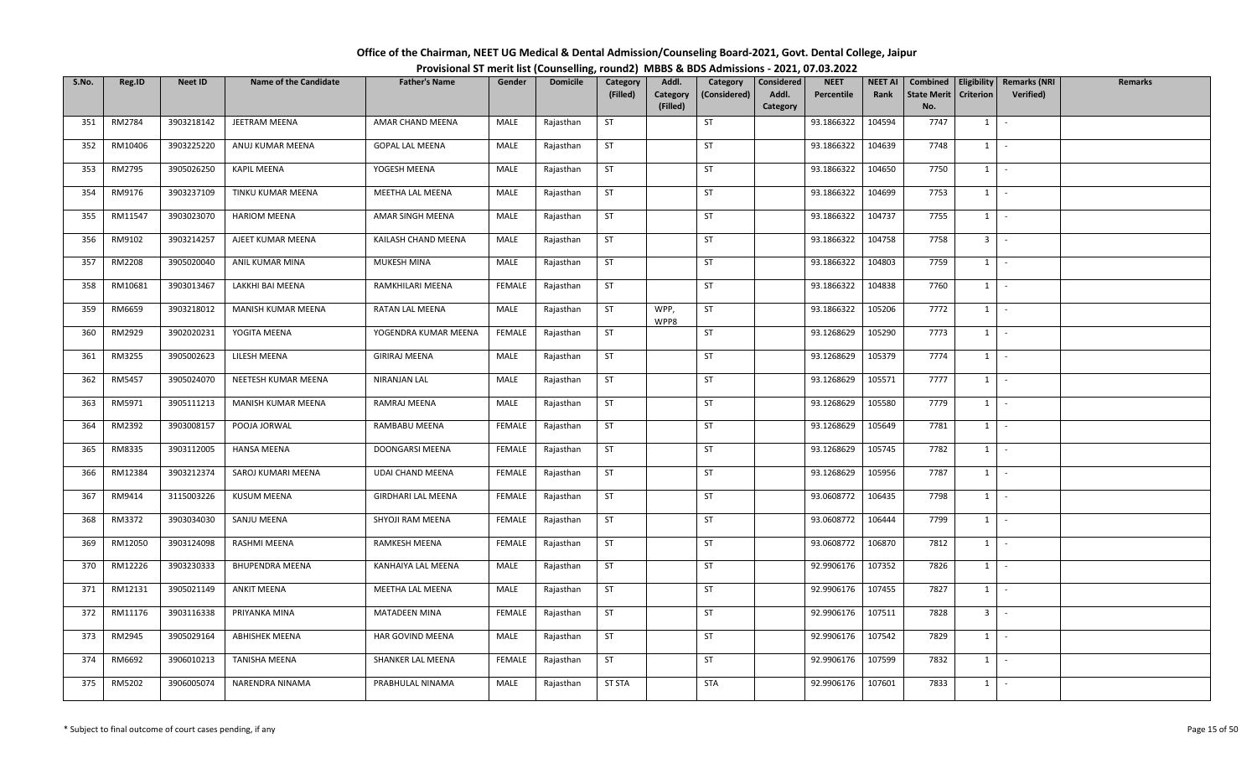| Office of the Chairman, NEET UG Medical & Dental Admission/Counseling Board-2021, Govt. Dental College, Jaipur |  |
|----------------------------------------------------------------------------------------------------------------|--|
| Provisional ST merit list (Counselling, round2) MBBS & BDS Admissions - 2021, 07.03.2022                       |  |

| S.No. | Reg.ID  | <b>Neet ID</b> | <b>Name of the Candidate</b> | <b>Father's Name</b>      | Gender        | <b>Domicile</b> | Category      | Addl.        | Category     | Considered | <b>NEET</b> | <b>NEET AI</b> | Combined           | Eligibility    | <b>Remarks (NRI</b> | <b>Remarks</b> |
|-------|---------|----------------|------------------------------|---------------------------|---------------|-----------------|---------------|--------------|--------------|------------|-------------|----------------|--------------------|----------------|---------------------|----------------|
|       |         |                |                              |                           |               |                 | (Filled)      | Category     | (Considered) | Addl.      | Percentile  | Rank           | <b>State Merit</b> | Criterion      | Verified)           |                |
|       |         |                |                              |                           |               |                 |               | (Filled)     |              | Category   |             |                | No.                |                |                     |                |
| 351   | RM2784  | 3903218142     | JEETRAM MEENA                | AMAR CHAND MEENA          | MALE          | Rajasthan       | <b>ST</b>     |              | ST           |            | 93.1866322  | 104594         | 7747               | $1 \quad$      | $\sim$              |                |
| 352   | RM10406 | 3903225220     | ANUJ KUMAR MEENA             | <b>GOPAL LAL MEENA</b>    | MALE          | Rajasthan       | <b>ST</b>     |              | ST           |            | 93.1866322  | 104639         | 7748               | $1 \quad$      | $\sim$              |                |
| 353   | RM2795  | 3905026250     | KAPIL MEENA                  | YOGESH MEENA              | MALE          | Rajasthan       | ST            |              | ST           |            | 93.1866322  | 104650         | 7750               | $1 \quad$      | $\sim$              |                |
| 354   | RM9176  | 3903237109     | TINKU KUMAR MEENA            | MEETHA LAL MEENA          | MALE          | Rajasthan       | <b>ST</b>     |              | ST           |            | 93.1866322  | 104699         | 7753               | $1 \vert -$    |                     |                |
| 355   | RM11547 | 3903023070     | <b>HARIOM MEENA</b>          | AMAR SINGH MEENA          | MALE          | Rajasthan       | <b>ST</b>     |              | ST           |            | 93.1866322  | 104737         | 7755               | 1              | $\sim$              |                |
| 356   | RM9102  | 3903214257     | AJEET KUMAR MEENA            | KAILASH CHAND MEENA       | MALE          | Rajasthan       | ST            |              | ST           |            | 93.1866322  | 104758         | 7758               |                | $3 \mid -$          |                |
| 357   | RM2208  | 3905020040     | ANIL KUMAR MINA              | MUKESH MINA               | MALE          | Rajasthan       | <b>ST</b>     |              | <b>ST</b>    |            | 93.1866322  | 104803         | 7759               | 1              | $\sim$              |                |
| 358   | RM10681 | 3903013467     | LAKKHI BAI MEENA             | RAMKHILARI MEENA          | <b>FEMALE</b> | Rajasthan       | <b>ST</b>     |              | ST           |            | 93.1866322  | 104838         | 7760               | 1              | $\sim$              |                |
| 359   | RM6659  | 3903218012     | MANISH KUMAR MEENA           | RATAN LAL MEENA           | MALE          | Rajasthan       | <b>ST</b>     | WPP,<br>WPP8 | ST           |            | 93.1866322  | 105206         | 7772               | $1 \quad$      | $\sim$              |                |
| 360   | RM2929  | 3902020231     | YOGITA MEENA                 | YOGENDRA KUMAR MEENA      | FEMALE        | Rajasthan       | <b>ST</b>     |              | <b>ST</b>    |            | 93.1268629  | 105290         | 7773               | $1 \quad$      | $\sim$              |                |
| 361   | RM3255  | 3905002623     | LILESH MEENA                 | <b>GIRIRAJ MEENA</b>      | MALE          | Rajasthan       | ST            |              | ST           |            | 93.1268629  | 105379         | 7774               | $1 \mid$       | $\sim$              |                |
| 362   | RM5457  | 3905024070     | NEETESH KUMAR MEENA          | NIRANJAN LAL              | MALE          | Rajasthan       | <b>ST</b>     |              | ST           |            | 93.1268629  | 105571         | 7777               | $1\phantom{0}$ | $\sim$              |                |
| 363   | RM5971  | 3905111213     | MANISH KUMAR MEENA           | RAMRAJ MEENA              | MALE          | Rajasthan       | ST            |              | ST           |            | 93.1268629  | 105580         | 7779               | 1              | $\sim$              |                |
| 364   | RM2392  | 3903008157     | POOJA JORWAL                 | RAMBABU MEENA             | FEMALE        | Rajasthan       | <b>ST</b>     |              | <b>ST</b>    |            | 93.1268629  | 105649         | 7781               | $1 \quad$      | $\sim$              |                |
| 365   | RM8335  | 3903112005     | <b>HANSA MEENA</b>           | DOONGARSI MEENA           | FEMALE        | Rajasthan       | <b>ST</b>     |              | <b>ST</b>    |            | 93.1268629  | 105745         | 7782               | 1              | $\sim$              |                |
| 366   | RM12384 | 3903212374     | SAROJ KUMARI MEENA           | UDAI CHAND MEENA          | FEMALE        | Rajasthan       | <b>ST</b>     |              | <b>ST</b>    |            | 93.1268629  | 105956         | 7787               | 1              | $\sim$              |                |
| 367   | RM9414  | 3115003226     | <b>KUSUM MEENA</b>           | <b>GIRDHARI LAL MEENA</b> | FEMALE        | Rajasthan       | <b>ST</b>     |              | <b>ST</b>    |            | 93.0608772  | 106435         | 7798               | 1              | $\sim$              |                |
| 368   | RM3372  | 3903034030     | SANJU MEENA                  | SHYOJI RAM MEENA          | <b>FEMALE</b> | Rajasthan       | <b>ST</b>     |              | ST           |            | 93.0608772  | 106444         | 7799               | $1$ $\cdot$    |                     |                |
| 369   | RM12050 | 3903124098     | RASHMI MEENA                 | RAMKESH MEENA             | FEMALE        | Rajasthan       | <b>ST</b>     |              | ST           |            | 93.0608772  | 106870         | 7812               | $1 \vert$      | $\sim$              |                |
| 370   | RM12226 | 3903230333     | <b>BHUPENDRA MEENA</b>       | KANHAIYA LAL MEENA        | MALE          | Rajasthan       | ST            |              | ST           |            | 92.9906176  | 107352         | 7826               | $1 \quad$      | $\sim$              |                |
| 371   | RM12131 | 3905021149     | ANKIT MEENA                  | MEETHA LAL MEENA          | MALE          | Rajasthan       | <b>ST</b>     |              | ST           |            | 92.9906176  | 107455         | 7827               | 1              | $\sim$              |                |
| 372   | RM11176 | 3903116338     | PRIYANKA MINA                | <b>MATADEEN MINA</b>      | FEMALE        | Rajasthan       | ST            |              | <b>ST</b>    |            | 92.9906176  | 107511         | 7828               | 3 <sup>1</sup> | $\sim$              |                |
| 373   | RM2945  | 3905029164     | <b>ABHISHEK MEENA</b>        | HAR GOVIND MEENA          | MALE          | Rajasthan       | ST            |              | <b>ST</b>    |            | 92.9906176  | 107542         | 7829               | 1              | $\sim$              |                |
| 374   | RM6692  | 3906010213     | TANISHA MEENA                | SHANKER LAL MEENA         | FEMALE        | Rajasthan       | <b>ST</b>     |              | <b>ST</b>    |            | 92.9906176  | 107599         | 7832               | $1 \quad$      | $\sim$              |                |
| 375   | RM5202  | 3906005074     | NARENDRA NINAMA              | PRABHULAL NINAMA          | MALE          | Rajasthan       | <b>ST STA</b> |              | STA          |            | 92.9906176  | 107601         | 7833               | $1 \quad$      | $\sim$              |                |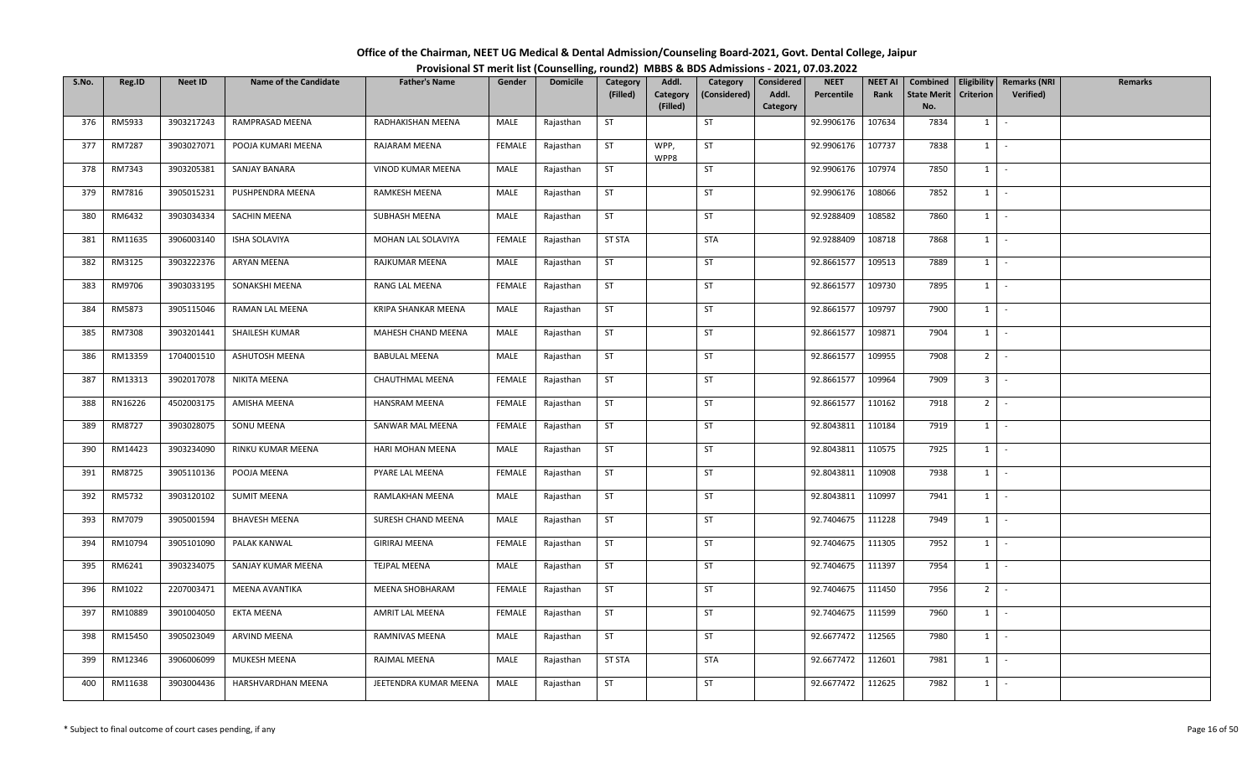| Office of the Chairman, NEET UG Medical & Dental Admission/Counseling Board-2021, Govt. Dental College, Jaipur |  |
|----------------------------------------------------------------------------------------------------------------|--|
| Provisional ST merit list (Counselling, round2) MBBS & BDS Admissions - 2021, 07.03.2022                       |  |

| S.No. | Reg.ID        | <b>Neet ID</b> | <b>Name of the Candidate</b> | <b>Father's Name</b>  | Gender        | <b>Domicile</b> | Category      | Addl.        | Category     | Considered | <b>NEET</b> | <b>NEET AI</b> | Combined           |                  | Eligibility   Remarks (NRI | Remarks |
|-------|---------------|----------------|------------------------------|-----------------------|---------------|-----------------|---------------|--------------|--------------|------------|-------------|----------------|--------------------|------------------|----------------------------|---------|
|       |               |                |                              |                       |               |                 | (Filled)      | Category     | (Considered) | Addl.      | Percentile  | Rank           | <b>State Merit</b> | <b>Criterion</b> | Verified)                  |         |
|       |               |                |                              |                       |               |                 |               | (Filled)     |              | Category   |             |                | No.                |                  |                            |         |
| 376   | RM5933        | 3903217243     | RAMPRASAD MEENA              | RADHAKISHAN MEENA     | MALE          | Rajasthan       | <b>ST</b>     |              | <b>ST</b>    |            | 92.9906176  | 107634         | 7834               | 1                | $\sim$                     |         |
| 377   | RM7287        | 3903027071     | POOJA KUMARI MEENA           | RAJARAM MEENA         | FEMALE        | Rajasthan       | ST            | WPP,<br>WPP8 | <b>ST</b>    |            | 92.9906176  | 107737         | 7838               | $1 \quad$        | $\sim$                     |         |
| 378   | RM7343        | 3903205381     | SANJAY BANARA                | VINOD KUMAR MEENA     | MALE          | Rajasthan       | ST            |              | ST           |            | 92.9906176  | 107974         | 7850               |                  | $1 \cdot$                  |         |
| 379   | RM7816        | 3905015231     | PUSHPENDRA MEENA             | RAMKESH MEENA         | MALE          | Rajasthan       | ST            |              | ST           |            | 92.9906176  | 108066         | 7852               | $1$ $-$          |                            |         |
| 380   | RM6432        | 3903034334     | <b>SACHIN MEENA</b>          | SUBHASH MEENA         | MALE          | Rajasthan       | ST            |              | ST           |            | 92.9288409  | 108582         | 7860               | $1$ $-$          |                            |         |
| 381   | RM11635       | 3906003140     | <b>ISHA SOLAVIYA</b>         | MOHAN LAL SOLAVIYA    | FEMALE        | Rajasthan       | <b>ST STA</b> |              | STA          |            | 92.9288409  | 108718         | 7868               | 1                | $\sim$                     |         |
| 382   | RM3125        | 3903222376     | ARYAN MEENA                  | RAJKUMAR MEENA        | MALE          | Rajasthan       | <b>ST</b>     |              | ST           |            | 92.8661577  | 109513         | 7889               | $1 \quad$        | $\sim$                     |         |
| 383   | RM9706        | 3903033195     | SONAKSHI MEENA               | RANG LAL MEENA        | <b>FEMALE</b> | Rajasthan       | <b>ST</b>     |              | ST           |            | 92.8661577  | 109730         | 7895               | $1 \mid$         | $\sim$                     |         |
| 384   | RM5873        | 3905115046     | RAMAN LAL MEENA              | KRIPA SHANKAR MEENA   | MALE          | Rajasthan       | <b>ST</b>     |              | ST           |            | 92.8661577  | 109797         | 7900               | 1                | $\sim$                     |         |
| 385   | <b>RM7308</b> | 3903201441     | SHAILESH KUMAR               | MAHESH CHAND MEENA    | MALE          | Rajasthan       | ST            |              | ST           |            | 92.8661577  | 109871         | 7904               | 1                | $\sim$                     |         |
| 386   | RM13359       | 1704001510     | ASHUTOSH MEENA               | <b>BABULAL MEENA</b>  | MALE          | Rajasthan       | <b>ST</b>     |              | ST           |            | 92.8661577  | 109955         | 7908               | $2$ -            |                            |         |
| 387   | RM13313       | 3902017078     | NIKITA MEENA                 | CHAUTHMAL MEENA       | FEMALE        | Rajasthan       | ST            |              | ST           |            | 92.8661577  | 109964         | 7909               | 3 <sup>1</sup>   | $\sim$                     |         |
| 388   | RN16226       | 4502003175     | AMISHA MEENA                 | HANSRAM MEENA         | FEMALE        | Rajasthan       | <b>ST</b>     |              | ST           |            | 92.8661577  | 110162         | 7918               | 2 <sup>1</sup>   | $\sim$                     |         |
| 389   | RM8727        | 3903028075     | SONU MEENA                   | SANWAR MAL MEENA      | FEMALE        | Rajasthan       | <b>ST</b>     |              | <b>ST</b>    |            | 92.8043811  | 110184         | 7919               | $1 \quad$        | $\sim$                     |         |
| 390   | RM14423       | 3903234090     | RINKU KUMAR MEENA            | HARI MOHAN MEENA      | MALE          | Rajasthan       | <b>ST</b>     |              | <b>ST</b>    |            | 92.8043811  | 110575         | 7925               | $1 \quad$        | $\sim$                     |         |
| 391   | RM8725        | 3905110136     | POOJA MEENA                  | PYARE LAL MEENA       | <b>FEMALE</b> | Rajasthan       | <b>ST</b>     |              | <b>ST</b>    |            | 92.8043811  | 110908         | 7938               | $1 \mid$         | $\sim$                     |         |
| 392   | RM5732        | 3903120102     | <b>SUMIT MEENA</b>           | RAMLAKHAN MEENA       | MALE          | Rajasthan       | <b>ST</b>     |              | ST           |            | 92.8043811  | 110997         | 7941               | 1                | $\sim$                     |         |
| 393   | RM7079        | 3905001594     | <b>BHAVESH MEENA</b>         | SURESH CHAND MEENA    | MALE          | Rajasthan       | ST            |              | ST           |            | 92.7404675  | 111228         | 7949               | 1                | $\sim$                     |         |
| 394   | RM10794       | 3905101090     | PALAK KANWAL                 | <b>GIRIRAJ MEENA</b>  | <b>FEMALE</b> | Rajasthan       | <b>ST</b>     |              | ST           |            | 92.7404675  | 111305         | 7952               |                  | $1 \cdot$                  |         |
| 395   | RM6241        | 3903234075     | SANJAY KUMAR MEENA           | <b>TEJPAL MEENA</b>   | MALE          | Rajasthan       | <b>ST</b>     |              | <b>ST</b>    |            | 92.7404675  | 111397         | 7954               | $1 \quad$        | $\sim$                     |         |
| 396   | RM1022        | 2207003471     | MEENA AVANTIKA               | MEENA SHOBHARAM       | FEMALE        | Rajasthan       | <b>ST</b>     |              | <b>ST</b>    |            | 92.7404675  | 111450         | 7956               | 2 <sup>1</sup>   | $\sim$                     |         |
| 397   | RM10889       | 3901004050     | EKTA MEENA                   | AMRIT LAL MEENA       | <b>FEMALE</b> | Rajasthan       | <b>ST</b>     |              | ST           |            | 92.7404675  | 111599         | 7960               | 1                | $\sim$                     |         |
| 398   | RM15450       | 3905023049     | ARVIND MEENA                 | RAMNIVAS MEENA        | MALE          | Rajasthan       | <b>ST</b>     |              | ST           |            | 92.6677472  | 112565         | 7980               | $1 \quad$        | $\sim$                     |         |
| 399   | RM12346       | 3906006099     | MUKESH MEENA                 | RAJMAL MEENA          | MALE          | Rajasthan       | <b>ST STA</b> |              | STA          |            | 92.6677472  | 112601         | 7981               | $1 \quad$        | $\sim$                     |         |
| 400   | RM11638       | 3903004436     | HARSHVARDHAN MEENA           | JEETENDRA KUMAR MEENA | MALE          | Rajasthan       | ST            |              | ST           |            | 92.6677472  | 112625         | 7982               | $1 \quad$        | $\sim$                     |         |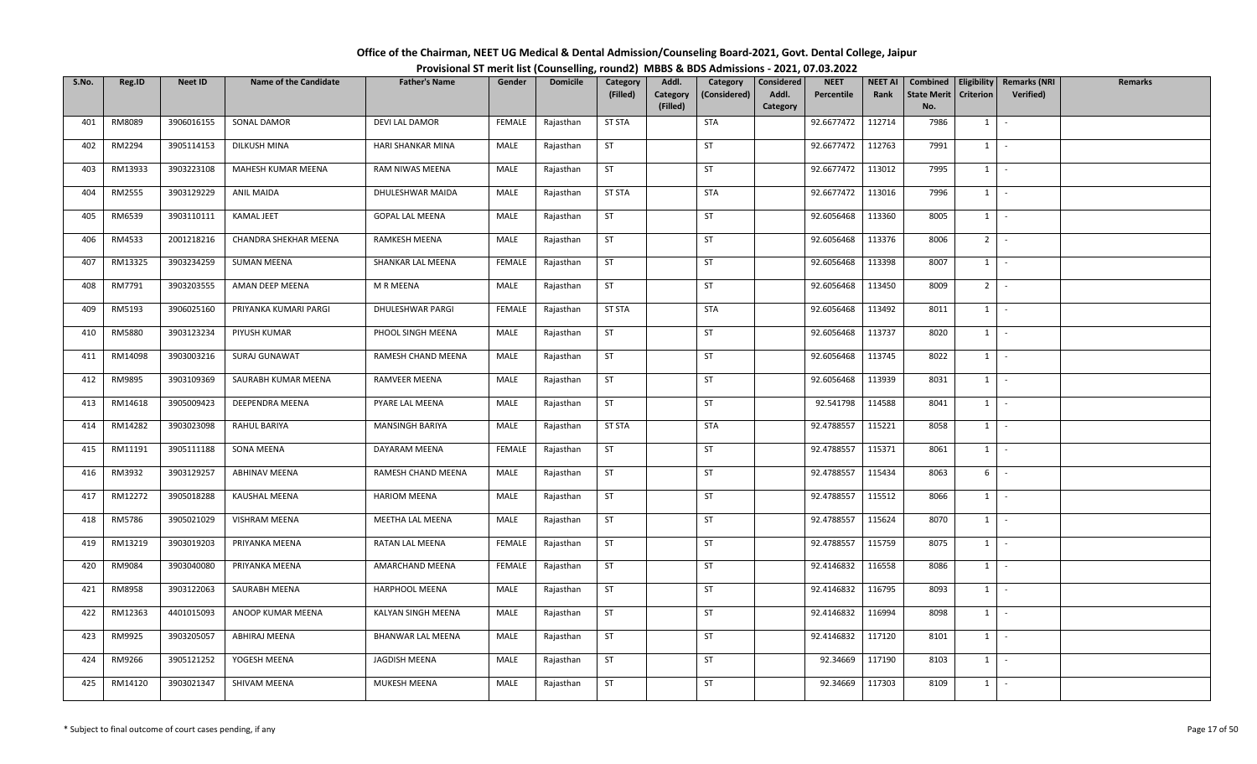| Office of the Chairman, NEET UG Medical & Dental Admission/Counseling Board-2021, Govt. Dental College, Jaipur |  |
|----------------------------------------------------------------------------------------------------------------|--|
| Provisional ST merit list (Counselling, round2) MBBS & BDS Admissions - 2021, 07.03.2022                       |  |

| S.No. | Reg.ID  | <b>Neet ID</b> | <b>Name of the Candidate</b> | <b>Father's Name</b>   | Gender        | <b>Domicile</b> | Category      | Addl.                | Category     | Considered        | <b>NEET</b> | <b>NEET AI</b> | Combined                  |                  | Eligibility   Remarks (NRI | <b>Remarks</b> |
|-------|---------|----------------|------------------------------|------------------------|---------------|-----------------|---------------|----------------------|--------------|-------------------|-------------|----------------|---------------------------|------------------|----------------------------|----------------|
|       |         |                |                              |                        |               |                 | (Filled)      | Category<br>(Filled) | (Considered) | Addl.<br>Category | Percentile  | Rank           | <b>State Merit</b><br>No. | <b>Criterion</b> | Verified)                  |                |
| 401   | RM8089  | 3906016155     | <b>SONAL DAMOR</b>           | DEVI LAL DAMOR         | FEMALE        | Rajasthan       | <b>ST STA</b> |                      | <b>STA</b>   |                   | 92.6677472  | 112714         | 7986                      | 1                | $\sim$                     |                |
|       |         |                |                              |                        |               |                 |               |                      |              |                   |             |                |                           |                  | $\sim$                     |                |
| 402   | RM2294  | 3905114153     | DILKUSH MINA                 | HARI SHANKAR MINA      | MALE          | Rajasthan       | ST            |                      | <b>ST</b>    |                   | 92.6677472  | 112763         | 7991                      | 1                |                            |                |
| 403   | RM13933 | 3903223108     | MAHESH KUMAR MEENA           | RAM NIWAS MEENA        | MALE          | Rajasthan       | <b>ST</b>     |                      | ST           |                   | 92.6677472  | 113012         | 7995                      |                  | $1 \cdot$                  |                |
| 404   | RM2555  | 3903129229     | <b>ANIL MAIDA</b>            | DHULESHWAR MAIDA       | MALE          | Rajasthan       | <b>ST STA</b> |                      | <b>STA</b>   |                   | 92.6677472  | 113016         | 7996                      | $1$ $-$          |                            |                |
| 405   | RM6539  | 3903110111     | KAMAL JEET                   | <b>GOPAL LAL MEENA</b> | MALE          | Rajasthan       | ST            |                      | ST           |                   | 92.6056468  | 113360         | 8005                      | $1 \mid$         | $\sim$                     |                |
| 406   | RM4533  | 2001218216     | CHANDRA SHEKHAR MEENA        | RAMKESH MEENA          | MALE          | Rajasthan       | <b>ST</b>     |                      | ST           |                   | 92.6056468  | 113376         | 8006                      | $2$ -            |                            |                |
| 407   | RM13325 | 3903234259     | <b>SUMAN MEENA</b>           | SHANKAR LAL MEENA      | <b>FEMALE</b> | Rajasthan       | ST            |                      | ST           |                   | 92.6056468  | 113398         | 8007                      | $1 \quad$        | $\sim$                     |                |
| 408   | RM7791  | 3903203555     | AMAN DEEP MEENA              | M R MEENA              | MALE          | Rajasthan       | <b>ST</b>     |                      | ST           |                   | 92.6056468  | 113450         | 8009                      | $2^{\circ}$      | $\sim$                     |                |
| 409   | RM5193  | 3906025160     | PRIYANKA KUMARI PARGI        | DHULESHWAR PARGI       | <b>FEMALE</b> | Rajasthan       | <b>ST STA</b> |                      | <b>STA</b>   |                   | 92.6056468  | 113492         | 8011                      | 1                | $\sim$                     |                |
| 410   | RM5880  | 3903123234     | PIYUSH KUMAR                 | PHOOL SINGH MEENA      | MALE          | Rajasthan       | ST            |                      | ST           |                   | 92.6056468  | 113737         | 8020                      | 1                | $\sim$                     |                |
| 411   | RM14098 | 3903003216     | SURAJ GUNAWAT                | RAMESH CHAND MEENA     | MALE          | Rajasthan       | <b>ST</b>     |                      | <b>ST</b>    |                   | 92.6056468  | 113745         | 8022                      | $1$ $-$          |                            |                |
| 412   | RM9895  | 3903109369     | SAURABH KUMAR MEENA          | RAMVEER MEENA          | MALE          | Rajasthan       | ST            |                      | ST           |                   | 92.6056468  | 113939         | 8031                      | 1                | $\sim$                     |                |
| 413   | RM14618 | 3905009423     | DEEPENDRA MEENA              | PYARE LAL MEENA        | MALE          | Rajasthan       | <b>ST</b>     |                      | ST           |                   | 92.541798   | 114588         | 8041                      | 1                | $\sim$                     |                |
| 414   | RM14282 | 3903023098     | RAHUL BARIYA                 | <b>MANSINGH BARIYA</b> | MALE          | Rajasthan       | <b>ST STA</b> |                      | <b>STA</b>   |                   | 92.4788557  | 115221         | 8058                      | $1 \quad$        | $\sim$                     |                |
| 415   | RM11191 | 3905111188     | SONA MEENA                   | DAYARAM MEENA          | FEMALE        | Rajasthan       | <b>ST</b>     |                      | <b>ST</b>    |                   | 92.4788557  | 115371         | 8061                      | $1 \quad$        | $\sim$                     |                |
| 416   | RM3932  | 3903129257     | <b>ABHINAV MEENA</b>         | RAMESH CHAND MEENA     | MALE          | Rajasthan       | <b>ST</b>     |                      | <b>ST</b>    |                   | 92.4788557  | 115434         | 8063                      | 6                | $\sim$                     |                |
| 417   | RM12272 | 3905018288     | <b>KAUSHAL MEENA</b>         | <b>HARIOM MEENA</b>    | MALE          | Rajasthan       | <b>ST</b>     |                      | ST           |                   | 92.4788557  | 115512         | 8066                      | 1                | $\sim$                     |                |
| 418   | RM5786  | 3905021029     | VISHRAM MEENA                | MEETHA LAL MEENA       | MALE          | Rajasthan       | ST            |                      | ST           |                   | 92.4788557  | 115624         | 8070                      | 1                | $\sim$                     |                |
| 419   | RM13219 | 3903019203     | PRIYANKA MEENA               | RATAN LAL MEENA        | <b>FEMALE</b> | Rajasthan       | <b>ST</b>     |                      | ST           |                   | 92.4788557  | 115759         | 8075                      |                  | $1 \cdot$                  |                |
| 420   | RM9084  | 3903040080     | PRIYANKA MEENA               | AMARCHAND MEENA        | FEMALE        | Rajasthan       | <b>ST</b>     |                      | ST           |                   | 92.4146832  | 116558         | 8086                      | $1 \quad$        | $\sim$                     |                |
| 421   | RM8958  | 3903122063     | SAURABH MEENA                | HARPHOOL MEENA         | MALE          | Rajasthan       | <b>ST</b>     |                      | <b>ST</b>    |                   | 92.4146832  | 116795         | 8093                      | 1                | $\sim$                     |                |
| 422   | RM12363 | 4401015093     | ANOOP KUMAR MEENA            | KALYAN SINGH MEENA     | MALE          | Rajasthan       | <b>ST</b>     |                      | ST           |                   | 92.4146832  | 116994         | 8098                      | 1                | $\sim$                     |                |
| 423   | RM9925  | 3903205057     | ABHIRAJ MEENA                | BHANWAR LAL MEENA      | MALE          | Rajasthan       | ST            |                      | <b>ST</b>    |                   | 92.4146832  | 117120         | 8101                      | $1 \quad$        | $\sim$                     |                |
| 424   | RM9266  | 3905121252     | YOGESH MEENA                 | JAGDISH MEENA          | MALE          | Rajasthan       | <b>ST</b>     |                      | <b>ST</b>    |                   | 92.34669    | 117190         | 8103                      | 1                | $\sim$                     |                |
| 425   | RM14120 | 3903021347     | SHIVAM MEENA                 | MUKESH MEENA           | MALE          | Rajasthan       | ST            |                      | ST           |                   | 92.34669    | 117303         | 8109                      | $1 \quad$        | $\sim$                     |                |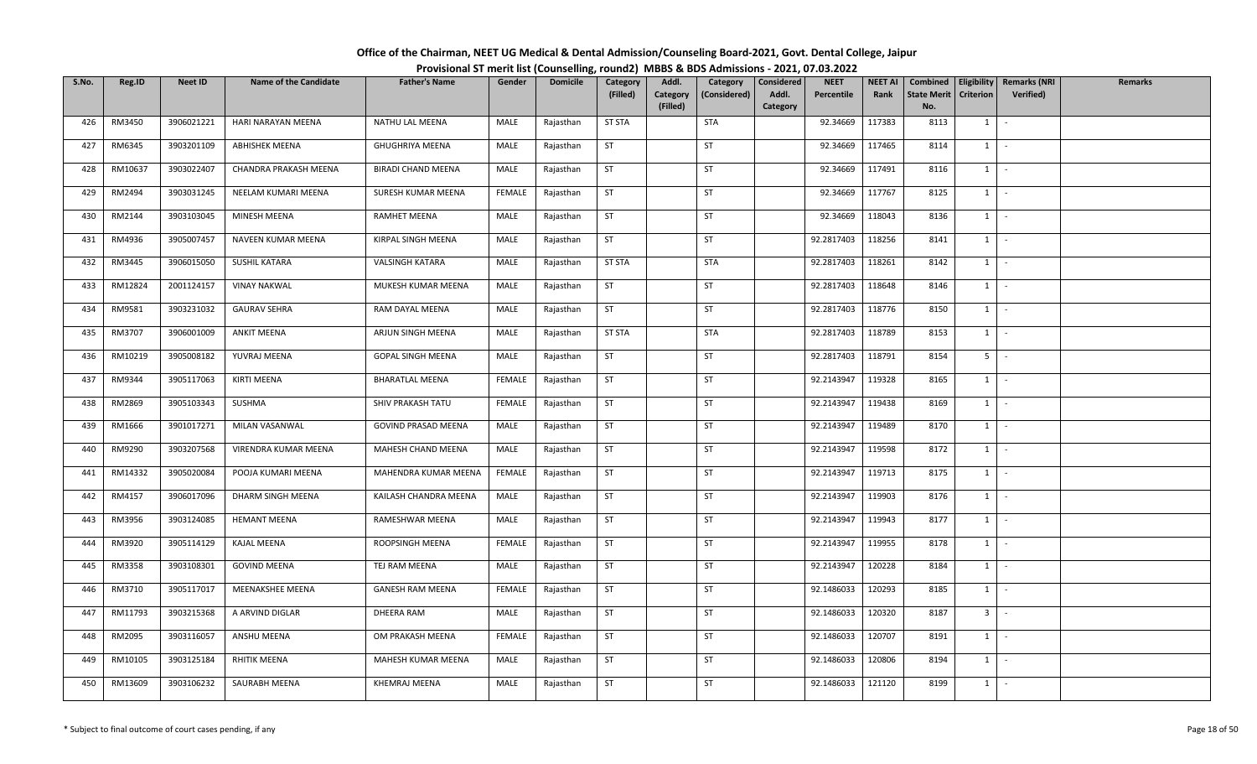| Office of the Chairman, NEET UG Medical & Dental Admission/Counseling Board-2021, Govt. Dental College, Jaipur |  |
|----------------------------------------------------------------------------------------------------------------|--|
| Provisional ST merit list (Counselling, round2) MBBS & BDS Admissions - 2021, 07.03.2022                       |  |

| S.No. | Reg.ID  | <b>Neet ID</b> | <b>Name of the Candidate</b> | <b>Father's Name</b>      | Gender        | <b>Domicile</b> | Category      | Addl.                | Category     | Considered        | <b>NEET</b> | <b>NEET AI</b> | Combined                  | Eligibility    | <b>Remarks (NRI</b> | <b>Remarks</b> |
|-------|---------|----------------|------------------------------|---------------------------|---------------|-----------------|---------------|----------------------|--------------|-------------------|-------------|----------------|---------------------------|----------------|---------------------|----------------|
|       |         |                |                              |                           |               |                 | (Filled)      | Category<br>(Filled) | (Considered) | Addl.<br>Category | Percentile  | Rank           | <b>State Merit</b><br>No. | Criterion      | Verified)           |                |
| 426   | RM3450  | 3906021221     | HARI NARAYAN MEENA           | NATHU LAL MEENA           | MALE          | Rajasthan       | <b>ST STA</b> |                      | <b>STA</b>   |                   | 92.34669    | 117383         | 8113                      | $1 \quad$      | $\sim$              |                |
|       |         |                |                              |                           |               |                 |               |                      |              |                   |             |                |                           |                |                     |                |
| 427   | RM6345  | 3903201109     | <b>ABHISHEK MEENA</b>        | <b>GHUGHRIYA MEENA</b>    | MALE          | Rajasthan       | <b>ST</b>     |                      | ST           |                   | 92.34669    | 117465         | 8114                      | $1 \quad$      | $\sim$              |                |
| 428   | RM10637 | 3903022407     | CHANDRA PRAKASH MEENA        | <b>BIRADI CHAND MEENA</b> | MALE          | Rajasthan       | ST            |                      | ST           |                   | 92.34669    | 117491         | 8116                      | $1 \quad$      | $\sim$              |                |
| 429   | RM2494  | 3903031245     | NEELAM KUMARI MEENA          | SURESH KUMAR MEENA        | FEMALE        | Rajasthan       | <b>ST</b>     |                      | ST           |                   | 92.34669    | 117767         | 8125                      | $1 \mid$       | $\sim$              |                |
| 430   | RM2144  | 3903103045     | MINESH MEENA                 | <b>RAMHET MEENA</b>       | MALE          | Rajasthan       | <b>ST</b>     |                      | ST           |                   | 92.34669    | 118043         | 8136                      | 1              | $\sim$              |                |
| 431   | RM4936  | 3905007457     | NAVEEN KUMAR MEENA           | KIRPAL SINGH MEENA        | MALE          | Rajasthan       | ST            |                      | ST           |                   | 92.2817403  | 118256         | 8141                      |                | $1 \mid -$          |                |
| 432   | RM3445  | 3906015050     | SUSHIL KATARA                | <b>VALSINGH KATARA</b>    | MALE          | Rajasthan       | <b>ST STA</b> |                      | <b>STA</b>   |                   | 92.2817403  | 118261         | 8142                      | 1              | $\sim$              |                |
| 433   | RM12824 | 2001124157     | <b>VINAY NAKWAL</b>          | MUKESH KUMAR MEENA        | MALE          | Rajasthan       | <b>ST</b>     |                      | ST           |                   | 92.2817403  | 118648         | 8146                      | 1              | $\sim$              |                |
| 434   | RM9581  | 3903231032     | <b>GAURAV SEHRA</b>          | RAM DAYAL MEENA           | MALE          | Rajasthan       | <b>ST</b>     |                      | ST           |                   | 92.2817403  | 118776         | 8150                      | $1 \quad$      | $\sim$              |                |
| 435   | RM3707  | 3906001009     | ANKIT MEENA                  | ARJUN SINGH MEENA         | MALE          | Rajasthan       | <b>ST STA</b> |                      | <b>STA</b>   |                   | 92.2817403  | 118789         | 8153                      | $1 \quad$      | $\sim$              |                |
| 436   | RM10219 | 3905008182     | YUVRAJ MEENA                 | <b>GOPAL SINGH MEENA</b>  | MALE          | Rajasthan       | ST            |                      | ST           |                   | 92.2817403  | 118791         | 8154                      | 5 <sub>1</sub> | $\sim$              |                |
| 437   | RM9344  | 3905117063     | KIRTI MEENA                  | <b>BHARATLAL MEENA</b>    | FEMALE        | Rajasthan       | <b>ST</b>     |                      | ST           |                   | 92.2143947  | 119328         | 8165                      | $1\phantom{0}$ | $\sim$              |                |
| 438   | RM2869  | 3905103343     | SUSHMA                       | SHIV PRAKASH TATU         | <b>FEMALE</b> | Rajasthan       | ST            |                      | ST           |                   | 92.2143947  | 119438         | 8169                      | 1              | $\sim$              |                |
| 439   | RM1666  | 3901017271     | MILAN VASANWAL               | GOVIND PRASAD MEENA       | MALE          | Rajasthan       | <b>ST</b>     |                      | <b>ST</b>    |                   | 92.2143947  | 119489         | 8170                      | $1 \quad$      | $\sim$              |                |
| 440   | RM9290  | 3903207568     | VIRENDRA KUMAR MEENA         | MAHESH CHAND MEENA        | MALE          | Rajasthan       | <b>ST</b>     |                      | <b>ST</b>    |                   | 92.2143947  | 119598         | 8172                      | 1              | $\sim$              |                |
| 441   | RM14332 | 3905020084     | POOJA KUMARI MEENA           | MAHENDRA KUMAR MEENA      | <b>FEMALE</b> | Rajasthan       | ST            |                      | <b>ST</b>    |                   | 92.2143947  | 119713         | 8175                      | 1              | $\sim$              |                |
| 442   | RM4157  | 3906017096     | DHARM SINGH MEENA            | KAILASH CHANDRA MEENA     | MALE          | Rajasthan       | <b>ST</b>     |                      | <b>ST</b>    |                   | 92.2143947  | 119903         | 8176                      | 1              | $\sim$              |                |
| 443   | RM3956  | 3903124085     | <b>HEMANT MEENA</b>          | RAMESHWAR MEENA           | MALE          | Rajasthan       | <b>ST</b>     |                      | ST           |                   | 92.2143947  | 119943         | 8177                      | $1 \mid$       | $\sim$              |                |
| 444   | RM3920  | 3905114129     | KAJAL MEENA                  | ROOPSINGH MEENA           | FEMALE        | Rajasthan       | <b>ST</b>     |                      | ST           |                   | 92.2143947  | 119955         | 8178                      | $1 \vert$      | $\sim$              |                |
| 445   | RM3358  | 3903108301     | <b>GOVIND MEENA</b>          | TEJ RAM MEENA             | MALE          | Rajasthan       | ST            |                      | ST           |                   | 92.2143947  | 120228         | 8184                      | $1 \quad$      | $\sim$              |                |
| 446   | RM3710  | 3905117017     | MEENAKSHEE MEENA             | <b>GANESH RAM MEENA</b>   | <b>FEMALE</b> | Rajasthan       | <b>ST</b>     |                      | ST           |                   | 92.1486033  | 120293         | 8185                      | 1              | $\sim$              |                |
| 447   | RM11793 | 3903215368     | A ARVIND DIGLAR              | DHEERA RAM                | MALE          | Rajasthan       | ST            |                      | <b>ST</b>    |                   | 92.1486033  | 120320         | 8187                      | 3 <sup>1</sup> | $\sim$              |                |
| 448   | RM2095  | 3903116057     | ANSHU MEENA                  | OM PRAKASH MEENA          | FEMALE        | Rajasthan       | ST            |                      | <b>ST</b>    |                   | 92.1486033  | 120707         | 8191                      | 1              | $\sim$              |                |
| 449   | RM10105 | 3903125184     | RHITIK MEENA                 | MAHESH KUMAR MEENA        | MALE          | Rajasthan       | <b>ST</b>     |                      | <b>ST</b>    |                   | 92.1486033  | 120806         | 8194                      | $1 \quad$      | $\sim$              |                |
| 450   | RM13609 | 3903106232     | SAURABH MEENA                | <b>KHEMRAJ MEENA</b>      | MALE          | Rajasthan       | <b>ST</b>     |                      | <b>ST</b>    |                   | 92.1486033  | 121120         | 8199                      | $1 \quad$      | $\sim$              |                |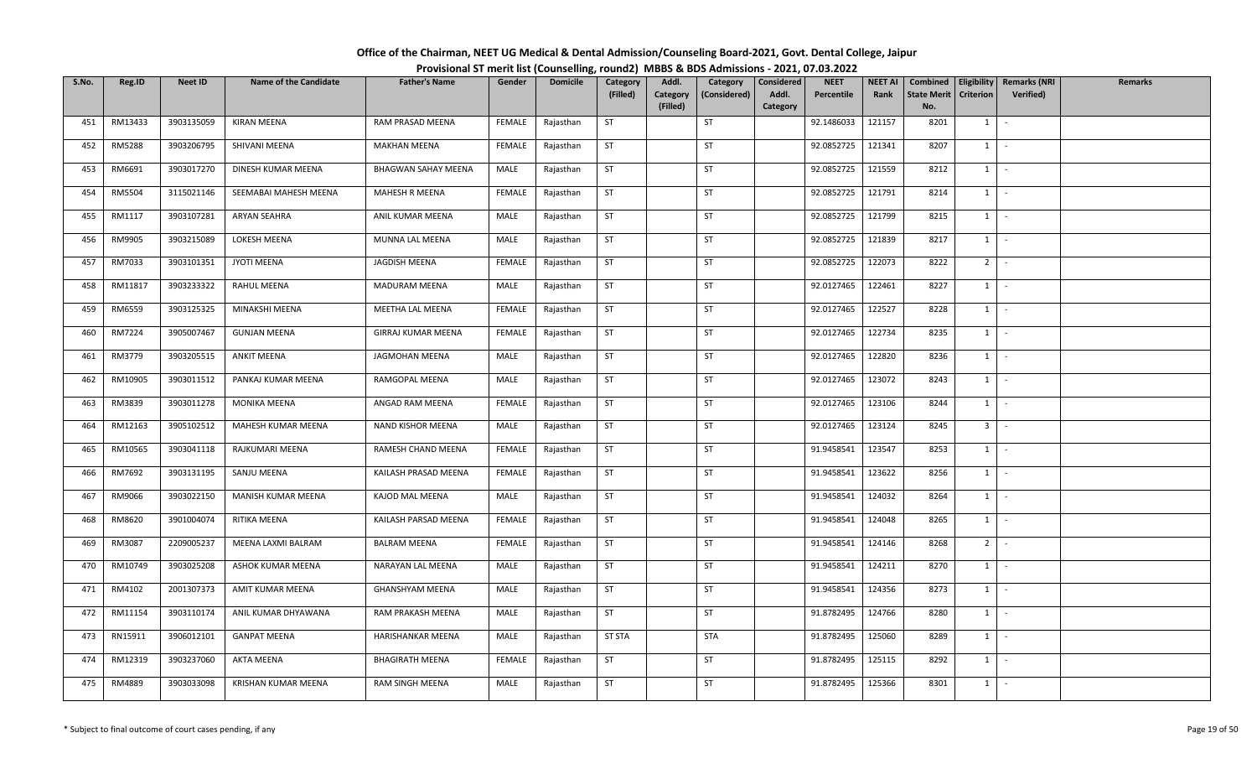| Office of the Chairman, NEET UG Medical & Dental Admission/Counseling Board-2021, Govt. Dental College, Jaipur |  |
|----------------------------------------------------------------------------------------------------------------|--|
| Provisional ST merit list (Counselling, round2) MBBS & BDS Admissions - 2021, 07.03.2022                       |  |

| S.No. | Reg.ID        | <b>Neet ID</b> | <b>Name of the Candidate</b> | <b>Father's Name</b>       | Gender        | <b>Domicile</b> | Category      | Addl.                | Category     | Considered | <b>NEET</b> | <b>NEET AI</b> | Combined                  | Eligibility    | <b>Remarks (NRI</b> | <b>Remarks</b> |
|-------|---------------|----------------|------------------------------|----------------------------|---------------|-----------------|---------------|----------------------|--------------|------------|-------------|----------------|---------------------------|----------------|---------------------|----------------|
|       |               |                |                              |                            |               |                 | (Filled)      | Category<br>(Filled) | (Considered) | Addl.      | Percentile  | Rank           | <b>State Merit</b><br>No. | Criterion      | Verified)           |                |
| 451   | RM13433       | 3903135059     | <b>KIRAN MEENA</b>           | RAM PRASAD MEENA           | FEMALE        |                 | ST            |                      | ST           | Category   | 92.1486033  | 121157         | 8201                      | $1 \quad$      | $\sim$              |                |
|       |               |                |                              |                            |               | Rajasthan       |               |                      |              |            |             |                |                           |                |                     |                |
| 452   | <b>RM5288</b> | 3903206795     | SHIVANI MEENA                | <b>MAKHAN MEENA</b>        | FEMALE        | Rajasthan       | <b>ST</b>     |                      | ST           |            | 92.0852725  | 121341         | 8207                      | 1              | $\sim$              |                |
| 453   | RM6691        | 3903017270     | DINESH KUMAR MEENA           | <b>BHAGWAN SAHAY MEENA</b> | MALE          | Rajasthan       | ST            |                      | ST           |            | 92.0852725  | 121559         | 8212                      | $1 \quad$      | $\sim$              |                |
| 454   | RM5504        | 3115021146     | SEEMABAI MAHESH MEENA        | MAHESH R MEENA             | FEMALE        | Rajasthan       | <b>ST</b>     |                      | ST           |            | 92.0852725  | 121791         | 8214                      | $1 \mid$       | $\sim$              |                |
| 455   | RM1117        | 3903107281     | <b>ARYAN SEAHRA</b>          | ANIL KUMAR MEENA           | MALE          | Rajasthan       | <b>ST</b>     |                      | ST           |            | 92.0852725  | 121799         | 8215                      | 1              | $\sim$              |                |
| 456   | RM9905        | 3903215089     | LOKESH MEENA                 | MUNNA LAL MEENA            | MALE          | Rajasthan       | ST            |                      | <b>ST</b>    |            | 92.0852725  | 121839         | 8217                      |                | $1 \mid -$          |                |
| 457   | RM7033        | 3903101351     | JYOTI MEENA                  | JAGDISH MEENA              | <b>FEMALE</b> | Rajasthan       | <b>ST</b>     |                      | ST           |            | 92.0852725  | 122073         | 8222                      | 2 <sup>1</sup> | $\sim$              |                |
| 458   | RM11817       | 3903233322     | RAHUL MEENA                  | MADURAM MEENA              | MALE          | Rajasthan       | <b>ST</b>     |                      | ST           |            | 92.0127465  | 122461         | 8227                      | 1              | $\sim$              |                |
| 459   | RM6559        | 3903125325     | MINAKSHI MEENA               | MEETHA LAL MEENA           | <b>FEMALE</b> | Rajasthan       | <b>ST</b>     |                      | ST           |            | 92.0127465  | 122527         | 8228                      | $1 \quad$      | $\sim$              |                |
| 460   | RM7224        | 3905007467     | <b>GUNJAN MEENA</b>          | GIRRAJ KUMAR MEENA         | <b>FEMALE</b> | Rajasthan       | <b>ST</b>     |                      | ST           |            | 92.0127465  | 122734         | 8235                      | $1 \quad$      | $\sim$              |                |
| 461   | RM3779        | 3903205515     | <b>ANKIT MEENA</b>           | JAGMOHAN MEENA             | MALE          | Rajasthan       | ST            |                      | ST           |            | 92.0127465  | 122820         | 8236                      | 1              | $\sim$              |                |
| 462   | RM10905       | 3903011512     | PANKAJ KUMAR MEENA           | RAMGOPAL MEENA             | MALE          | Rajasthan       | <b>ST</b>     |                      | ST           |            | 92.0127465  | 123072         | 8243                      | $1\phantom{0}$ | $\sim$              |                |
| 463   | RM3839        | 3903011278     | MONIKA MEENA                 | ANGAD RAM MEENA            | <b>FEMALE</b> | Rajasthan       | ST            |                      | ST           |            | 92.0127465  | 123106         | 8244                      | 1              | $\sim$              |                |
| 464   | RM12163       | 3905102512     | MAHESH KUMAR MEENA           | NAND KISHOR MEENA          | MALE          | Rajasthan       | <b>ST</b>     |                      | <b>ST</b>    |            | 92.0127465  | 123124         | 8245                      | 3 <sup>1</sup> | $\sim$              |                |
| 465   | RM10565       | 3903041118     | RAJKUMARI MEENA              | RAMESH CHAND MEENA         | FEMALE        | Rajasthan       | <b>ST</b>     |                      | <b>ST</b>    |            | 91.9458541  | 123547         | 8253                      | 1              | $\sim$              |                |
| 466   | RM7692        | 3903131195     | SANJU MEENA                  | KAILASH PRASAD MEENA       | FEMALE        | Rajasthan       | <b>ST</b>     |                      | <b>ST</b>    |            | 91.9458541  | 123622         | 8256                      | 1              | $\sim$              |                |
| 467   | RM9066        | 3903022150     | MANISH KUMAR MEENA           | KAJOD MAL MEENA            | MALE          | Rajasthan       | <b>ST</b>     |                      | <b>ST</b>    |            | 91.9458541  | 124032         | 8264                      | 1              | $\sim$              |                |
| 468   | RM8620        | 3901004074     | RITIKA MEENA                 | KAILASH PARSAD MEENA       | <b>FEMALE</b> | Rajasthan       | <b>ST</b>     |                      | ST           |            | 91.9458541  | 124048         | 8265                      | $1 \mid$       | $\sim$              |                |
| 469   | RM3087        | 2209005237     | MEENA LAXMI BALRAM           | <b>BALRAM MEENA</b>        | FEMALE        | Rajasthan       | <b>ST</b>     |                      | ST           |            | 91.9458541  | 124146         | 8268                      | 2 <sup>1</sup> | $\sim$              |                |
| 470   | RM10749       | 3903025208     | ASHOK KUMAR MEENA            | NARAYAN LAL MEENA          | MALE          | Rajasthan       | ST            |                      | ST           |            | 91.9458541  | 124211         | 8270                      | 1              | $\sim$              |                |
| 471   | RM4102        | 2001307373     | AMIT KUMAR MEENA             | <b>GHANSHYAM MEENA</b>     | MALE          | Rajasthan       | <b>ST</b>     |                      | ST           |            | 91.9458541  | 124356         | 8273                      | 1              | $\sim$              |                |
| 472   | RM11154       | 3903110174     | ANIL KUMAR DHYAWANA          | RAM PRAKASH MEENA          | MALE          | Rajasthan       | ST            |                      | <b>ST</b>    |            | 91.8782495  | 124766         | 8280                      | $1 \cdot$      |                     |                |
| 473   | RN15911       | 3906012101     | <b>GANPAT MEENA</b>          | HARISHANKAR MEENA          | MALE          | Rajasthan       | <b>ST STA</b> |                      | <b>STA</b>   |            | 91.8782495  | 125060         | 8289                      | 1              | $\sim$              |                |
| 474   | RM12319       | 3903237060     | AKTA MEENA                   | <b>BHAGIRATH MEENA</b>     | FEMALE        | Rajasthan       | <b>ST</b>     |                      | <b>ST</b>    |            | 91.8782495  | 125115         | 8292                      | $1 \quad$      | $\sim$              |                |
| 475   | RM4889        | 3903033098     | KRISHAN KUMAR MEENA          | RAM SINGH MEENA            | MALE          | Rajasthan       | <b>ST</b>     |                      | <b>ST</b>    |            | 91.8782495  | 125366         | 8301                      | $1 \quad$      | $\sim$              |                |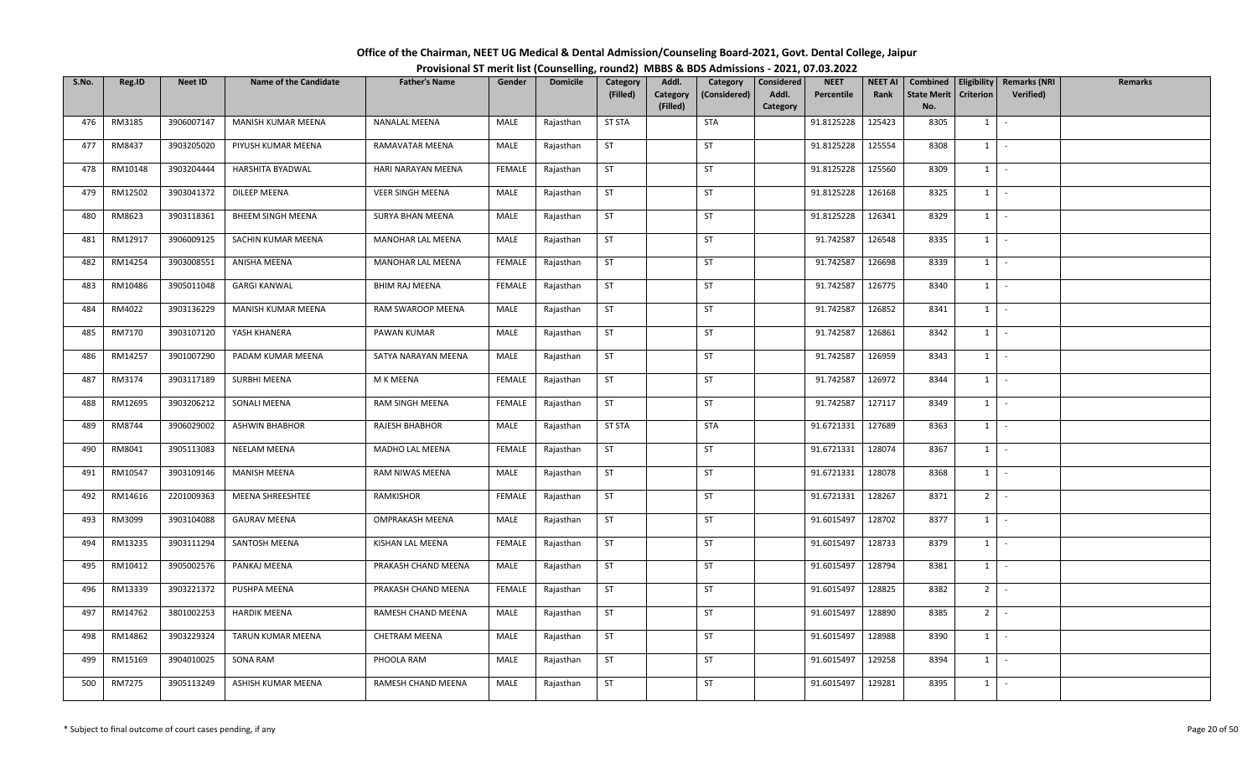| Office of the Chairman, NEET UG Medical & Dental Admission/Counseling Board-2021, Govt. Dental College, Jaipur |  |
|----------------------------------------------------------------------------------------------------------------|--|
| Provisional ST merit list (Counselling, round2) MBBS & BDS Admissions - 2021, 07.03.2022                       |  |

| S.No. | Reg.ID        | <b>Neet ID</b> | <b>Name of the Candidate</b> | <b>Father's Name</b>     | Gender        | <b>Domicile</b> | Category      | Addl.    | Category     | Considered | <b>NEET</b> | <b>NEET AI</b> | Combined           | Eligibility    | <b>Remarks (NRI</b> | <b>Remarks</b> |
|-------|---------------|----------------|------------------------------|--------------------------|---------------|-----------------|---------------|----------|--------------|------------|-------------|----------------|--------------------|----------------|---------------------|----------------|
|       |               |                |                              |                          |               |                 | (Filled)      | Category | (Considered) | Addl.      | Percentile  | Rank           | <b>State Merit</b> | Criterion      | Verified)           |                |
|       |               |                |                              |                          |               |                 |               | (Filled) |              | Category   |             |                | No.                |                |                     |                |
| 476   | RM3185        | 3906007147     | MANISH KUMAR MEENA           | <b>NANALAL MEENA</b>     | MALE          | Rajasthan       | <b>ST STA</b> |          | <b>STA</b>   |            | 91.8125228  | 125423         | 8305               | $1 \quad$      | $\sim$              |                |
| 477   | RM8437        | 3903205020     | PIYUSH KUMAR MEENA           | RAMAVATAR MEENA          | MALE          | Rajasthan       | <b>ST</b>     |          | ST           |            | 91.8125228  | 125554         | 8308               | $1 \quad$      | $\sim$              |                |
| 478   | RM10148       | 3903204444     | HARSHITA BYADWAL             | HARI NARAYAN MEENA       | FEMALE        | Rajasthan       | ST            |          | ST           |            | 91.8125228  | 125560         | 8309               | $1 \quad$      | $\sim$              |                |
| 479   | RM12502       | 3903041372     | DILEEP MEENA                 | <b>VEER SINGH MEENA</b>  | MALE          | Rajasthan       | <b>ST</b>     |          | ST           |            | 91.8125228  | 126168         | 8325               | $1 \mid$       | $\sim$              |                |
| 480   | RM8623        | 3903118361     | BHEEM SINGH MEENA            | SURYA BHAN MEENA         | MALE          | Rajasthan       | <b>ST</b>     |          | ST           |            | 91.8125228  | 126341         | 8329               | 1              | $\sim$              |                |
| 481   | RM12917       | 3906009125     | SACHIN KUMAR MEENA           | <b>MANOHAR LAL MEENA</b> | MALE          | Rajasthan       | ST            |          | <b>ST</b>    |            | 91.742587   | 126548         | 8335               |                | $1 \mid -$          |                |
| 482   | RM14254       | 3903008551     | ANISHA MEENA                 | MANOHAR LAL MEENA        | FEMALE        | Rajasthan       | <b>ST</b>     |          | ST           |            | 91.742587   | 126698         | 8339               | 1              | $\sim$              |                |
| 483   | RM10486       | 3905011048     | <b>GARGI KANWAL</b>          | <b>BHIM RAJ MEENA</b>    | <b>FEMALE</b> | Rajasthan       | <b>ST</b>     |          | ST           |            | 91.742587   | 126775         | 8340               | 1              | $\sim$              |                |
| 484   | RM4022        | 3903136229     | MANISH KUMAR MEENA           | RAM SWAROOP MEENA        | MALE          | Rajasthan       | <b>ST</b>     |          | <b>ST</b>    |            | 91.742587   | 126852         | 8341               | $1 \quad$      | $\sim$              |                |
| 485   | RM7170        | 3903107120     | YASH KHANERA                 | PAWAN KUMAR              | MALE          | Rajasthan       | <b>ST</b>     |          | ST           |            | 91.742587   | 126861         | 8342               | $1 \quad$      | $\sim$              |                |
| 486   | RM14257       | 3901007290     | PADAM KUMAR MEENA            | SATYA NARAYAN MEENA      | MALE          | Rajasthan       | ST            |          | ST           |            | 91.742587   | 126959         | 8343               | 1              | $\sim$              |                |
| 487   | RM3174        | 3903117189     | SURBHI MEENA                 | M K MEENA                | <b>FEMALE</b> | Rajasthan       | <b>ST</b>     |          | ST           |            | 91.742587   | 126972         | 8344               | $1\phantom{0}$ | $\sim$              |                |
| 488   | RM12695       | 3903206212     | SONALI MEENA                 | RAM SINGH MEENA          | <b>FEMALE</b> | Rajasthan       | ST            |          | ST           |            | 91.742587   | 127117         | 8349               | 1              | $\sim$              |                |
| 489   | RM8744        | 3906029002     | <b>ASHWIN BHABHOR</b>        | RAJESH BHABHOR           | MALE          | Rajasthan       | <b>ST STA</b> |          | <b>STA</b>   |            | 91.6721331  | 127689         | 8363               | $1 \quad$      | $\sim$              |                |
| 490   | RM8041        | 3905113083     | NEELAM MEENA                 | MADHO LAL MEENA          | FEMALE        | Rajasthan       | <b>ST</b>     |          | <b>ST</b>    |            | 91.6721331  | 128074         | 8367               | 1              | $\sim$              |                |
| 491   | RM10547       | 3903109146     | <b>MANISH MEENA</b>          | RAM NIWAS MEENA          | MALE          | Rajasthan       | <b>ST</b>     |          | <b>ST</b>    |            | 91.6721331  | 128078         | 8368               | 1              | $\sim$              |                |
| 492   | RM14616       | 2201009363     | MEENA SHREESHTEE             | RAMKISHOR                | <b>FEMALE</b> | Rajasthan       | <b>ST</b>     |          | <b>ST</b>    |            | 91.6721331  | 128267         | 8371               | 2 <sup>1</sup> | $\sim$              |                |
| 493   | RM3099        | 3903104088     | <b>GAURAV MEENA</b>          | OMPRAKASH MEENA          | MALE          | Rajasthan       | <b>ST</b>     |          | ST           |            | 91.6015497  | 128702         | 8377               | $1 \mid$       | $\sim$              |                |
| 494   | RM13235       | 3903111294     | SANTOSH MEENA                | KISHAN LAL MEENA         | FEMALE        | Rajasthan       | <b>ST</b>     |          | ST           |            | 91.6015497  | 128733         | 8379               | $1 \vert$      | $\sim$              |                |
| 495   | RM10412       | 3905002576     | PANKAJ MEENA                 | PRAKASH CHAND MEENA      | MALE          | Rajasthan       | ST            |          | ST           |            | 91.6015497  | 128794         | 8381               | 1              | $\sim$              |                |
| 496   | RM13339       | 3903221372     | PUSHPA MEENA                 | PRAKASH CHAND MEENA      | FEMALE        | Rajasthan       | <b>ST</b>     |          | ST           |            | 91.6015497  | 128825         | 8382               | 2 <sup>1</sup> | $\sim$              |                |
| 497   | RM14762       | 3801002253     | <b>HARDIK MEENA</b>          | RAMESH CHAND MEENA       | MALE          | Rajasthan       | ST            |          | <b>ST</b>    |            | 91.6015497  | 128890         | 8385               | $2$ -          |                     |                |
| 498   | RM14862       | 3903229324     | TARUN KUMAR MEENA            | CHETRAM MEENA            | MALE          | Rajasthan       | ST            |          | <b>ST</b>    |            | 91.6015497  | 128988         | 8390               | 1              | $\sim$              |                |
| 499   | RM15169       | 3904010025     | SONA RAM                     | PHOOLA RAM               | MALE          | Rajasthan       | <b>ST</b>     |          | <b>ST</b>    |            | 91.6015497  | 129258         | 8394               | $1 \quad$      | $\sim$              |                |
| 500   | <b>RM7275</b> | 3905113249     | ASHISH KUMAR MEENA           | RAMESH CHAND MEENA       | MALE          | Rajasthan       | ST            |          | <b>ST</b>    |            | 91.6015497  | 129281         | 8395               | $1 \quad$      | $\sim$              |                |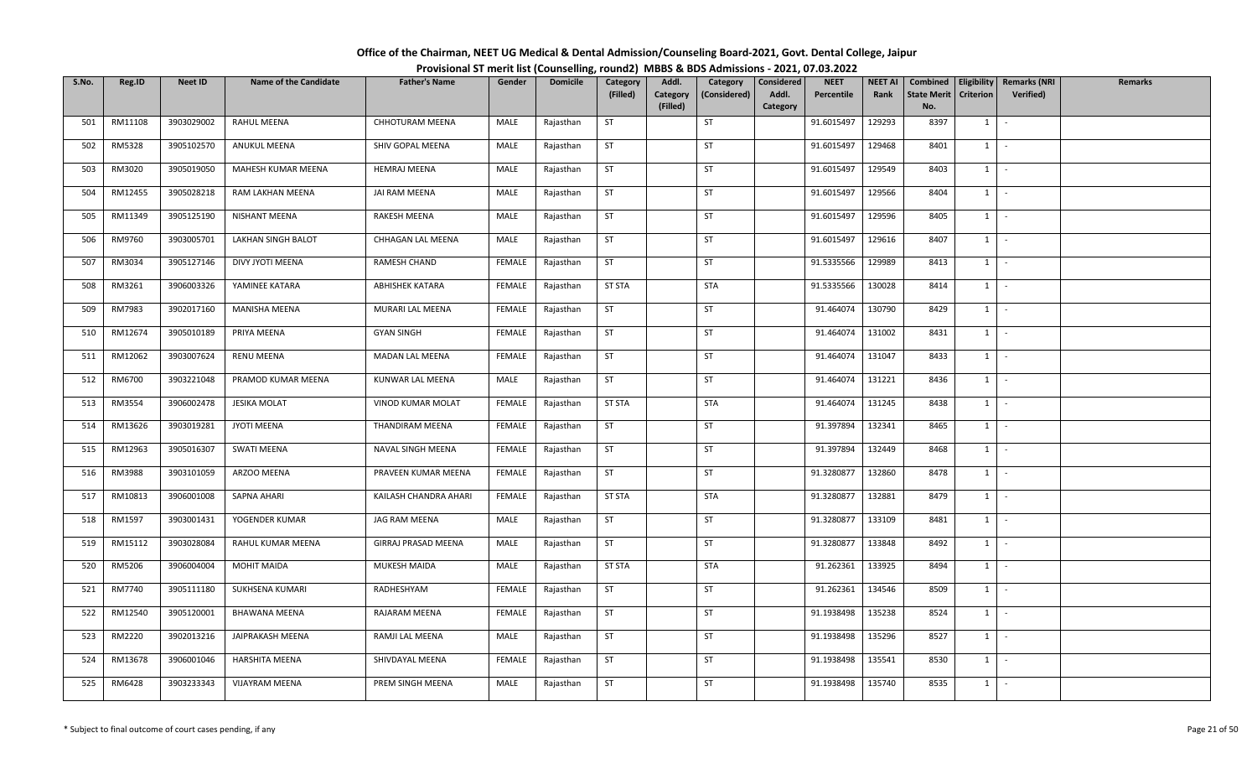| Office of the Chairman, NEET UG Medical & Dental Admission/Counseling Board-2021, Govt. Dental College, Jaipur |  |
|----------------------------------------------------------------------------------------------------------------|--|
| Provisional ST merit list (Counselling, round2) MBBS & BDS Admissions - 2021, 07.03.2022                       |  |

| S.No. | Reg.ID  | <b>Neet ID</b> | <b>Name of the Candidate</b> | <b>Father's Name</b>   | Gender        | <b>Domicile</b> | Category      | Addl.    | Category     | Considered | <b>NEET</b> | <b>NEET AI</b> | Combined           |                | Eligibility   Remarks (NRI | <b>Remarks</b> |
|-------|---------|----------------|------------------------------|------------------------|---------------|-----------------|---------------|----------|--------------|------------|-------------|----------------|--------------------|----------------|----------------------------|----------------|
|       |         |                |                              |                        |               |                 | (Filled)      | Category | (Considered) | Addl.      | Percentile  | Rank           | <b>State Merit</b> | Criterion      | Verified)                  |                |
|       |         |                |                              |                        |               |                 |               | (Filled) |              | Category   |             |                | No.                |                |                            |                |
| 501   | RM11108 | 3903029002     | RAHUL MEENA                  | CHHOTURAM MEENA        | MALE          | Rajasthan       | <b>ST</b>     |          | ST           |            | 91.6015497  | 129293         | 8397               | $1 \quad$      | $\sim$                     |                |
| 502   | RM5328  | 3905102570     | <b>ANUKUL MEENA</b>          | SHIV GOPAL MEENA       | MALE          | Rajasthan       | <b>ST</b>     |          | ST           |            | 91.6015497  | 129468         | 8401               | $1 \quad$      | $\sim$                     |                |
| 503   | RM3020  | 3905019050     | MAHESH KUMAR MEENA           | <b>HEMRAJ MEENA</b>    | MALE          | Rajasthan       | <b>ST</b>     |          | ST           |            | 91.6015497  | 129549         | 8403               | $1 \quad$      | $\sim$                     |                |
| 504   | RM12455 | 3905028218     | RAM LAKHAN MEENA             | JAI RAM MEENA          | MALE          | Rajasthan       | <b>ST</b>     |          | ST           |            | 91.6015497  | 129566         | 8404               | $1 \mid$       | $\sim$                     |                |
| 505   | RM11349 | 3905125190     | NISHANT MEENA                | RAKESH MEENA           | MALE          | Rajasthan       | <b>ST</b>     |          | ST           |            | 91.6015497  | 129596         | 8405               | 1              | $\sim$                     |                |
| 506   | RM9760  | 3903005701     | <b>LAKHAN SINGH BALOT</b>    | CHHAGAN LAL MEENA      | MALE          | Rajasthan       | ST            |          | <b>ST</b>    |            | 91.6015497  | 129616         | 8407               |                | $1 \mid -$                 |                |
| 507   | RM3034  | 3905127146     | DIVY JYOTI MEENA             | RAMESH CHAND           | FEMALE        | Rajasthan       | <b>ST</b>     |          | ST           |            | 91.5335566  | 129989         | 8413               | 1              | $\sim$                     |                |
| 508   | RM3261  | 3906003326     | YAMINEE KATARA               | <b>ABHISHEK KATARA</b> | <b>FEMALE</b> | Rajasthan       | <b>ST STA</b> |          | <b>STA</b>   |            | 91.5335566  | 130028         | 8414               | 1              | $\sim$                     |                |
| 509   | RM7983  | 3902017160     | MANISHA MEENA                | MURARI LAL MEENA       | FEMALE        | Rajasthan       | <b>ST</b>     |          | <b>ST</b>    |            | 91.464074   | 130790         | 8429               | $1 \quad$      | $\sim$                     |                |
| 510   | RM12674 | 3905010189     | PRIYA MEENA                  | <b>GYAN SINGH</b>      | FEMALE        | Rajasthan       | <b>ST</b>     |          | ST           |            | 91.464074   | 131002         | 8431               | $1 \quad$      | $\sim$                     |                |
| 511   | RM12062 | 3903007624     | RENU MEENA                   | MADAN LAL MEENA        | FEMALE        | Rajasthan       | ST            |          | <b>ST</b>    |            | 91.464074   | 131047         | 8433               | $1 \mid$       | $\sim$                     |                |
| 512   | RM6700  | 3903221048     | PRAMOD KUMAR MEENA           | KUNWAR LAL MEENA       | MALE          | Rajasthan       | <b>ST</b>     |          | ST           |            | 91.464074   | 131221         | 8436               | $1\phantom{0}$ | $\sim$                     |                |
| 513   | RM3554  | 3906002478     | <b>JESIKA MOLAT</b>          | VINOD KUMAR MOLAT      | FEMALE        | Rajasthan       | <b>ST STA</b> |          | STA          |            | 91.464074   | 131245         | 8438               | 1              | $\sim$                     |                |
| 514   | RM13626 | 3903019281     | JYOTI MEENA                  | THANDIRAM MEENA        | FEMALE        | Rajasthan       | <b>ST</b>     |          | <b>ST</b>    |            | 91.397894   | 132341         | 8465               | $1 \quad$      | $\sim$                     |                |
| 515   | RM12963 | 3905016307     | <b>SWATI MEENA</b>           | NAVAL SINGH MEENA      | FEMALE        | Rajasthan       | <b>ST</b>     |          | <b>ST</b>    |            | 91.397894   | 132449         | 8468               | 1              | $\sim$                     |                |
| 516   | RM3988  | 3903101059     | ARZOO MEENA                  | PRAVEEN KUMAR MEENA    | FEMALE        | Rajasthan       | <b>ST</b>     |          | <b>ST</b>    |            | 91.3280877  | 132860         | 8478               | 1              | $\sim$                     |                |
| 517   | RM10813 | 3906001008     | SAPNA AHARI                  | KAILASH CHANDRA AHARI  | FEMALE        | Rajasthan       | <b>ST STA</b> |          | <b>STA</b>   |            | 91.3280877  | 132881         | 8479               | 1              | $\mathbb{Z}^2$             |                |
| 518   | RM1597  | 3903001431     | YOGENDER KUMAR               | JAG RAM MEENA          | MALE          | Rajasthan       | <b>ST</b>     |          | ST           |            | 91.3280877  | 133109         | 8481               | $1$ $-$        |                            |                |
| 519   | RM15112 | 3903028084     | RAHUL KUMAR MEENA            | GIRRAJ PRASAD MEENA    | MALE          | Rajasthan       | <b>ST</b>     |          | ST           |            | 91.3280877  | 133848         | 8492               | $1 \vert$      | $\sim$                     |                |
| 520   | RM5206  | 3906004004     | MOHIT MAIDA                  | MUKESH MAIDA           | MALE          | Rajasthan       | <b>ST STA</b> |          | <b>STA</b>   |            | 91.262361   | 133925         | 8494               | 1              | $\sim$                     |                |
| 521   | RM7740  | 3905111180     | SUKHSENA KUMARI              | RADHESHYAM             | <b>FEMALE</b> | Rajasthan       | <b>ST</b>     |          | ST           |            | 91.262361   | 134546         | 8509               | 1              | $\sim$                     |                |
| 522   | RM12540 | 3905120001     | <b>BHAWANA MEENA</b>         | RAJARAM MEENA          | FEMALE        | Rajasthan       | ST            |          | <b>ST</b>    |            | 91.1938498  | 135238         | 8524               | $1 \vert -$    |                            |                |
| 523   | RM2220  | 3902013216     | JAIPRAKASH MEENA             | RAMJI LAL MEENA        | MALE          | Rajasthan       | ST            |          | <b>ST</b>    |            | 91.1938498  | 135296         | 8527               | 1              | $\sim$                     |                |
| 524   | RM13678 | 3906001046     | HARSHITA MEENA               | SHIVDAYAL MEENA        | FEMALE        | Rajasthan       | <b>ST</b>     |          | <b>ST</b>    |            | 91.1938498  | 135541         | 8530               | $1 \quad$      | $\sim$ $-$                 |                |
| 525   | RM6428  | 3903233343     | <b>VIJAYRAM MEENA</b>        | PREM SINGH MEENA       | MALE          | Rajasthan       | <b>ST</b>     |          | ST           |            | 91.1938498  | 135740         | 8535               | $1 \quad$      | $\sim$                     |                |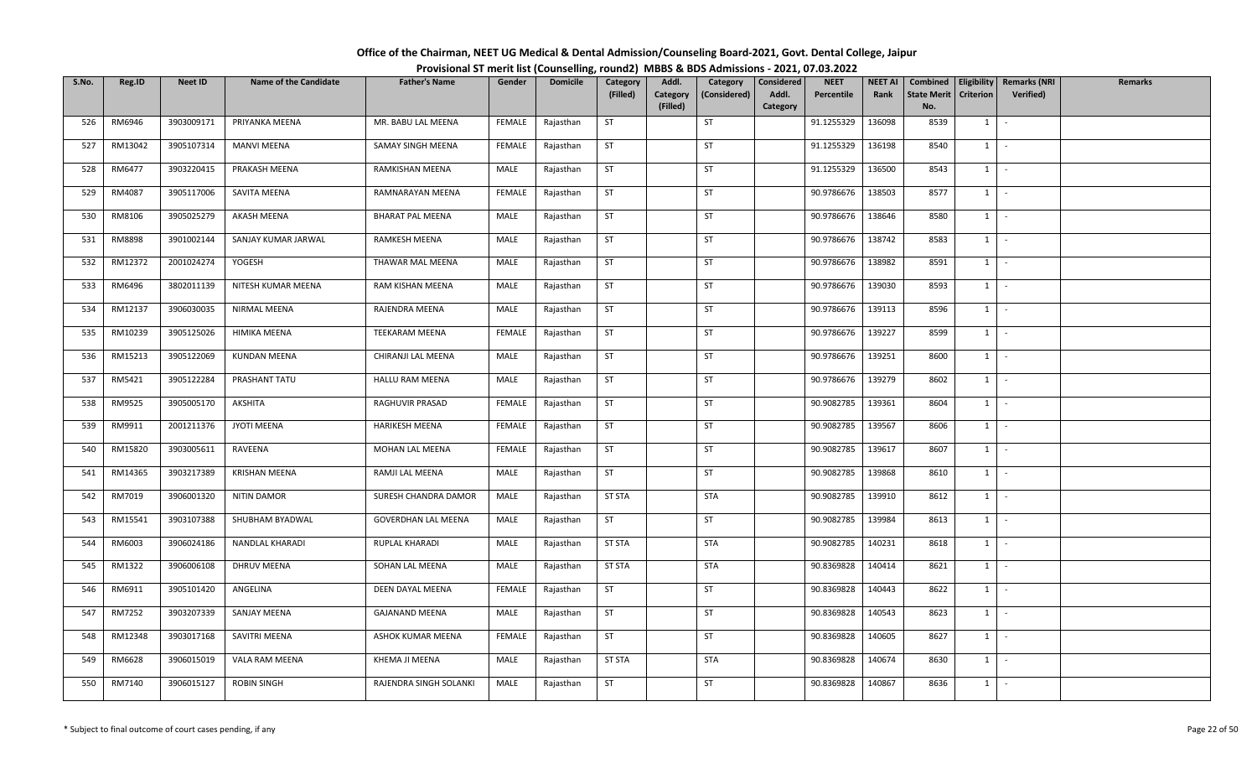| Office of the Chairman, NEET UG Medical & Dental Admission/Counseling Board-2021, Govt. Dental College, Jaipur |  |
|----------------------------------------------------------------------------------------------------------------|--|
| Provisional ST merit list (Counselling, round2) MBBS & BDS Admissions - 2021, 07.03.2022                       |  |

| S.No. | Reg.ID  | <b>Neet ID</b> | <b>Name of the Candidate</b> | <b>Father's Name</b>    | Gender        | <b>Domicile</b> | Category      | Addl.    | Category     | Considered | <b>NEET</b> | <b>NEET AI</b> | Combined           |                | Eligibility   Remarks (NRI | <b>Remarks</b> |
|-------|---------|----------------|------------------------------|-------------------------|---------------|-----------------|---------------|----------|--------------|------------|-------------|----------------|--------------------|----------------|----------------------------|----------------|
|       |         |                |                              |                         |               |                 | (Filled)      | Category | (Considered) | Addl.      | Percentile  | Rank           | <b>State Merit</b> | Criterion      | Verified)                  |                |
|       |         |                |                              |                         |               |                 |               | (Filled) |              | Category   |             |                | No.                |                |                            |                |
| 526   | RM6946  | 3903009171     | PRIYANKA MEENA               | MR. BABU LAL MEENA      | FEMALE        | Rajasthan       | ST            |          | ST           |            | 91.1255329  | 136098         | 8539               | $1 \quad$      | $\sim$                     |                |
| 527   | RM13042 | 3905107314     | <b>MANVI MEENA</b>           | SAMAY SINGH MEENA       | FEMALE        | Rajasthan       | <b>ST</b>     |          | ST           |            | 91.1255329  | 136198         | 8540               | $1 \quad$      | $\sim$                     |                |
| 528   | RM6477  | 3903220415     | PRAKASH MEENA                | RAMKISHAN MEENA         | MALE          | Rajasthan       | <b>ST</b>     |          | ST           |            | 91.1255329  | 136500         | 8543               | $1 \quad$      | $\sim$                     |                |
| 529   | RM4087  | 3905117006     | SAVITA MEENA                 | RAMNARAYAN MEENA        | FEMALE        | Rajasthan       | <b>ST</b>     |          | ST           |            | 90.9786676  | 138503         | 8577               | $1 \mid$       | $\sim$                     |                |
| 530   | RM8106  | 3905025279     | AKASH MEENA                  | <b>BHARAT PAL MEENA</b> | MALE          | Rajasthan       | <b>ST</b>     |          | ST           |            | 90.9786676  | 138646         | 8580               | 1              | $\sim$                     |                |
| 531   | RM8898  | 3901002144     | SANJAY KUMAR JARWAL          | RAMKESH MEENA           | MALE          | Rajasthan       | ST            |          | <b>ST</b>    |            | 90.9786676  | 138742         | 8583               |                | $1 \mid -$                 |                |
| 532   | RM12372 | 2001024274     | YOGESH                       | THAWAR MAL MEENA        | MALE          | Rajasthan       | <b>ST</b>     |          | <b>ST</b>    |            | 90.9786676  | 138982         | 8591               | 1              | $\sim$                     |                |
| 533   | RM6496  | 3802011139     | NITESH KUMAR MEENA           | RAM KISHAN MEENA        | MALE          | Rajasthan       | <b>ST</b>     |          | ST           |            | 90.9786676  | 139030         | 8593               | 1              | $\sim$                     |                |
| 534   | RM12137 | 3906030035     | <b>NIRMAL MEENA</b>          | RAJENDRA MEENA          | MALE          | Rajasthan       | <b>ST</b>     |          | ST           |            | 90.9786676  | 139113         | 8596               | $1 \quad$      | $\sim$                     |                |
| 535   | RM10239 | 3905125026     | HIMIKA MEENA                 | TEEKARAM MEENA          | FEMALE        | Rajasthan       | <b>ST</b>     |          | ST           |            | 90.9786676  | 139227         | 8599               | $1 \quad$      | $\sim$                     |                |
| 536   | RM15213 | 3905122069     | <b>KUNDAN MEENA</b>          | CHIRANJI LAL MEENA      | MALE          | Rajasthan       | ST            |          | <b>ST</b>    |            | 90.9786676  | 139251         | 8600               | $1 \mid$       | $\sim$                     |                |
| 537   | RM5421  | 3905122284     | PRASHANT TATU                | HALLU RAM MEENA         | MALE          | Rajasthan       | <b>ST</b>     |          | ST           |            | 90.9786676  | 139279         | 8602               | $1\phantom{0}$ | $\sim$                     |                |
| 538   | RM9525  | 3905005170     | AKSHITA                      | RAGHUVIR PRASAD         | <b>FEMALE</b> | Rajasthan       | ST            |          | ST           |            | 90.9082785  | 139361         | 8604               | 1              | $\sim$                     |                |
| 539   | RM9911  | 2001211376     | JYOTI MEENA                  | HARIKESH MEENA          | FEMALE        | Rajasthan       | <b>ST</b>     |          | <b>ST</b>    |            | 90.9082785  | 139567         | 8606               | $1 \quad$      | $\sim$                     |                |
| 540   | RM15820 | 3903005611     | RAVEENA                      | MOHAN LAL MEENA         | FEMALE        | Rajasthan       | <b>ST</b>     |          | <b>ST</b>    |            | 90.9082785  | 139617         | 8607               | 1              | $\sim$                     |                |
| 541   | RM14365 | 3903217389     | <b>KRISHAN MEENA</b>         | RAMJI LAL MEENA         | MALE          | Rajasthan       | <b>ST</b>     |          | <b>ST</b>    |            | 90.9082785  | 139868         | 8610               | 1              | $\sim$                     |                |
| 542   | RM7019  | 3906001320     | <b>NITIN DAMOR</b>           | SURESH CHANDRA DAMOR    | MALE          | Rajasthan       | <b>ST STA</b> |          | <b>STA</b>   |            | 90.9082785  | 139910         | 8612               | 1              | $\sim$                     |                |
| 543   | RM15541 | 3903107388     | SHUBHAM BYADWAL              | GOVERDHAN LAL MEENA     | MALE          | Rajasthan       | <b>ST</b>     |          | ST           |            | 90.9082785  | 139984         | 8613               | $1$ $\cdot$    |                            |                |
| 544   | RM6003  | 3906024186     | NANDLAL KHARADI              | RUPLAL KHARADI          | MALE          | Rajasthan       | <b>ST STA</b> |          | <b>STA</b>   |            | 90.9082785  | 140231         | 8618               | $1 \vert$      | $\sim$                     |                |
| 545   | RM1322  | 3906006108     | DHRUV MEENA                  | SOHAN LAL MEENA         | MALE          | Rajasthan       | <b>ST STA</b> |          | <b>STA</b>   |            | 90.8369828  | 140414         | 8621               | $1 \quad$      | $\sim$                     |                |
| 546   | RM6911  | 3905101420     | ANGELINA                     | DEEN DAYAL MEENA        | <b>FEMALE</b> | Rajasthan       | <b>ST</b>     |          | ST           |            | 90.8369828  | 140443         | 8622               | 1              | $\sim$                     |                |
| 547   | RM7252  | 3903207339     | <b>SANJAY MEENA</b>          | <b>GAJANAND MEENA</b>   | MALE          | Rajasthan       | ST            |          | ST           |            | 90.8369828  | 140543         | 8623               | $1 \cdot$      |                            |                |
| 548   | RM12348 | 3903017168     | SAVITRI MEENA                | ASHOK KUMAR MEENA       | FEMALE        | Rajasthan       | <b>ST</b>     |          | <b>ST</b>    |            | 90.8369828  | 140605         | 8627               | 1              | $\sim$                     |                |
| 549   | RM6628  | 3906015019     | VALA RAM MEENA               | KHEMA JI MEENA          | MALE          | Rajasthan       | <b>ST STA</b> |          | <b>STA</b>   |            | 90.8369828  | 140674         | 8630               | $1 \quad$      | $\sim$                     |                |
| 550   | RM7140  | 3906015127     | <b>ROBIN SINGH</b>           | RAJENDRA SINGH SOLANKI  | MALE          | Rajasthan       | <b>ST</b>     |          | ST           |            | 90.8369828  | 140867         | 8636               | $1 \quad$      | $\sim$                     |                |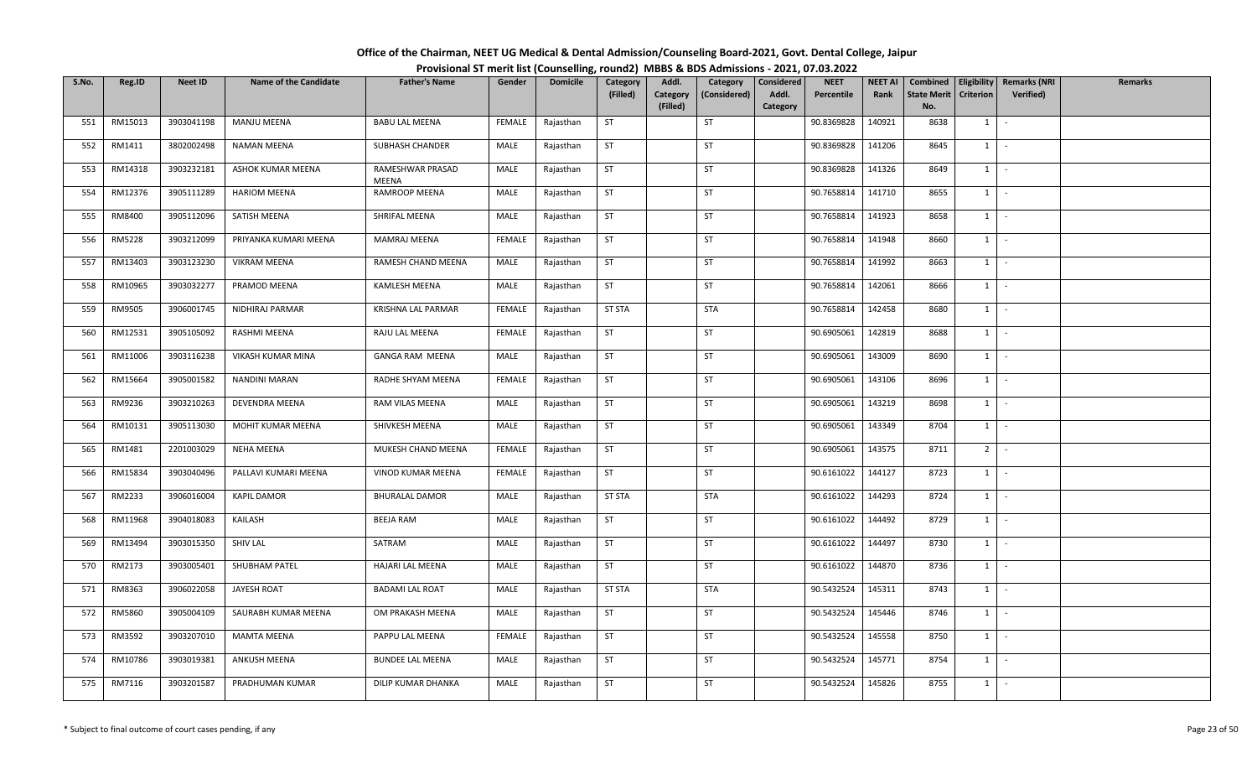| Office of the Chairman, NEET UG Medical & Dental Admission/Counseling Board-2021, Govt. Dental College, Jaipur |  |
|----------------------------------------------------------------------------------------------------------------|--|
| Provisional ST merit list (Counselling, round2) MBBS & BDS Admissions - 2021, 07.03.2022                       |  |

| S.No. | Reg.ID        | <b>Neet ID</b> | <b>Name of the Candidate</b> | <b>Father's Name</b>      | Gender        | <b>Domicile</b> | Category      | Addl.    | Category     | Considered | <b>NEET</b> | <b>NEET AI</b> | Combined           |                | Eligibility   Remarks (NRI | <b>Remarks</b> |
|-------|---------------|----------------|------------------------------|---------------------------|---------------|-----------------|---------------|----------|--------------|------------|-------------|----------------|--------------------|----------------|----------------------------|----------------|
|       |               |                |                              |                           |               |                 | (Filled)      | Category | (Considered) | Addl.      | Percentile  | Rank           | <b>State Merit</b> | Criterion      | Verified)                  |                |
|       |               |                |                              |                           |               |                 |               | (Filled) |              | Category   |             |                | No.                |                |                            |                |
| 551   | RM15013       | 3903041198     | <b>MANJU MEENA</b>           | <b>BABU LAL MEENA</b>     | FEMALE        | Rajasthan       | ST            |          | ST           |            | 90.8369828  | 140921         | 8638               | $1 \quad$      | $\sim$                     |                |
| 552   | RM1411        | 3802002498     | <b>NAMAN MEENA</b>           | SUBHASH CHANDER           | MALE          | Rajasthan       | <b>ST</b>     |          | ST           |            | 90.8369828  | 141206         | 8645               | $1 \quad$      | $\sim$                     |                |
| 553   | RM14318       | 3903232181     | ASHOK KUMAR MEENA            | RAMESHWAR PRASAD<br>MEENA | MALE          | Rajasthan       | <b>ST</b>     |          | ST           |            | 90.8369828  | 141326         | 8649               | $1 \quad$      | $\sim$                     |                |
| 554   | RM12376       | 3905111289     | <b>HARIOM MEENA</b>          | RAMROOP MEENA             | MALE          | Rajasthan       | <b>ST</b>     |          | ST           |            | 90.7658814  | 141710         | 8655               | $1 \mid$       | $\sim$                     |                |
| 555   | RM8400        | 3905112096     | SATISH MEENA                 | SHRIFAL MEENA             | MALE          | Rajasthan       | <b>ST</b>     |          | ST           |            | 90.7658814  | 141923         | 8658               | 1              | $\sim$                     |                |
| 556   | <b>RM5228</b> | 3903212099     | PRIYANKA KUMARI MEENA        | <b>MAMRAJ MEENA</b>       | FEMALE        | Rajasthan       | ST            |          | <b>ST</b>    |            | 90.7658814  | 141948         | 8660               | $1 \mid -$     |                            |                |
| 557   | RM13403       | 3903123230     | <b>VIKRAM MEENA</b>          | RAMESH CHAND MEENA        | MALE          | Rajasthan       | <b>ST</b>     |          | <b>ST</b>    |            | 90.7658814  | 141992         | 8663               | $1 \quad$      | $\sim$                     |                |
| 558   | RM10965       | 3903032277     | PRAMOD MEENA                 | <b>KAMLESH MEENA</b>      | MALE          | Rajasthan       | <b>ST</b>     |          | ST           |            | 90.7658814  | 142061         | 8666               | 1              | $\sim$                     |                |
| 559   | RM9505        | 3906001745     | NIDHIRAJ PARMAR              | KRISHNA LAL PARMAR        | <b>FEMALE</b> | Rajasthan       | <b>ST STA</b> |          | STA          |            | 90.7658814  | 142458         | 8680               | $1 \quad$      | $\sim$                     |                |
| 560   | RM12531       | 3905105092     | RASHMI MEENA                 | RAJU LAL MEENA            | FEMALE        | Rajasthan       | <b>ST</b>     |          | ST           |            | 90.6905061  | 142819         | 8688               | $1 \quad$      | $\sim$                     |                |
| 561   | RM11006       | 3903116238     | VIKASH KUMAR MINA            | GANGA RAM MEENA           | MALE          | Rajasthan       | ST            |          | ST           |            | 90.6905061  | 143009         | 8690               | 1              | $\sim$                     |                |
| 562   | RM15664       | 3905001582     | <b>NANDINI MARAN</b>         | RADHE SHYAM MEENA         | FEMALE        | Rajasthan       | <b>ST</b>     |          | ST           |            | 90.6905061  | 143106         | 8696               | $1\phantom{0}$ | $\sim$                     |                |
| 563   | RM9236        | 3903210263     | DEVENDRA MEENA               | RAM VILAS MEENA           | MALE          | Rajasthan       | ST            |          | ST           |            | 90.6905061  | 143219         | 8698               | 1              | $\sim$                     |                |
| 564   | RM10131       | 3905113030     | MOHIT KUMAR MEENA            | SHIVKESH MEENA            | MALE          | Rajasthan       | <b>ST</b>     |          | <b>ST</b>    |            | 90.6905061  | 143349         | 8704               | $1 \quad$      | $\sim$                     |                |
| 565   | RM1481        | 2201003029     | NEHA MEENA                   | MUKESH CHAND MEENA        | FEMALE        | Rajasthan       | <b>ST</b>     |          | <b>ST</b>    |            | 90.6905061  | 143575         | 8711               | 2 <sup>1</sup> | $\sim$                     |                |
| 566   | RM15834       | 3903040496     | PALLAVI KUMARI MEENA         | VINOD KUMAR MEENA         | FEMALE        | Rajasthan       | <b>ST</b>     |          | <b>ST</b>    |            | 90.6161022  | 144127         | 8723               | 1              | $\sim$                     |                |
| 567   | RM2233        | 3906016004     | <b>KAPIL DAMOR</b>           | <b>BHURALAL DAMOR</b>     | MALE          | Rajasthan       | <b>ST STA</b> |          | <b>STA</b>   |            | 90.6161022  | 144293         | 8724               | 1              | $\mathbb{Z}^2$             |                |
| 568   | RM11968       | 3904018083     | KAILASH                      | <b>BEEJA RAM</b>          | MALE          | Rajasthan       | <b>ST</b>     |          | ST           |            | 90.6161022  | 144492         | 8729               | $1$ $-$        |                            |                |
| 569   | RM13494       | 3903015350     | <b>SHIV LAL</b>              | SATRAM                    | MALE          | Rajasthan       | <b>ST</b>     |          | ST           |            | 90.6161022  | 144497         | 8730               | $1 \vert$      | $\sim$                     |                |
| 570   | RM2173        | 3903005401     | SHUBHAM PATEL                | HAJARI LAL MEENA          | MALE          | Rajasthan       | <b>ST</b>     |          | ST           |            | 90.6161022  | 144870         | 8736               | 1              | $\sim$                     |                |
| 571   | RM8363        | 3906022058     | JAYESH ROAT                  | <b>BADAMI LAL ROAT</b>    | MALE          | Rajasthan       | <b>ST STA</b> |          | STA          |            | 90.5432524  | 145311         | 8743               | 1              | $\sim$                     |                |
| 572   | RM5860        | 3905004109     | SAURABH KUMAR MEENA          | OM PRAKASH MEENA          | MALE          | Rajasthan       | ST            |          | <b>ST</b>    |            | 90.5432524  | 145446         | 8746               | $1 \vert -$    |                            |                |
| 573   | RM3592        | 3903207010     | <b>MAMTA MEENA</b>           | PAPPU LAL MEENA           | FEMALE        | Rajasthan       | <b>ST</b>     |          | <b>ST</b>    |            | 90.5432524  | 145558         | 8750               | 1              | $\sim$                     |                |
| 574   | RM10786       | 3903019381     | ANKUSH MEENA                 | <b>BUNDEE LAL MEENA</b>   | MALE          | Rajasthan       | <b>ST</b>     |          | <b>ST</b>    |            | 90.5432524  | 145771         | 8754               | $1 \quad$      | $\sim$ $-$                 |                |
| 575   | RM7116        | 3903201587     | PRADHUMAN KUMAR              | DILIP KUMAR DHANKA        | MALE          | Rajasthan       | <b>ST</b>     |          | <b>ST</b>    |            | 90.5432524  | 145826         | 8755               | $1 \quad$      | $\sim$                     |                |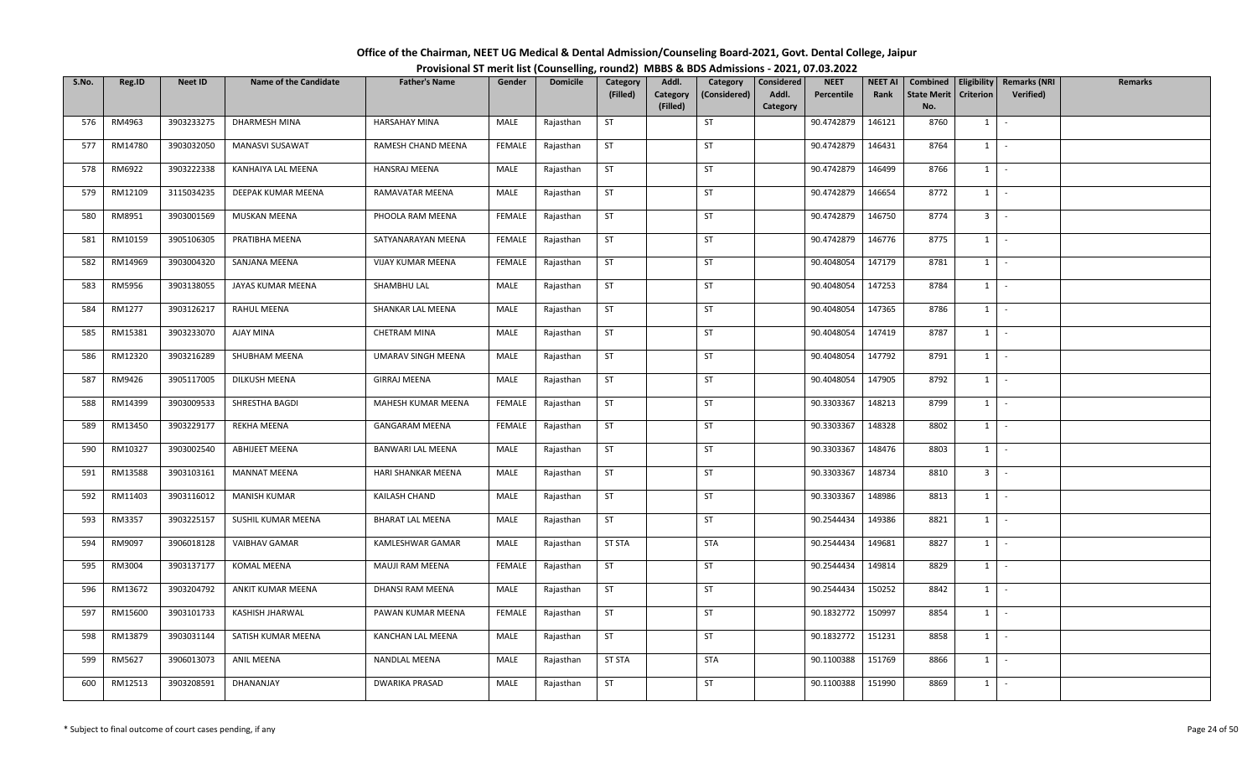| Office of the Chairman, NEET UG Medical & Dental Admission/Counseling Board-2021, Govt. Dental College, Jaipur |  |
|----------------------------------------------------------------------------------------------------------------|--|
| Provisional ST merit list (Counselling, round2) MBBS & BDS Admissions - 2021, 07.03.2022                       |  |

| S.No. | Reg.ID  | <b>Neet ID</b> | <b>Name of the Candidate</b> | <b>Father's Name</b>    | Gender        | <b>Domicile</b> | Category      | Addl.                | Category     | Considered | <b>NEET</b> | <b>NEET AI</b> | Combined                  | Eligibility    | <b>Remarks (NRI</b> | <b>Remarks</b> |
|-------|---------|----------------|------------------------------|-------------------------|---------------|-----------------|---------------|----------------------|--------------|------------|-------------|----------------|---------------------------|----------------|---------------------|----------------|
|       |         |                |                              |                         |               |                 | (Filled)      | Category<br>(Filled) | (Considered) | Addl.      | Percentile  | Rank           | <b>State Merit</b><br>No. | Criterion      | Verified)           |                |
| 576   | RM4963  | 3903233275     | DHARMESH MINA                | <b>HARSAHAY MINA</b>    | MALE          | Rajasthan       | ST            |                      | ST           | Category   | 90.4742879  | 146121         | 8760                      | $1 \quad$      | $\sim$              |                |
|       |         |                |                              |                         |               |                 |               |                      |              |            |             |                |                           |                |                     |                |
| 577   | RM14780 | 3903032050     | MANASVI SUSAWAT              | RAMESH CHAND MEENA      | FEMALE        | Rajasthan       | <b>ST</b>     |                      | ST           |            | 90.4742879  | 146431         | 8764                      | $1 \quad$      | $\sim$              |                |
| 578   | RM6922  | 3903222338     | KANHAIYA LAL MEENA           | <b>HANSRAJ MEENA</b>    | MALE          | Rajasthan       | ST            |                      | ST           |            | 90.4742879  | 146499         | 8766                      | $1 \quad$      | $\sim$              |                |
| 579   | RM12109 | 3115034235     | DEEPAK KUMAR MEENA           | RAMAVATAR MEENA         | MALE          | Rajasthan       | <b>ST</b>     |                      | ST           |            | 90.4742879  | 146654         | 8772                      | $1 \mid$       | $\sim$              |                |
| 580   | RM8951  | 3903001569     | MUSKAN MEENA                 | PHOOLA RAM MEENA        | <b>FEMALE</b> | Rajasthan       | <b>ST</b>     |                      | ST           |            | 90.4742879  | 146750         | 8774                      | 3 <sup>1</sup> | $\sim$              |                |
| 581   | RM10159 | 3905106305     | PRATIBHA MEENA               | SATYANARAYAN MEENA      | FEMALE        | Rajasthan       | ST            |                      | ST           |            | 90.4742879  | 146776         | 8775                      |                | $1 \mid -$          |                |
| 582   | RM14969 | 3903004320     | SANJANA MEENA                | VIJAY KUMAR MEENA       | FEMALE        | Rajasthan       | <b>ST</b>     |                      | <b>ST</b>    |            | 90.4048054  | 147179         | 8781                      | 1              | $\sim$              |                |
| 583   | RM5956  | 3903138055     | JAYAS KUMAR MEENA            | SHAMBHU LAL             | MALE          | Rajasthan       | <b>ST</b>     |                      | ST           |            | 90.4048054  | 147253         | 8784                      | 1              | $\sim$              |                |
| 584   | RM1277  | 3903126217     | <b>RAHUL MEENA</b>           | SHANKAR LAL MEENA       | MALE          | Rajasthan       | <b>ST</b>     |                      | <b>ST</b>    |            | 90.4048054  | 147365         | 8786                      | $1 \quad$      | $\sim$              |                |
| 585   | RM15381 | 3903233070     | AJAY MINA                    | CHETRAM MINA            | MALE          | Rajasthan       | <b>ST</b>     |                      | ST           |            | 90.4048054  | 147419         | 8787                      | $1 \quad$      | $\sim$              |                |
| 586   | RM12320 | 3903216289     | SHUBHAM MEENA                | UMARAV SINGH MEENA      | MALE          | Rajasthan       | ST            |                      | ST           |            | 90.4048054  | 147792         | 8791                      | $1 \mid$       | $\sim$              |                |
| 587   | RM9426  | 3905117005     | DILKUSH MEENA                | <b>GIRRAJ MEENA</b>     | MALE          | Rajasthan       | <b>ST</b>     |                      | ST           |            | 90.4048054  | 147905         | 8792                      | $1\phantom{0}$ | $\sim$              |                |
| 588   | RM14399 | 3903009533     | SHRESTHA BAGDI               | MAHESH KUMAR MEENA      | <b>FEMALE</b> | Rajasthan       | ST            |                      | ST           |            | 90.3303367  | 148213         | 8799                      | 1              | $\sim$              |                |
| 589   | RM13450 | 3903229177     | REKHA MEENA                  | <b>GANGARAM MEENA</b>   | FEMALE        | Rajasthan       | <b>ST</b>     |                      | <b>ST</b>    |            | 90.3303367  | 148328         | 8802                      | $1 \quad$      | $\sim$              |                |
| 590   | RM10327 | 3903002540     | <b>ABHIJEET MEENA</b>        | BANWARI LAL MEENA       | MALE          | Rajasthan       | <b>ST</b>     |                      | <b>ST</b>    |            | 90.3303367  | 148476         | 8803                      | 1              | $\sim$              |                |
| 591   | RM13588 | 3903103161     | <b>MANNAT MEENA</b>          | HARI SHANKAR MEENA      | MALE          | Rajasthan       | <b>ST</b>     |                      | <b>ST</b>    |            | 90.3303367  | 148734         | 8810                      | 3 <sup>1</sup> | $\sim$              |                |
| 592   | RM11403 | 3903116012     | <b>MANISH KUMAR</b>          | KAILASH CHAND           | MALE          | Rajasthan       | <b>ST</b>     |                      | <b>ST</b>    |            | 90.3303367  | 148986         | 8813                      | 1              | $\sim$              |                |
| 593   | RM3357  | 3903225157     | SUSHIL KUMAR MEENA           | <b>BHARAT LAL MEENA</b> | MALE          | Rajasthan       | <b>ST</b>     |                      | ST           |            | 90.2544434  | 149386         | 8821                      | $1 \mid$       | $\sim$              |                |
| 594   | RM9097  | 3906018128     | <b>VAIBHAV GAMAR</b>         | KAMLESHWAR GAMAR        | MALE          | Rajasthan       | <b>ST STA</b> |                      | <b>STA</b>   |            | 90.2544434  | 149681         | 8827                      | $1$ $-$        |                     |                |
| 595   | RM3004  | 3903137177     | KOMAL MEENA                  | MAUJI RAM MEENA         | FEMALE        | Rajasthan       | ST            |                      | ST           |            | 90.2544434  | 149814         | 8829                      | $1 \quad$      | $\sim$              |                |
| 596   | RM13672 | 3903204792     | ANKIT KUMAR MEENA            | DHANSI RAM MEENA        | MALE          | Rajasthan       | <b>ST</b>     |                      | ST           |            | 90.2544434  | 150252         | 8842                      | 1              | $\sim$              |                |
| 597   | RM15600 | 3903101733     | KASHISH JHARWAL              | PAWAN KUMAR MEENA       | FEMALE        | Rajasthan       | ST            |                      | <b>ST</b>    |            | 90.1832772  | 150997         | 8854                      | $1 \vert$      | $\sim$              |                |
| 598   | RM13879 | 3903031144     | SATISH KUMAR MEENA           | KANCHAN LAL MEENA       | MALE          | Rajasthan       | <b>ST</b>     |                      | <b>ST</b>    |            | 90.1832772  | 151231         | 8858                      | 1              | $\sim$              |                |
| 599   | RM5627  | 3906013073     | ANIL MEENA                   | NANDLAL MEENA           | MALE          | Rajasthan       | <b>ST STA</b> |                      | <b>STA</b>   |            | 90.1100388  | 151769         | 8866                      | $1 \quad$      | $\sim$              |                |
| 600   | RM12513 | 3903208591     | DHANANJAY                    | <b>DWARIKA PRASAD</b>   | MALE          | Rajasthan       | <b>ST</b>     |                      | <b>ST</b>    |            | 90.1100388  | 151990         | 8869                      | $1 \quad$      | $\sim$              |                |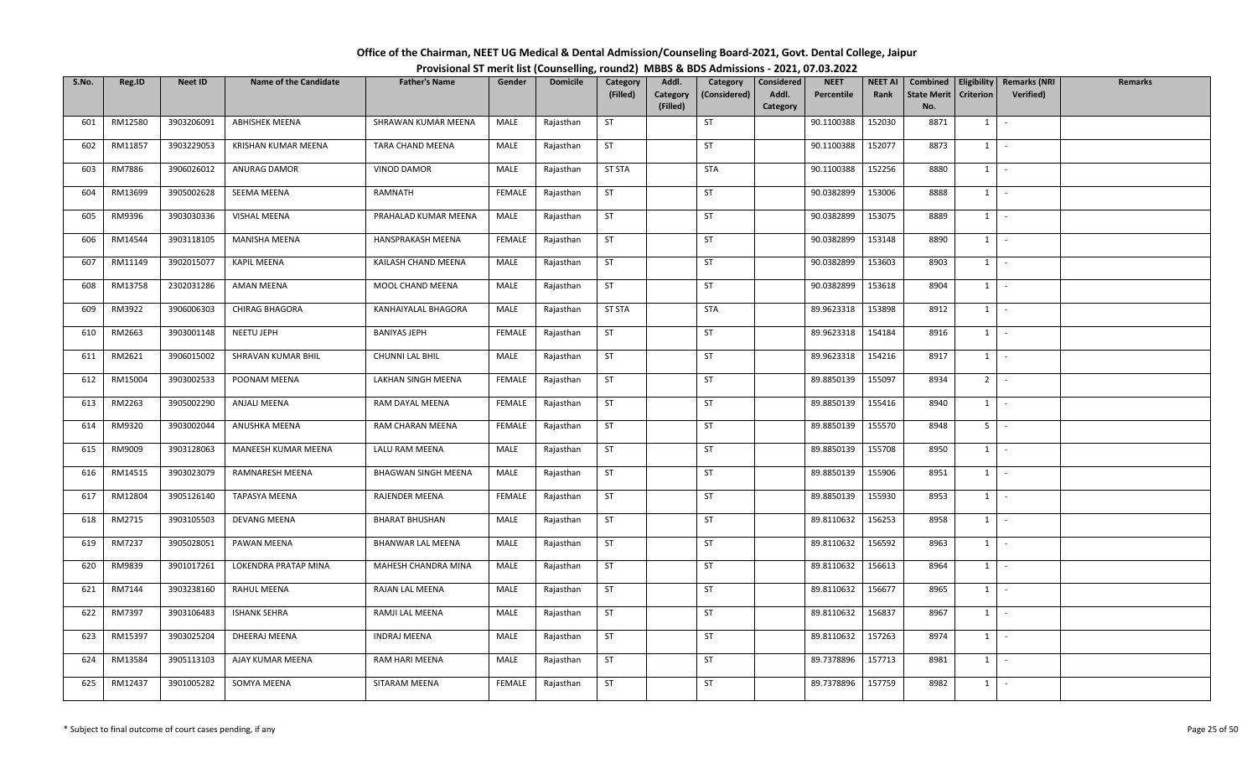| Office of the Chairman, NEET UG Medical & Dental Admission/Counseling Board-2021, Govt. Dental College, Jaipur |  |
|----------------------------------------------------------------------------------------------------------------|--|
| Provisional ST merit list (Counselling, round2) MBBS & BDS Admissions - 2021, 07.03.2022                       |  |

| S.No. | Reg.ID  | <b>Neet ID</b> | <b>Name of the Candidate</b> | <b>Father's Name</b>       | Gender        | <b>Domicile</b> | Category      | Addl.    | Category     | Considered | <b>NEET</b> | <b>NEET AI</b> | Combined           |                  | Eligibility   Remarks (NRI | Remarks |
|-------|---------|----------------|------------------------------|----------------------------|---------------|-----------------|---------------|----------|--------------|------------|-------------|----------------|--------------------|------------------|----------------------------|---------|
|       |         |                |                              |                            |               |                 | (Filled)      | Category | (Considered) | Addl.      | Percentile  | Rank           | <b>State Merit</b> | <b>Criterion</b> | <b>Verified</b> )          |         |
|       |         |                |                              |                            |               |                 |               | (Filled) |              | Category   |             |                | No.                |                  |                            |         |
| 601   | RM12580 | 3903206091     | <b>ABHISHEK MEENA</b>        | SHRAWAN KUMAR MEENA        | MALE          | Rajasthan       | <b>ST</b>     |          | ST           |            | 90.1100388  | 152030         | 8871               | 1                | $\sim$                     |         |
| 602   | RM11857 | 3903229053     | KRISHAN KUMAR MEENA          | TARA CHAND MEENA           | MALE          | Rajasthan       | ST            |          | <b>ST</b>    |            | 90.1100388  | 152077         | 8873               | 1                | $\sim$                     |         |
| 603   | RM7886  | 3906026012     | ANURAG DAMOR                 | VINOD DAMOR                | MALE          | Rajasthan       | <b>ST STA</b> |          | <b>STA</b>   |            | 90.1100388  | 152256         | 8880               | $1 \mid$         | $\sim$ $-$                 |         |
| 604   | RM13699 | 3905002628     | SEEMA MEENA                  | RAMNATH                    | <b>FEMALE</b> | Rajasthan       | ST            |          | ST           |            | 90.0382899  | 153006         | 8888               | $1 \mid$         | $\sim$                     |         |
| 605   | RM9396  | 3903030336     | VISHAL MEENA                 | PRAHALAD KUMAR MEENA       | MALE          | Rajasthan       | <b>ST</b>     |          | ST           |            | 90.0382899  | 153075         | 8889               | $1 \mid$         | $\sim$                     |         |
| 606   | RM14544 | 3903118105     | MANISHA MEENA                | HANSPRAKASH MEENA          | FEMALE        | Rajasthan       | <b>ST</b>     |          | <b>ST</b>    |            | 90.0382899  | 153148         | 8890               | 1                | $\sim$                     |         |
| 607   | RM11149 | 3902015077     | <b>KAPIL MEENA</b>           | KAILASH CHAND MEENA        | MALE          | Rajasthan       | ST            |          | ST           |            | 90.0382899  | 153603         | 8903               | $1 \quad$        | $\sim$                     |         |
| 608   | RM13758 | 2302031286     | AMAN MEENA                   | MOOL CHAND MEENA           | MALE          | Rajasthan       | <b>ST</b>     |          | ST           |            | 90.0382899  | 153618         | 8904               | 1                | $\sim$                     |         |
| 609   | RM3922  | 3906006303     | <b>CHIRAG BHAGORA</b>        | KANHAIYALAL BHAGORA        | MALE          | Rajasthan       | <b>ST STA</b> |          | <b>STA</b>   |            | 89.9623318  | 153898         | 8912               | 1                | $\sim$                     |         |
| 610   | RM2663  | 3903001148     | NEETU JEPH                   | <b>BANIYAS JEPH</b>        | FEMALE        | Rajasthan       | ST            |          | ST           |            | 89.9623318  | 154184         | 8916               | 1                | $\sim$                     |         |
| 611   | RM2621  | 3906015002     | SHRAVAN KUMAR BHIL           | CHUNNI LAL BHIL            | MALE          | Rajasthan       | ST            |          | <b>ST</b>    |            | 89.9623318  | 154216         | 8917               | $1$ $-$          |                            |         |
| 612   | RM15004 | 3903002533     | POONAM MEENA                 | LAKHAN SINGH MEENA         | <b>FEMALE</b> | Rajasthan       | <b>ST</b>     |          | ST           |            | 89.8850139  | 155097         | 8934               | 2 <sup>1</sup>   | $\sim$                     |         |
| 613   | RM2263  | 3905002290     | ANJALI MEENA                 | RAM DAYAL MEENA            | FEMALE        | Rajasthan       | <b>ST</b>     |          | ST           |            | 89.8850139  | 155416         | 8940               | 1                | $\sim$                     |         |
| 614   | RM9320  | 3903002044     | ANUSHKA MEENA                | RAM CHARAN MEENA           | FEMALE        | Rajasthan       | <b>ST</b>     |          | <b>ST</b>    |            | 89.8850139  | 155570         | 8948               | 5 <sub>1</sub>   | $\sim$                     |         |
| 615   | RM9009  | 3903128063     | MANEESH KUMAR MEENA          | LALU RAM MEENA             | MALE          | Rajasthan       | ST            |          | <b>ST</b>    |            | 89.8850139  | 155708         | 8950               | $1 \quad$        | $\sim$                     |         |
| 616   | RM14515 | 3903023079     | RAMNARESH MEENA              | <b>BHAGWAN SINGH MEENA</b> | MALE          | Rajasthan       | <b>ST</b>     |          | <b>ST</b>    |            | 89.8850139  | 155906         | 8951               | $1 \mid$         | $\sim$                     |         |
| 617   | RM12804 | 3905126140     | TAPASYA MEENA                | RAJENDER MEENA             | <b>FEMALE</b> | Rajasthan       | <b>ST</b>     |          | ST           |            | 89.8850139  | 155930         | 8953               | 1                | $\sim$                     |         |
| 618   | RM2715  | 3903105503     | <b>DEVANG MEENA</b>          | <b>BHARAT BHUSHAN</b>      | MALE          | Rajasthan       | <b>ST</b>     |          | <b>ST</b>    |            | 89.8110632  | 156253         | 8958               | 1                | $\sim$                     |         |
| 619   | RM7237  | 3905028051     | PAWAN MEENA                  | <b>BHANWAR LAL MEENA</b>   | MALE          | Rajasthan       | <b>ST</b>     |          | ST           |            | 89.8110632  | 156592         | 8963               | $1 \cdot$        |                            |         |
| 620   | RM9839  | 3901017261     | LOKENDRA PRATAP MINA         | MAHESH CHANDRA MINA        | MALE          | Rajasthan       | <b>ST</b>     |          | ST           |            | 89.8110632  | 156613         | 8964               | $1 \vert$        | $\sim$                     |         |
| 621   | RM7144  | 3903238160     | RAHUL MEENA                  | RAJAN LAL MEENA            | MALE          | Rajasthan       | <b>ST</b>     |          | <b>ST</b>    |            | 89.8110632  | 156677         | 8965               | 1                | $\sim$                     |         |
| 622   | RM7397  | 3903106483     | <b>ISHANK SEHRA</b>          | RAMJI LAL MEENA            | MALE          | Rajasthan       | <b>ST</b>     |          | ST           |            | 89.8110632  | 156837         | 8967               | 1                | $\sim$                     |         |
| 623   | RM15397 | 3903025204     | DHEERAJ MEENA                | <b>INDRAJ MEENA</b>        | MALE          | Rajasthan       | ST            |          | ST           |            | 89.8110632  | 157263         | 8974               | $1 \quad$        | $\sim$                     |         |
| 624   | RM13584 | 3905113103     | AJAY KUMAR MEENA             | RAM HARI MEENA             | MALE          | Rajasthan       | <b>ST</b>     |          | <b>ST</b>    |            | 89.7378896  | 157713         | 8981               | $1 \quad$        | $\sim$                     |         |
| 625   | RM12437 | 3901005282     | SOMYA MEENA                  | SITARAM MEENA              | <b>FEMALE</b> | Rajasthan       | ST            |          | <b>ST</b>    |            | 89.7378896  | 157759         | 8982               | $1 \quad$        | $\sim$                     |         |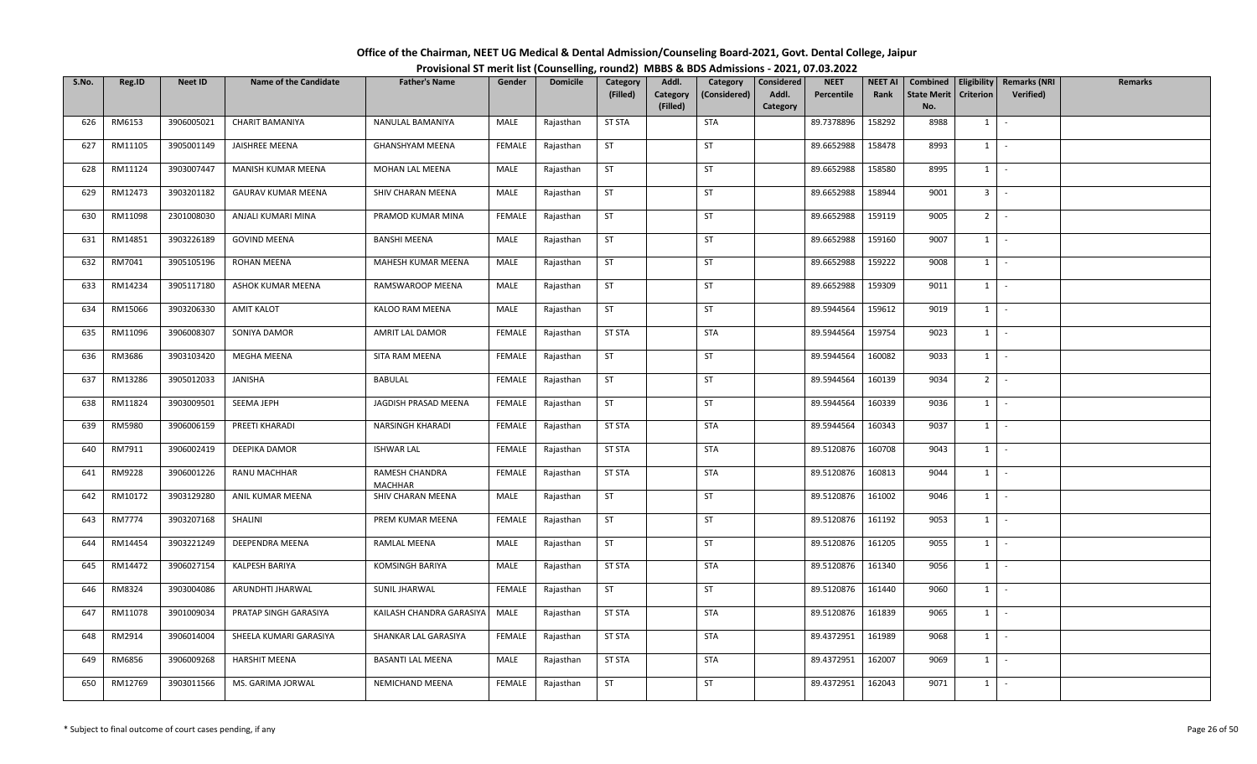| Office of the Chairman, NEET UG Medical & Dental Admission/Counseling Board-2021, Govt. Dental College, Jaipur |  |
|----------------------------------------------------------------------------------------------------------------|--|
| Provisional ST merit list (Counselling, round2) MBBS & BDS Admissions - 2021, 07.03.2022                       |  |

| S.No. | Reg.ID  | <b>Neet ID</b> | <b>Name of the Candidate</b> | <b>Father's Name</b>             | Gender        | <b>Domicile</b> | Category      | Addl.                | Category     | Considered        | <b>NEET</b> | <b>NEET AI</b> | Combined                  |                  | Eligibility   Remarks (NRI | Remarks |
|-------|---------|----------------|------------------------------|----------------------------------|---------------|-----------------|---------------|----------------------|--------------|-------------------|-------------|----------------|---------------------------|------------------|----------------------------|---------|
|       |         |                |                              |                                  |               |                 | (Filled)      | Category<br>(Filled) | (Considered) | Addl.<br>Category | Percentile  | Rank           | <b>State Merit</b><br>No. | <b>Criterion</b> | Verified)                  |         |
| 626   | RM6153  | 3906005021     | <b>CHARIT BAMANIYA</b>       | NANULAL BAMANIYA                 | MALE          | Rajasthan       | <b>ST STA</b> |                      | <b>STA</b>   |                   | 89.7378896  | 158292         | 8988                      | 1                | $\sim$                     |         |
|       |         |                |                              |                                  |               |                 |               |                      |              |                   |             |                |                           |                  |                            |         |
| 627   | RM11105 | 3905001149     | JAISHREE MEENA               | GHANSHYAM MEENA                  | FEMALE        | Rajasthan       | <b>ST</b>     |                      | <b>ST</b>    |                   | 89.6652988  | 158478         | 8993                      | $1 \quad$        | $\sim$                     |         |
| 628   | RM11124 | 3903007447     | MANISH KUMAR MEENA           | MOHAN LAL MEENA                  | MALE          | Rajasthan       | <b>ST</b>     |                      | ST           |                   | 89.6652988  | 158580         | 8995                      | $1 \mid$         | $\sim$ $-$                 |         |
| 629   | RM12473 | 3903201182     | <b>GAURAV KUMAR MEENA</b>    | SHIV CHARAN MEENA                | MALE          | Rajasthan       | ST            |                      | ST           |                   | 89.6652988  | 158944         | 9001                      | $3 -$            |                            |         |
| 630   | RM11098 | 2301008030     | ANJALI KUMARI MINA           | PRAMOD KUMAR MINA                | <b>FEMALE</b> | Rajasthan       | <b>ST</b>     |                      | ST           |                   | 89.6652988  | 159119         | 9005                      | 2 <sup>1</sup>   | $\sim$                     |         |
| 631   | RM14851 | 3903226189     | <b>GOVIND MEENA</b>          | <b>BANSHI MEENA</b>              | MALE          | Rajasthan       | <b>ST</b>     |                      | <b>ST</b>    |                   | 89.6652988  | 159160         | 9007                      | 1                | $\sim$                     |         |
| 632   | RM7041  | 3905105196     | <b>ROHAN MEENA</b>           | MAHESH KUMAR MEENA               | MALE          | Rajasthan       | ST            |                      | ST           |                   | 89.6652988  | 159222         | 9008                      | $1 \quad$        | $\sim$                     |         |
| 633   | RM14234 | 3905117180     | ASHOK KUMAR MEENA            | RAMSWAROOP MEENA                 | MALE          | Rajasthan       | <b>ST</b>     |                      | ST           |                   | 89.6652988  | 159309         | 9011                      | 1                | $\sim$                     |         |
| 634   | RM15066 | 3903206330     | <b>AMIT KALOT</b>            | KALOO RAM MEENA                  | MALE          | Rajasthan       | <b>ST</b>     |                      | ST           |                   | 89.5944564  | 159612         | 9019                      | 1                | $\sim$                     |         |
| 635   | RM11096 | 3906008307     | SONIYA DAMOR                 | AMRIT LAL DAMOR                  | FEMALE        | Rajasthan       | <b>ST STA</b> |                      | <b>STA</b>   |                   | 89.5944564  | 159754         | 9023                      | 1                | $\sim$                     |         |
| 636   | RM3686  | 3903103420     | MEGHA MEENA                  | SITA RAM MEENA                   | FEMALE        | Rajasthan       | ST            |                      | <b>ST</b>    |                   | 89.5944564  | 160082         | 9033                      | $1$ $-$          |                            |         |
| 637   | RM13286 | 3905012033     | JANISHA                      | <b>BABULAL</b>                   | FEMALE        | Rajasthan       | ST            |                      | ST           |                   | 89.5944564  | 160139         | 9034                      | 2 <sup>1</sup>   | $\sim$                     |         |
| 638   | RM11824 | 3903009501     | SEEMA JEPH                   | JAGDISH PRASAD MEENA             | FEMALE        | Rajasthan       | <b>ST</b>     |                      | ST           |                   | 89.5944564  | 160339         | 9036                      | 1                | $\sim$                     |         |
| 639   | RM5980  | 3906006159     | PREETI KHARADI               | NARSINGH KHARADI                 | FEMALE        | Rajasthan       | <b>ST STA</b> |                      | STA          |                   | 89.5944564  | 160343         | 9037                      | $1 \quad$        | $\sim$                     |         |
| 640   | RM7911  | 3906002419     | DEEPIKA DAMOR                | <b>ISHWAR LAL</b>                | FEMALE        | Rajasthan       | <b>ST STA</b> |                      | STA          |                   | 89.5120876  | 160708         | 9043                      | $1 \quad$        | $\sim$                     |         |
| 641   | RM9228  | 3906001226     | RANU MACHHAR                 | RAMESH CHANDRA<br><b>MACHHAR</b> | FEMALE        | Rajasthan       | <b>ST STA</b> |                      | <b>STA</b>   |                   | 89.5120876  | 160813         | 9044                      | 1                | $\sim$                     |         |
| 642   | RM10172 | 3903129280     | ANIL KUMAR MEENA             | SHIV CHARAN MEENA                | MALE          | Rajasthan       | <b>ST</b>     |                      | ST           |                   | 89.5120876  | 161002         | 9046                      | 1                | $\sim$                     |         |
| 643   | RM7774  | 3903207168     | SHALINI                      | PREM KUMAR MEENA                 | <b>FEMALE</b> | Rajasthan       | ST            |                      | <b>ST</b>    |                   | 89.5120876  | 161192         | 9053                      | 1                | $\sim$                     |         |
| 644   | RM14454 | 3903221249     | DEEPENDRA MEENA              | RAMLAL MEENA                     | MALE          | Rajasthan       | <b>ST</b>     |                      | ST           |                   | 89.5120876  | 161205         | 9055                      |                  | $1 \cdot$                  |         |
| 645   | RM14472 | 3906027154     | KALPESH BARIYA               | KOMSINGH BARIYA                  | MALE          | Rajasthan       | <b>ST STA</b> |                      | STA          |                   | 89.5120876  | 161340         | 9056                      | $1 \vert$        | $\sim$                     |         |
| 646   | RM8324  | 3903004086     | ARUNDHTI JHARWAL             | SUNIL JHARWAL                    | <b>FEMALE</b> | Rajasthan       | <b>ST</b>     |                      | <b>ST</b>    |                   | 89.5120876  | 161440         | 9060                      | 1                | $\sim$                     |         |
| 647   | RM11078 | 3901009034     | PRATAP SINGH GARASIYA        | KAILASH CHANDRA GARASIYA         | MALE          | Rajasthan       | <b>ST STA</b> |                      | <b>STA</b>   |                   | 89.5120876  | 161839         | 9065                      | 1                | $\sim$                     |         |
| 648   | RM2914  | 3906014004     | SHEELA KUMARI GARASIYA       | SHANKAR LAL GARASIYA             | FEMALE        | Rajasthan       | <b>ST STA</b> |                      | <b>STA</b>   |                   | 89.4372951  | 161989         | 9068                      | $1 \quad$        | $\sim$                     |         |
| 649   | RM6856  | 3906009268     | <b>HARSHIT MEENA</b>         | <b>BASANTI LAL MEENA</b>         | MALE          | Rajasthan       | <b>ST STA</b> |                      | STA          |                   | 89.4372951  | 162007         | 9069                      | $1 \quad$        | $\sim$                     |         |
| 650   | RM12769 | 3903011566     | MS. GARIMA JORWAL            | NEMICHAND MEENA                  | <b>FEMALE</b> | Rajasthan       | ST            |                      | ST           |                   | 89.4372951  | 162043         | 9071                      | $1 \quad$        | $\sim$                     |         |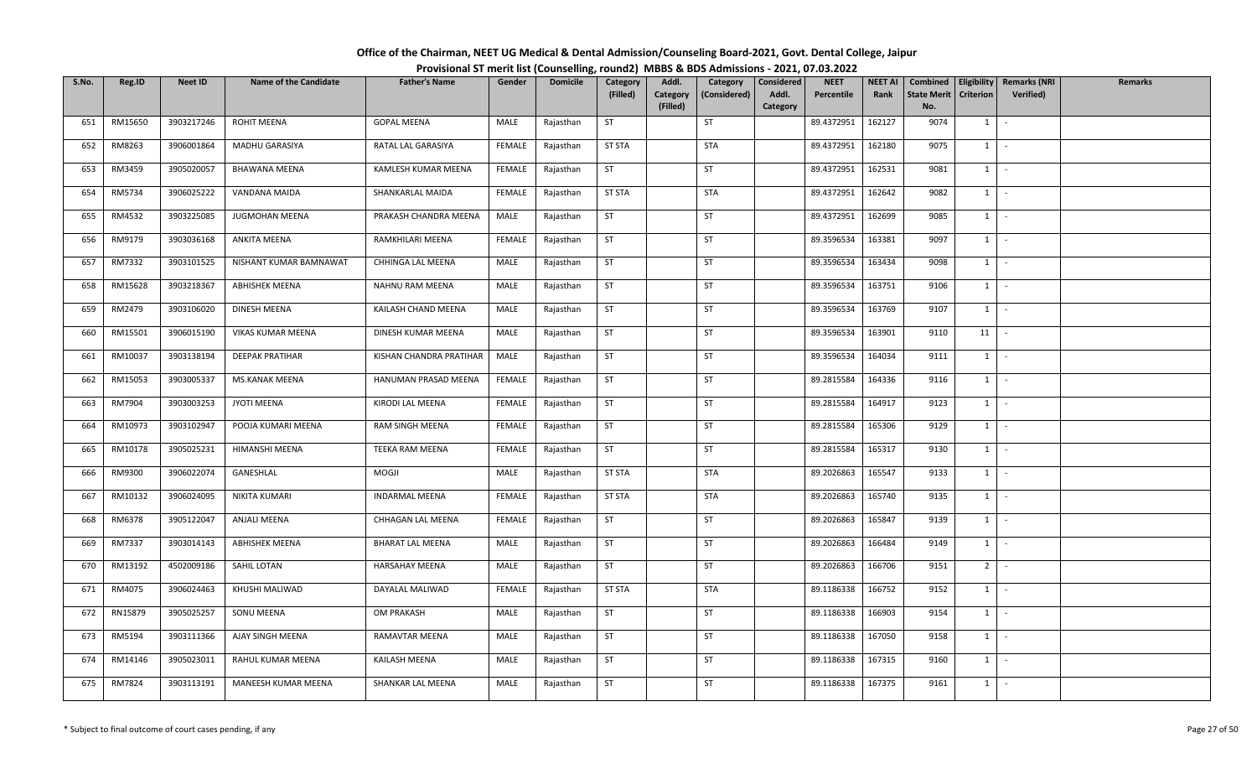| Office of the Chairman, NEET UG Medical & Dental Admission/Counseling Board-2021, Govt. Dental College, Jaipur |  |
|----------------------------------------------------------------------------------------------------------------|--|
| Provisional ST merit list (Counselling, round2) MBBS & BDS Admissions - 2021, 07.03.2022                       |  |

| S.No. | Reg.ID  | <b>Neet ID</b> | <b>Name of the Candidate</b> | <b>Father's Name</b>    | Gender        | <b>Domicile</b> | Category      | Addl.                | Category     | Considered        | <b>NEET</b> | <b>NEET AI</b> | Combined                  |                  | Eligibility   Remarks (NRI | Remarks |
|-------|---------|----------------|------------------------------|-------------------------|---------------|-----------------|---------------|----------------------|--------------|-------------------|-------------|----------------|---------------------------|------------------|----------------------------|---------|
|       |         |                |                              |                         |               |                 | (Filled)      | Category<br>(Filled) | (Considered) | Addl.<br>Category | Percentile  | Rank           | <b>State Merit</b><br>No. | <b>Criterion</b> | Verified)                  |         |
| 651   | RM15650 | 3903217246     | ROHIT MEENA                  | <b>GOPAL MEENA</b>      | MALE          | Rajasthan       | <b>ST</b>     |                      | ST           |                   | 89.4372951  | 162127         | 9074                      | 1                | $\sim$                     |         |
|       |         |                |                              |                         |               |                 |               |                      |              |                   |             |                |                           |                  |                            |         |
| 652   | RM8263  | 3906001864     | MADHU GARASIYA               | RATAL LAL GARASIYA      | FEMALE        | Rajasthan       | <b>ST STA</b> |                      | <b>STA</b>   |                   | 89.4372951  | 162180         | 9075                      | 1                | $\sim$                     |         |
| 653   | RM3459  | 3905020057     | <b>BHAWANA MEENA</b>         | KAMLESH KUMAR MEENA     | FEMALE        | Rajasthan       | <b>ST</b>     |                      | ST           |                   | 89.4372951  | 162531         | 9081                      | $1 \cdot$        |                            |         |
| 654   | RM5734  | 3906025222     | VANDANA MAIDA                | SHANKARLAL MAIDA        | <b>FEMALE</b> | Rajasthan       | <b>ST STA</b> |                      | <b>STA</b>   |                   | 89.4372951  | 162642         | 9082                      | $1$ $-$          |                            |         |
| 655   | RM4532  | 3903225085     | JUGMOHAN MEENA               | PRAKASH CHANDRA MEENA   | MALE          | Rajasthan       | ST            |                      | ST           |                   | 89.4372951  | 162699         | 9085                      | $1$ $-$          |                            |         |
| 656   | RM9179  | 3903036168     | ANKITA MEENA                 | RAMKHILARI MEENA        | FEMALE        | Rajasthan       | <b>ST</b>     |                      | <b>ST</b>    |                   | 89.3596534  | 163381         | 9097                      | 1                | $\sim$ $-$                 |         |
| 657   | RM7332  | 3903101525     | NISHANT KUMAR BAMNAWAT       | CHHINGA LAL MEENA       | MALE          | Rajasthan       | ST            |                      | ST           |                   | 89.3596534  | 163434         | 9098                      | $1 \quad$        | $\sim$                     |         |
| 658   | RM15628 | 3903218367     | ABHISHEK MEENA               | NAHNU RAM MEENA         | MALE          | Rajasthan       | <b>ST</b>     |                      | ST           |                   | 89.3596534  | 163751         | 9106                      | $1 \mid$         | $\sim$                     |         |
| 659   | RM2479  | 3903106020     | DINESH MEENA                 | KAILASH CHAND MEENA     | MALE          | Rajasthan       | <b>ST</b>     |                      | ST           |                   | 89.3596534  | 163769         | 9107                      | 1                | $\sim$                     |         |
| 660   | RM15501 | 3906015190     | VIKAS KUMAR MEENA            | DINESH KUMAR MEENA      | MALE          | Rajasthan       | ST            |                      | ST           |                   | 89.3596534  | 163901         | 9110                      | 11               | $\sim$                     |         |
| 661   | RM10037 | 3903138194     | <b>DEEPAK PRATIHAR</b>       | KISHAN CHANDRA PRATIHAR | MALE          | Rajasthan       | <b>ST</b>     |                      | <b>ST</b>    |                   | 89.3596534  | 164034         | 9111                      | $1$ $-$          |                            |         |
| 662   | RM15053 | 3903005337     | MS.KANAK MEENA               | HANUMAN PRASAD MEENA    | FEMALE        | Rajasthan       | ST            |                      | ST           |                   | 89.2815584  | 164336         | 9116                      | $1 \quad$        | $\sim$                     |         |
| 663   | RM7904  | 3903003253     | JYOTI MEENA                  | KIRODI LAL MEENA        | FEMALE        | Rajasthan       | <b>ST</b>     |                      | ST           |                   | 89.2815584  | 164917         | 9123                      | 1                | $\sim$                     |         |
| 664   | RM10973 | 3903102947     | POOJA KUMARI MEENA           | RAM SINGH MEENA         | FEMALE        | Rajasthan       | <b>ST</b>     |                      | <b>ST</b>    |                   | 89.2815584  | 165306         | 9129                      | $1 \mid$         | $\sim$                     |         |
| 665   | RM10178 | 3905025231     | HIMANSHI MEENA               | TEEKA RAM MEENA         | FEMALE        | Rajasthan       | <b>ST</b>     |                      | <b>ST</b>    |                   | 89.2815584  | 165317         | 9130                      | $1 \quad$        | $\sim$                     |         |
| 666   | RM9300  | 3906022074     | GANESHLAL                    | MOGJI                   | MALE          | Rajasthan       | <b>ST STA</b> |                      | <b>STA</b>   |                   | 89.2026863  | 165547         | 9133                      | $1$ $-$          |                            |         |
| 667   | RM10132 | 3906024095     | NIKITA KUMARI                | <b>INDARMAL MEENA</b>   | <b>FEMALE</b> | Rajasthan       | <b>ST STA</b> |                      | <b>STA</b>   |                   | 89.2026863  | 165740         | 9135                      | 1                | $\sim$                     |         |
| 668   | RM6378  | 3905122047     | ANJALI MEENA                 | CHHAGAN LAL MEENA       | FEMALE        | Rajasthan       | ST            |                      | ST           |                   | 89.2026863  | 165847         | 9139                      | 1                | $\sim$                     |         |
| 669   | RM7337  | 3903014143     | <b>ABHISHEK MEENA</b>        | <b>BHARAT LAL MEENA</b> | MALE          | Rajasthan       | <b>ST</b>     |                      | ST           |                   | 89.2026863  | 166484         | 9149                      | $1 \cdot$        |                            |         |
| 670   | RM13192 | 4502009186     | SAHIL LOTAN                  | <b>HARSAHAY MEENA</b>   | MALE          | Rajasthan       | <b>ST</b>     |                      | ST           |                   | 89.2026863  | 166706         | 9151                      | $2$ -            |                            |         |
| 671   | RM4075  | 3906024463     | KHUSHI MALIWAD               | DAYALAL MALIWAD         | <b>FEMALE</b> | Rajasthan       | <b>ST STA</b> |                      | <b>STA</b>   |                   | 89.1186338  | 166752         | 9152                      | $1 \mid$         | $\sim$                     |         |
| 672   | RN15879 | 3905025257     | SONU MEENA                   | OM PRAKASH              | MALE          | Rajasthan       | <b>ST</b>     |                      | ST           |                   | 89.1186338  | 166903         | 9154                      | 1                | $\sim$                     |         |
| 673   | RM5194  | 3903111366     | AJAY SINGH MEENA             | RAMAVTAR MEENA          | MALE          | Rajasthan       | <b>ST</b>     |                      | <b>ST</b>    |                   | 89.1186338  | 167050         | 9158                      | $1 \quad$        | $\sim$                     |         |
| 674   | RM14146 | 3905023011     | RAHUL KUMAR MEENA            | KAILASH MEENA           | MALE          | Rajasthan       | <b>ST</b>     |                      | <b>ST</b>    |                   | 89.1186338  | 167315         | 9160                      | $1 \quad$        | $\sim$                     |         |
| 675   | RM7824  | 3903113191     | MANEESH KUMAR MEENA          | SHANKAR LAL MEENA       | MALE          | Rajasthan       | ST            |                      | ST           |                   | 89.1186338  | 167375         | 9161                      | $1 \quad$        | $\sim$                     |         |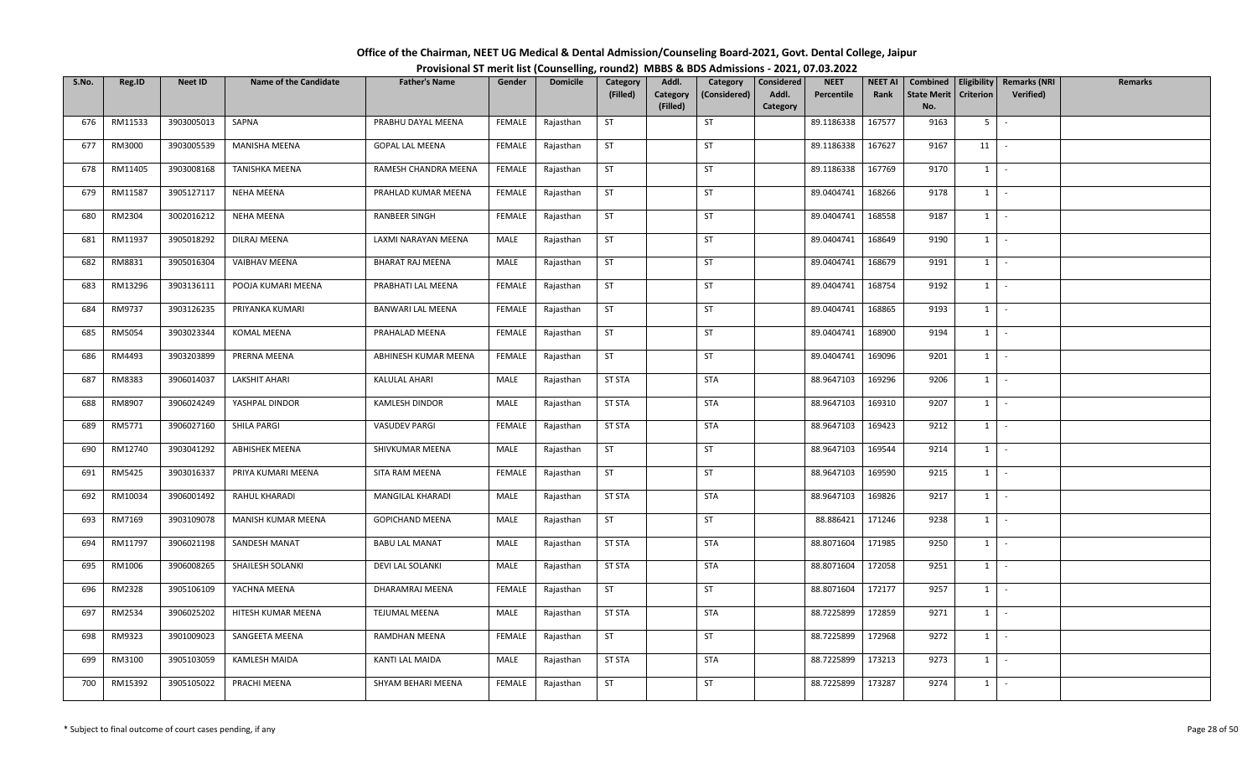| Office of the Chairman, NEET UG Medical & Dental Admission/Counseling Board-2021, Govt. Dental College, Jaipur |  |
|----------------------------------------------------------------------------------------------------------------|--|
| Provisional ST merit list (Counselling, round2) MBBS & BDS Admissions - 2021, 07.03.2022                       |  |

| S.No. | Reg.ID  | <b>Neet ID</b> | <b>Name of the Candidate</b> | <b>Father's Name</b>   | Gender        | <b>Domicile</b> | Category      | Addl.                | Category     | Considered        | <b>NEET</b> | <b>NEET AI</b> | Combined                  |                  | Eligibility   Remarks (NRI | Remarks |
|-------|---------|----------------|------------------------------|------------------------|---------------|-----------------|---------------|----------------------|--------------|-------------------|-------------|----------------|---------------------------|------------------|----------------------------|---------|
|       |         |                |                              |                        |               |                 | (Filled)      | Category<br>(Filled) | (Considered) | Addl.<br>Category | Percentile  | Rank           | <b>State Merit</b><br>No. | <b>Criterion</b> | Verified)                  |         |
| 676   | RM11533 | 3903005013     | SAPNA                        | PRABHU DAYAL MEENA     | FEMALE        | Rajasthan       | <b>ST</b>     |                      | ST           |                   | 89.1186338  | 167577         | 9163                      | $5-1$            | $\sim$                     |         |
|       |         |                |                              |                        |               |                 |               |                      |              |                   |             |                |                           |                  |                            |         |
| 677   | RM3000  | 3903005539     | MANISHA MEENA                | <b>GOPAL LAL MEENA</b> | FEMALE        | Rajasthan       | ST            |                      | <b>ST</b>    |                   | 89.1186338  | 167627         | 9167                      | 11               | $\sim$                     |         |
| 678   | RM11405 | 3903008168     | TANISHKA MEENA               | RAMESH CHANDRA MEENA   | FEMALE        | Rajasthan       | <b>ST</b>     |                      | ST           |                   | 89.1186338  | 167769         | 9170                      |                  | $1 \cdot$                  |         |
| 679   | RM11587 | 3905127117     | <b>NEHA MEENA</b>            | PRAHLAD KUMAR MEENA    | FEMALE        | Rajasthan       | ST            |                      | ST           |                   | 89.0404741  | 168266         | 9178                      | $1$ $-$          |                            |         |
| 680   | RM2304  | 3002016212     | NEHA MEENA                   | RANBEER SINGH          | FEMALE        | Rajasthan       | ST            |                      | ST           |                   | 89.0404741  | 168558         | 9187                      | $1$ $-$          |                            |         |
| 681   | RM11937 | 3905018292     | DILRAJ MEENA                 | LAXMI NARAYAN MEENA    | MALE          | Rajasthan       | <b>ST</b>     |                      | <b>ST</b>    |                   | 89.0404741  | 168649         | 9190                      | 1                | $\sim$ $-$                 |         |
| 682   | RM8831  | 3905016304     | VAIBHAV MEENA                | BHARAT RAJ MEENA       | MALE          | Rajasthan       | ST            |                      | ST           |                   | 89.0404741  | 168679         | 9191                      | $1 \quad$        | $\sim$                     |         |
| 683   | RM13296 | 3903136111     | POOJA KUMARI MEENA           | PRABHATI LAL MEENA     | <b>FEMALE</b> | Rajasthan       | <b>ST</b>     |                      | ST           |                   | 89.0404741  | 168754         | 9192                      | $1 \mid$         | $\sim$                     |         |
| 684   | RM9737  | 3903126235     | PRIYANKA KUMARI              | BANWARI LAL MEENA      | FEMALE        | Rajasthan       | <b>ST</b>     |                      | ST           |                   | 89.0404741  | 168865         | 9193                      | 1                | $\sim$                     |         |
| 685   | RM5054  | 3903023344     | KOMAL MEENA                  | PRAHALAD MEENA         | FEMALE        | Rajasthan       | ST            |                      | ST           |                   | 89.0404741  | 168900         | 9194                      | 1                | $\sim$ $-$                 |         |
| 686   | RM4493  | 3903203899     | PRERNA MEENA                 | ABHINESH KUMAR MEENA   | FEMALE        | Rajasthan       | <b>ST</b>     |                      | <b>ST</b>    |                   | 89.0404741  | 169096         | 9201                      | $1$ $-$          |                            |         |
| 687   | RM8383  | 3906014037     | <b>LAKSHIT AHARI</b>         | KALULAL AHARI          | MALE          | Rajasthan       | <b>ST STA</b> |                      | <b>STA</b>   |                   | 88.9647103  | 169296         | 9206                      | $1 \quad$        | $\sim$                     |         |
| 688   | RM8907  | 3906024249     | YASHPAL DINDOR               | KAMLESH DINDOR         | MALE          | Rajasthan       | <b>ST STA</b> |                      | <b>STA</b>   |                   | 88.9647103  | 169310         | 9207                      | 1                | $\sim$                     |         |
| 689   | RM5771  | 3906027160     | SHILA PARGI                  | <b>VASUDEV PARGI</b>   | FEMALE        | Rajasthan       | <b>ST STA</b> |                      | <b>STA</b>   |                   | 88.9647103  | 169423         | 9212                      | $1 \mid$         | $\sim$                     |         |
| 690   | RM12740 | 3903041292     | ABHISHEK MEENA               | SHIVKUMAR MEENA        | MALE          | Rajasthan       | <b>ST</b>     |                      | <b>ST</b>    |                   | 88.9647103  | 169544         | 9214                      | $1 \mid$         | $\sim$                     |         |
| 691   | RM5425  | 3903016337     | PRIYA KUMARI MEENA           | SITA RAM MEENA         | FEMALE        | Rajasthan       | <b>ST</b>     |                      | <b>ST</b>    |                   | 88.9647103  | 169590         | 9215                      | $1$ $-$          |                            |         |
| 692   | RM10034 | 3906001492     | RAHUL KHARADI                | MANGILAL KHARADI       | MALE          | Rajasthan       | <b>ST STA</b> |                      | <b>STA</b>   |                   | 88.9647103  | 169826         | 9217                      | 1                | $\sim$                     |         |
| 693   | RM7169  | 3903109078     | MANISH KUMAR MEENA           | GOPICHAND MEENA        | MALE          | Rajasthan       | <b>ST</b>     |                      | <b>ST</b>    |                   | 88.886421   | 171246         | 9238                      | 1                | $\sim$                     |         |
| 694   | RM11797 | 3906021198     | SANDESH MANAT                | <b>BABU LAL MANAT</b>  | MALE          | Rajasthan       | <b>ST STA</b> |                      | <b>STA</b>   |                   | 88.8071604  | 171985         | 9250                      |                  | $1 \cdot$                  |         |
| 695   | RM1006  | 3906008265     | SHAILESH SOLANKI             | DEVI LAL SOLANKI       | MALE          | Rajasthan       | <b>ST STA</b> |                      | STA          |                   | 88.8071604  | 172058         | 9251                      | $1 \mid$         | $\sim$                     |         |
| 696   | RM2328  | 3905106109     | YACHNA MEENA                 | DHARAMRAJ MEENA        | <b>FEMALE</b> | Rajasthan       | <b>ST</b>     |                      | <b>ST</b>    |                   | 88.8071604  | 172177         | 9257                      | $1 \mid$         | $\sim$ $-$                 |         |
| 697   | RM2534  | 3906025202     | HITESH KUMAR MEENA           | <b>TEJUMAL MEENA</b>   | MALE          | Rajasthan       | <b>ST STA</b> |                      | <b>STA</b>   |                   | 88.7225899  | 172859         | 9271                      | 1                | $\sim$                     |         |
| 698   | RM9323  | 3901009023     | SANGEETA MEENA               | RAMDHAN MEENA          | FEMALE        | Rajasthan       | <b>ST</b>     |                      | ST           |                   | 88.7225899  | 172968         | 9272                      | $1 \quad$        | $\sim$                     |         |
| 699   | RM3100  | 3905103059     | KAMLESH MAIDA                | KANTI LAL MAIDA        | MALE          | Rajasthan       | ST STA        |                      | STA          |                   | 88.7225899  | 173213         | 9273                      | $1 \quad$        | $\sim$                     |         |
| 700   | RM15392 | 3905105022     | PRACHI MEENA                 | SHYAM BEHARI MEENA     | <b>FEMALE</b> | Rajasthan       | ST            |                      | ST           |                   | 88.7225899  | 173287         | 9274                      | $1 \quad$        | $\sim$                     |         |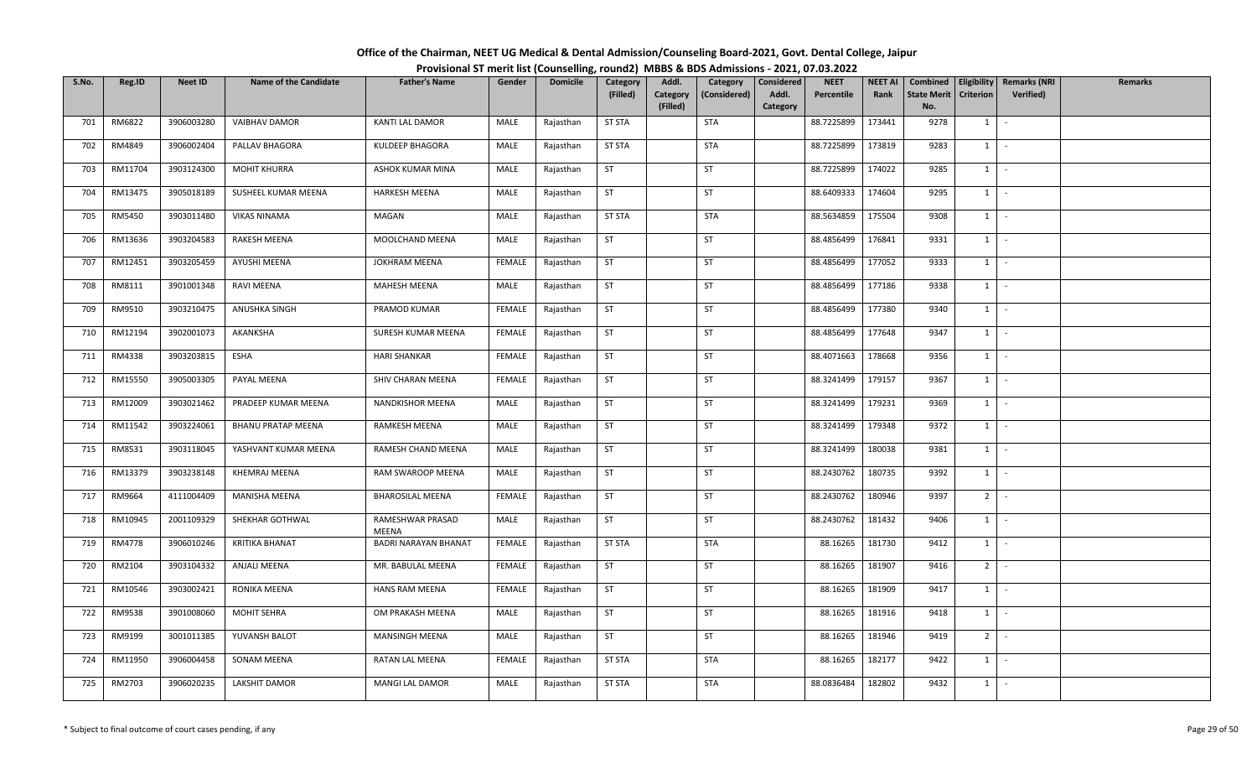| Office of the Chairman, NEET UG Medical & Dental Admission/Counseling Board-2021, Govt. Dental College, Jaipur |  |
|----------------------------------------------------------------------------------------------------------------|--|
| Provisional ST merit list (Counselling, round2) MBBS & BDS Admissions - 2021, 07.03.2022                       |  |

| S.No. | Reg.ID  | <b>Neet ID</b> | <b>Name of the Candidate</b> | <b>Father's Name</b>      | Gender        | <b>Domicile</b> | Category      | Addl.                | Category     | Considered        | <b>NEET</b> | <b>NEET AI</b> | Combined                  |                  | Eligibility   Remarks (NRI | <b>Remarks</b> |
|-------|---------|----------------|------------------------------|---------------------------|---------------|-----------------|---------------|----------------------|--------------|-------------------|-------------|----------------|---------------------------|------------------|----------------------------|----------------|
|       |         |                |                              |                           |               |                 | (Filled)      | Category<br>(Filled) | (Considered) | Addl.<br>Category | Percentile  | Rank           | <b>State Merit</b><br>No. | <b>Criterion</b> | <b>Verified</b> )          |                |
| 701   | RM6822  | 3906003280     | VAIBHAV DAMOR                | KANTI LAL DAMOR           | MALE          | Rajasthan       | <b>ST STA</b> |                      | <b>STA</b>   |                   | 88.7225899  | 173441         | 9278                      | 1                | $\sim$                     |                |
|       |         |                |                              |                           |               |                 |               |                      |              |                   |             |                |                           |                  |                            |                |
| 702   | RM4849  | 3906002404     | PALLAV BHAGORA               | KULDEEP BHAGORA           | MALE          | Rajasthan       | <b>ST STA</b> |                      | <b>STA</b>   |                   | 88.7225899  | 173819         | 9283                      | 1                | $\sim$                     |                |
| 703   | RM11704 | 3903124300     | <b>MOHIT KHURRA</b>          | ASHOK KUMAR MINA          | MALE          | Rajasthan       | <b>ST</b>     |                      | ST           |                   | 88.7225899  | 174022         | 9285                      | $1 \mid$         | $\sim$ $-$                 |                |
| 704   | RM13475 | 3905018189     | SUSHEEL KUMAR MEENA          | <b>HARKESH MEENA</b>      | MALE          | Rajasthan       | ST            |                      | ST           |                   | 88.6409333  | 174604         | 9295                      | $1 \mid$         | $\sim$                     |                |
| 705   | RM5450  | 3903011480     | <b>VIKAS NINAMA</b>          | MAGAN                     | MALE          | Rajasthan       | <b>ST STA</b> |                      | STA          |                   | 88.5634859  | 175504         | 9308                      | $1 \mid$         | $\sim$                     |                |
| 706   | RM13636 | 3903204583     | RAKESH MEENA                 | MOOLCHAND MEENA           | MALE          | Rajasthan       | ST            |                      | <b>ST</b>    |                   | 88.4856499  | 176841         | 9331                      | 1                | $\sim$                     |                |
| 707   | RM12451 | 3903205459     | AYUSHI MEENA                 | JOKHRAM MEENA             | <b>FEMALE</b> | Rajasthan       | ST            |                      | ST           |                   | 88.4856499  | 177052         | 9333                      | $1 \quad$        | $\sim$                     |                |
| 708   | RM8111  | 3901001348     | RAVI MEENA                   | MAHESH MEENA              | MALE          | Rajasthan       | <b>ST</b>     |                      | ST           |                   | 88.4856499  | 177186         | 9338                      | 1                | $\sim$                     |                |
| 709   | RM9510  | 3903210475     | ANUSHKA SINGH                | PRAMOD KUMAR              | FEMALE        | Rajasthan       | <b>ST</b>     |                      | ST           |                   | 88.4856499  | 177380         | 9340                      | 1                | $\sim$                     |                |
| 710   | RM12194 | 3902001073     | AKANKSHA                     | SURESH KUMAR MEENA        | FEMALE        | Rajasthan       | ST            |                      | ST           |                   | 88.4856499  | 177648         | 9347                      | 1                | $\sim$                     |                |
| 711   | RM4338  | 3903203815     | ESHA                         | <b>HARI SHANKAR</b>       | FEMALE        | Rajasthan       | ST            |                      | <b>ST</b>    |                   | 88.4071663  | 178668         | 9356                      | $1$ $-$          |                            |                |
| 712   | RM15550 | 3905003305     | PAYAL MEENA                  | SHIV CHARAN MEENA         | FEMALE        | Rajasthan       | <b>ST</b>     |                      | ST           |                   | 88.3241499  | 179157         | 9367                      | $1 \quad$        | $\sim$                     |                |
| 713   | RM12009 | 3903021462     | PRADEEP KUMAR MEENA          | NANDKISHOR MEENA          | MALE          | Rajasthan       | <b>ST</b>     |                      | ST           |                   | 88.3241499  | 179231         | 9369                      | 1                | $\sim$                     |                |
| 714   | RM11542 | 3903224061     | <b>BHANU PRATAP MEENA</b>    | RAMKESH MEENA             | MALE          | Rajasthan       | <b>ST</b>     |                      | <b>ST</b>    |                   | 88.3241499  | 179348         | 9372                      | $1 \quad$        | $\sim$                     |                |
| 715   | RM8531  | 3903118045     | YASHVANT KUMAR MEENA         | RAMESH CHAND MEENA        | MALE          | Rajasthan       | ST            |                      | <b>ST</b>    |                   | 88.3241499  | 180038         | 9381                      | $1 \vert$        | $\sim$                     |                |
| 716   | RM13379 | 3903238148     | KHEMRAJ MEENA                | RAM SWAROOP MEENA         | MALE          | Rajasthan       | <b>ST</b>     |                      | <b>ST</b>    |                   | 88.2430762  | 180735         | 9392                      | 1                | $\sim$                     |                |
| 717   | RM9664  | 4111004409     | MANISHA MEENA                | <b>BHAROSILAL MEENA</b>   | <b>FEMALE</b> | Rajasthan       | <b>ST</b>     |                      | ST           |                   | 88.2430762  | 180946         | 9397                      | 2 <sup>1</sup>   | $\sim$                     |                |
| 718   | RM10945 | 2001109329     | SHEKHAR GOTHWAL              | RAMESHWAR PRASAD<br>MEENA | MALE          | Rajasthan       | <b>ST</b>     |                      | <b>ST</b>    |                   | 88.2430762  | 181432         | 9406                      | 1                | $\sim$                     |                |
| 719   | RM4778  | 3906010246     | <b>KRITIKA BHANAT</b>        | BADRI NARAYAN BHANAT      | <b>FEMALE</b> | Rajasthan       | <b>ST STA</b> |                      | <b>STA</b>   |                   | 88.16265    | 181730         | 9412                      |                  | $1 \cdot$                  |                |
| 720   | RM2104  | 3903104332     | ANJALI MEENA                 | MR. BABULAL MEENA         | FEMALE        | Rajasthan       | <b>ST</b>     |                      | ST           |                   | 88.16265    | 181907         | 9416                      | $2^{\circ}$      | $\sim$                     |                |
| 721   | RM10546 | 3903002421     | RONIKA MEENA                 | HANS RAM MEENA            | <b>FEMALE</b> | Rajasthan       | <b>ST</b>     |                      | <b>ST</b>    |                   | 88.16265    | 181909         | 9417                      | $1 \quad$        | $\sim$                     |                |
| 722   | RM9538  | 3901008060     | MOHIT SEHRA                  | OM PRAKASH MEENA          | MALE          | Rajasthan       | <b>ST</b>     |                      | ST           |                   | 88.16265    | 181916         | 9418                      | 1                | $\sim$                     |                |
| 723   | RM9199  | 3001011385     | YUVANSH BALOT                | MANSINGH MEENA            | MALE          | Rajasthan       | <b>ST</b>     |                      | <b>ST</b>    |                   | 88.16265    | 181946         | 9419                      | 2 <sup>1</sup>   | $\sim$                     |                |
| 724   | RM11950 | 3906004458     | SONAM MEENA                  | RATAN LAL MEENA           | FEMALE        | Rajasthan       | <b>ST STA</b> |                      | STA          |                   | 88.16265    | 182177         | 9422                      | 1                | $\sim$                     |                |
| 725   | RM2703  | 3906020235     | LAKSHIT DAMOR                | MANGI LAL DAMOR           | MALE          | Rajasthan       | <b>ST STA</b> |                      | <b>STA</b>   |                   | 88.0836484  | 182802         | 9432                      | $1 \quad$        | $\sim$                     |                |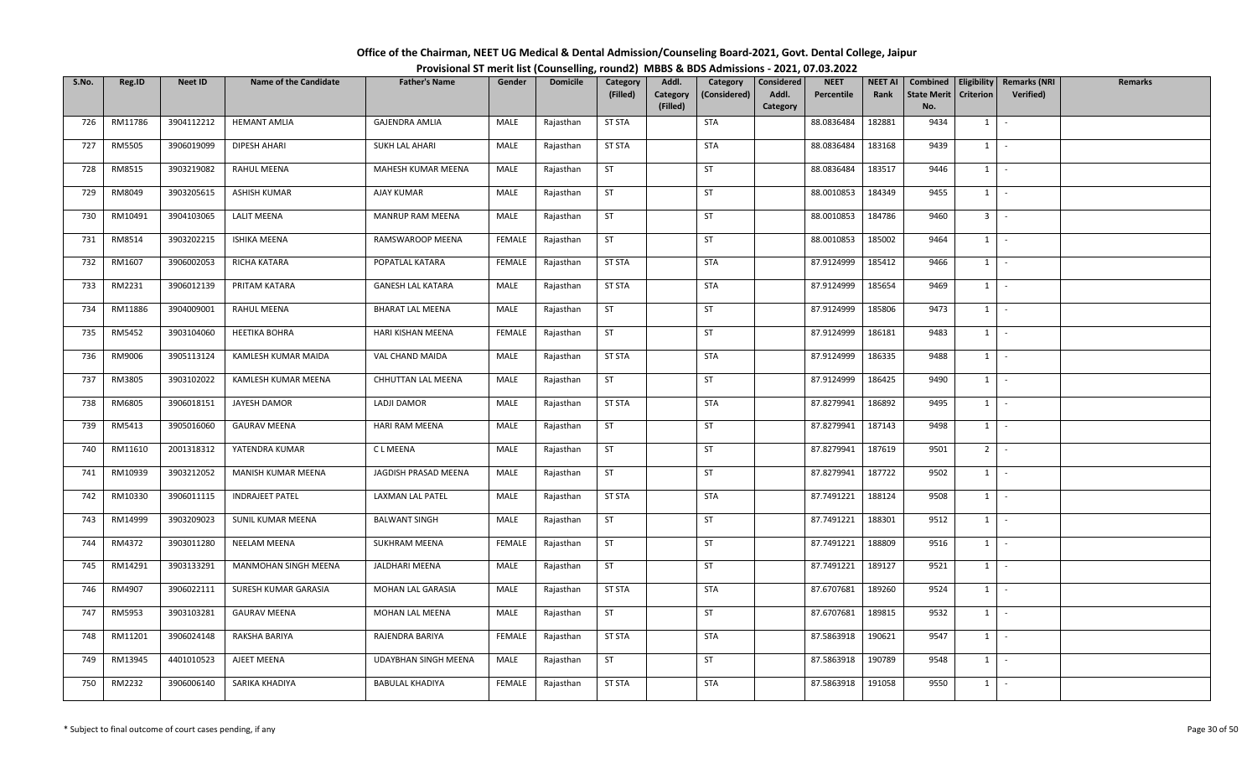| Office of the Chairman, NEET UG Medical & Dental Admission/Counseling Board-2021, Govt. Dental College, Jaipur |  |
|----------------------------------------------------------------------------------------------------------------|--|
| Provisional ST merit list (Counselling, round2) MBBS & BDS Admissions - 2021, 07.03.2022                       |  |

| S.No. | Reg.ID  | <b>Neet ID</b> | <b>Name of the Candidate</b> | <b>Father's Name</b>     | Gender        | <b>Domicile</b> | Category      | Addl.                | Category     | Considered        | <b>NEET</b> | <b>NEET AI</b> | Combined                  |                  | Eligibility   Remarks (NRI | <b>Remarks</b> |
|-------|---------|----------------|------------------------------|--------------------------|---------------|-----------------|---------------|----------------------|--------------|-------------------|-------------|----------------|---------------------------|------------------|----------------------------|----------------|
|       |         |                |                              |                          |               |                 | (Filled)      | Category<br>(Filled) | (Considered) | Addl.<br>Category | Percentile  | Rank           | <b>State Merit</b><br>No. | <b>Criterion</b> | Verified)                  |                |
| 726   | RM11786 | 3904112212     | <b>HEMANT AMLIA</b>          | <b>GAJENDRA AMLIA</b>    | MALE          | Rajasthan       | <b>ST STA</b> |                      | <b>STA</b>   |                   | 88.0836484  | 182881         | 9434                      | $1 \vert$        | $\sim$                     |                |
| 727   | RM5505  | 3906019099     | DIPESH AHARI                 | <b>SUKH LAL AHARI</b>    | MALE          | Rajasthan       | <b>ST STA</b> |                      | <b>STA</b>   |                   | 88.0836484  | 183168         | 9439                      | $1 \quad$        | $\sim$                     |                |
| 728   | RM8515  | 3903219082     | RAHUL MEENA                  | MAHESH KUMAR MEENA       | MALE          | Rajasthan       | <b>ST</b>     |                      | <b>ST</b>    |                   | 88.0836484  | 183517         | 9446                      |                  | $1 \cdot$                  |                |
| 729   | RM8049  | 3903205615     | <b>ASHISH KUMAR</b>          | AJAY KUMAR               | MALE          | Rajasthan       | ST            |                      | ST           |                   | 88.0010853  | 184349         | 9455                      |                  | $1$ $-$                    |                |
| 730   | RM10491 | 3904103065     | <b>LALIT MEENA</b>           | MANRUP RAM MEENA         | MALE          | Rajasthan       | ST            |                      | ST           |                   | 88.0010853  | 184786         | 9460                      | 3 <sup>1</sup>   | $\sim$                     |                |
| 731   | RM8514  | 3903202215     | <b>ISHIKA MEENA</b>          | RAMSWAROOP MEENA         | FEMALE        | Rajasthan       | ST            |                      | ST           |                   | 88.0010853  | 185002         | 9464                      | $1 \mid$         | $\sim$                     |                |
| 732   | RM1607  | 3906002053     | RICHA KATARA                 | POPATLAL KATARA          | FEMALE        | Rajasthan       | ST STA        |                      | STA          |                   | 87.9124999  | 185412         | 9466                      | $1 \vert$        | $\sim$                     |                |
| 733   | RM2231  | 3906012139     | PRITAM KATARA                | <b>GANESH LAL KATARA</b> | MALE          | Rajasthan       | <b>ST STA</b> |                      | <b>STA</b>   |                   | 87.9124999  | 185654         | 9469                      | 1                | $\sim$ $-$                 |                |
| 734   | RM11886 | 3904009001     | <b>RAHUL MEENA</b>           | <b>BHARAT LAL MEENA</b>  | MALE          | Rajasthan       | ST            |                      | ST           |                   | 87.9124999  | 185806         | 9473                      |                  | $1$ $-$                    |                |
| 735   | RM5452  | 3903104060     | <b>HEETIKA BOHRA</b>         | HARI KISHAN MEENA        | FEMALE        | Rajasthan       | <b>ST</b>     |                      | <b>ST</b>    |                   | 87.9124999  | 186181         | 9483                      | $1 \quad$        | $\sim$ $-$                 |                |
| 736   | RM9006  | 3905113124     | KAMLESH KUMAR MAIDA          | VAL CHAND MAIDA          | MALE          | Rajasthan       | <b>ST STA</b> |                      | <b>STA</b>   |                   | 87.9124999  | 186335         | 9488                      |                  | $1 \cdot$                  |                |
| 737   | RM3805  | 3903102022     | KAMLESH KUMAR MEENA          | CHHUTTAN LAL MEENA       | MALE          | Rajasthan       | <b>ST</b>     |                      | <b>ST</b>    |                   | 87.9124999  | 186425         | 9490                      | $1 \vert$        | $\sim$                     |                |
| 738   | RM6805  | 3906018151     | JAYESH DAMOR                 | LADJI DAMOR              | MALE          | Rajasthan       | <b>ST STA</b> |                      | <b>STA</b>   |                   | 87.8279941  | 186892         | 9495                      | 1                | $\sim$                     |                |
| 739   | RM5413  | 3905016060     | <b>GAURAV MEENA</b>          | HARI RAM MEENA           | MALE          | Rajasthan       | <b>ST</b>     |                      | ST           |                   | 87.8279941  | 187143         | 9498                      | $1 \quad$        | $\sim$                     |                |
| 740   | RM11610 | 2001318312     | YATENDRA KUMAR               | C L MEENA                | MALE          | Rajasthan       | ST            |                      | ST           |                   | 87.8279941  | 187619         | 9501                      | 2                | $\sim$                     |                |
| 741   | RM10939 | 3903212052     | MANISH KUMAR MEENA           | JAGDISH PRASAD MEENA     | MALE          | Rajasthan       | <b>ST</b>     |                      | <b>ST</b>    |                   | 87.8279941  | 187722         | 9502                      | $1 \mid$         | $\sim$ $-$                 |                |
| 742   | RM10330 | 3906011115     | <b>INDRAJEET PATEL</b>       | LAXMAN LAL PATEL         | MALE          | Rajasthan       | <b>ST STA</b> |                      | <b>STA</b>   |                   | 87.7491221  | 188124         | 9508                      | 1                | $\sim$                     |                |
| 743   | RM14999 | 3903209023     | SUNIL KUMAR MEENA            | <b>BALWANT SINGH</b>     | MALE          | Rajasthan       | ST            |                      | ST           |                   | 87.7491221  | 188301         | 9512                      | 1                | $\sim$                     |                |
| 744   | RM4372  | 3903011280     | NEELAM MEENA                 | <b>SUKHRAM MEENA</b>     | <b>FEMALE</b> | Rajasthan       | ST            |                      | ST           |                   | 87.7491221  | 188809         | 9516                      |                  | $1 \cdot$                  |                |
| 745   | RM14291 | 3903133291     | MANMOHAN SINGH MEENA         | JALDHARI MEENA           | MALE          | Rajasthan       | ST            |                      | <b>ST</b>    |                   | 87.7491221  | 189127         | 9521                      | 1                | $\sim$                     |                |
| 746   | RM4907  | 3906022111     | SURESH KUMAR GARASIA         | MOHAN LAL GARASIA        | MALE          | Rajasthan       | <b>ST STA</b> |                      | <b>STA</b>   |                   | 87.6707681  | 189260         | 9524                      |                  | $1 \mid -$                 |                |
| 747   | RM5953  | 3903103281     | <b>GAURAV MEENA</b>          | MOHAN LAL MEENA          | MALE          | Rajasthan       | ST            |                      | ST           |                   | 87.6707681  | 189815         | 9532                      |                  | $1$ $-$                    |                |
| 748   | RM11201 | 3906024148     | RAKSHA BARIYA                | RAJENDRA BARIYA          | <b>FEMALE</b> | Rajasthan       | <b>ST STA</b> |                      | STA          |                   | 87.5863918  | 190621         | 9547                      | $1 \quad$        | $\sim$                     |                |
| 749   | RM13945 | 4401010523     | AJEET MEENA                  | UDAYBHAN SINGH MEENA     | MALE          | Rajasthan       | <b>ST</b>     |                      | ST           |                   | 87.5863918  | 190789         | 9548                      | $1 \quad$        | $\sim$                     |                |
| 750   | RM2232  | 3906006140     | SARIKA KHADIYA               | <b>BABULAL KHADIYA</b>   | FEMALE        | Rajasthan       | <b>ST STA</b> |                      | <b>STA</b>   |                   | 87.5863918  | 191058         | 9550                      | $1 \quad$        | $\sim$                     |                |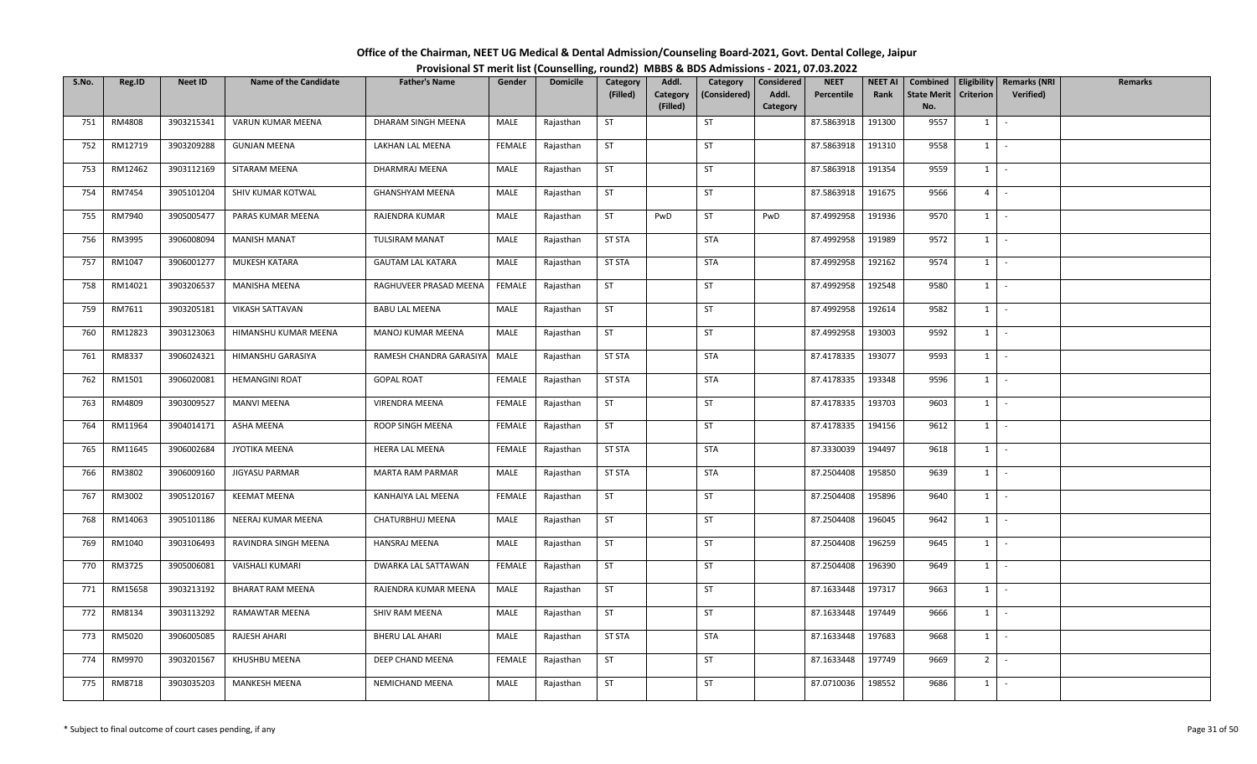| Office of the Chairman, NEET UG Medical & Dental Admission/Counseling Board-2021, Govt. Dental College, Jaipur |  |
|----------------------------------------------------------------------------------------------------------------|--|
| Provisional ST merit list (Counselling, round2) MBBS & BDS Admissions - 2021, 07.03.2022                       |  |

| S.No. | Reg.ID  | <b>Neet ID</b> | <b>Name of the Candidate</b> | <b>Father's Name</b>     | Gender        | <b>Domicile</b> | Category      | Addl.                | Category     | Considered | <b>NEET</b> | <b>NEET AI</b> | Combined                  | Eligibility    | <b>Remarks (NRI</b> | <b>Remarks</b> |
|-------|---------|----------------|------------------------------|--------------------------|---------------|-----------------|---------------|----------------------|--------------|------------|-------------|----------------|---------------------------|----------------|---------------------|----------------|
|       |         |                |                              |                          |               |                 | (Filled)      | Category<br>(Filled) | (Considered) | Addl.      | Percentile  | Rank           | <b>State Merit</b><br>No. | Criterion      | Verified)           |                |
| 751   | RM4808  | 3903215341     | VARUN KUMAR MEENA            | DHARAM SINGH MEENA       | MALE          | Rajasthan       | ST            |                      | ST           | Category   | 87.5863918  | 191300         | 9557                      | $1 \quad$      | $\sim$              |                |
|       |         |                |                              |                          |               |                 |               |                      |              |            |             |                |                           |                |                     |                |
| 752   | RM12719 | 3903209288     | <b>GUNJAN MEENA</b>          | LAKHAN LAL MEENA         | FEMALE        | Rajasthan       | <b>ST</b>     |                      | ST           |            | 87.5863918  | 191310         | 9558                      | $1 \quad$      | $\sim$              |                |
| 753   | RM12462 | 3903112169     | SITARAM MEENA                | DHARMRAJ MEENA           | MALE          | Rajasthan       | ST            |                      | ST           |            | 87.5863918  | 191354         | 9559                      | $1 \quad$      | $\sim$              |                |
| 754   | RM7454  | 3905101204     | SHIV KUMAR KOTWAL            | <b>GHANSHYAM MEENA</b>   | MALE          | Rajasthan       | <b>ST</b>     |                      | ST           |            | 87.5863918  | 191675         | 9566                      | 4 <sup>1</sup> | $\sim$              |                |
| 755   | RM7940  | 3905005477     | PARAS KUMAR MEENA            | RAJENDRA KUMAR           | MALE          | Rajasthan       | <b>ST</b>     | PwD                  | ST           | PwD        | 87.4992958  | 191936         | 9570                      | 1              | $\sim$              |                |
| 756   | RM3995  | 3906008094     | <b>MANISH MANAT</b>          | <b>TULSIRAM MANAT</b>    | MALE          | Rajasthan       | <b>ST STA</b> |                      | <b>STA</b>   |            | 87.4992958  | 191989         | 9572                      | $1 \mid$       | $\sim$              |                |
| 757   | RM1047  | 3906001277     | MUKESH KATARA                | <b>GAUTAM LAL KATARA</b> | MALE          | Rajasthan       | <b>ST STA</b> |                      | <b>STA</b>   |            | 87.4992958  | 192162         | 9574                      | 1              | $\sim$              |                |
| 758   | RM14021 | 3903206537     | MANISHA MEENA                | RAGHUVEER PRASAD MEENA   | <b>FEMALE</b> | Rajasthan       | <b>ST</b>     |                      | ST           |            | 87.4992958  | 192548         | 9580                      | 1              | $\sim$              |                |
| 759   | RM7611  | 3903205181     | <b>VIKASH SATTAVAN</b>       | <b>BABU LAL MEENA</b>    | MALE          | Rajasthan       | <b>ST</b>     |                      | <b>ST</b>    |            | 87.4992958  | 192614         | 9582                      | $1 \quad$      | $\sim$              |                |
| 760   | RM12823 | 3903123063     | HIMANSHU KUMAR MEENA         | MANOJ KUMAR MEENA        | MALE          | Rajasthan       | <b>ST</b>     |                      | ST           |            | 87.4992958  | 193003         | 9592                      | $1 \quad$      | $\sim$              |                |
| 761   | RM8337  | 3906024321     | HIMANSHU GARASIYA            | RAMESH CHANDRA GARASIYA  | MALE          | Rajasthan       | <b>ST STA</b> |                      | STA          |            | 87.4178335  | 193077         | 9593                      | 1              | $\sim$              |                |
| 762   | RM1501  | 3906020081     | <b>HEMANGINI ROAT</b>        | <b>GOPAL ROAT</b>        | <b>FEMALE</b> | Rajasthan       | <b>ST STA</b> |                      | <b>STA</b>   |            | 87.4178335  | 193348         | 9596                      | $1\phantom{0}$ | $\sim$              |                |
| 763   | RM4809  | 3903009527     | <b>MANVI MEENA</b>           | VIRENDRA MEENA           | <b>FEMALE</b> | Rajasthan       | ST            |                      | ST           |            | 87.4178335  | 193703         | 9603                      | 1              | $\sim$              |                |
| 764   | RM11964 | 3904014171     | ASHA MEENA                   | ROOP SINGH MEENA         | FEMALE        | Rajasthan       | <b>ST</b>     |                      | <b>ST</b>    |            | 87.4178335  | 194156         | 9612                      | $1 \quad$      | $\sim$              |                |
| 765   | RM11645 | 3906002684     | JYOTIKA MEENA                | HEERA LAL MEENA          | FEMALE        | Rajasthan       | <b>ST STA</b> |                      | <b>STA</b>   |            | 87.3330039  | 194497         | 9618                      | 1              | $\sim$              |                |
| 766   | RM3802  | 3906009160     | JIGYASU PARMAR               | MARTA RAM PARMAR         | MALE          | Rajasthan       | <b>ST STA</b> |                      | <b>STA</b>   |            | 87.2504408  | 195850         | 9639                      | 1              | $\sim$              |                |
| 767   | RM3002  | 3905120167     | <b>KEEMAT MEENA</b>          | KANHAIYA LAL MEENA       | <b>FEMALE</b> | Rajasthan       | <b>ST</b>     |                      | <b>ST</b>    |            | 87.2504408  | 195896         | 9640                      | 1              | $\sim$              |                |
| 768   | RM14063 | 3905101186     | NEERAJ KUMAR MEENA           | CHATURBHUJ MEENA         | MALE          | Rajasthan       | <b>ST</b>     |                      | ST           |            | 87.2504408  | 196045         | 9642                      | $1 \mid$       | $\sim$              |                |
| 769   | RM1040  | 3903106493     | RAVINDRA SINGH MEENA         | HANSRAJ MEENA            | MALE          | Rajasthan       | <b>ST</b>     |                      | ST           |            | 87.2504408  | 196259         | 9645                      | $1 \vert$      | $\sim$              |                |
| 770   | RM3725  | 3905006081     | VAISHALI KUMARI              | DWARKA LAL SATTAWAN      | FEMALE        | Rajasthan       | ST            |                      | ST           |            | 87.2504408  | 196390         | 9649                      | $1 \quad$      | $\sim$              |                |
| 771   | RM15658 | 3903213192     | BHARAT RAM MEENA             | RAJENDRA KUMAR MEENA     | MALE          | Rajasthan       | <b>ST</b>     |                      | ST           |            | 87.1633448  | 197317         | 9663                      | $1 \quad$      | $\sim$              |                |
| 772   | RM8134  | 3903113292     | <b>RAMAWTAR MEENA</b>        | SHIV RAM MEENA           | MALE          | Rajasthan       | ST            |                      | <b>ST</b>    |            | 87.1633448  | 197449         | 9666                      | $1 \vert$      | $\sim$              |                |
| 773   | RM5020  | 3906005085     | RAJESH AHARI                 | <b>BHERU LAL AHARI</b>   | MALE          | Rajasthan       | <b>ST STA</b> |                      | <b>STA</b>   |            | 87.1633448  | 197683         | 9668                      | 1              | $\sim$              |                |
| 774   | RM9970  | 3903201567     | KHUSHBU MEENA                | DEEP CHAND MEENA         | FEMALE        | Rajasthan       | <b>ST</b>     |                      | <b>ST</b>    |            | 87.1633448  | 197749         | 9669                      | 2 <sup>1</sup> | $\sim$              |                |
| 775   | RM8718  | 3903035203     | <b>MANKESH MEENA</b>         | NEMICHAND MEENA          | MALE          | Rajasthan       | <b>ST</b>     |                      | <b>ST</b>    |            | 87.0710036  | 198552         | 9686                      | $1 \quad$      | $\sim$              |                |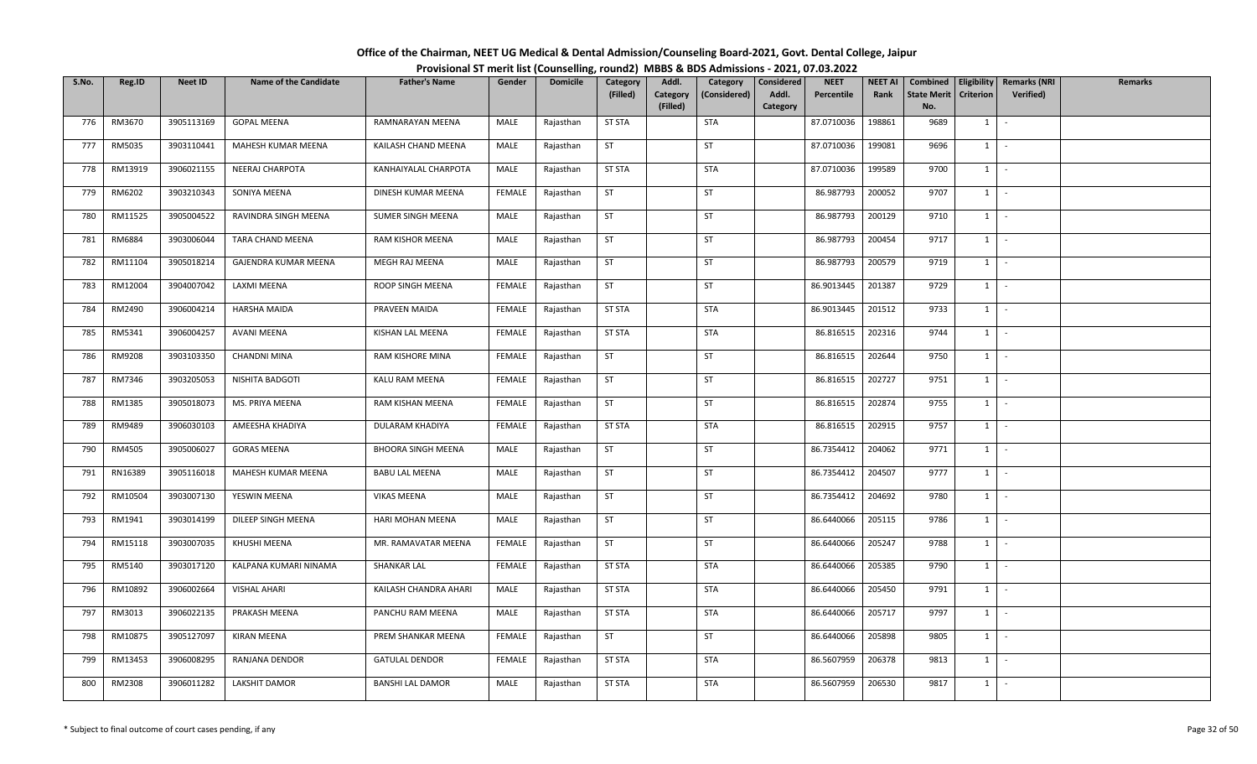| Office of the Chairman, NEET UG Medical & Dental Admission/Counseling Board-2021, Govt. Dental College, Jaipur |  |
|----------------------------------------------------------------------------------------------------------------|--|
| Provisional ST merit list (Counselling, round2) MBBS & BDS Admissions - 2021, 07.03.2022                       |  |

| S.No. | Reg.ID  | <b>Neet ID</b> | <b>Name of the Candidate</b> | <b>Father's Name</b>      | Gender        | <b>Domicile</b> | Category      | Addl.                | Category     | Considered        | <b>NEET</b> | <b>NEET AI</b> | Combined                  | Eligibility    | <b>Remarks (NRI</b> | <b>Remarks</b> |
|-------|---------|----------------|------------------------------|---------------------------|---------------|-----------------|---------------|----------------------|--------------|-------------------|-------------|----------------|---------------------------|----------------|---------------------|----------------|
|       |         |                |                              |                           |               |                 | (Filled)      | Category<br>(Filled) | (Considered) | Addl.<br>Category | Percentile  | Rank           | <b>State Merit</b><br>No. | Criterion      | Verified)           |                |
| 776   | RM3670  | 3905113169     | <b>GOPAL MEENA</b>           | RAMNARAYAN MEENA          | MALE          | Rajasthan       | <b>ST STA</b> |                      | <b>STA</b>   |                   | 87.0710036  | 198861         | 9689                      | $1 \vert$      | $\sim$              |                |
|       |         |                |                              |                           |               |                 |               |                      |              |                   |             |                |                           |                |                     |                |
| 777   | RM5035  | 3903110441     | MAHESH KUMAR MEENA           | KAILASH CHAND MEENA       | MALE          | Rajasthan       | <b>ST</b>     |                      | ST           |                   | 87.0710036  | 199081         | 9696                      | $1 \quad$      | $\sim$              |                |
| 778   | RM13919 | 3906021155     | NEERAJ CHARPOTA              | KANHAIYALAL CHARPOTA      | MALE          | Rajasthan       | <b>ST STA</b> |                      | STA          |                   | 87.0710036  | 199589         | 9700                      | $1 \quad$      | $\sim$              |                |
| 779   | RM6202  | 3903210343     | SONIYA MEENA                 | DINESH KUMAR MEENA        | FEMALE        | Rajasthan       | <b>ST</b>     |                      | ST           |                   | 86.987793   | 200052         | 9707                      | $1 \mid$       | $\sim$              |                |
| 780   | RM11525 | 3905004522     | RAVINDRA SINGH MEENA         | SUMER SINGH MEENA         | MALE          | Rajasthan       | <b>ST</b>     |                      | ST           |                   | 86.987793   | 200129         | 9710                      | 1              | $\sim$              |                |
| 781   | RM6884  | 3903006044     | TARA CHAND MEENA             | RAM KISHOR MEENA          | MALE          | Rajasthan       | ST            |                      | ST           |                   | 86.987793   | 200454         | 9717                      | $1 \mid -$     |                     |                |
| 782   | RM11104 | 3905018214     | GAJENDRA KUMAR MEENA         | MEGH RAJ MEENA            | MALE          | Rajasthan       | <b>ST</b>     |                      | ST           |                   | 86.987793   | 200579         | 9719                      | 1              | $\sim$              |                |
| 783   | RM12004 | 3904007042     | LAXMI MEENA                  | ROOP SINGH MEENA          | <b>FEMALE</b> | Rajasthan       | <b>ST</b>     |                      | ST           |                   | 86.9013445  | 201387         | 9729                      | 1              | $\sim$              |                |
| 784   | RM2490  | 3906004214     | <b>HARSHA MAIDA</b>          | PRAVEEN MAIDA             | FEMALE        | Rajasthan       | <b>ST STA</b> |                      | STA          |                   | 86.9013445  | 201512         | 9733                      | $1 \mid$       | $\sim$              |                |
| 785   | RM5341  | 3906004257     | AVANI MEENA                  | KISHAN LAL MEENA          | FEMALE        | Rajasthan       | <b>ST STA</b> |                      | <b>STA</b>   |                   | 86.816515   | 202316         | 9744                      | $1 \vert$      | $\sim$              |                |
| 786   | RM9208  | 3903103350     | <b>CHANDNI MINA</b>          | RAM KISHORE MINA          | FEMALE        | Rajasthan       | ST            |                      | <b>ST</b>    |                   | 86.816515   | 202644         | 9750                      | $1 \mid$       | $\sim$              |                |
| 787   | RM7346  | 3903205053     | NISHITA BADGOTI              | KALU RAM MEENA            | <b>FEMALE</b> | Rajasthan       | <b>ST</b>     |                      | ST           |                   | 86.816515   | 202727         | 9751                      | $1\phantom{0}$ | $\sim$              |                |
| 788   | RM1385  | 3905018073     | MS. PRIYA MEENA              | RAM KISHAN MEENA          | <b>FEMALE</b> | Rajasthan       | ST            |                      | ST           |                   | 86.816515   | 202874         | 9755                      | 1              | $\sim$              |                |
| 789   | RM9489  | 3906030103     | AMEESHA KHADIYA              | DULARAM KHADIYA           | FEMALE        | Rajasthan       | <b>ST STA</b> |                      | STA          |                   | 86.816515   | 202915         | 9757                      | $1 \quad$      | $\sim$              |                |
| 790   | RM4505  | 3905006027     | <b>GORAS MEENA</b>           | <b>BHOORA SINGH MEENA</b> | MALE          | Rajasthan       | <b>ST</b>     |                      | <b>ST</b>    |                   | 86.7354412  | 204062         | 9771                      | 1              | $\sim$              |                |
| 791   | RN16389 | 3905116018     | MAHESH KUMAR MEENA           | <b>BABU LAL MEENA</b>     | MALE          | Rajasthan       | <b>ST</b>     |                      | <b>ST</b>    |                   | 86.7354412  | 204507         | 9777                      | 1              | $\sim$              |                |
| 792   | RM10504 | 3903007130     | YESWIN MEENA                 | <b>VIKAS MEENA</b>        | MALE          | Rajasthan       | <b>ST</b>     |                      | <b>ST</b>    |                   | 86.7354412  | 204692         | 9780                      | 1              | $\sim$              |                |
| 793   | RM1941  | 3903014199     | DILEEP SINGH MEENA           | HARI MOHAN MEENA          | MALE          | Rajasthan       | <b>ST</b>     |                      | ST           |                   | 86.6440066  | 205115         | 9786                      | $1 \mid$       | $\sim$              |                |
| 794   | RM15118 | 3903007035     | KHUSHI MEENA                 | MR. RAMAVATAR MEENA       | FEMALE        | Rajasthan       | <b>ST</b>     |                      | ST           |                   | 86.6440066  | 205247         | 9788                      | $1 \mid$       | $\sim$              |                |
| 795   | RM5140  | 3903017120     | KALPANA KUMARI NINAMA        | SHANKAR LAL               | FEMALE        | Rajasthan       | <b>ST STA</b> |                      | STA          |                   | 86.6440066  | 205385         | 9790                      | $1 \quad$      | $\sim$              |                |
| 796   | RM10892 | 3906002664     | VISHAL AHARI                 | KAILASH CHANDRA AHARI     | MALE          | Rajasthan       | <b>ST STA</b> |                      | STA          |                   | 86.6440066  | 205450         | 9791                      | 1              | $\sim$              |                |
| 797   | RM3013  | 3906022135     | PRAKASH MEENA                | PANCHU RAM MEENA          | MALE          | Rajasthan       | <b>ST STA</b> |                      | STA          |                   | 86.6440066  | 205717         | 9797                      | $1 \cdot$      |                     |                |
| 798   | RM10875 | 3905127097     | <b>KIRAN MEENA</b>           | PREM SHANKAR MEENA        | FEMALE        | Rajasthan       | <b>ST</b>     |                      | <b>ST</b>    |                   | 86.6440066  | 205898         | 9805                      | 1              | $\sim$              |                |
| 799   | RM13453 | 3906008295     | RANJANA DENDOR               | <b>GATULAL DENDOR</b>     | FEMALE        | Rajasthan       | <b>ST STA</b> |                      | <b>STA</b>   |                   | 86.5607959  | 206378         | 9813                      | $1 \quad$      | $\sim$              |                |
| 800   | RM2308  | 3906011282     | <b>LAKSHIT DAMOR</b>         | <b>BANSHI LAL DAMOR</b>   | MALE          | Rajasthan       | <b>ST STA</b> |                      | <b>STA</b>   |                   | 86.5607959  | 206530         | 9817                      | $1 \vert$      | $\sim$              |                |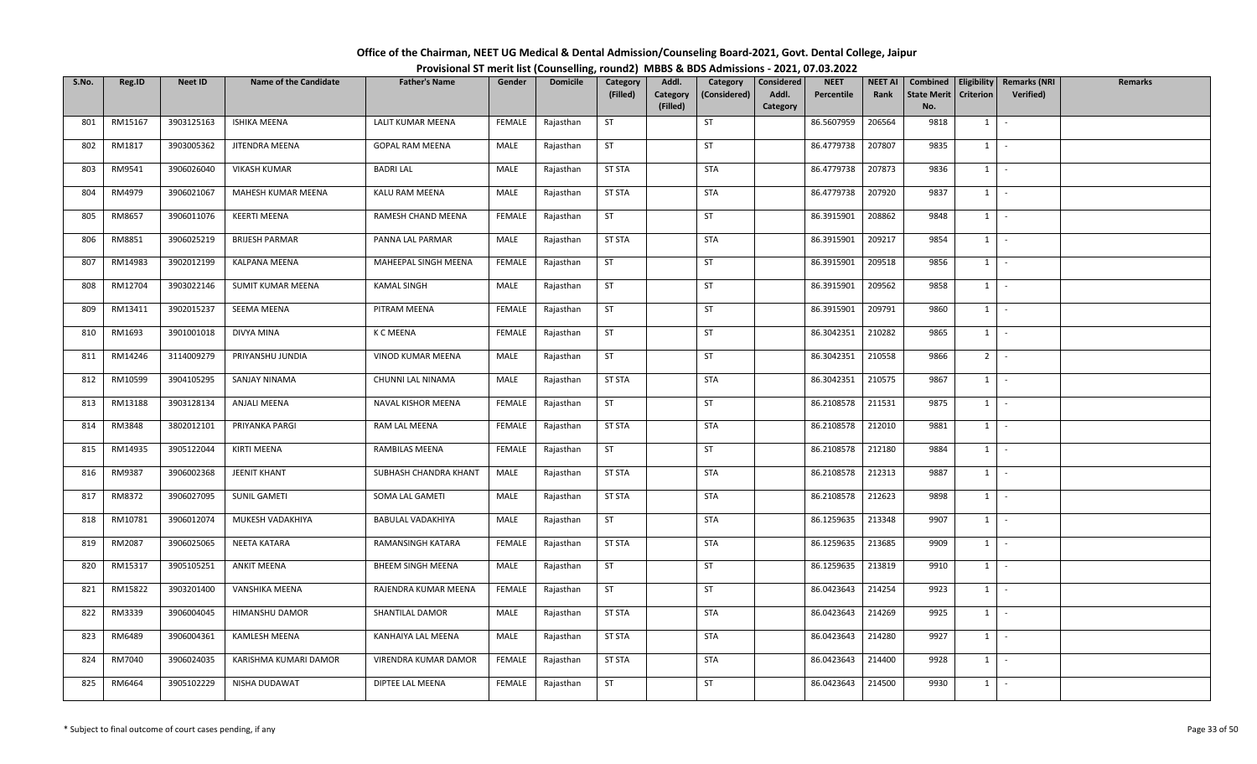| Office of the Chairman, NEET UG Medical & Dental Admission/Counseling Board-2021, Govt. Dental College, Jaipur |  |
|----------------------------------------------------------------------------------------------------------------|--|
| Provisional ST merit list (Counselling, round2) MBBS & BDS Admissions - 2021, 07.03.2022                       |  |

| S.No. | Reg.ID  | <b>Neet ID</b> | <b>Name of the Candidate</b> | <b>Father's Name</b>     | Gender        | <b>Domicile</b> | Category      | Addl.                | Category     | Considered        | <b>NEET</b> | <b>NEET AI</b> | Combined                  |                  | Eligibility   Remarks (NRI | <b>Remarks</b> |
|-------|---------|----------------|------------------------------|--------------------------|---------------|-----------------|---------------|----------------------|--------------|-------------------|-------------|----------------|---------------------------|------------------|----------------------------|----------------|
|       |         |                |                              |                          |               |                 | (Filled)      | Category<br>(Filled) | (Considered) | Addl.<br>Category | Percentile  | Rank           | <b>State Merit</b><br>No. | <b>Criterion</b> | Verified)                  |                |
| 801   | RM15167 | 3903125163     | ISHIKA MEENA                 | LALIT KUMAR MEENA        | FEMALE        | Rajasthan       | <b>ST</b>     |                      | ST           |                   | 86.5607959  | 206564         | 9818                      | 1                | $\sim$                     |                |
|       |         |                |                              |                          |               |                 |               |                      |              |                   |             |                |                           |                  |                            |                |
| 802   | RM1817  | 3903005362     | JITENDRA MEENA               | GOPAL RAM MEENA          | MALE          | Rajasthan       | ST            |                      | <b>ST</b>    |                   | 86.4779738  | 207807         | 9835                      | 1                | $\sim$                     |                |
| 803   | RM9541  | 3906026040     | <b>VIKASH KUMAR</b>          | <b>BADRI LAL</b>         | MALE          | Rajasthan       | <b>ST STA</b> |                      | <b>STA</b>   |                   | 86.4779738  | 207873         | 9836                      | $1 \mid$         | $\sim$ $-$                 |                |
| 804   | RM4979  | 3906021067     | MAHESH KUMAR MEENA           | KALU RAM MEENA           | MALE          | Rajasthan       | <b>ST STA</b> |                      | <b>STA</b>   |                   | 86.4779738  | 207920         | 9837                      | $1$ $-$          |                            |                |
| 805   | RM8657  | 3906011076     | <b>KEERTI MEENA</b>          | RAMESH CHAND MEENA       | <b>FEMALE</b> | Rajasthan       | <b>ST</b>     |                      | ST           |                   | 86.3915901  | 208862         | 9848                      | $1 \mid$         | $\sim$                     |                |
| 806   | RM8851  | 3906025219     | <b>BRIJESH PARMAR</b>        | PANNA LAL PARMAR         | MALE          | Rajasthan       | <b>ST STA</b> |                      | <b>STA</b>   |                   | 86.3915901  | 209217         | 9854                      | 1                | $\sim$                     |                |
| 807   | RM14983 | 3902012199     | KALPANA MEENA                | MAHEEPAL SINGH MEENA     | FEMALE        | Rajasthan       | ST            |                      | ST           |                   | 86.3915901  | 209518         | 9856                      | $1 \quad$        | $\sim$                     |                |
| 808   | RM12704 | 3903022146     | SUMIT KUMAR MEENA            | <b>KAMAL SINGH</b>       | MALE          | Rajasthan       | <b>ST</b>     |                      | ST           |                   | 86.3915901  | 209562         | 9858                      | 1                | $\sim$                     |                |
| 809   | RM13411 | 3902015237     | SEEMA MEENA                  | PITRAM MEENA             | FEMALE        | Rajasthan       | <b>ST</b>     |                      | ST           |                   | 86.3915901  | 209791         | 9860                      | 1                | $\sim$                     |                |
| 810   | RM1693  | 3901001018     | DIVYA MINA                   | K C MEENA                | FEMALE        | Rajasthan       | ST            |                      | ST           |                   | 86.3042351  | 210282         | 9865                      | 1                | $\sim$                     |                |
| 811   | RM14246 | 3114009279     | PRIYANSHU JUNDIA             | VINOD KUMAR MEENA        | MALE          | Rajasthan       | <b>ST</b>     |                      | <b>ST</b>    |                   | 86.3042351  | 210558         | 9866                      | $2$ -            |                            |                |
| 812   | RM10599 | 3904105295     | SANJAY NINAMA                | CHUNNI LAL NINAMA        | MALE          | Rajasthan       | <b>ST STA</b> |                      | STA          |                   | 86.3042351  | 210575         | 9867                      | $1 \quad$        | $\sim$                     |                |
| 813   | RM13188 | 3903128134     | ANJALI MEENA                 | NAVAL KISHOR MEENA       | FEMALE        | Rajasthan       | <b>ST</b>     |                      | ST           |                   | 86.2108578  | 211531         | 9875                      | 1                | $\sim$                     |                |
| 814   | RM3848  | 3802012101     | PRIYANKA PARGI               | RAM LAL MEENA            | FEMALE        | Rajasthan       | <b>ST STA</b> |                      | <b>STA</b>   |                   | 86.2108578  | 212010         | 9881                      | $1 \mid$         | $\sim$                     |                |
| 815   | RM14935 | 3905122044     | KIRTI MEENA                  | RAMBILAS MEENA           | FEMALE        | Rajasthan       | <b>ST</b>     |                      | <b>ST</b>    |                   | 86.2108578  | 212180         | 9884                      | $1 \quad$        | $\sim$                     |                |
| 816   | RM9387  | 3906002368     | JEENIT KHANT                 | SUBHASH CHANDRA KHANT    | MALE          | Rajasthan       | <b>ST STA</b> |                      | <b>STA</b>   |                   | 86.2108578  | 212313         | 9887                      | $1 \mid$         | $\sim$                     |                |
| 817   | RM8372  | 3906027095     | <b>SUNIL GAMETI</b>          | SOMA LAL GAMETI          | MALE          | Rajasthan       | <b>ST STA</b> |                      | <b>STA</b>   |                   | 86.2108578  | 212623         | 9898                      | 1                | $\sim$                     |                |
| 818   | RM10781 | 3906012074     | MUKESH VADAKHIYA             | BABULAL VADAKHIYA        | MALE          | Rajasthan       | ST            |                      | <b>STA</b>   |                   | 86.1259635  | 213348         | 9907                      | 1                | $\sim$                     |                |
| 819   | RM2087  | 3906025065     | NEETA KATARA                 | RAMANSINGH KATARA        | <b>FEMALE</b> | Rajasthan       | <b>ST STA</b> |                      | <b>STA</b>   |                   | 86.1259635  | 213685         | 9909                      | $1 \cdot$        |                            |                |
| 820   | RM15317 | 3905105251     | <b>ANKIT MEENA</b>           | <b>BHEEM SINGH MEENA</b> | MALE          | Rajasthan       | <b>ST</b>     |                      | ST           |                   | 86.1259635  | 213819         | 9910                      | $1 \quad$        | $\sim$                     |                |
| 821   | RM15822 | 3903201400     | VANSHIKA MEENA               | RAJENDRA KUMAR MEENA     | <b>FEMALE</b> | Rajasthan       | <b>ST</b>     |                      | <b>ST</b>    |                   | 86.0423643  | 214254         | 9923                      | 1                | $\sim$                     |                |
| 822   | RM3339  | 3906004045     | HIMANSHU DAMOR               | SHANTILAL DAMOR          | MALE          | Rajasthan       | <b>ST STA</b> |                      | <b>STA</b>   |                   | 86.0423643  | 214269         | 9925                      | 1                | $\sim$                     |                |
| 823   | RM6489  | 3906004361     | <b>KAMLESH MEENA</b>         | KANHAIYA LAL MEENA       | MALE          | Rajasthan       | <b>ST STA</b> |                      | STA          |                   | 86.0423643  | 214280         | 9927                      | $1 \quad$        | $\sim$                     |                |
| 824   | RM7040  | 3906024035     | KARISHMA KUMARI DAMOR        | VIRENDRA KUMAR DAMOR     | FEMALE        | Rajasthan       | <b>ST STA</b> |                      | STA          |                   | 86.0423643  | 214400         | 9928                      | $1 \quad$        | $\sim$                     |                |
| 825   | RM6464  | 3905102229     | NISHA DUDAWAT                | DIPTEE LAL MEENA         | <b>FEMALE</b> | Rajasthan       | ST            |                      | ST           |                   | 86.0423643  | 214500         | 9930                      | $1 \quad$        | $\sim$                     |                |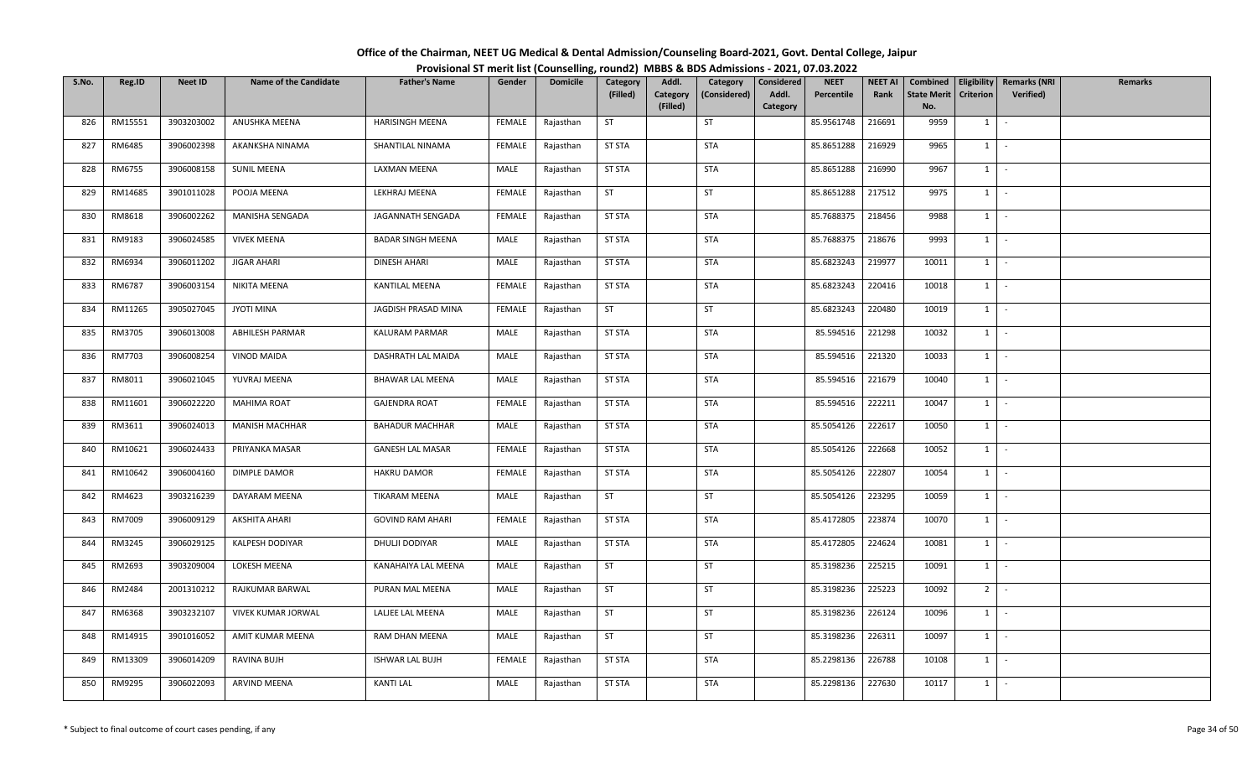| Office of the Chairman, NEET UG Medical & Dental Admission/Counseling Board-2021, Govt. Dental College, Jaipur |  |
|----------------------------------------------------------------------------------------------------------------|--|
| Provisional ST merit list (Counselling, round2) MBBS & BDS Admissions - 2021, 07.03.2022                       |  |

| S.No. | Reg.ID  | <b>Neet ID</b> | <b>Name of the Candidate</b> | <b>Father's Name</b>     | Gender        | <b>Domicile</b> | Category      | Addl.                | Category     | Considered        | <b>NEET</b> | <b>NEET AI</b> | Combined                  |                  | Eligibility   Remarks (NRI | <b>Remarks</b> |
|-------|---------|----------------|------------------------------|--------------------------|---------------|-----------------|---------------|----------------------|--------------|-------------------|-------------|----------------|---------------------------|------------------|----------------------------|----------------|
|       |         |                |                              |                          |               |                 | (Filled)      | Category<br>(Filled) | (Considered) | Addl.<br>Category | Percentile  | Rank           | <b>State Merit</b><br>No. | <b>Criterion</b> | <b>Verified</b> )          |                |
| 826   | RM15551 | 3903203002     | ANUSHKA MEENA                | <b>HARISINGH MEENA</b>   | FEMALE        | Rajasthan       | <b>ST</b>     |                      | ST           |                   | 85.9561748  | 216691         | 9959                      | 1                | $\sim$                     |                |
|       |         |                |                              |                          |               |                 |               |                      |              |                   |             |                |                           |                  |                            |                |
| 827   | RM6485  | 3906002398     | AKANKSHA NINAMA              | SHANTILAL NINAMA         | FEMALE        | Rajasthan       | <b>ST STA</b> |                      | <b>STA</b>   |                   | 85.8651288  | 216929         | 9965                      | 1                | $\sim$                     |                |
| 828   | RM6755  | 3906008158     | <b>SUNIL MEENA</b>           | LAXMAN MEENA             | MALE          | Rajasthan       | <b>ST STA</b> |                      | <b>STA</b>   |                   | 85.8651288  | 216990         | 9967                      | $1 \mid$         | $\sim$ $-$                 |                |
| 829   | RM14685 | 3901011028     | POOJA MEENA                  | LEKHRAJ MEENA            | <b>FEMALE</b> | Rajasthan       | ST            |                      | ST           |                   | 85.8651288  | 217512         | 9975                      | $1 \mid$         | $\sim$                     |                |
| 830   | RM8618  | 3906002262     | MANISHA SENGADA              | JAGANNATH SENGADA        | <b>FEMALE</b> | Rajasthan       | <b>ST STA</b> |                      | <b>STA</b>   |                   | 85.7688375  | 218456         | 9988                      | $1 \mid$         | $\sim$                     |                |
| 831   | RM9183  | 3906024585     | <b>VIVEK MEENA</b>           | <b>BADAR SINGH MEENA</b> | MALE          | Rajasthan       | <b>ST STA</b> |                      | <b>STA</b>   |                   | 85.7688375  | 218676         | 9993                      | 1                | $\sim$                     |                |
| 832   | RM6934  | 3906011202     | JIGAR AHARI                  | DINESH AHARI             | MALE          | Rajasthan       | <b>ST STA</b> |                      | STA          |                   | 85.6823243  | 219977         | 10011                     | $1 \vert$        | $\sim$                     |                |
| 833   | RM6787  | 3906003154     | NIKITA MEENA                 | KANTILAL MEENA           | <b>FEMALE</b> | Rajasthan       | <b>ST STA</b> |                      | <b>STA</b>   |                   | 85.6823243  | 220416         | 10018                     | 1                | $\sim$                     |                |
| 834   | RM11265 | 3905027045     | JYOTI MINA                   | JAGDISH PRASAD MINA      | FEMALE        | Rajasthan       | <b>ST</b>     |                      | ST           |                   | 85.6823243  | 220480         | 10019                     | 1                | $\sim$                     |                |
| 835   | RM3705  | 3906013008     | ABHILESH PARMAR              | KALURAM PARMAR           | MALE          | Rajasthan       | <b>ST STA</b> |                      | <b>STA</b>   |                   | 85.594516   | 221298         | 10032                     | 1                | $\sim$                     |                |
| 836   | RM7703  | 3906008254     | <b>VINOD MAIDA</b>           | DASHRATH LAL MAIDA       | MALE          | Rajasthan       | <b>ST STA</b> |                      | STA          |                   | 85.594516   | 221320         | 10033                     | $1$ $\vdots$     |                            |                |
| 837   | RM8011  | 3906021045     | YUVRAJ MEENA                 | <b>BHAWAR LAL MEENA</b>  | MALE          | Rajasthan       | <b>ST STA</b> |                      | <b>STA</b>   |                   | 85.594516   | 221679         | 10040                     | 1                | $\sim$                     |                |
| 838   | RM11601 | 3906022220     | <b>MAHIMA ROAT</b>           | <b>GAJENDRA ROAT</b>     | <b>FEMALE</b> | Rajasthan       | <b>ST STA</b> |                      | <b>STA</b>   |                   | 85.594516   | 222211         | 10047                     | 1                | $\sim$                     |                |
| 839   | RM3611  | 3906024013     | <b>MANISH MACHHAR</b>        | <b>BAHADUR MACHHAR</b>   | MALE          | Rajasthan       | <b>ST STA</b> |                      | <b>STA</b>   |                   | 85.5054126  | 222617         | 10050                     | $1 \mid$         | $\sim$                     |                |
| 840   | RM10621 | 3906024433     | PRIYANKA MASAR               | <b>GANESH LAL MASAR</b>  | FEMALE        | Rajasthan       | <b>ST STA</b> |                      | STA          |                   | 85.5054126  | 222668         | 10052                     | $1 \vert$        | $\sim$                     |                |
| 841   | RM10642 | 3906004160     | DIMPLE DAMOR                 | <b>HAKRU DAMOR</b>       | FEMALE        | Rajasthan       | <b>ST STA</b> |                      | <b>STA</b>   |                   | 85.5054126  | 222807         | 10054                     | 1                | $\sim$                     |                |
| 842   | RM4623  | 3903216239     | DAYARAM MEENA                | TIKARAM MEENA            | MALE          | Rajasthan       | <b>ST</b>     |                      | ST           |                   | 85.5054126  | 223295         | 10059                     | 1                | $\sim$                     |                |
| 843   | RM7009  | 3906009129     | AKSHITA AHARI                | <b>GOVIND RAM AHARI</b>  | <b>FEMALE</b> | Rajasthan       | <b>ST STA</b> |                      | <b>STA</b>   |                   | 85.4172805  | 223874         | 10070                     | 1                | $\sim$                     |                |
| 844   | RM3245  | 3906029125     | KALPESH DODIYAR              | DHULJI DODIYAR           | MALE          | Rajasthan       | <b>ST STA</b> |                      | <b>STA</b>   |                   | 85.4172805  | 224624         | 10081                     | $1 \cdot$        |                            |                |
| 845   | RM2693  | 3903209004     | LOKESH MEENA                 | KANAHAIYA LAL MEENA      | MALE          | Rajasthan       | <b>ST</b>     |                      | ST           |                   | 85.3198236  | 225215         | 10091                     | $1 \vert$        | $\sim$                     |                |
| 846   | RM2484  | 2001310212     | RAJKUMAR BARWAL              | PURAN MAL MEENA          | MALE          | Rajasthan       | <b>ST</b>     |                      | ST           |                   | 85.3198236  | 225223         | 10092                     | 2 <sup>1</sup>   | $\sim$                     |                |
| 847   | RM6368  | 3903232107     | VIVEK KUMAR JORWAL           | LALJEE LAL MEENA         | MALE          | Rajasthan       | <b>ST</b>     |                      | ST           |                   | 85.3198236  | 226124         | 10096                     | 1                | $\sim$                     |                |
| 848   | RM14915 | 3901016052     | AMIT KUMAR MEENA             | RAM DHAN MEENA           | MALE          | Rajasthan       | <b>ST</b>     |                      | ST           |                   | 85.3198236  | 226311         | 10097                     | $1 \quad$        | $\sim$                     |                |
| 849   | RM13309 | 3906014209     | RAVINA BUJH                  | ISHWAR LAL BUJH          | <b>FEMALE</b> | Rajasthan       | <b>ST STA</b> |                      | STA          |                   | 85.2298136  | 226788         | 10108                     | $1 \vert$        | $\sim$                     |                |
| 850   | RM9295  | 3906022093     | ARVIND MEENA                 | <b>KANTI LAL</b>         | MALE          | Rajasthan       | <b>ST STA</b> |                      | <b>STA</b>   |                   | 85.2298136  | 227630         | 10117                     | $1 \quad$        | $\sim$                     |                |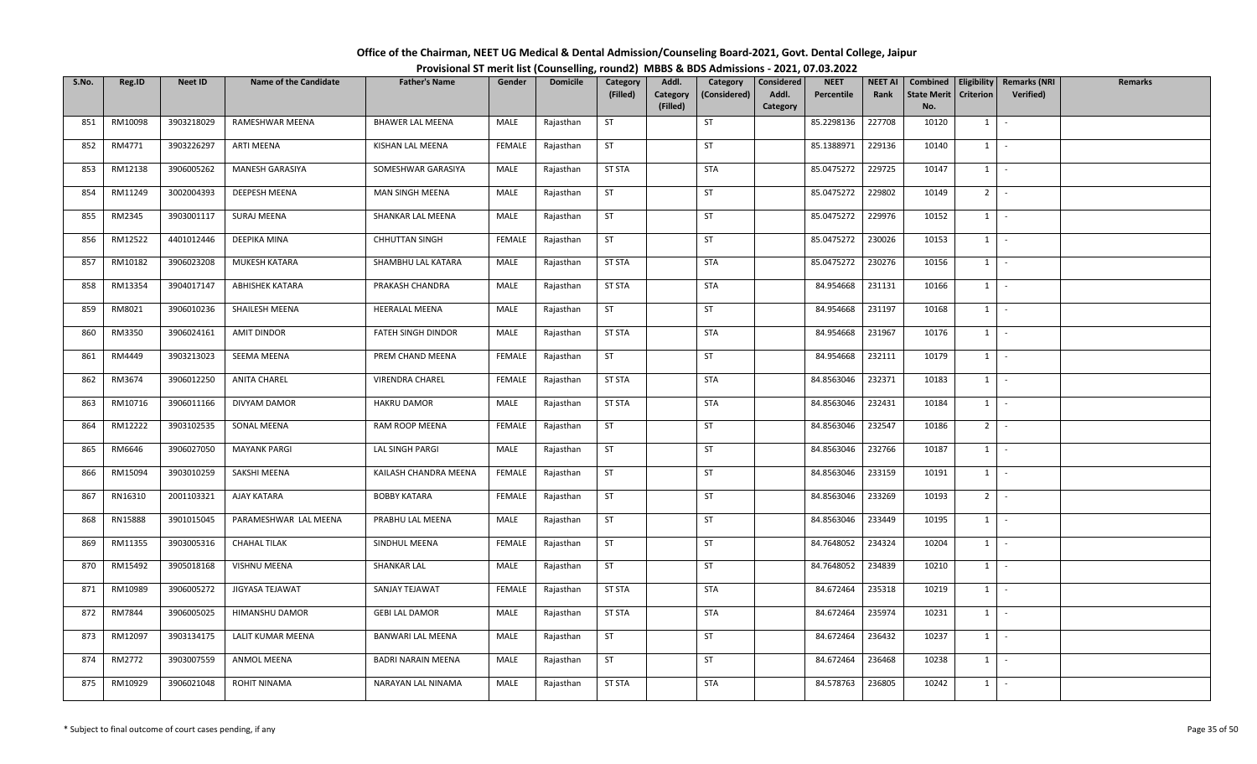| Office of the Chairman, NEET UG Medical & Dental Admission/Counseling Board-2021, Govt. Dental College, Jaipur |  |
|----------------------------------------------------------------------------------------------------------------|--|
| Provisional ST merit list (Counselling, round2) MBBS & BDS Admissions - 2021, 07.03.2022                       |  |

| S.No. | Reg.ID  | <b>Neet ID</b> | <b>Name of the Candidate</b> | <b>Father's Name</b>      | Gender        | <b>Domicile</b> | Category      | Addl.                | Category     | Considered        | <b>NEET</b> | <b>NEET AI</b> | Combined                  |                | Eligibility   Remarks (NRI | <b>Remarks</b> |
|-------|---------|----------------|------------------------------|---------------------------|---------------|-----------------|---------------|----------------------|--------------|-------------------|-------------|----------------|---------------------------|----------------|----------------------------|----------------|
|       |         |                |                              |                           |               |                 | (Filled)      | Category<br>(Filled) | (Considered) | Addl.<br>Category | Percentile  | Rank           | <b>State Merit</b><br>No. | Criterion      | Verified)                  |                |
| 851   | RM10098 | 3903218029     | RAMESHWAR MEENA              | <b>BHAWER LAL MEENA</b>   | MALE          | Rajasthan       | <b>ST</b>     |                      | ST           |                   | 85.2298136  | 227708         | 10120                     | $1 \quad$      | $\sim$                     |                |
|       |         |                |                              |                           |               |                 |               |                      |              |                   |             |                |                           |                |                            |                |
| 852   | RM4771  | 3903226297     | <b>ARTI MEENA</b>            | KISHAN LAL MEENA          | FEMALE        | Rajasthan       | <b>ST</b>     |                      | ST           |                   | 85.1388971  | 229136         | 10140                     | $1 \quad$      | $\sim$                     |                |
| 853   | RM12138 | 3906005262     | MANESH GARASIYA              | SOMESHWAR GARASIYA        | MALE          | Rajasthan       | <b>ST STA</b> |                      | STA          |                   | 85.0475272  | 229725         | 10147                     | $1 \quad$      | $\sim$                     |                |
| 854   | RM11249 | 3002004393     | DEEPESH MEENA                | MAN SINGH MEENA           | MALE          | Rajasthan       | <b>ST</b>     |                      | ST           |                   | 85.0475272  | 229802         | 10149                     | $2$ -          |                            |                |
| 855   | RM2345  | 3903001117     | SURAJ MEENA                  | SHANKAR LAL MEENA         | MALE          | Rajasthan       | <b>ST</b>     |                      | ST           |                   | 85.0475272  | 229976         | 10152                     | 1              | $\sim$                     |                |
| 856   | RM12522 | 4401012446     | DEEPIKA MINA                 | <b>CHHUTTAN SINGH</b>     | FEMALE        | Rajasthan       | ST            |                      | ST           |                   | 85.0475272  | 230026         | 10153                     | $1 \mid -$     |                            |                |
| 857   | RM10182 | 3906023208     | MUKESH KATARA                | SHAMBHU LAL KATARA        | MALE          | Rajasthan       | <b>ST STA</b> |                      | STA          |                   | 85.0475272  | 230276         | 10156                     | 1              | $\sim$                     |                |
| 858   | RM13354 | 3904017147     | <b>ABHISHEK KATARA</b>       | PRAKASH CHANDRA           | MALE          | Rajasthan       | <b>ST STA</b> |                      | <b>STA</b>   |                   | 84.954668   | 231131         | 10166                     | 1              | $\sim$                     |                |
| 859   | RM8021  | 3906010236     | SHAILESH MEENA               | <b>HEERALAL MEENA</b>     | MALE          | Rajasthan       | <b>ST</b>     |                      | ST           |                   | 84.954668   | 231197         | 10168                     | $1 \quad$      | $\sim$                     |                |
| 860   | RM3350  | 3906024161     | AMIT DINDOR                  | FATEH SINGH DINDOR        | MALE          | Rajasthan       | <b>ST STA</b> |                      | <b>STA</b>   |                   | 84.954668   | 231967         | 10176                     | $1 \vert$      | $\sim$                     |                |
| 861   | RM4449  | 3903213023     | SEEMA MEENA                  | PREM CHAND MEENA          | <b>FEMALE</b> | Rajasthan       | ST            |                      | ST           |                   | 84.954668   | 232111         | 10179                     | $1 \mid$       | $\sim$                     |                |
| 862   | RM3674  | 3906012250     | <b>ANITA CHAREL</b>          | <b>VIRENDRA CHAREL</b>    | <b>FEMALE</b> | Rajasthan       | <b>ST STA</b> |                      | STA          |                   | 84.8563046  | 232371         | 10183                     | $1 \vert$      | $\sim$                     |                |
| 863   | RM10716 | 3906011166     | DIVYAM DAMOR                 | <b>HAKRU DAMOR</b>        | MALE          | Rajasthan       | <b>ST STA</b> |                      | STA          |                   | 84.8563046  | 232431         | 10184                     | 1              | $\sim$                     |                |
| 864   | RM12222 | 3903102535     | SONAL MEENA                  | RAM ROOP MEENA            | FEMALE        | Rajasthan       | <b>ST</b>     |                      | ST           |                   | 84.8563046  | 232547         | 10186                     | 2 <sup>1</sup> | $\sim$                     |                |
| 865   | RM6646  | 3906027050     | <b>MAYANK PARGI</b>          | LAL SINGH PARGI           | MALE          | Rajasthan       | <b>ST</b>     |                      | ST           |                   | 84.8563046  | 232766         | 10187                     | 1              | $\sim$                     |                |
| 866   | RM15094 | 3903010259     | SAKSHI MEENA                 | KAILASH CHANDRA MEENA     | FEMALE        | Rajasthan       | <b>ST</b>     |                      | <b>ST</b>    |                   | 84.8563046  | 233159         | 10191                     | 1              | $\sim$                     |                |
| 867   | RN16310 | 2001103321     | AJAY KATARA                  | <b>BOBBY KATARA</b>       | FEMALE        | Rajasthan       | <b>ST</b>     |                      | ST           |                   | 84.8563046  | 233269         | 10193                     | 2 <sup>1</sup> | $\sim$                     |                |
| 868   | RN15888 | 3901015045     | PARAMESHWAR LAL MEENA        | PRABHU LAL MEENA          | MALE          | Rajasthan       | <b>ST</b>     |                      | ST           |                   | 84.8563046  | 233449         | 10195                     | $1 \mid$       | $\sim$                     |                |
| 869   | RM11355 | 3903005316     | <b>CHAHAL TILAK</b>          | SINDHUL MEENA             | FEMALE        | Rajasthan       | <b>ST</b>     |                      | ST           |                   | 84.7648052  | 234324         | 10204                     | $1 \mid$       | $\sim$                     |                |
| 870   | RM15492 | 3905018168     | VISHNU MEENA                 | SHANKAR LAL               | MALE          | Rajasthan       | <b>ST</b>     |                      | ST           |                   | 84.7648052  | 234839         | 10210                     | $1 \quad$      | $\sim$                     |                |
| 871   | RM10989 | 3906005272     | JIGYASA TEJAWAT              | SANJAY TEJAWAT            | <b>FEMALE</b> | Rajasthan       | <b>ST STA</b> |                      | STA          |                   | 84.672464   | 235318         | 10219                     | 1              | $\sim$                     |                |
| 872   | RM7844  | 3906005025     | HIMANSHU DAMOR               | <b>GEBI LAL DAMOR</b>     | MALE          | Rajasthan       | <b>ST STA</b> |                      | STA          |                   | 84.672464   | 235974         | 10231                     | $1$ $-$        |                            |                |
| 873   | RM12097 | 3903134175     | LALIT KUMAR MEENA            | BANWARI LAL MEENA         | MALE          | Rajasthan       | <b>ST</b>     |                      | <b>ST</b>    |                   | 84.672464   | 236432         | 10237                     | 1              | $\sim$                     |                |
| 874   | RM2772  | 3903007559     | ANMOL MEENA                  | <b>BADRI NARAIN MEENA</b> | MALE          | Rajasthan       | <b>ST</b>     |                      | <b>ST</b>    |                   | 84.672464   | 236468         | 10238                     | $1 \quad$      | $\sim$                     |                |
| 875   | RM10929 | 3906021048     | <b>ROHIT NINAMA</b>          | NARAYAN LAL NINAMA        | MALE          | Rajasthan       | <b>ST STA</b> |                      | STA          |                   | 84.578763   | 236805         | 10242                     | $1 \quad$      | $\sim$                     |                |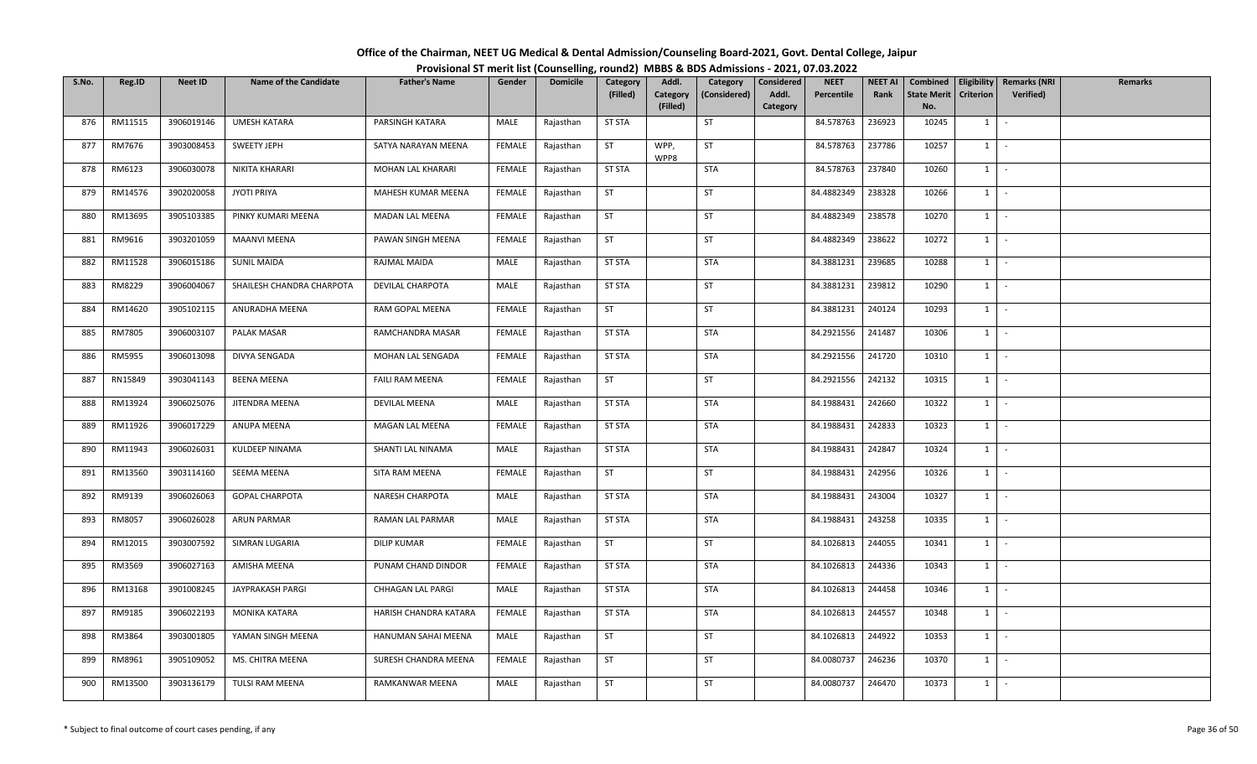| Office of the Chairman, NEET UG Medical & Dental Admission/Counseling Board-2021, Govt. Dental College, Jaipur |  |
|----------------------------------------------------------------------------------------------------------------|--|
| Provisional ST merit list (Counselling, round2) MBBS & BDS Admissions - 2021, 07.03.2022                       |  |

| S.No. | Reg.ID  | <b>Neet ID</b> | <b>Name of the Candidate</b> | <b>Father's Name</b>  | Gender        | <b>Domicile</b> | Category      | Addl.                | Category     | Considered        | <b>NEET</b> | <b>NEET AI</b> | Combined                  |                  | Eligibility   Remarks (NRI | Remarks |
|-------|---------|----------------|------------------------------|-----------------------|---------------|-----------------|---------------|----------------------|--------------|-------------------|-------------|----------------|---------------------------|------------------|----------------------------|---------|
|       |         |                |                              |                       |               |                 | (Filled)      | Category<br>(Filled) | (Considered) | Addl.<br>Category | Percentile  | Rank           | <b>State Merit</b><br>No. | <b>Criterion</b> | Verified)                  |         |
| 876   | RM11515 | 3906019146     | <b>UMESH KATARA</b>          | PARSINGH KATARA       | MALE          | Rajasthan       | <b>ST STA</b> |                      | ST           |                   | 84.578763   | 236923         | 10245                     | 1                | $\sim$                     |         |
| 877   | RM7676  | 3903008453     | SWEETY JEPH                  | SATYA NARAYAN MEENA   | FEMALE        | Rajasthan       | ST            | WPP,                 | ST           |                   | 84.578763   | 237786         | 10257                     | $1 \quad$        | $\sim$                     |         |
|       |         |                |                              |                       |               |                 |               | WPP8                 |              |                   |             |                |                           |                  |                            |         |
| 878   | RM6123  | 3906030078     | NIKITA KHARARI               | MOHAN LAL KHARARI     | <b>FEMALE</b> | Rajasthan       | <b>ST STA</b> |                      | <b>STA</b>   |                   | 84.578763   | 237840         | 10260                     |                  | $1 \cdot$                  |         |
| 879   | RM14576 | 3902020058     | <b>JYOTI PRIYA</b>           | MAHESH KUMAR MEENA    | FEMALE        | Rajasthan       | ST            |                      | ST           |                   | 84.4882349  | 238328         | 10266                     | $1$ $-$          |                            |         |
| 880   | RM13695 | 3905103385     | PINKY KUMARI MEENA           | MADAN LAL MEENA       | <b>FEMALE</b> | Rajasthan       | ST            |                      | ST           |                   | 84.4882349  | 238578         | 10270                     | $1 \mid$         | $\sim$                     |         |
| 881   | RM9616  | 3903201059     | <b>MAANVI MEENA</b>          | PAWAN SINGH MEENA     | FEMALE        | Rajasthan       | ST            |                      | ST           |                   | 84.4882349  | 238622         | 10272                     | $1 \mid$         | $\sim$                     |         |
| 882   | RM11528 | 3906015186     | <b>SUNIL MAIDA</b>           | RAJMAL MAIDA          | MALE          | Rajasthan       | ST STA        |                      | STA          |                   | 84.3881231  | 239685         | 10288                     | $1 \quad$        | $\sim$                     |         |
| 883   | RM8229  | 3906004067     | SHAILESH CHANDRA CHARPOTA    | DEVILAL CHARPOTA      | MALE          | Rajasthan       | <b>ST STA</b> |                      | ST           |                   | 84.3881231  | 239812         | 10290                     | 1                | $\sim$ $-$                 |         |
| 884   | RM14620 | 3905102115     | ANURADHA MEENA               | RAM GOPAL MEENA       | FEMALE        | Rajasthan       | <b>ST</b>     |                      | ST           |                   | 84.3881231  | 240124         | 10293                     | $1$ $-$          |                            |         |
| 885   | RM7805  | 3906003107     | PALAK MASAR                  | RAMCHANDRA MASAR      | FEMALE        | Rajasthan       | <b>ST STA</b> |                      | <b>STA</b>   |                   | 84.2921556  | 241487         | 10306                     | $1 \quad$        | $\sim$                     |         |
| 886   | RM5955  | 3906013098     | DIVYA SENGADA                | MOHAN LAL SENGADA     | FEMALE        | Rajasthan       | <b>ST STA</b> |                      | <b>STA</b>   |                   | 84.2921556  | 241720         | 10310                     |                  | $1 \cdot$                  |         |
| 887   | RN15849 | 3903041143     | <b>BEENA MEENA</b>           | FAILI RAM MEENA       | <b>FEMALE</b> | Rajasthan       | <b>ST</b>     |                      | <b>ST</b>    |                   | 84.2921556  | 242132         | 10315                     | $1 \vert$        | $\sim$                     |         |
| 888   | RM13924 | 3906025076     | JITENDRA MEENA               | DEVILAL MEENA         | MALE          | Rajasthan       | <b>ST STA</b> |                      | <b>STA</b>   |                   | 84.1988431  | 242660         | 10322                     | 1                | $\sim$                     |         |
| 889   | RM11926 | 3906017229     | ANUPA MEENA                  | MAGAN LAL MEENA       | <b>FEMALE</b> | Rajasthan       | <b>ST STA</b> |                      | <b>STA</b>   |                   | 84.1988431  | 242833         | 10323                     | $1 \vert$        | $\sim$                     |         |
| 890   | RM11943 | 3906026031     | KULDEEP NINAMA               | SHANTI LAL NINAMA     | MALE          | Rajasthan       | <b>ST STA</b> |                      | STA          |                   | 84.1988431  | 242847         | 10324                     | $1 \quad$        | $\sim$                     |         |
| 891   | RM13560 | 3903114160     | SEEMA MEENA                  | SITA RAM MEENA        | <b>FEMALE</b> | Rajasthan       | <b>ST</b>     |                      | <b>ST</b>    |                   | 84.1988431  | 242956         | 10326                     | 1                | $\sim$ $-$                 |         |
| 892   | RM9139  | 3906026063     | <b>GOPAL CHARPOTA</b>        | NARESH CHARPOTA       | MALE          | Rajasthan       | <b>ST STA</b> |                      | <b>STA</b>   |                   | 84.1988431  | 243004         | 10327                     | 1                | $\sim$                     |         |
| 893   | RM8057  | 3906026028     | ARUN PARMAR                  | RAMAN LAL PARMAR      | MALE          | Rajasthan       | <b>ST STA</b> |                      | <b>STA</b>   |                   | 84.1988431  | 243258         | 10335                     | 1                | $\sim$                     |         |
| 894   | RM12015 | 3903007592     | SIMRAN LUGARIA               | <b>DILIP KUMAR</b>    | <b>FEMALE</b> | Rajasthan       | <b>ST</b>     |                      | ST           |                   | 84.1026813  | 244055         | 10341                     |                  | $1 \cdot$                  |         |
| 895   | RM3569  | 3906027163     | AMISHA MEENA                 | PUNAM CHAND DINDOR    | <b>FEMALE</b> | Rajasthan       | <b>ST STA</b> |                      | <b>STA</b>   |                   | 84.1026813  | 244336         | 10343                     | 1                | $\sim$                     |         |
| 896   | RM13168 | 3901008245     | JAYPRAKASH PARGI             | CHHAGAN LAL PARGI     | MALE          | Rajasthan       | <b>ST STA</b> |                      | <b>STA</b>   |                   | 84.1026813  | 244458         | 10346                     |                  | $1 \mid -$                 |         |
| 897   | RM9185  | 3906022193     | MONIKA KATARA                | HARISH CHANDRA KATARA | <b>FEMALE</b> | Rajasthan       | <b>ST STA</b> |                      | <b>STA</b>   |                   | 84.1026813  | 244557         | 10348                     | $1$ $-$          |                            |         |
| 898   | RM3864  | 3903001805     | YAMAN SINGH MEENA            | HANUMAN SAHAI MEENA   | MALE          | Rajasthan       | <b>ST</b>     |                      | ST           |                   | 84.1026813  | 244922         | 10353                     | $1 \quad$        | $\sim$                     |         |
| 899   | RM8961  | 3905109052     | MS. CHITRA MEENA             | SURESH CHANDRA MEENA  | FEMALE        | Rajasthan       | <b>ST</b>     |                      | ST           |                   | 84.0080737  | 246236         | 10370                     | $1 \quad$        | $\sim$                     |         |
| 900   | RM13500 | 3903136179     | TULSI RAM MEENA              | RAMKANWAR MEENA       | MALE          | Rajasthan       | ST            |                      | ST           |                   | 84.0080737  | 246470         | 10373                     | $1 \quad$        | $\sim$                     |         |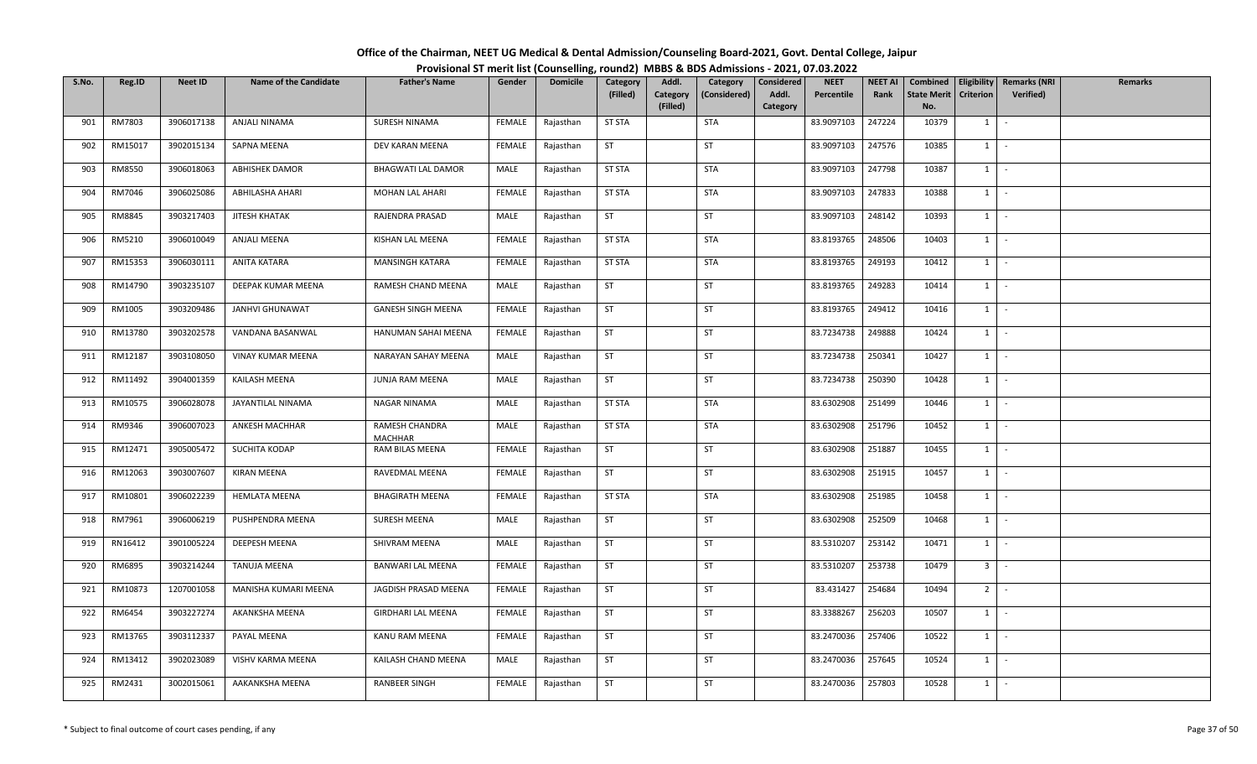| Office of the Chairman, NEET UG Medical & Dental Admission/Counseling Board-2021, Govt. Dental College, Jaipur |  |
|----------------------------------------------------------------------------------------------------------------|--|
| Provisional ST merit list (Counselling, round2) MBBS & BDS Admissions - 2021, 07.03.2022                       |  |

| S.No. | Reg.ID  | <b>Neet ID</b> | <b>Name of the Candidate</b> | <b>Father's Name</b>             | Gender        | <b>Domicile</b> | Category      | Addl.                | Category     | Considered | <b>NEET</b> | <b>NEET AI</b> | Combined                  |                  | Eligibility   Remarks (NRI | Remarks |
|-------|---------|----------------|------------------------------|----------------------------------|---------------|-----------------|---------------|----------------------|--------------|------------|-------------|----------------|---------------------------|------------------|----------------------------|---------|
|       |         |                |                              |                                  |               |                 | (Filled)      | Category<br>(Filled) | (Considered) | Addl.      | Percentile  | Rank           | <b>State Merit</b><br>No. | <b>Criterion</b> | <b>Verified</b> )          |         |
| 901   | RM7803  | 3906017138     | ANJALI NINAMA                | SURESH NINAMA                    | FEMALE        | Rajasthan       | <b>ST STA</b> |                      | <b>STA</b>   | Category   | 83.9097103  | 247224         | 10379                     | 1                | $\sim$                     |         |
|       |         |                |                              |                                  |               |                 |               |                      |              |            |             |                |                           |                  |                            |         |
| 902   | RM15017 | 3902015134     | SAPNA MEENA                  | DEV KARAN MEENA                  | FEMALE        | Rajasthan       | <b>ST</b>     |                      | <b>ST</b>    |            | 83.9097103  | 247576         | 10385                     | $1 \quad$        | $\sim$                     |         |
| 903   | RM8550  | 3906018063     | <b>ABHISHEK DAMOR</b>        | <b>BHAGWATI LAL DAMOR</b>        | MALE          | Rajasthan       | <b>ST STA</b> |                      | <b>STA</b>   |            | 83.9097103  | 247798         | 10387                     | $1 \mid$         | $\sim$ $-$                 |         |
| 904   | RM7046  | 3906025086     | ABHILASHA AHARI              | MOHAN LAL AHARI                  | <b>FEMALE</b> | Rajasthan       | <b>ST STA</b> |                      | <b>STA</b>   |            | 83.9097103  | 247833         | 10388                     | $1 \mid$         | $\sim$                     |         |
| 905   | RM8845  | 3903217403     | JITESH KHATAK                | RAJENDRA PRASAD                  | MALE          | Rajasthan       | <b>ST</b>     |                      | ST           |            | 83.9097103  | 248142         | 10393                     | 1                | $\sim$                     |         |
| 906   | RM5210  | 3906010049     | ANJALI MEENA                 | KISHAN LAL MEENA                 | FEMALE        | Rajasthan       | <b>ST STA</b> |                      | STA          |            | 83.8193765  | 248506         | 10403                     | 1                | $\sim$                     |         |
| 907   | RM15353 | 3906030111     | ANITA KATARA                 | MANSINGH KATARA                  | FEMALE        | Rajasthan       | <b>ST STA</b> |                      | STA          |            | 83.8193765  | 249193         | 10412                     | $1 \quad$        | $\sim$                     |         |
| 908   | RM14790 | 3903235107     | DEEPAK KUMAR MEENA           | RAMESH CHAND MEENA               | MALE          | Rajasthan       | <b>ST</b>     |                      | ST           |            | 83.8193765  | 249283         | 10414                     | 1                | $\sim$                     |         |
| 909   | RM1005  | 3903209486     | <b>JANHVI GHUNAWAT</b>       | <b>GANESH SINGH MEENA</b>        | FEMALE        | Rajasthan       | ST            |                      | ST           |            | 83.8193765  | 249412         | 10416                     | 1                | $\sim$                     |         |
| 910   | RM13780 | 3903202578     | VANDANA BASANWAL             | HANUMAN SAHAI MEENA              | FEMALE        | Rajasthan       | <b>ST</b>     |                      | ST           |            | 83.7234738  | 249888         | 10424                     | 1                | $\sim$                     |         |
| 911   | RM12187 | 3903108050     | VINAY KUMAR MEENA            | NARAYAN SAHAY MEENA              | MALE          | Rajasthan       | ST            |                      | ST           |            | 83.7234738  | 250341         | 10427                     | $1$ $-$          |                            |         |
| 912   | RM11492 | 3904001359     | KAILASH MEENA                | JUNJA RAM MEENA                  | MALE          | Rajasthan       | <b>ST</b>     |                      | ST           |            | 83.7234738  | 250390         | 10428                     | $1 \quad$        | $\sim$                     |         |
| 913   | RM10575 | 3906028078     | JAYANTILAL NINAMA            | NAGAR NINAMA                     | MALE          | Rajasthan       | <b>ST STA</b> |                      | <b>STA</b>   |            | 83.6302908  | 251499         | 10446                     | 1                | $\sim$                     |         |
| 914   | RM9346  | 3906007023     | ANKESH MACHHAR               | RAMESH CHANDRA<br><b>MACHHAR</b> | MALE          | Rajasthan       | <b>ST STA</b> |                      | STA          |            | 83.6302908  | 251796         | 10452                     | $1 \quad$        | $\sim$                     |         |
| 915   | RM12471 | 3905005472     | SUCHITA KODAP                | RAM BILAS MEENA                  | FEMALE        | Rajasthan       | <b>ST</b>     |                      | <b>ST</b>    |            | 83.6302908  | 251887         | 10455                     | $1 \vert$        | $\sim$                     |         |
| 916   | RM12063 | 3903007607     | <b>KIRAN MEENA</b>           | RAVEDMAL MEENA                   | FEMALE        | Rajasthan       | <b>ST</b>     |                      | <b>ST</b>    |            | 83.6302908  | 251915         | 10457                     | 1                | $\sim$                     |         |
| 917   | RM10801 | 3906022239     | <b>HEMLATA MEENA</b>         | <b>BHAGIRATH MEENA</b>           | <b>FEMALE</b> | Rajasthan       | <b>ST STA</b> |                      | <b>STA</b>   |            | 83.6302908  | 251985         | 10458                     | 1                | $\sim$                     |         |
| 918   | RM7961  | 3906006219     | PUSHPENDRA MEENA             | SURESH MEENA                     | MALE          | Rajasthan       | ST            |                      | <b>ST</b>    |            | 83.6302908  | 252509         | 10468                     | 1                | $\sim$                     |         |
| 919   | RN16412 | 3901005224     | DEEPESH MEENA                | SHIVRAM MEENA                    | MALE          | Rajasthan       | <b>ST</b>     |                      | ST           |            | 83.5310207  | 253142         | 10471                     | $1 \cdot$        |                            |         |
| 920   | RM6895  | 3903214244     | <b>TANUJA MEENA</b>          | BANWARI LAL MEENA                | FEMALE        | Rajasthan       | <b>ST</b>     |                      | ST           |            | 83.5310207  | 253738         | 10479                     | 3 <sup>1</sup>   | $\sim$                     |         |
| 921   | RM10873 | 1207001058     | MANISHA KUMARI MEENA         | JAGDISH PRASAD MEENA             | FEMALE        | Rajasthan       | <b>ST</b>     |                      | <b>ST</b>    |            | 83.431427   | 254684         | 10494                     | 2 <sup>1</sup>   | $\sim$                     |         |
| 922   | RM6454  | 3903227274     | AKANKSHA MEENA               | GIRDHARI LAL MEENA               | FEMALE        | Rajasthan       | <b>ST</b>     |                      | ST           |            | 83.3388267  | 256203         | 10507                     | 1                | $\sim$                     |         |
| 923   | RM13765 | 3903112337     | PAYAL MEENA                  | KANU RAM MEENA                   | FEMALE        | Rajasthan       | ST            |                      | ST           |            | 83.2470036  | 257406         | 10522                     | $1 \quad$        | $\sim$                     |         |
| 924   | RM13412 | 3902023089     | VISHV KARMA MEENA            | KAILASH CHAND MEENA              | MALE          | Rajasthan       | <b>ST</b>     |                      | <b>ST</b>    |            | 83.2470036  | 257645         | 10524                     | $1 \quad$        | $\sim$                     |         |
| 925   | RM2431  | 3002015061     | AAKANKSHA MEENA              | RANBEER SINGH                    | <b>FEMALE</b> | Rajasthan       | <b>ST</b>     |                      | ST           |            | 83.2470036  | 257803         | 10528                     | $1 \quad$        | $\sim$                     |         |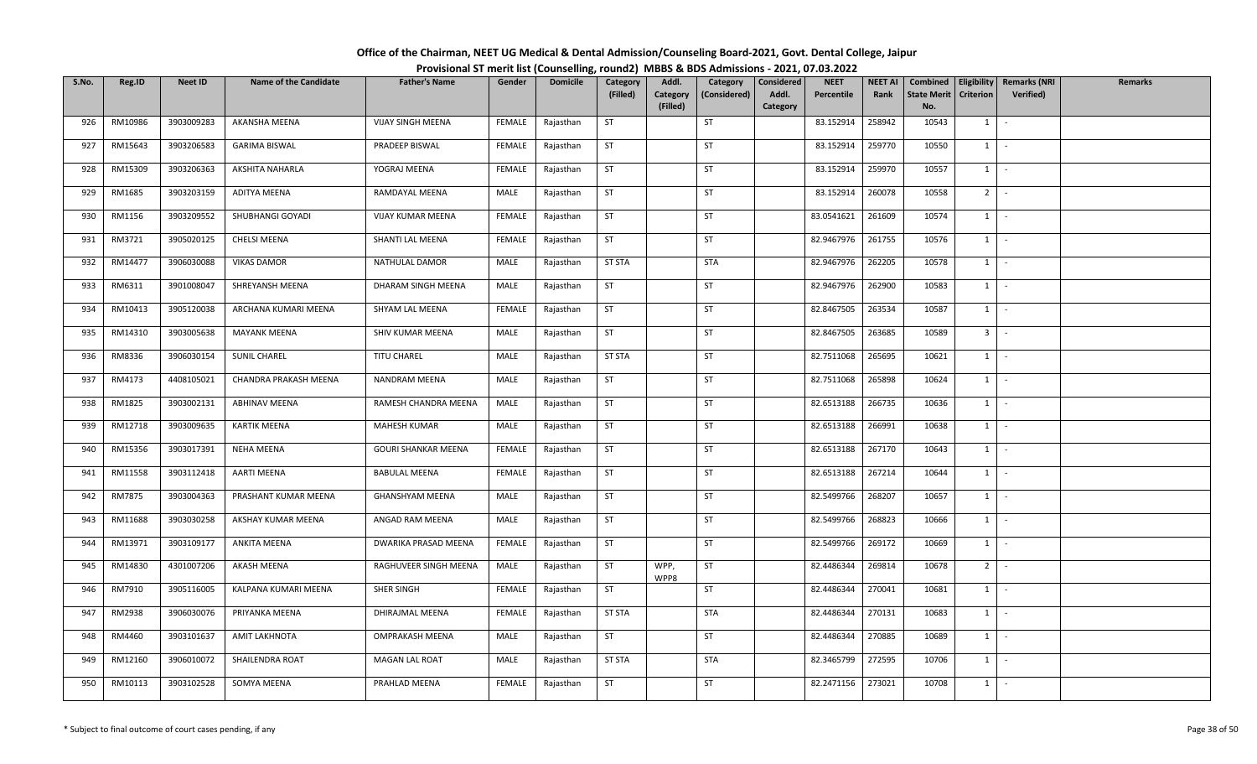| Office of the Chairman, NEET UG Medical & Dental Admission/Counseling Board-2021, Govt. Dental College, Jaipur |  |
|----------------------------------------------------------------------------------------------------------------|--|
| Provisional ST merit list (Counselling, round2) MBBS & BDS Admissions - 2021, 07.03.2022                       |  |

| S.No. | Reg.ID  | <b>Neet ID</b> | <b>Name of the Candidate</b> | <b>Father's Name</b>   | Gender        | <b>Domicile</b> | Category      | Addl.                | Category     | Considered        | <b>NEET</b> | <b>NEET AI</b> | Combined                  |                  | Eligibility   Remarks (NRI | <b>Remarks</b> |
|-------|---------|----------------|------------------------------|------------------------|---------------|-----------------|---------------|----------------------|--------------|-------------------|-------------|----------------|---------------------------|------------------|----------------------------|----------------|
|       |         |                |                              |                        |               |                 | (Filled)      | Category<br>(Filled) | (Considered) | Addl.<br>Category | Percentile  | Rank           | <b>State Merit</b><br>No. | <b>Criterion</b> | <b>Verified</b> )          |                |
| 926   | RM10986 | 3903009283     | AKANSHA MEENA                | VIJAY SINGH MEENA      | FEMALE        | Rajasthan       | <b>ST</b>     |                      | ST           |                   | 83.152914   | 258942         | 10543                     | 1                | $\sim$                     |                |
|       |         |                |                              |                        |               |                 |               |                      |              |                   |             |                |                           |                  |                            |                |
| 927   | RM15643 | 3903206583     | <b>GARIMA BISWAL</b>         | PRADEEP BISWAL         | FEMALE        | Rajasthan       | ST            |                      | <b>ST</b>    |                   | 83.152914   | 259770         | 10550                     | 1                | $\sim$                     |                |
| 928   | RM15309 | 3903206363     | AKSHITA NAHARLA              | YOGRAJ MEENA           | <b>FEMALE</b> | Rajasthan       | <b>ST</b>     |                      | ST           |                   | 83.152914   | 259970         | 10557                     | $1 \mid$         | $\sim$ $-$                 |                |
| 929   | RM1685  | 3903203159     | ADITYA MEENA                 | RAMDAYAL MEENA         | MALE          | Rajasthan       | ST            |                      | ST           |                   | 83.152914   | 260078         | 10558                     | $2$ -            |                            |                |
| 930   | RM1156  | 3903209552     | SHUBHANGI GOYADI             | VIJAY KUMAR MEENA      | <b>FEMALE</b> | Rajasthan       | ST            |                      | ST           |                   | 83.0541621  | 261609         | 10574                     | $1 \mid$         | $\sim$                     |                |
| 931   | RM3721  | 3905020125     | CHELSI MEENA                 | SHANTI LAL MEENA       | FEMALE        | Rajasthan       | <b>ST</b>     |                      | <b>ST</b>    |                   | 82.9467976  | 261755         | 10576                     | 1                | $\sim$                     |                |
| 932   | RM14477 | 3906030088     | <b>VIKAS DAMOR</b>           | NATHULAL DAMOR         | MALE          | Rajasthan       | ST STA        |                      | STA          |                   | 82.9467976  | 262205         | 10578                     | $1 \quad$        | $\sim$                     |                |
| 933   | RM6311  | 3901008047     | SHREYANSH MEENA              | DHARAM SINGH MEENA     | MALE          | Rajasthan       | <b>ST</b>     |                      | ST           |                   | 82.9467976  | 262900         | 10583                     | 1                | $\sim$                     |                |
| 934   | RM10413 | 3905120038     | ARCHANA KUMARI MEENA         | SHYAM LAL MEENA        | FEMALE        | Rajasthan       | ST            |                      | ST           |                   | 82.8467505  | 263534         | 10587                     | 1                | $\sim$                     |                |
| 935   | RM14310 | 3903005638     | <b>MAYANK MEENA</b>          | SHIV KUMAR MEENA       | MALE          | Rajasthan       | ST            |                      | ST           |                   | 82.8467505  | 263685         | 10589                     | 3 <sup>1</sup>   | $\sim$                     |                |
| 936   | RM8336  | 3906030154     | SUNIL CHAREL                 | TITU CHAREL            | MALE          | Rajasthan       | <b>ST STA</b> |                      | <b>ST</b>    |                   | 82.7511068  | 265695         | 10621                     | $1$ $-$          |                            |                |
| 937   | RM4173  | 4408105021     | CHANDRA PRAKASH MEENA        | NANDRAM MEENA          | MALE          | Rajasthan       | ST            |                      | ST           |                   | 82.7511068  | 265898         | 10624                     | $1 \quad$        | $\sim$                     |                |
| 938   | RM1825  | 3903002131     | <b>ABHINAV MEENA</b>         | RAMESH CHANDRA MEENA   | MALE          | Rajasthan       | <b>ST</b>     |                      | ST           |                   | 82.6513188  | 266735         | 10636                     | 1                | $\sim$                     |                |
| 939   | RM12718 | 3903009635     | <b>KARTIK MEENA</b>          | MAHESH KUMAR           | MALE          | Rajasthan       | <b>ST</b>     |                      | <b>ST</b>    |                   | 82.6513188  | 266991         | 10638                     | $1 \quad$        | $\sim$                     |                |
| 940   | RM15356 | 3903017391     | NEHA MEENA                   | GOURI SHANKAR MEENA    | FEMALE        | Rajasthan       | ST            |                      | <b>ST</b>    |                   | 82.6513188  | 267170         | 10643                     | $1 \vert$        | $\sim$                     |                |
| 941   | RM11558 | 3903112418     | <b>AARTI MEENA</b>           | <b>BABULAL MEENA</b>   | FEMALE        | Rajasthan       | <b>ST</b>     |                      | <b>ST</b>    |                   | 82.6513188  | 267214         | 10644                     | 1                | $\sim$                     |                |
| 942   | RM7875  | 3903004363     | PRASHANT KUMAR MEENA         | <b>GHANSHYAM MEENA</b> | MALE          | Rajasthan       | <b>ST</b>     |                      | ST           |                   | 82.5499766  | 268207         | 10657                     | 1                | $\sim$                     |                |
| 943   | RM11688 | 3903030258     | AKSHAY KUMAR MEENA           | ANGAD RAM MEENA        | MALE          | Rajasthan       | ST            |                      | <b>ST</b>    |                   | 82.5499766  | 268823         | 10666                     | 1                | $\sim$                     |                |
| 944   | RM13971 | 3903109177     | <b>ANKITA MEENA</b>          | DWARIKA PRASAD MEENA   | FEMALE        | Rajasthan       | <b>ST</b>     |                      | <b>ST</b>    |                   | 82.5499766  | 269172         | 10669                     |                  | $1 \cdot$                  |                |
| 945   | RM14830 | 4301007206     | AKASH MEENA                  | RAGHUVEER SINGH MEENA  | MALE          | Rajasthan       | <b>ST</b>     | WPP,<br>WPP8         | ST           |                   | 82.4486344  | 269814         | 10678                     | $2^{\circ}$      | $\sim$                     |                |
| 946   | RM7910  | 3905116005     | KALPANA KUMARI MEENA         | SHER SINGH             | <b>FEMALE</b> | Rajasthan       | ST            |                      | <b>ST</b>    |                   | 82.4486344  | 270041         | 10681                     | $1 \quad$        | $\sim$                     |                |
| 947   | RM2938  | 3906030076     | PRIYANKA MEENA               | DHIRAJMAL MEENA        | <b>FEMALE</b> | Rajasthan       | <b>ST STA</b> |                      | <b>STA</b>   |                   | 82.4486344  | 270131         | 10683                     | 1                | $\sim$                     |                |
| 948   | RM4460  | 3903101637     | <b>AMIT LAKHNOTA</b>         | OMPRAKASH MEENA        | MALE          | Rajasthan       | <b>ST</b>     |                      | ST           |                   | 82.4486344  | 270885         | 10689                     | $1 \quad$        | $\sim$                     |                |
| 949   | RM12160 | 3906010072     | SHAILENDRA ROAT              | MAGAN LAL ROAT         | MALE          | Rajasthan       | <b>ST STA</b> |                      | STA          |                   | 82.3465799  | 272595         | 10706                     | $1 \quad$        | $\sim$                     |                |
| 950   | RM10113 | 3903102528     | SOMYA MEENA                  | PRAHLAD MEENA          | <b>FEMALE</b> | Rajasthan       | ST            |                      | ST           |                   | 82.2471156  | 273021         | 10708                     | $1 \quad$        | $\sim$                     |                |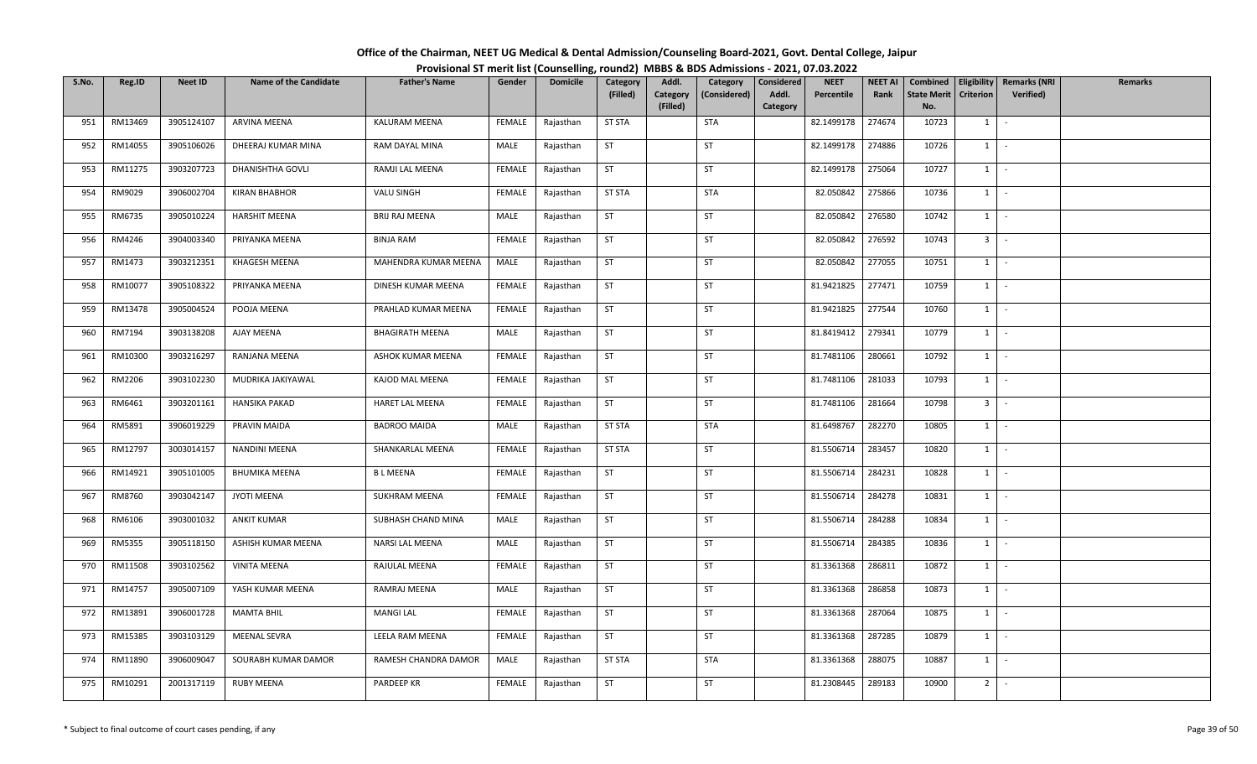| Office of the Chairman, NEET UG Medical & Dental Admission/Counseling Board-2021, Govt. Dental College, Jaipur |  |
|----------------------------------------------------------------------------------------------------------------|--|
| Provisional ST merit list (Counselling, round2) MBBS & BDS Admissions - 2021, 07.03.2022                       |  |

| S.No. | Reg.ID  | <b>Neet ID</b> | <b>Name of the Candidate</b> | <b>Father's Name</b>   | Gender        | <b>Domicile</b> | Category      | Addl.                | Category     | Considered        | <b>NEET</b> | <b>NEET AI</b> | Combined                  |                  | Eligibility   Remarks (NRI | <b>Remarks</b> |
|-------|---------|----------------|------------------------------|------------------------|---------------|-----------------|---------------|----------------------|--------------|-------------------|-------------|----------------|---------------------------|------------------|----------------------------|----------------|
|       |         |                |                              |                        |               |                 | (Filled)      | Category<br>(Filled) | (Considered) | Addl.<br>Category | Percentile  | Rank           | <b>State Merit</b><br>No. | <b>Criterion</b> | <b>Verified</b> )          |                |
| 951   | RM13469 | 3905124107     | ARVINA MEENA                 | KALURAM MEENA          | FEMALE        | Rajasthan       | <b>ST STA</b> |                      | <b>STA</b>   |                   | 82.1499178  | 274674         | 10723                     | 1                | $\sim$                     |                |
|       |         |                |                              |                        |               |                 |               |                      |              |                   |             |                |                           |                  |                            |                |
| 952   | RM14055 | 3905106026     | DHEERAJ KUMAR MINA           | RAM DAYAL MINA         | MALE          | Rajasthan       | <b>ST</b>     |                      | <b>ST</b>    |                   | 82.1499178  | 274886         | 10726                     | 1                | $\sim$                     |                |
| 953   | RM11275 | 3903207723     | DHANISHTHA GOVLI             | RAMJI LAL MEENA        | <b>FEMALE</b> | Rajasthan       | <b>ST</b>     |                      | ST           |                   | 82.1499178  | 275064         | 10727                     | $1 \cdot$        |                            |                |
| 954   | RM9029  | 3906002704     | <b>KIRAN BHABHOR</b>         | VALU SINGH             | <b>FEMALE</b> | Rajasthan       | <b>ST STA</b> |                      | <b>STA</b>   |                   | 82.050842   | 275866         | 10736                     | $1$ $-$          |                            |                |
| 955   | RM6735  | 3905010224     | <b>HARSHIT MEENA</b>         | BRIJ RAJ MEENA         | MALE          | Rajasthan       | <b>ST</b>     |                      | ST           |                   | 82.050842   | 276580         | 10742                     | $1 \mid$         | $\sim$                     |                |
| 956   | RM4246  | 3904003340     | PRIYANKA MEENA               | <b>BINJA RAM</b>       | FEMALE        | Rajasthan       | ST            |                      | <b>ST</b>    |                   | 82.050842   | 276592         | 10743                     | 3 <sup>1</sup>   | $\sim$                     |                |
| 957   | RM1473  | 3903212351     | KHAGESH MEENA                | MAHENDRA KUMAR MEENA   | MALE          | Rajasthan       | ST            |                      | ST           |                   | 82.050842   | 277055         | 10751                     | $1 \quad$        | $\sim$                     |                |
| 958   | RM10077 | 3905108322     | PRIYANKA MEENA               | DINESH KUMAR MEENA     | <b>FEMALE</b> | Rajasthan       | <b>ST</b>     |                      | ST           |                   | 81.9421825  | 277471         | 10759                     | 1                | $\sim$                     |                |
| 959   | RM13478 | 3905004524     | POOJA MEENA                  | PRAHLAD KUMAR MEENA    | FEMALE        | Rajasthan       | <b>ST</b>     |                      | ST           |                   | 81.9421825  | 277544         | 10760                     | 1                | $\sim$                     |                |
| 960   | RM7194  | 3903138208     | AJAY MEENA                   | <b>BHAGIRATH MEENA</b> | MALE          | Rajasthan       | ST            |                      | ST           |                   | 81.8419412  | 279341         | 10779                     | 1                | $\sim$                     |                |
| 961   | RM10300 | 3903216297     | RANJANA MEENA                | ASHOK KUMAR MEENA      | FEMALE        | Rajasthan       | ST            |                      | <b>ST</b>    |                   | 81.7481106  | 280661         | 10792                     | $1$ $-$          |                            |                |
| 962   | RM2206  | 3903102230     | MUDRIKA JAKIYAWAL            | KAJOD MAL MEENA        | FEMALE        | Rajasthan       | <b>ST</b>     |                      | ST           |                   | 81.7481106  | 281033         | 10793                     | $1 \quad$        | $\sim$                     |                |
| 963   | RM6461  | 3903201161     | <b>HANSIKA PAKAD</b>         | HARET LAL MEENA        | FEMALE        | Rajasthan       | <b>ST</b>     |                      | ST           |                   | 81.7481106  | 281664         | 10798                     | 3 <sup>1</sup>   | $\sim$                     |                |
| 964   | RM5891  | 3906019229     | PRAVIN MAIDA                 | <b>BADROO MAIDA</b>    | MALE          | Rajasthan       | <b>ST STA</b> |                      | <b>STA</b>   |                   | 81.6498767  | 282270         | 10805                     | $1 \quad$        | $\sim$                     |                |
| 965   | RM12797 | 3003014157     | <b>NANDINI MEENA</b>         | SHANKARLAL MEENA       | FEMALE        | Rajasthan       | <b>ST STA</b> |                      | <b>ST</b>    |                   | 81.5506714  | 283457         | 10820                     | $1 \vert$        | $\sim$                     |                |
| 966   | RM14921 | 3905101005     | <b>BHUMIKA MEENA</b>         | <b>BLMEENA</b>         | FEMALE        | Rajasthan       | <b>ST</b>     |                      | <b>ST</b>    |                   | 81.5506714  | 284231         | 10828                     | $1 \mid$         | $\sim$                     |                |
| 967   | RM8760  | 3903042147     | JYOTI MEENA                  | <b>SUKHRAM MEENA</b>   | <b>FEMALE</b> | Rajasthan       | <b>ST</b>     |                      | ST           |                   | 81.5506714  | 284278         | 10831                     | 1                | $\sim$                     |                |
| 968   | RM6106  | 3903001032     | <b>ANKIT KUMAR</b>           | SUBHASH CHAND MINA     | MALE          | Rajasthan       | <b>ST</b>     |                      | <b>ST</b>    |                   | 81.5506714  | 284288         | 10834                     | 1                | $\sim$                     |                |
| 969   | RM5355  | 3905118150     | ASHISH KUMAR MEENA           | NARSI LAL MEENA        | MALE          | Rajasthan       | <b>ST</b>     |                      | ST           |                   | 81.5506714  | 284385         | 10836                     | $1 \cdot$        |                            |                |
| 970   | RM11508 | 3903102562     | <b>VINITA MEENA</b>          | RAJULAL MEENA          | FEMALE        | Rajasthan       | <b>ST</b>     |                      | ST           |                   | 81.3361368  | 286811         | 10872                     | $1 \vert$        | $\sim$                     |                |
| 971   | RM14757 | 3905007109     | YASH KUMAR MEENA             | RAMRAJ MEENA           | MALE          | Rajasthan       | <b>ST</b>     |                      | <b>ST</b>    |                   | 81.3361368  | 286858         | 10873                     | $1 \quad$        | $\sim$                     |                |
| 972   | RM13891 | 3906001728     | <b>MAMTA BHIL</b>            | <b>MANGI LAL</b>       | <b>FEMALE</b> | Rajasthan       | <b>ST</b>     |                      | ST           |                   | 81.3361368  | 287064         | 10875                     | 1                | $\sim$                     |                |
| 973   | RM15385 | 3903103129     | <b>MEENAL SEVRA</b>          | LEELA RAM MEENA        | FEMALE        | Rajasthan       | <b>ST</b>     |                      | <b>ST</b>    |                   | 81.3361368  | 287285         | 10879                     | $1 \quad$        | $\sim$                     |                |
| 974   | RM11890 | 3906009047     | SOURABH KUMAR DAMOR          | RAMESH CHANDRA DAMOR   | MALE          | Rajasthan       | <b>ST STA</b> |                      | STA          |                   | 81.3361368  | 288075         | 10887                     | 1                | $\sim$                     |                |
| 975   | RM10291 | 2001317119     | <b>RUBY MEENA</b>            | PARDEEP KR             | <b>FEMALE</b> | Rajasthan       | ST            |                      | <b>ST</b>    |                   | 81.2308445  | 289183         | 10900                     | 2 <sup>1</sup>   | $\sim$                     |                |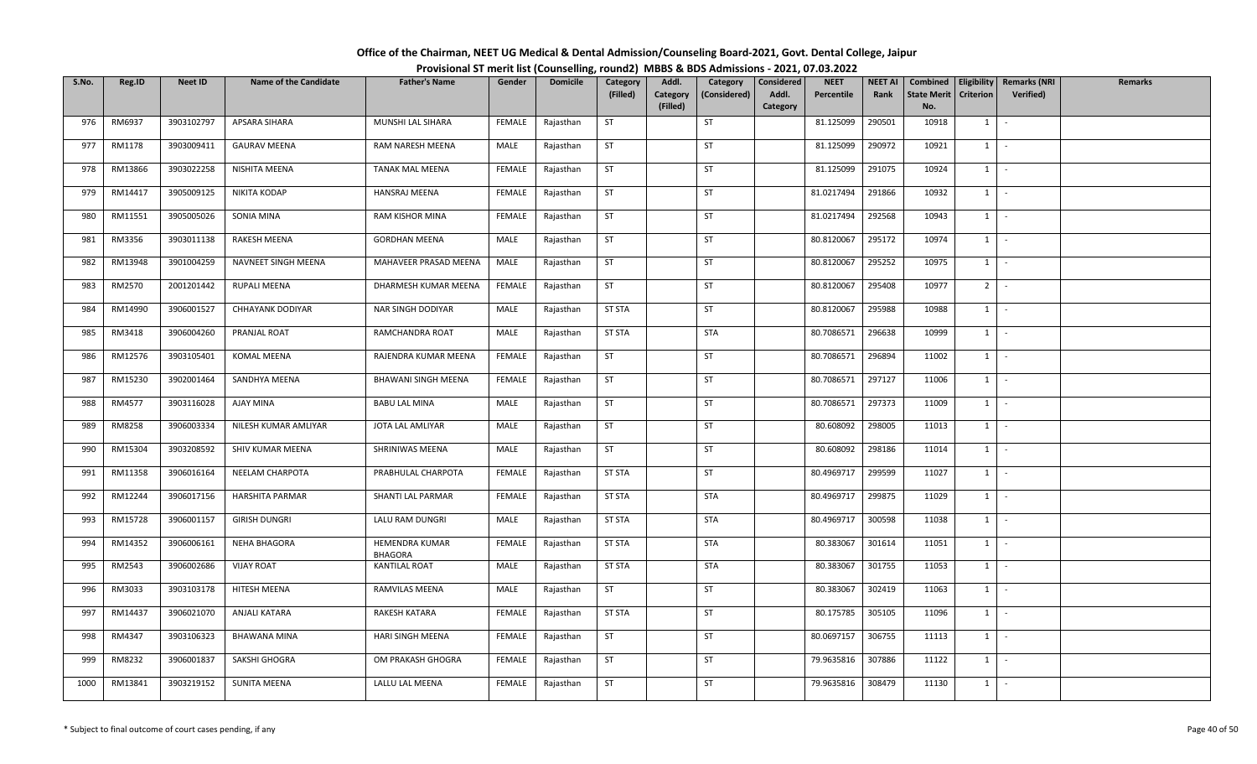| Office of the Chairman, NEET UG Medical & Dental Admission/Counseling Board-2021, Govt. Dental College, Jaipur |  |
|----------------------------------------------------------------------------------------------------------------|--|
| Provisional ST merit list (Counselling, round2) MBBS & BDS Admissions - 2021, 07.03.2022                       |  |

| S.No. | Reg.ID  | <b>Neet ID</b> | <b>Name of the Candidate</b> | <b>Father's Name</b>       | Gender        | <b>Domicile</b> | Category      | Addl.    | Category     | Considered | <b>NEET</b> | <b>NEET AI</b> | Combined           | Eligibility      | <b>Remarks (NRI</b> | <b>Remarks</b> |
|-------|---------|----------------|------------------------------|----------------------------|---------------|-----------------|---------------|----------|--------------|------------|-------------|----------------|--------------------|------------------|---------------------|----------------|
|       |         |                |                              |                            |               |                 | (Filled)      | Category | (Considered) | Addl.      | Percentile  | Rank           | <b>State Merit</b> | <b>Criterion</b> | Verified)           |                |
|       |         |                |                              |                            |               |                 |               | (Filled) |              | Category   |             |                | No.                |                  |                     |                |
| 976   | RM6937  | 3903102797     | APSARA SIHARA                | MUNSHI LAL SIHARA          | FEMALE        | Rajasthan       | ST            |          | ST           |            | 81.125099   | 290501         | 10918              | $1 \quad$        | $\sim$              |                |
| 977   | RM1178  | 3903009411     | <b>GAURAV MEENA</b>          | RAM NARESH MEENA           | MALE          | Rajasthan       | ST            |          | ST           |            | 81.125099   | 290972         | 10921              | $1 \quad$        | $\sim$              |                |
| 978   | RM13866 | 3903022258     | NISHITA MEENA                | TANAK MAL MEENA            | <b>FEMALE</b> | Rajasthan       | <b>ST</b>     |          | <b>ST</b>    |            | 81.125099   | 291075         | 10924              | 1                | $\sim$              |                |
| 979   | RM14417 | 3905009125     | NIKITA KODAP                 | HANSRAJ MEENA              | FEMALE        | Rajasthan       | ST            |          | ST           |            | 81.0217494  | 291866         | 10932              | 1                | $\sim$              |                |
| 980   | RM11551 | 3905005026     | SONIA MINA                   | RAM KISHOR MINA            | FEMALE        | Rajasthan       | <b>ST</b>     |          | <b>ST</b>    |            | 81.0217494  | 292568         | 10943              | $1 \vert$        | $\sim$              |                |
| 981   | RM3356  | 3903011138     | RAKESH MEENA                 | <b>GORDHAN MEENA</b>       | MALE          | Rajasthan       | ST            |          | ST           |            | 80.8120067  | 295172         | 10974              | $1 \mid$         | $\sim$              |                |
| 982   | RM13948 | 3901004259     | NAVNEET SINGH MEENA          | MAHAVEER PRASAD MEENA      | MALE          | Rajasthan       | <b>ST</b>     |          | ST           |            | 80.8120067  | 295252         | 10975              | $1\phantom{0}$   | $\sim$              |                |
| 983   | RM2570  | 2001201442     | RUPALI MEENA                 | DHARMESH KUMAR MEENA       | FEMALE        | Rajasthan       | ST            |          | ST           |            | 80.8120067  | 295408         | 10977              | 2                | $\sim$              |                |
| 984   | RM14990 | 3906001527     | <b>CHHAYANK DODIYAR</b>      | NAR SINGH DODIYAR          | MALE          | Rajasthan       | <b>ST STA</b> |          | ST           |            | 80.8120067  | 295988         | 10988              | $1 \quad$        | $\sim$              |                |
| 985   | RM3418  | 3906004260     | PRANJAL ROAT                 | RAMCHANDRA ROAT            | MALE          | Rajasthan       | <b>ST STA</b> |          | <b>STA</b>   |            | 80.7086571  | 296638         | 10999              | $1 \vert$        | $\sim$              |                |
| 986   | RM12576 | 3903105401     | KOMAL MEENA                  | RAJENDRA KUMAR MEENA       | FEMALE        | Rajasthan       | <b>ST</b>     |          | ST           |            | 80.7086571  | 296894         | 11002              | $1 \quad$        | $\sim$              |                |
| 987   | RM15230 | 3902001464     | SANDHYA MEENA                | <b>BHAWANI SINGH MEENA</b> | <b>FEMALE</b> | Rajasthan       | ST            |          | ST           |            | 80.7086571  | 297127         | 11006              | $1 \vert$        | $\sim$              |                |
| 988   | RM4577  | 3903116028     | AJAY MINA                    | <b>BABU LAL MINA</b>       | MALE          | Rajasthan       | ST            |          | ST           |            | 80.7086571  | 297373         | 11009              | 1                | $\sim$              |                |
| 989   | RM8258  | 3906003334     | NILESH KUMAR AMLIYAR         | JOTA LAL AMLIYAR           | MALE          | Rajasthan       | ST            |          | <b>ST</b>    |            | 80.608092   | 298005         | 11013              | 1                | $\sim$              |                |
| 990   | RM15304 | 3903208592     | SHIV KUMAR MEENA             | SHRINIWAS MEENA            | MALE          | Rajasthan       | <b>ST</b>     |          | ST           |            | 80.608092   | 298186         | 11014              | $1 \quad$        | $\sim$              |                |
| 991   | RM11358 | 3906016164     | NEELAM CHARPOTA              | PRABHULAL CHARPOTA         | FEMALE        | Rajasthan       | <b>ST STA</b> |          | ST           |            | 80.4969717  | 299599         | 11027              | $1 \quad$        | $\sim$              |                |
| 992   | RM12244 | 3906017156     | HARSHITA PARMAR              | SHANTI LAL PARMAR          | FEMALE        | Rajasthan       | <b>ST STA</b> |          | <b>STA</b>   |            | 80.4969717  | 299875         | 11029              | 1                | $\sim$              |                |
| 993   | RM15728 | 3906001157     | <b>GIRISH DUNGRI</b>         | LALU RAM DUNGRI            | MALE          | Rajasthan       | <b>ST STA</b> |          | <b>STA</b>   |            | 80.4969717  | 300598         | 11038              | 1                | $\sim$              |                |
| 994   | RM14352 | 3906006161     | NEHA BHAGORA                 | HEMENDRA KUMAR<br>BHAGORA  | FEMALE        | Rajasthan       | <b>ST STA</b> |          | <b>STA</b>   |            | 80.383067   | 301614         | 11051              | 1                | $\sim$ $-$          |                |
| 995   | RM2543  | 3906002686     | <b>VIJAY ROAT</b>            | <b>KANTILAL ROAT</b>       | MALE          | Rajasthan       | <b>ST STA</b> |          | <b>STA</b>   |            | 80.383067   | 301755         | 11053              | 1                | $\sim$              |                |
| 996   | RM3033  | 3903103178     | HITESH MEENA                 | RAMVILAS MEENA             | MALE          | Rajasthan       | <b>ST</b>     |          | ST           |            | 80.383067   | 302419         | 11063              | 1                | $\sim$              |                |
| 997   | RM14437 | 3906021070     | <b>ANJALI KATARA</b>         | RAKESH KATARA              | <b>FEMALE</b> | Rajasthan       | <b>ST STA</b> |          | ST           |            | 80.175785   | 305105         | 11096              | 1                | $\sim$              |                |
| 998   | RM4347  | 3903106323     | <b>BHAWANA MINA</b>          | HARI SINGH MEENA           | FEMALE        | Rajasthan       | ST            |          | ST           |            | 80.0697157  | 306755         | 11113              | $1 \mid$         | $\sim$              |                |
| 999   | RM8232  | 3906001837     | SAKSHI GHOGRA                | OM PRAKASH GHOGRA          | FEMALE        | Rajasthan       | <b>ST</b>     |          | <b>ST</b>    |            | 79.9635816  | 307886         | 11122              | $1 \quad$        | $\sim$ $-$          |                |
| 1000  | RM13841 | 3903219152     | SUNITA MEENA                 | LALLU LAL MEENA            | FEMALE        | Rajasthan       | <b>ST</b>     |          | ST           |            | 79.9635816  | 308479         | 11130              | $1 \quad$        | $\sim$              |                |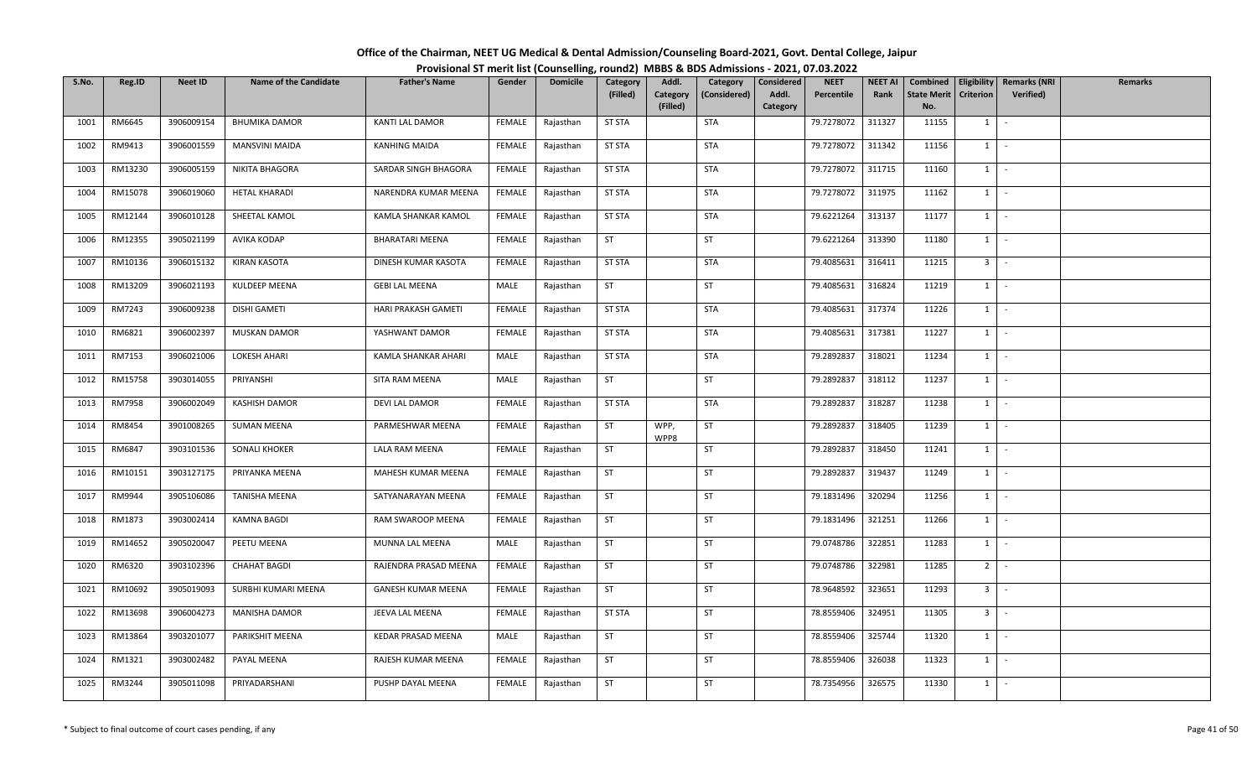| Office of the Chairman, NEET UG Medical & Dental Admission/Counseling Board-2021, Govt. Dental College, Jaipur |  |
|----------------------------------------------------------------------------------------------------------------|--|
| Provisional ST merit list (Counselling, round2) MBBS & BDS Admissions - 2021, 07.03.2022                       |  |

| S.No. | Reg.ID  | <b>Neet ID</b> | <b>Name of the Candidate</b> | <b>Father's Name</b>   | Gender        | <b>Domicile</b> | Category<br>(Filled) | Addl.<br>Category | Category<br>(Considered) | Considered<br>Addl. | <b>NEET</b><br>Percentile | <b>NEET AI</b><br>Rank | Combined<br><b>State Merit</b> | Criterion      | Eligibility   Remarks (NRI<br><b>Verified</b> ) | <b>Remarks</b> |
|-------|---------|----------------|------------------------------|------------------------|---------------|-----------------|----------------------|-------------------|--------------------------|---------------------|---------------------------|------------------------|--------------------------------|----------------|-------------------------------------------------|----------------|
|       |         |                |                              |                        |               |                 |                      | (Filled)          |                          | Category            |                           |                        | No.                            |                |                                                 |                |
| 1001  | RM6645  | 3906009154     | <b>BHUMIKA DAMOR</b>         | <b>KANTI LAL DAMOR</b> | FEMALE        | Rajasthan       | <b>ST STA</b>        |                   | <b>STA</b>               |                     | 79.7278072                | 311327                 | 11155                          | $1 \quad$      | $\sim$                                          |                |
| 1002  | RM9413  | 3906001559     | <b>MANSVINI MAIDA</b>        | <b>KANHING MAIDA</b>   | FEMALE        | Rajasthan       | <b>ST STA</b>        |                   | <b>STA</b>               |                     | 79.7278072                | 311342                 | 11156                          | $1 \mid$       | $\sim$                                          |                |
| 1003  | RM13230 | 3906005159     | NIKITA BHAGORA               | SARDAR SINGH BHAGORA   | <b>FEMALE</b> | Rajasthan       | <b>ST STA</b>        |                   | <b>STA</b>               |                     | 79.7278072                | 311715                 | 11160                          | $1$ $\cdot$    |                                                 |                |
| 1004  | RM15078 | 3906019060     | <b>HETAL KHARADI</b>         | NARENDRA KUMAR MEENA   | FEMALE        | Rajasthan       | <b>ST STA</b>        |                   | <b>STA</b>               |                     | 79.7278072                | 311975                 | 11162                          | $1$ $\vert$    |                                                 |                |
| 1005  | RM12144 | 3906010128     | SHEETAL KAMOL                | KAMLA SHANKAR KAMOL    | <b>FEMALE</b> | Rajasthan       | <b>ST STA</b>        |                   | <b>STA</b>               |                     | 79.6221264                | 313137                 | 11177                          | $1$ $\vert$    |                                                 |                |
| 1006  | RM12355 | 3905021199     | AVIKA KODAP                  | <b>BHARATARI MEENA</b> | FEMALE        | Rajasthan       | ST                   |                   | ST                       |                     | 79.6221264                | 313390                 | 11180                          | $1$ $\cdot$    |                                                 |                |
| 1007  | RM10136 | 3906015132     | KIRAN KASOTA                 | DINESH KUMAR KASOTA    | <b>FEMALE</b> | Rajasthan       | <b>ST STA</b>        |                   | STA                      |                     | 79.4085631                | 316411                 | 11215                          | 3 <sup>1</sup> |                                                 |                |
| 1008  | RM13209 | 3906021193     | KULDEEP MEENA                | <b>GEBI LAL MEENA</b>  | MALE          | Rajasthan       | ST                   |                   | ST                       |                     | 79.4085631                | 316824                 | 11219                          | $1$ $\vert$    |                                                 |                |
| 1009  | RM7243  | 3906009238     | DISHI GAMETI                 | HARI PRAKASH GAMETI    | FEMALE        | Rajasthan       | <b>ST STA</b>        |                   | <b>STA</b>               |                     | 79.4085631                | 317374                 | 11226                          | 1              | $\sim$                                          |                |
| 1010  | RM6821  | 3906002397     | <b>MUSKAN DAMOR</b>          | YASHWANT DAMOR         | FEMALE        | Rajasthan       | <b>ST STA</b>        |                   | STA                      |                     | 79.4085631                | 317381                 | 11227                          | $1 \cdot$      |                                                 |                |
| 1011  | RM7153  | 3906021006     | <b>LOKESH AHARI</b>          | KAMLA SHANKAR AHARI    | MALE          | Rajasthan       | <b>ST STA</b>        |                   | <b>STA</b>               |                     | 79.2892837                | 318021                 | 11234                          | $1$ $\vert$    |                                                 |                |
| 1012  | RM15758 | 3903014055     | PRIYANSHI                    | SITA RAM MEENA         | MALE          | Rajasthan       | <b>ST</b>            |                   | ST                       |                     | 79.2892837                | 318112                 | 11237                          | $1 \vert$      | $\sim$                                          |                |
| 1013  | RM7958  | 3906002049     | <b>KASHISH DAMOR</b>         | DEVI LAL DAMOR         | FEMALE        | Rajasthan       | <b>ST STA</b>        |                   | <b>STA</b>               |                     | 79.2892837                | 318287                 | 11238                          | 1              | $\sim$                                          |                |
| 1014  | RM8454  | 3901008265     | <b>SUMAN MEENA</b>           | PARMESHWAR MEENA       | FEMALE        | Rajasthan       | ST                   | WPP,<br>WPP8      | ST                       |                     | 79.2892837                | 318405                 | 11239                          | $1 \mid$       | $\sim$                                          |                |
| 1015  | RM6847  | 3903101536     | <b>SONALI KHOKER</b>         | LALA RAM MEENA         | FEMALE        | Rajasthan       | ST                   |                   | ST                       |                     | 79.2892837                | 318450                 | 11241                          | $1$ $-$        |                                                 |                |
| 1016  | RM10151 | 3903127175     | PRIYANKA MEENA               | MAHESH KUMAR MEENA     | FEMALE        | Rajasthan       | <b>ST</b>            |                   | <b>ST</b>                |                     | 79.2892837                | 319437                 | 11249                          | $1$   -        |                                                 |                |
| 1017  | RM9944  | 3905106086     | <b>TANISHA MEENA</b>         | SATYANARAYAN MEENA     | FEMALE        | Rajasthan       | <b>ST</b>            |                   | ST                       |                     | 79.1831496                | 320294                 | 11256                          | $1 \mid$       | $\sim$                                          |                |
| 1018  | RM1873  | 3903002414     | <b>KAMNA BAGDI</b>           | RAM SWAROOP MEENA      | FEMALE        | Rajasthan       | ST                   |                   | ST                       |                     | 79.1831496                | 321251                 | 11266                          | 1              | $\sim$                                          |                |
| 1019  | RM14652 | 3905020047     | PEETU MEENA                  | MUNNA LAL MEENA        | MALE          | Rajasthan       | ST                   |                   | ST                       |                     | 79.0748786                | 322851                 | 11283                          | $1$ $\cdot$    |                                                 |                |
| 1020  | RM6320  | 3903102396     | <b>CHAHAT BAGDI</b>          | RAJENDRA PRASAD MEENA  | FEMALE        | Rajasthan       | <b>ST</b>            |                   | ST                       |                     | 79.0748786                | 322981                 | 11285                          | $2$ -          |                                                 |                |
| 1021  | RM10692 | 3905019093     | SURBHI KUMARI MEENA          | GANESH KUMAR MEENA     | FEMALE        | Rajasthan       | <b>ST</b>            |                   | <b>ST</b>                |                     | 78.9648592                | 323651                 | 11293                          | 3 <sup>1</sup> |                                                 |                |
| 1022  | RM13698 | 3906004273     | <b>MANISHA DAMOR</b>         | JEEVA LAL MEENA        | FEMALE        | Rajasthan       | <b>ST STA</b>        |                   | ST                       |                     | 78.8559406                | 324951                 | 11305                          | 3 <sup>1</sup> | $\sim$                                          |                |
| 1023  | RM13864 | 3903201077     | PARIKSHIT MEENA              | KEDAR PRASAD MEENA     | MALE          | Rajasthan       | ST                   |                   | ST                       |                     | 78.8559406                | 325744                 | 11320                          | $1$ $-$        |                                                 |                |
| 1024  | RM1321  | 3903002482     | PAYAL MEENA                  | RAJESH KUMAR MEENA     | FEMALE        | Rajasthan       | <b>ST</b>            |                   | ST                       |                     | 78.8559406                | 326038                 | 11323                          | $1$ $\cdot$    |                                                 |                |
| 1025  | RM3244  | 3905011098     | PRIYADARSHANI                | PUSHP DAYAL MEENA      | FEMALE        | Rajasthan       | ST                   |                   | ST                       |                     | 78.7354956                | 326575                 | 11330                          | $1 \quad$      |                                                 |                |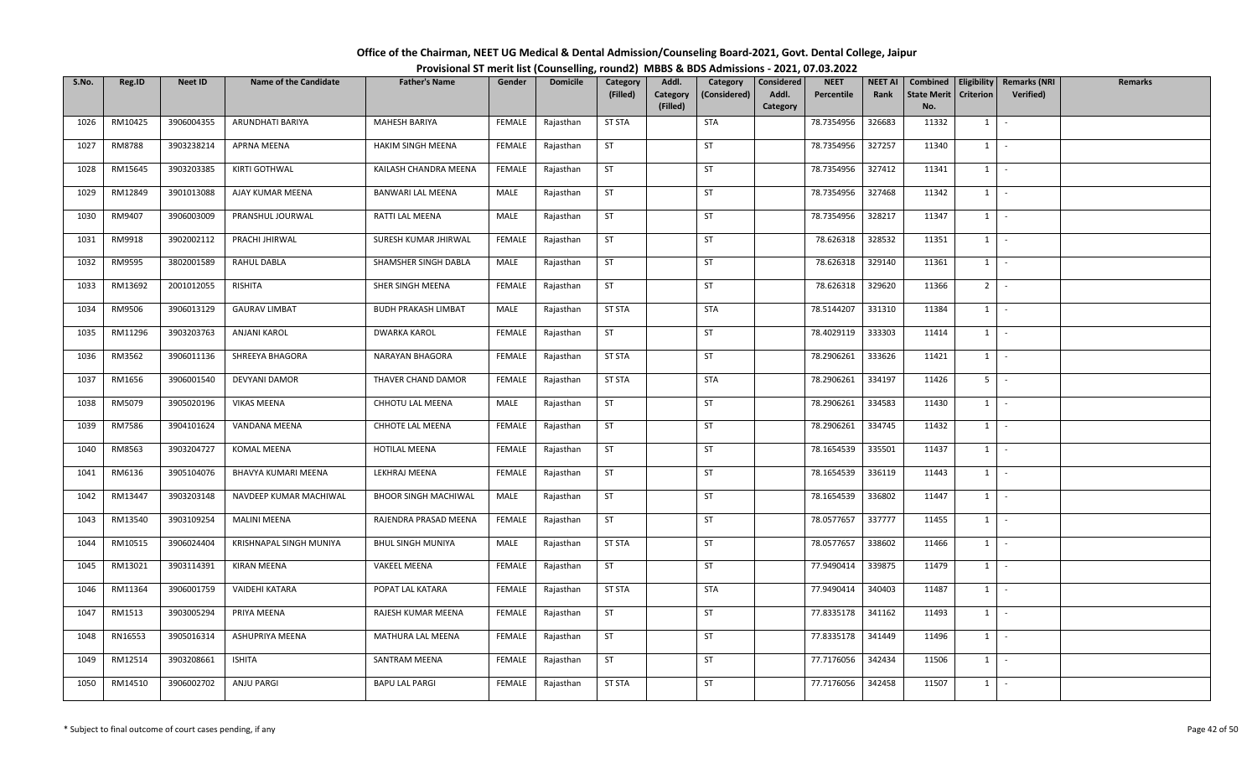| Office of the Chairman, NEET UG Medical & Dental Admission/Counseling Board-2021, Govt. Dental College, Jaipur |  |
|----------------------------------------------------------------------------------------------------------------|--|
| Provisional ST merit list (Counselling, round2) MBBS & BDS Admissions - 2021, 07.03.2022                       |  |

| S.No. | Reg.ID  | <b>Neet ID</b> | <b>Name of the Candidate</b> | <b>Father's Name</b>        | Gender        | <b>Domicile</b> | Category<br>(Filled) | Addl.<br>Category | Category<br>(Considered) | Considered<br>Addl. | <b>NEET</b><br>Percentile | <b>NEET AI</b><br>Rank | Combined<br><b>State Merit</b> | Eligibility<br><b>Criterion</b> | <b>Remarks (NRI</b><br>Verified) | <b>Remarks</b> |
|-------|---------|----------------|------------------------------|-----------------------------|---------------|-----------------|----------------------|-------------------|--------------------------|---------------------|---------------------------|------------------------|--------------------------------|---------------------------------|----------------------------------|----------------|
|       |         |                |                              |                             |               |                 |                      | (Filled)          |                          | Category            |                           |                        | No.                            |                                 |                                  |                |
| 1026  | RM10425 | 3906004355     | ARUNDHATI BARIYA             | MAHESH BARIYA               | FEMALE        | Rajasthan       | <b>ST STA</b>        |                   | <b>STA</b>               |                     | 78.7354956                | 326683                 | 11332                          | $1 \quad$                       | $\sim$                           |                |
| 1027  | RM8788  | 3903238214     | <b>APRNA MEENA</b>           | <b>HAKIM SINGH MEENA</b>    | FEMALE        | Rajasthan       | ST                   |                   | ST                       |                     | 78.7354956                | 327257                 | 11340                          | $1$ $-$                         |                                  |                |
| 1028  | RM15645 | 3903203385     | KIRTI GOTHWAL                | KAILASH CHANDRA MEENA       | FEMALE        | Rajasthan       | <b>ST</b>            |                   | ST                       |                     | 78.7354956                | 327412                 | 11341                          | $1 \mid$                        | $\sim$                           |                |
| 1029  | RM12849 | 3901013088     | AJAY KUMAR MEENA             | <b>BANWARI LAL MEENA</b>    | MALE          | Rajasthan       | ST                   |                   | <b>ST</b>                |                     | 78.7354956                | 327468                 | 11342                          | $1$ $\vert$                     |                                  |                |
| 1030  | RM9407  | 3906003009     | PRANSHUL JOURWAL             | RATTI LAL MEENA             | MALE          | Rajasthan       | ST                   |                   | ST                       |                     | 78.7354956                | 328217                 | 11347                          | $1 \mid$                        | $\sim$                           |                |
| 1031  | RM9918  | 3902002112     | PRACHI JHIRWAL               | SURESH KUMAR JHIRWAL        | FEMALE        | Rajasthan       | ST                   |                   | ST                       |                     | 78.626318                 | 328532                 | 11351                          | $1$ $\cdot$                     |                                  |                |
| 1032  | RM9595  | 3802001589     | RAHUL DABLA                  | SHAMSHER SINGH DABLA        | MALE          | Rajasthan       | <b>ST</b>            |                   | ST                       |                     | 78.626318                 | 329140                 | 11361                          | $1 \quad$                       | $\sim$                           |                |
| 1033  | RM13692 | 2001012055     | RISHITA                      | SHER SINGH MEENA            | FEMALE        | Rajasthan       | ST                   |                   | ST                       |                     | 78.626318                 | 329620                 | 11366                          | 2 <sup>1</sup>                  | $\sim$                           |                |
| 1034  | RM9506  | 3906013129     | <b>GAURAV LIMBAT</b>         | <b>BUDH PRAKASH LIMBAT</b>  | MALE          | Rajasthan       | <b>ST STA</b>        |                   | STA                      |                     | 78.5144207                | 331310                 | 11384                          | $1 \mid$                        | $\sim$                           |                |
| 1035  | RM11296 | 3903203763     | ANJANI KAROL                 | <b>DWARKA KAROL</b>         | FEMALE        | Rajasthan       | <b>ST</b>            |                   | ST                       |                     | 78.4029119                | 333303                 | 11414                          | $1 \mid$                        | $\sim$                           |                |
| 1036  | RM3562  | 3906011136     | SHREEYA BHAGORA              | <b>NARAYAN BHAGORA</b>      | FEMALE        | Rajasthan       | <b>ST STA</b>        |                   | ST                       |                     | 78.2906261                | 333626                 | 11421                          | $1$ $\vert$                     |                                  |                |
| 1037  | RM1656  | 3906001540     | <b>DEVYANI DAMOR</b>         | THAVER CHAND DAMOR          | <b>FEMALE</b> | Rajasthan       | <b>ST STA</b>        |                   | <b>STA</b>               |                     | 78.2906261                | 334197                 | 11426                          | $5$ $-$                         |                                  |                |
| 1038  | RM5079  | 3905020196     | <b>VIKAS MEENA</b>           | CHHOTU LAL MEENA            | MALE          | Rajasthan       | ST                   |                   | ST                       |                     | 78.2906261                | 334583                 | 11430                          | $1 \quad$                       | $\sim$                           |                |
| 1039  | RM7586  | 3904101624     | VANDANA MEENA                | CHHOTE LAL MEENA            | FEMALE        | Rajasthan       | <b>ST</b>            |                   | <b>ST</b>                |                     | 78.2906261                | 334745                 | 11432                          | $1 \quad$                       | $\sim$                           |                |
| 1040  | RM8563  | 3903204727     | <b>KOMAL MEENA</b>           | HOTILAL MEENA               | FEMALE        | Rajasthan       | <b>ST</b>            |                   | ST                       |                     | 78.1654539                | 335501                 | 11437                          | 1                               | $\sim$                           |                |
| 1041  | RM6136  | 3905104076     | BHAVYA KUMARI MEENA          | LEKHRAJ MEENA               | FEMALE        | Rajasthan       | <b>ST</b>            |                   | <b>ST</b>                |                     | 78.1654539                | 336119                 | 11443                          | $1 \vert -$                     |                                  |                |
| 1042  | RM13447 | 3903203148     | NAVDEEP KUMAR MACHIWAL       | <b>BHOOR SINGH MACHIWAL</b> | MALE          | Rajasthan       | <b>ST</b>            |                   | <b>ST</b>                |                     | 78.1654539                | 336802                 | 11447                          | 1                               | $\sim$                           |                |
| 1043  | RM13540 | 3903109254     | <b>MALINI MEENA</b>          | RAJENDRA PRASAD MEENA       | <b>FEMALE</b> | Rajasthan       | ST                   |                   | ST                       |                     | 78.0577657                | 337777                 | 11455                          | $1$ $\vert$                     |                                  |                |
| 1044  | RM10515 | 3906024404     | KRISHNAPAL SINGH MUNIYA      | <b>BHUL SINGH MUNIYA</b>    | MALE          | Rajasthan       | <b>ST STA</b>        |                   | ST                       |                     | 78.0577657                | 338602                 | 11466                          | $1$ $\vert$ $\vert$             |                                  |                |
| 1045  | RM13021 | 3903114391     | <b>KIRAN MEENA</b>           | <b>VAKEEL MEENA</b>         | FEMALE        | Rajasthan       | ST                   |                   | ST                       |                     | 77.9490414                | 339875                 | 11479                          | $1 \quad$                       | $\sim$                           |                |
| 1046  | RM11364 | 3906001759     | VAIDEHI KATARA               | POPAT LAL KATARA            | <b>FEMALE</b> | Rajasthan       | <b>ST STA</b>        |                   | STA                      |                     | 77.9490414                | 340403                 | 11487                          | 1                               | $\sim$                           |                |
| 1047  | RM1513  | 3903005294     | PRIYA MEENA                  | RAJESH KUMAR MEENA          | FEMALE        | Rajasthan       | ST                   |                   | ST                       |                     | 77.8335178                | 341162                 | 11493                          | $1$ $\vert$ $\vert$             |                                  |                |
| 1048  | RN16553 | 3905016314     | ASHUPRIYA MEENA              | MATHURA LAL MEENA           | FEMALE        | Rajasthan       | ST                   |                   | <b>ST</b>                |                     | 77.8335178                | 341449                 | 11496                          | 1                               | $\sim$                           |                |
| 1049  | RM12514 | 3903208661     | <b>ISHITA</b>                | SANTRAM MEENA               | FEMALE        | Rajasthan       | <b>ST</b>            |                   | ST                       |                     | 77.7176056                | 342434                 | 11506                          | $1 \mid$                        | $\sim$                           |                |
| 1050  | RM14510 | 3906002702     | <b>ANJU PARGI</b>            | <b>BAPU LAL PARGI</b>       | FEMALE        | Rajasthan       | <b>ST STA</b>        |                   | <b>ST</b>                |                     | 77.7176056                | 342458                 | 11507                          | $1$ $-$                         |                                  |                |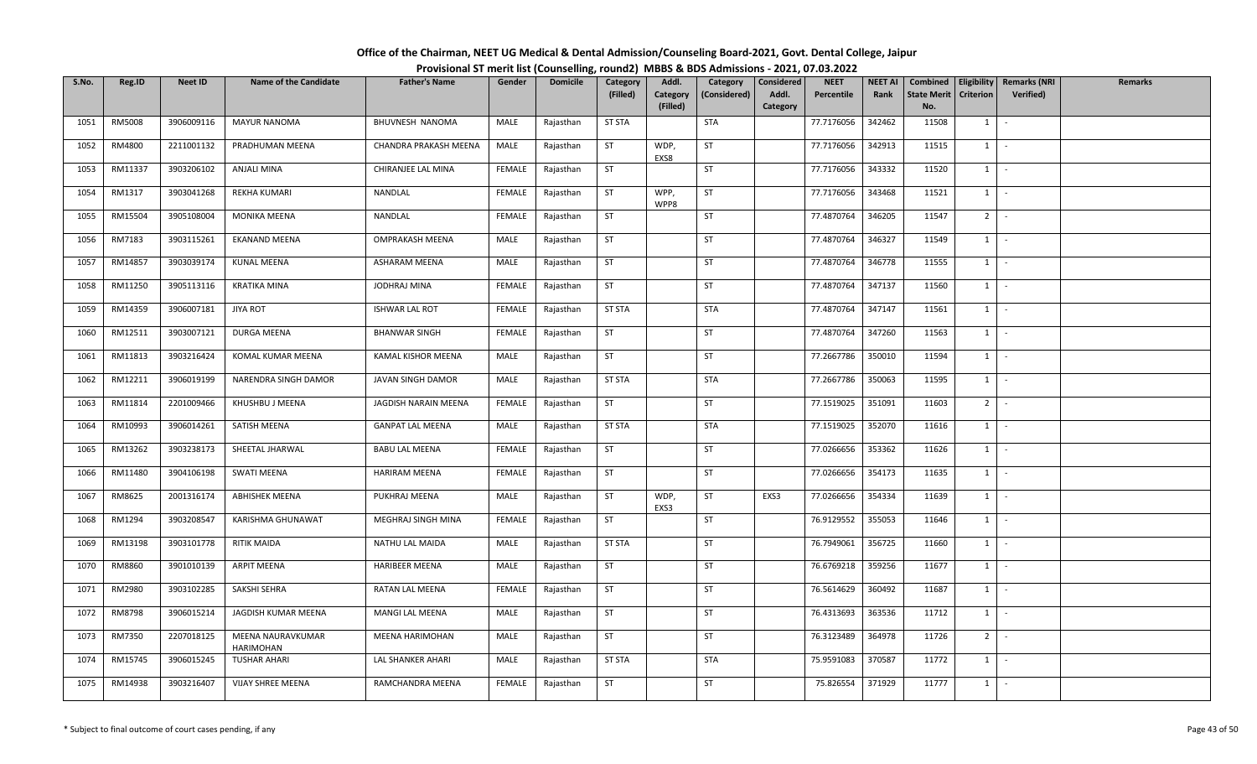| Office of the Chairman, NEET UG Medical & Dental Admission/Counseling Board-2021, Govt. Dental College, Jaipur |  |
|----------------------------------------------------------------------------------------------------------------|--|
| Provisional ST merit list (Counselling, round2) MBBS & BDS Admissions - 2021, 07.03.2022                       |  |

| S.No. | Reg.ID  | <b>Neet ID</b> | <b>Name of the Candidate</b>   | <b>Father's Name</b>    | Gender        | <b>Domicile</b> | Category      | Addl.                | Category     | Considered        | <b>NEET</b> | <b>NEET AI</b> | Combined                  |                | Eligibility   Remarks (NRI | <b>Remarks</b> |
|-------|---------|----------------|--------------------------------|-------------------------|---------------|-----------------|---------------|----------------------|--------------|-------------------|-------------|----------------|---------------------------|----------------|----------------------------|----------------|
|       |         |                |                                |                         |               |                 | (Filled)      | Category<br>(Filled) | (Considered) | Addl.<br>Category | Percentile  | Rank           | <b>State Merit</b><br>No. | Criterion      | <b>Verified</b> )          |                |
| 1051  | RM5008  | 3906009116     | <b>MAYUR NANOMA</b>            | BHUVNESH NANOMA         | MALE          | Rajasthan       | <b>ST STA</b> |                      | <b>STA</b>   |                   | 77.7176056  | 342462         | 11508                     | $1 \vert$      | $\sim$                     |                |
| 1052  | RM4800  | 2211001132     | PRADHUMAN MEENA                | CHANDRA PRAKASH MEENA   | MALE          | Rajasthan       | <b>ST</b>     | WDP,<br>EXS8         | <b>ST</b>    |                   | 77.7176056  | 342913         | 11515                     | $1 \mid$       | $\sim$                     |                |
| 1053  | RM11337 | 3903206102     | ANJALI MINA                    | CHIRANJEE LAL MINA      | FEMALE        | Rajasthan       | <b>ST</b>     |                      | ST           |                   | 77.7176056  | 343332         | 11520                     | $1$ $\cdot$    |                            |                |
| 1054  | RM1317  | 3903041268     | <b>REKHA KUMARI</b>            | NANDLAL                 | <b>FEMALE</b> | Rajasthan       | ST            | WPP,<br>WPP8         | ST           |                   | 77.7176056  | 343468         | 11521                     | $1$ $\vert$    |                            |                |
| 1055  | RM15504 | 3905108004     | MONIKA MEENA                   | NANDLAL                 | FEMALE        | Rajasthan       | <b>ST</b>     |                      | ST           |                   | 77.4870764  | 346205         | 11547                     | $2$ -          |                            |                |
| 1056  | RM7183  | 3903115261     | EKANAND MEENA                  | <b>OMPRAKASH MEENA</b>  | MALE          | Rajasthan       | ST            |                      | ST           |                   | 77.4870764  | 346327         | 11549                     | $1 \mid$       | $\sim$                     |                |
| 1057  | RM14857 | 3903039174     | KUNAL MEENA                    | ASHARAM MEENA           | MALE          | Rajasthan       | ST            |                      | ST           |                   | 77.4870764  | 346778         | 11555                     | $1 \quad$      | $\sim$                     |                |
| 1058  | RM11250 | 3905113116     | KRATIKA MINA                   | JODHRAJ MINA            | <b>FEMALE</b> | Rajasthan       | ST            |                      | ST           |                   | 77.4870764  | 347137         | 11560                     | $1 \mid$       | $\sim$                     |                |
| 1059  | RM14359 | 3906007181     | <b>JIYA ROT</b>                | <b>ISHWAR LAL ROT</b>   | FEMALE        | Rajasthan       | <b>ST STA</b> |                      | STA          |                   | 77.4870764  | 347147         | 11561                     | $1 \vert$      | $\sim$                     |                |
| 1060  | RM12511 | 3903007121     | DURGA MEENA                    | <b>BHANWAR SINGH</b>    | FEMALE        | Rajasthan       | <b>ST</b>     |                      | ST           |                   | 77.4870764  | 347260         | 11563                     | $1 \cdot$      |                            |                |
| 1061  | RM11813 | 3903216424     | KOMAL KUMAR MEENA              | KAMAL KISHOR MEENA      | MALE          | Rajasthan       | ST            |                      | ST           |                   | 77.2667786  | 350010         | 11594                     | $1$ $\vert$    |                            |                |
| 1062  | RM12211 | 3906019199     | NARENDRA SINGH DAMOR           | JAVAN SINGH DAMOR       | MALE          | Rajasthan       | <b>ST STA</b> |                      | <b>STA</b>   |                   | 77.2667786  | 350063         | 11595                     | $1 \vert$      | $\sim$                     |                |
| 1063  | RM11814 | 2201009466     | KHUSHBU J MEENA                | JAGDISH NARAIN MEENA    | <b>FEMALE</b> | Rajasthan       | <b>ST</b>     |                      | ST           |                   | 77.1519025  | 351091         | 11603                     | 2 <sup>1</sup> |                            |                |
| 1064  | RM10993 | 3906014261     | SATISH MEENA                   | <b>GANPAT LAL MEENA</b> | MALE          | Rajasthan       | <b>ST STA</b> |                      | <b>STA</b>   |                   | 77.1519025  | 352070         | 11616                     | $1 \mid$       | $\sim$                     |                |
| 1065  | RM13262 | 3903238173     | SHEETAL JHARWAL                | <b>BABU LAL MEENA</b>   | FEMALE        | Rajasthan       | ST            |                      | ST           |                   | 77.0266656  | 353362         | 11626                     | $1 \mid$       | $\sim$                     |                |
| 1066  | RM11480 | 3904106198     | SWATI MEENA                    | <b>HARIRAM MEENA</b>    | FEMALE        | Rajasthan       | <b>ST</b>     |                      | <b>ST</b>    |                   | 77.0266656  | 354173         | 11635                     | $1$   -        |                            |                |
| 1067  | RM8625  | 2001316174     | <b>ABHISHEK MEENA</b>          | PUKHRAJ MEENA           | MALE          | Rajasthan       | <b>ST</b>     | WDP,<br>EXS3         | ST           | EXS3              | 77.0266656  | 354334         | 11639                     | 1              | $\sim$                     |                |
| 1068  | RM1294  | 3903208547     | KARISHMA GHUNAWAT              | MEGHRAJ SINGH MINA      | <b>FEMALE</b> | Rajasthan       | ST            |                      | <b>ST</b>    |                   | 76.9129552  | 355053         | 11646                     | 1              | $\sim$                     |                |
| 1069  | RM13198 | 3903101778     | <b>RITIK MAIDA</b>             | NATHU LAL MAIDA         | MALE          | Rajasthan       | <b>ST STA</b> |                      | ST           |                   | 76.7949061  | 356725         | 11660                     | $1$ $\cdot$    |                            |                |
| 1070  | RM8860  | 3901010139     | <b>ARPIT MEENA</b>             | <b>HARIBEER MEENA</b>   | MALE          | Rajasthan       | <b>ST</b>     |                      | ST           |                   | 76.6769218  | 359256         | 11677                     | $1$ $-$        |                            |                |
| 1071  | RM2980  | 3903102285     | SAKSHI SEHRA                   | RATAN LAL MEENA         | <b>FEMALE</b> | Rajasthan       | <b>ST</b>     |                      | <b>ST</b>    |                   | 76.5614629  | 360492         | 11687                     | $1 \quad$      | $\sim$                     |                |
| 1072  | RM8798  | 3906015214     | JAGDISH KUMAR MEENA            | MANGI LAL MEENA         | MALE          | Rajasthan       | <b>ST</b>     |                      | ST           |                   | 76.4313693  | 363536         | 11712                     | 1              | $\sim$                     |                |
| 1073  | RM7350  | 2207018125     | MEENA NAURAVKUMAR<br>HARIMOHAN | MEENA HARIMOHAN         | MALE          | Rajasthan       | ST            |                      | <b>ST</b>    |                   | 76.3123489  | 364978         | 11726                     | $2$ -          |                            |                |
| 1074  | RM15745 | 3906015245     | <b>TUSHAR AHARI</b>            | LAL SHANKER AHARI       | MALE          | Rajasthan       | <b>ST STA</b> |                      | <b>STA</b>   |                   | 75.9591083  | 370587         | 11772                     | $1$ $\cdot$    |                            |                |
| 1075  | RM14938 | 3903216407     | VIJAY SHREE MEENA              | RAMCHANDRA MEENA        | FEMALE        | Rajasthan       | ST            |                      | <b>ST</b>    |                   | 75.826554   | 371929         | 11777                     | $1 \quad$      |                            |                |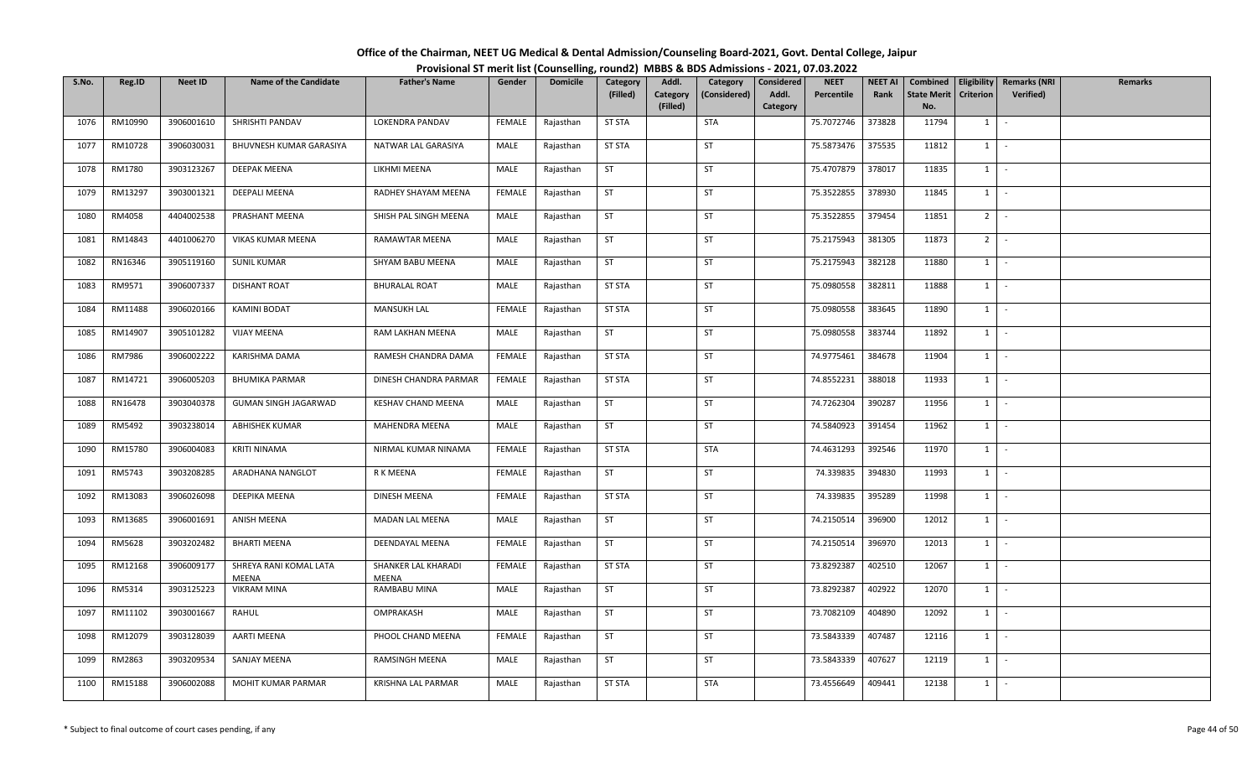| Office of the Chairman, NEET UG Medical & Dental Admission/Counseling Board-2021, Govt. Dental College, Jaipur |  |
|----------------------------------------------------------------------------------------------------------------|--|
| Provisional ST merit list (Counselling, round2) MBBS & BDS Admissions - 2021, 07.03.2022                       |  |

| S.No. | Reg.ID  | <b>Neet ID</b> | <b>Name of the Candidate</b>    | <b>Father's Name</b>         | Gender        | <b>Domicile</b> | Category<br>(Filled) | Addl.<br>Category | Category<br>(Considered) | Considered<br>Addl. | <b>NEET</b><br>Percentile | <b>NEET AI</b><br>Rank | Combined<br><b>State Merit</b> | Eligibility<br>Criterion | <b>Remarks (NRI</b><br><b>Verified</b> ) | <b>Remarks</b> |
|-------|---------|----------------|---------------------------------|------------------------------|---------------|-----------------|----------------------|-------------------|--------------------------|---------------------|---------------------------|------------------------|--------------------------------|--------------------------|------------------------------------------|----------------|
|       |         |                |                                 |                              |               |                 |                      | (Filled)          |                          | Category            |                           |                        | No.                            |                          |                                          |                |
| 1076  | RM10990 | 3906001610     | SHRISHTI PANDAV                 | LOKENDRA PANDAV              | FEMALE        | Rajasthan       | <b>ST STA</b>        |                   | <b>STA</b>               |                     | 75.7072746                | 373828                 | 11794                          | $1 \quad$                | $\sim$                                   |                |
| 1077  | RM10728 | 3906030031     | BHUVNESH KUMAR GARASIYA         | NATWAR LAL GARASIYA          | MALE          | Rajasthan       | <b>ST STA</b>        |                   | ST                       |                     | 75.5873476                | 375535                 | 11812                          | $1 \mid$                 | $\sim$                                   |                |
| 1078  | RM1780  | 3903123267     | <b>DEEPAK MEENA</b>             | LIKHMI MEENA                 | MALE          | Rajasthan       | <b>ST</b>            |                   | ST                       |                     | 75.4707879                | 378017                 | 11835                          | $1 \quad$                | $\sim$                                   |                |
| 1079  | RM13297 | 3903001321     | DEEPALI MEENA                   | RADHEY SHAYAM MEENA          | <b>FEMALE</b> | Rajasthan       | <b>ST</b>            |                   | <b>ST</b>                |                     | 75.3522855                | 378930                 | 11845                          | $1 \mid$                 | $\sim$                                   |                |
| 1080  | RM4058  | 4404002538     | PRASHANT MEENA                  | SHISH PAL SINGH MEENA        | MALE          | Rajasthan       | ST                   |                   | ST                       |                     | 75.3522855                | 379454                 | 11851                          | 2 <sup>1</sup>           | $\sim$                                   |                |
| 1081  | RM14843 | 4401006270     | VIKAS KUMAR MEENA               | RAMAWTAR MEENA               | MALE          | Rajasthan       | ST                   |                   | ST                       |                     | 75.2175943                | 381305                 | 11873                          | $2$ -                    |                                          |                |
| 1082  | RN16346 | 3905119160     | <b>SUNIL KUMAR</b>              | SHYAM BABU MEENA             | MALE          | Rajasthan       | ST                   |                   | ST                       |                     | 75.2175943                | 382128                 | 11880                          | $1 \quad$                | $\sim$                                   |                |
| 1083  | RM9571  | 3906007337     | DISHANT ROAT                    | <b>BHURALAL ROAT</b>         | MALE          | Rajasthan       | <b>ST STA</b>        |                   | ST                       |                     | 75.0980558                | 382811                 | 11888                          | 1                        | $\sim$                                   |                |
| 1084  | RM11488 | 3906020166     | KAMINI BODAT                    | <b>MANSUKH LAL</b>           | <b>FEMALE</b> | Rajasthan       | <b>ST STA</b>        |                   | <b>ST</b>                |                     | 75.0980558                | 383645                 | 11890                          | $1 \quad$                | $\sim$                                   |                |
| 1085  | RM14907 | 3905101282     | <b>VIJAY MEENA</b>              | RAM LAKHAN MEENA             | MALE          | Rajasthan       | <b>ST</b>            |                   | ST                       |                     | 75.0980558                | 383744                 | 11892                          | $1 \quad$                | $\sim$                                   |                |
| 1086  | RM7986  | 3906002222     | KARISHMA DAMA                   | RAMESH CHANDRA DAMA          | FEMALE        | Rajasthan       | <b>ST STA</b>        |                   | ST                       |                     | 74.9775461                | 384678                 | 11904                          | $1 \mid$                 | $\sim$                                   |                |
| 1087  | RM14721 | 3906005203     | <b>BHUMIKA PARMAR</b>           | DINESH CHANDRA PARMAR        | <b>FEMALE</b> | Rajasthan       | <b>ST STA</b>        |                   | ST                       |                     | 74.8552231                | 388018                 | 11933                          | $1\phantom{0}$           | $\sim$                                   |                |
| 1088  | RN16478 | 3903040378     | GUMAN SINGH JAGARWAD            | KESHAV CHAND MEENA           | MALE          | Rajasthan       | ST                   |                   | ST                       |                     | 74.7262304                | 390287                 | 11956                          | $1\phantom{0}$           |                                          |                |
| 1089  | RM5492  | 3903238014     | <b>ABHISHEK KUMAR</b>           | MAHENDRA MEENA               | MALE          | Rajasthan       | <b>ST</b>            |                   | <b>ST</b>                |                     | 74.5840923                | 391454                 | 11962                          | $1 \quad$                | $\sim$                                   |                |
| 1090  | RM15780 | 3906004083     | KRITI NINAMA                    | NIRMAL KUMAR NINAMA          | FEMALE        | Rajasthan       | <b>ST STA</b>        |                   | <b>STA</b>               |                     | 74.4631293                | 392546                 | 11970                          | 1                        | $\sim$                                   |                |
| 1091  | RM5743  | 3903208285     | ARADHANA NANGLOT                | R K MEENA                    | FEMALE        | Rajasthan       | ST                   |                   | <b>ST</b>                |                     | 74.339835                 | 394830                 | 11993                          | $1$ $-$                  |                                          |                |
| 1092  | RM13083 | 3906026098     | DEEPIKA MEENA                   | DINESH MEENA                 | <b>FEMALE</b> | Rajasthan       | <b>ST STA</b>        |                   | <b>ST</b>                |                     | 74.339835                 | 395289                 | 11998                          | 1                        | $\sim$                                   |                |
| 1093  | RM13685 | 3906001691     | ANISH MEENA                     | MADAN LAL MEENA              | MALE          | Rajasthan       | ST                   |                   | ST                       |                     | 74.2150514                | 396900                 | 12012                          | $1$ $\vert$              |                                          |                |
| 1094  | RM5628  | 3903202482     | <b>BHARTI MEENA</b>             | <b>DEENDAYAL MEENA</b>       | <b>FEMALE</b> | Rajasthan       | ST                   |                   | ST                       |                     | 74.2150514                | 396970                 | 12013                          | $1$ $\vert$ $\vert$      |                                          |                |
| 1095  | RM12168 | 3906009177     | SHREYA RANI KOMAL LATA<br>MEENA | SHANKER LAL KHARADI<br>MEENA | FEMALE        | Rajasthan       | <b>ST STA</b>        |                   | ST                       |                     | 73.8292387                | 402510                 | 12067                          | $1 \quad$                | $\sim$                                   |                |
| 1096  | RM5314  | 3903125223     | VIKRAM MINA                     | RAMBABU MINA                 | MALE          | Rajasthan       | ST                   |                   | ST                       |                     | 73.8292387                | 402922                 | 12070                          | 1                        | $\sim$                                   |                |
| 1097  | RM11102 | 3903001667     | RAHUL                           | OMPRAKASH                    | MALE          | Rajasthan       | ST                   |                   | ST                       |                     | 73.7082109                | 404890                 | 12092                          | $1$ $\vert$ $\vert$      |                                          |                |
| 1098  | RM12079 | 3903128039     | AARTI MEENA                     | PHOOL CHAND MEENA            | FEMALE        | Rajasthan       | ST                   |                   | <b>ST</b>                |                     | 73.5843339                | 407487                 | 12116                          | $1 \quad$                |                                          |                |
| 1099  | RM2863  | 3903209534     | SANJAY MEENA                    | RAMSINGH MEENA               | MALE          | Rajasthan       | <b>ST</b>            |                   | ST                       |                     | 73.5843339                | 407627                 | 12119                          | $1 \quad$                | $\sim$                                   |                |
| 1100  | RM15188 | 3906002088     | <b>MOHIT KUMAR PARMAR</b>       | KRISHNA LAL PARMAR           | MALE          | Rajasthan       | <b>ST STA</b>        |                   | <b>STA</b>               |                     | 73.4556649                | 409441                 | 12138                          | $1 \mid$                 | $\sim$                                   |                |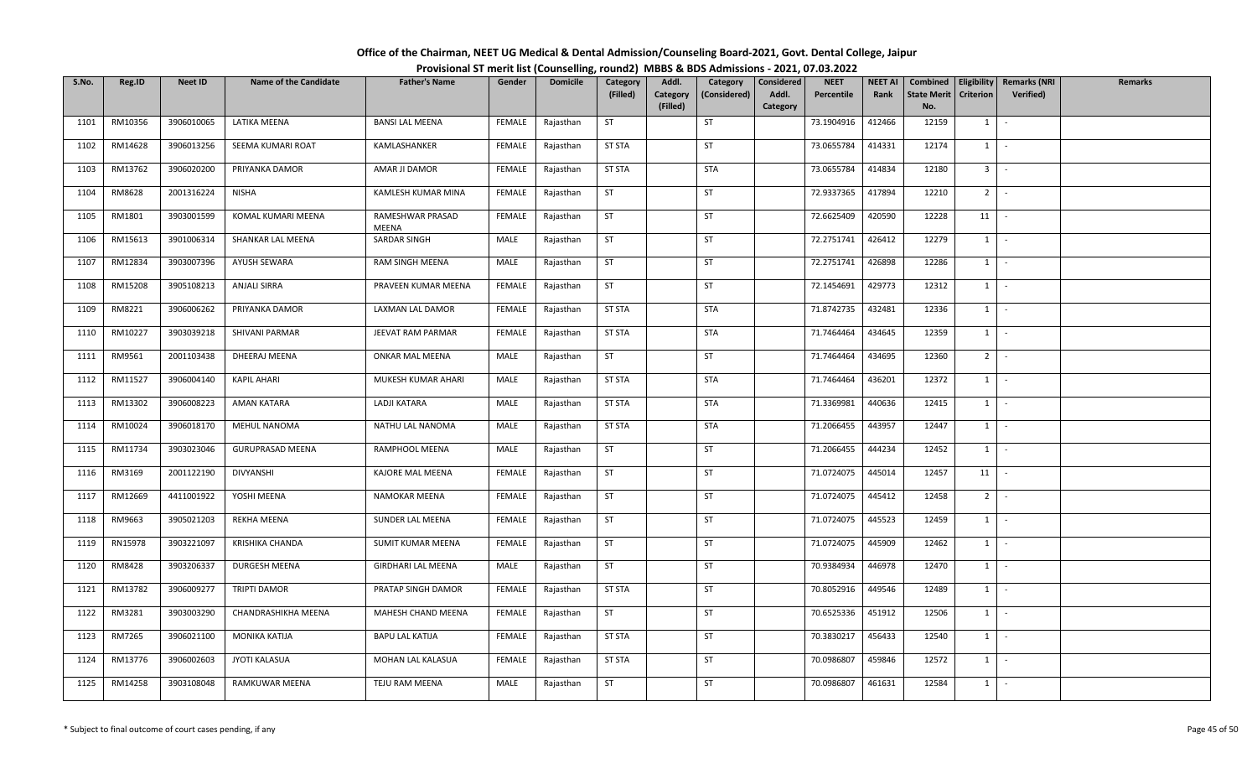## **Office of the Chairman, NEET UG Medical & Dental Admission/Counseling Board‐2021, Govt. Dental College, Jaipur Provisional ST merit list (Counselling, round2) MBBS & BDS Admissions ‐ 2021, 07.03.2022**

| S.No. | Reg.ID  | <b>Neet ID</b> | <b>Name of the Candidate</b> | <b>Father's Name</b>      | Gender        | <b>Domicile</b> | Category      | Addl.                | Category     | Considered        | <b>NEET</b> | <b>NEET AI</b> | Combined                  |                  | Eligibility   Remarks (NRI | <b>Remarks</b> |
|-------|---------|----------------|------------------------------|---------------------------|---------------|-----------------|---------------|----------------------|--------------|-------------------|-------------|----------------|---------------------------|------------------|----------------------------|----------------|
|       |         |                |                              |                           |               |                 | (Filled)      | Category<br>(Filled) | (Considered) | Addl.<br>Category | Percentile  | Rank           | <b>State Merit</b><br>No. | <b>Criterion</b> | <b>Verified</b> )          |                |
| 1101  | RM10356 | 3906010065     | LATIKA MEENA                 | <b>BANSI LAL MEENA</b>    | FEMALE        | Rajasthan       | <b>ST</b>     |                      | <b>ST</b>    |                   | 73.1904916  | 412466         | 12159                     | 1                | $\sim$                     |                |
| 1102  | RM14628 | 3906013256     | SEEMA KUMARI ROAT            | KAMLASHANKER              | FEMALE        | Rajasthan       | <b>ST STA</b> |                      | <b>ST</b>    |                   | 73.0655784  | 414331         | 12174                     | 1                | $\sim$                     |                |
| 1103  | RM13762 | 3906020200     | PRIYANKA DAMOR               | AMAR JI DAMOR             | FEMALE        | Rajasthan       | <b>ST STA</b> |                      | <b>STA</b>   |                   | 73.0655784  | 414834         | 12180                     | 3 <sup>1</sup>   | $\sim$                     |                |
| 1104  | RM8628  | 2001316224     | <b>NISHA</b>                 | KAMLESH KUMAR MINA        | FEMALE        | Rajasthan       | <b>ST</b>     |                      | <b>ST</b>    |                   | 72.9337365  | 417894         | 12210                     | $2$ -            |                            |                |
| 1105  | RM1801  | 3903001599     | KOMAL KUMARI MEENA           | RAMESHWAR PRASAD<br>MEENA | FEMALE        | Rajasthan       | <b>ST</b>     |                      | ST           |                   | 72.6625409  | 420590         | 12228                     | 11               | $\sim$                     |                |
| 1106  | RM15613 | 3901006314     | SHANKAR LAL MEENA            | SARDAR SINGH              | MALE          | Rajasthan       | ST            |                      | ST           |                   | 72.2751741  | 426412         | 12279                     | $1$ $-$          |                            |                |
| 1107  | RM12834 | 3903007396     | AYUSH SEWARA                 | RAM SINGH MEENA           | MALE          | Rajasthan       | <b>ST</b>     |                      | ST           |                   | 72.2751741  | 426898         | 12286                     | 1                | $\sim$                     |                |
| 1108  | RM15208 | 3905108213     | <b>ANJALI SIRRA</b>          | PRAVEEN KUMAR MEENA       | FEMALE        | Rajasthan       | <b>ST</b>     |                      | ST           |                   | 72.1454691  | 429773         | 12312                     | $1 \vert$        | $\sim$                     |                |
| 1109  | RM8221  | 3906006262     | PRIYANKA DAMOR               | LAXMAN LAL DAMOR          | FEMALE        | Rajasthan       | <b>ST STA</b> |                      | <b>STA</b>   |                   | 71.8742735  | 432481         | 12336                     | $1 \quad$        | $\sim$                     |                |
| 1110  | RM10227 | 3903039218     | SHIVANI PARMAR               | JEEVAT RAM PARMAR         | <b>FEMALE</b> | Rajasthan       | <b>ST STA</b> |                      | <b>STA</b>   |                   | 71.7464464  | 434645         | 12359                     | $1 \quad$        | $\sim$                     |                |
| 1111  | RM9561  | 2001103438     | DHEERAJ MEENA                | ONKAR MAL MEENA           | MALE          | Rajasthan       | <b>ST</b>     |                      | <b>ST</b>    |                   | 71.7464464  | 434695         | 12360                     | $2$ -            |                            |                |
| 1112  | RM11527 | 3906004140     | <b>KAPIL AHARI</b>           | MUKESH KUMAR AHARI        | MALE          | Rajasthan       | <b>ST STA</b> |                      | <b>STA</b>   |                   | 71.7464464  | 436201         | 12372                     | 1                | $\sim$                     |                |
| 1113  | RM13302 | 3906008223     | AMAN KATARA                  | LADJI KATARA              | MALE          | Rajasthan       | <b>ST STA</b> |                      | <b>STA</b>   |                   | 71.3369981  | 440636         | 12415                     | $1$ $\cdot$      |                            |                |
| 1114  | RM10024 | 3906018170     | MEHUL NANOMA                 | NATHU LAL NANOMA          | MALE          | Rajasthan       | <b>ST STA</b> |                      | <b>STA</b>   |                   | 71.2066455  | 443957         | 12447                     | $1 \vert$        | $\sim$                     |                |
| 1115  | RM11734 | 3903023046     | <b>GURUPRASAD MEENA</b>      | RAMPHOOL MEENA            | MALE          | Rajasthan       | <b>ST</b>     |                      | ST           |                   | 71.2066455  | 444234         | 12452                     | $1 \vert$        | $\sim$                     |                |
| 1116  | RM3169  | 2001122190     | DIVYANSHI                    | KAJORE MAL MEENA          | FEMALE        | Rajasthan       | <b>ST</b>     |                      | <b>ST</b>    |                   | 71.0724075  | 445014         | 12457                     | 11               | $\sim$                     |                |
| 1117  | RM12669 | 4411001922     | YOSHI MEENA                  | NAMOKAR MEENA             | FEMALE        | Rajasthan       | ST            |                      | ST           |                   | 71.0724075  | 445412         | 12458                     | $2$ $-$          |                            |                |
| 1118  | RM9663  | 3905021203     | REKHA MEENA                  | SUNDER LAL MEENA          | FEMALE        | Rajasthan       | <b>ST</b>     |                      | ST           |                   | 71.0724075  | 445523         | 12459                     | $1 \quad$        | $\sim$                     |                |
| 1119  | RN15978 | 3903221097     | KRISHIKA CHANDA              | SUMIT KUMAR MEENA         | FEMALE        | Rajasthan       | <b>ST</b>     |                      | <b>ST</b>    |                   | 71.0724075  | 445909         | 12462                     | $1 \quad$        | $\sim$ $-$                 |                |
| 1120  | RM8428  | 3903206337     | DURGESH MEENA                | <b>GIRDHARI LAL MEENA</b> | MALE          | Rajasthan       | <b>ST</b>     |                      | <b>ST</b>    |                   | 70.9384934  | 446978         | 12470                     | $1 \quad$        | $\sim$                     |                |
| 1121  | RM13782 | 3906009277     | TRIPTI DAMOR                 | PRATAP SINGH DAMOR        | <b>FEMALE</b> | Rajasthan       | <b>ST STA</b> |                      | ST           |                   | 70.8052916  | 449546         | 12489                     | 1                | $\sim$                     |                |
| 1122  | RM3281  | 3903003290     | CHANDRASHIKHA MEENA          | MAHESH CHAND MEENA        | FEMALE        | Rajasthan       | ST            |                      | <b>ST</b>    |                   | 70.6525336  | 451912         | 12506                     | $1 \mid$         | $\sim$                     |                |
| 1123  | RM7265  | 3906021100     | MONIKA KATIJA                | <b>BAPU LAL KATIJA</b>    | FEMALE        | Rajasthan       | <b>ST STA</b> |                      | ST           |                   | 70.3830217  | 456433         | 12540                     | $1 \quad$        | $\sim$                     |                |
| 1124  | RM13776 | 3906002603     | JYOTI KALASUA                | MOHAN LAL KALASUA         | FEMALE        | Rajasthan       | <b>ST STA</b> |                      | ST           |                   | 70.0986807  | 459846         | 12572                     | $1 \vert$        | $\sim$                     |                |
| 1125  | RM14258 | 3903108048     | RAMKUWAR MEENA               | TEJU RAM MEENA            | MALE          | Rajasthan       | <b>ST</b>     |                      | ST           |                   | 70.0986807  | 461631         | 12584                     | $1 \quad$        | $\sim$                     |                |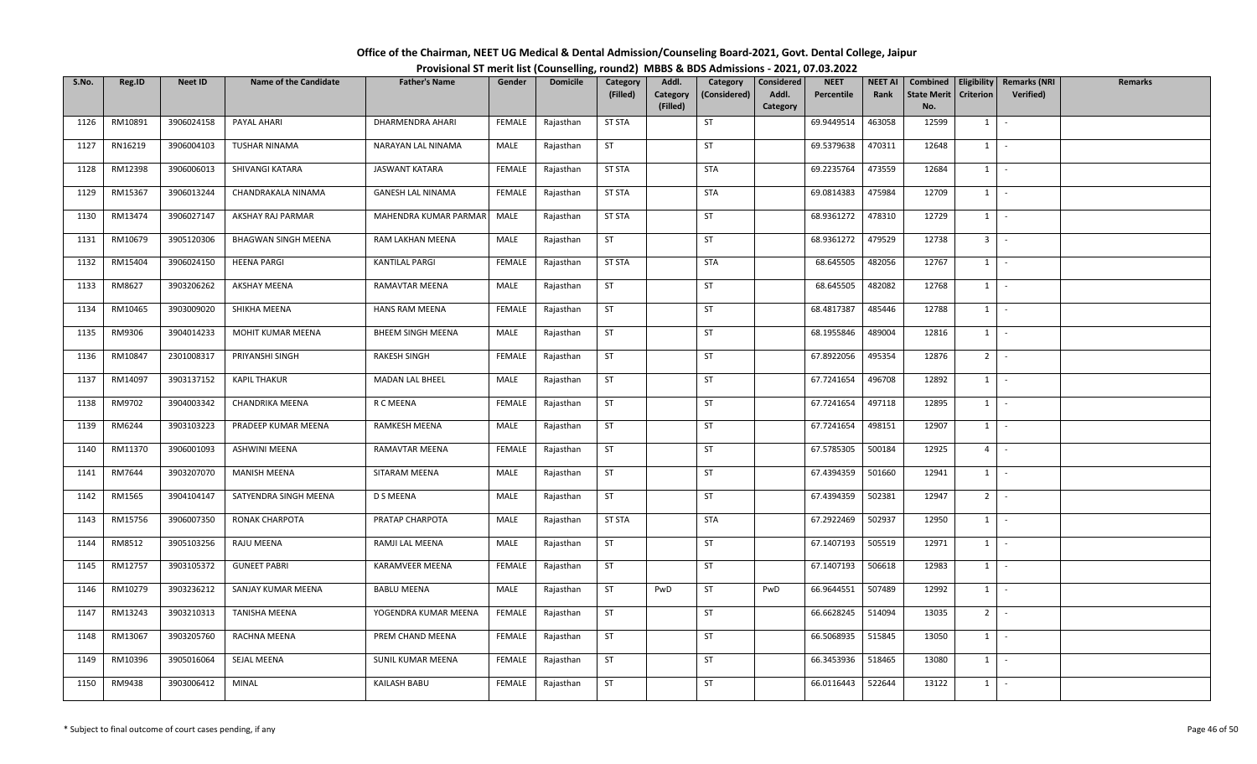| Office of the Chairman, NEET UG Medical & Dental Admission/Counseling Board-2021, Govt. Dental College, Jaipur |  |
|----------------------------------------------------------------------------------------------------------------|--|
| Provisional ST merit list (Counselling, round2) MBBS & BDS Admissions - 2021, 07.03.2022                       |  |

| S.No. | Reg.ID  | <b>Neet ID</b> | <b>Name of the Candidate</b> | <b>Father's Name</b>     | Gender        | <b>Domicile</b> | Category      | Addl.                | Category     | Considered        | <b>NEET</b> | <b>NEET AI</b> | Combined                  |                  | Eligibility   Remarks (NRI | Remarks |
|-------|---------|----------------|------------------------------|--------------------------|---------------|-----------------|---------------|----------------------|--------------|-------------------|-------------|----------------|---------------------------|------------------|----------------------------|---------|
|       |         |                |                              |                          |               |                 | (Filled)      | Category<br>(Filled) | (Considered) | Addl.<br>Category | Percentile  | Rank           | <b>State Merit</b><br>No. | <b>Criterion</b> | <b>Verified</b> )          |         |
| 1126  | RM10891 | 3906024158     | PAYAL AHARI                  | DHARMENDRA AHARI         | FEMALE        | Rajasthan       | <b>ST STA</b> |                      | ST           |                   | 69.9449514  | 463058         | 12599                     | 1                | $\sim$                     |         |
|       |         |                |                              |                          |               |                 |               |                      |              |                   |             |                |                           |                  | $\sim$                     |         |
| 1127  | RN16219 | 3906004103     | <b>TUSHAR NINAMA</b>         | NARAYAN LAL NINAMA       | MALE          | Rajasthan       | <b>ST</b>     |                      | <b>ST</b>    |                   | 69.5379638  | 470311         | 12648                     | $1 \quad$        |                            |         |
| 1128  | RM12398 | 3906006013     | SHIVANGI KATARA              | <b>JASWANT KATARA</b>    | <b>FEMALE</b> | Rajasthan       | <b>ST STA</b> |                      | <b>STA</b>   |                   | 69.2235764  | 473559         | 12684                     | $1 \mid$         | $\sim$ $-$                 |         |
| 1129  | RM15367 | 3906013244     | CHANDRAKALA NINAMA           | <b>GANESH LAL NINAMA</b> | <b>FEMALE</b> | Rajasthan       | <b>ST STA</b> |                      | <b>STA</b>   |                   | 69.0814383  | 475984         | 12709                     | $1 \mid$         | $\sim$                     |         |
| 1130  | RM13474 | 3906027147     | AKSHAY RAJ PARMAR            | MAHENDRA KUMAR PARMAR    | MALE          | Rajasthan       | <b>ST STA</b> |                      | ST           |                   | 68.9361272  | 478310         | 12729                     | $1 \mid$         | $\sim$                     |         |
| 1131  | RM10679 | 3905120306     | <b>BHAGWAN SINGH MEENA</b>   | RAM LAKHAN MEENA         | MALE          | Rajasthan       | ST            |                      | <b>ST</b>    |                   | 68.9361272  | 479529         | 12738                     | 3 <sup>1</sup>   | $\sim$                     |         |
| 1132  | RM15404 | 3906024150     | <b>HEENA PARGI</b>           | KANTILAL PARGI           | <b>FEMALE</b> | Rajasthan       | ST STA        |                      | STA          |                   | 68.645505   | 482056         | 12767                     | $1 \mid$         | $\sim$                     |         |
| 1133  | RM8627  | 3903206262     | AKSHAY MEENA                 | RAMAVTAR MEENA           | MALE          | Rajasthan       | <b>ST</b>     |                      | ST           |                   | 68.645505   | 482082         | 12768                     | 1                | $\sim$                     |         |
| 1134  | RM10465 | 3903009020     | SHIKHA MEENA                 | HANS RAM MEENA           | <b>FEMALE</b> | Rajasthan       | <b>ST</b>     |                      | ST           |                   | 68.4817387  | 485446         | 12788                     | 1                | $\sim$                     |         |
| 1135  | RM9306  | 3904014233     | MOHIT KUMAR MEENA            | BHEEM SINGH MEENA        | MALE          | Rajasthan       | ST            |                      | ST           |                   | 68.1955846  | 489004         | 12816                     | 1                | $\sim$                     |         |
| 1136  | RM10847 | 2301008317     | PRIYANSHI SINGH              | RAKESH SINGH             | FEMALE        | Rajasthan       | ST            |                      | ST           |                   | 67.8922056  | 495354         | 12876                     | $2$ -            |                            |         |
| 1137  | RM14097 | 3903137152     | <b>KAPIL THAKUR</b>          | <b>MADAN LAL BHEEL</b>   | MALE          | Rajasthan       | <b>ST</b>     |                      | ST           |                   | 67.7241654  | 496708         | 12892                     | $1 \vert$        | $\sim$                     |         |
| 1138  | RM9702  | 3904003342     | CHANDRIKA MEENA              | R C MEENA                | <b>FEMALE</b> | Rajasthan       | <b>ST</b>     |                      | ST           |                   | 67.7241654  | 497118         | 12895                     | 1                | $\sim$                     |         |
| 1139  | RM6244  | 3903103223     | PRADEEP KUMAR MEENA          | RAMKESH MEENA            | MALE          | Rajasthan       | <b>ST</b>     |                      | <b>ST</b>    |                   | 67.7241654  | 498151         | 12907                     | $1 \quad$        | $\sim$                     |         |
| 1140  | RM11370 | 3906001093     | ASHWINI MEENA                | RAMAVTAR MEENA           | FEMALE        | Rajasthan       | ST            |                      | <b>ST</b>    |                   | 67.5785305  | 500184         | 12925                     | 4                | $\sim$                     |         |
| 1141  | RM7644  | 3903207070     | <b>MANISH MEENA</b>          | SITARAM MEENA            | MALE          | Rajasthan       | <b>ST</b>     |                      | <b>ST</b>    |                   | 67.4394359  | 501660         | 12941                     | 1                | $\sim$                     |         |
| 1142  | RM1565  | 3904104147     | SATYENDRA SINGH MEENA        | <b>D S MEENA</b>         | MALE          | Rajasthan       | <b>ST</b>     |                      | ST           |                   | 67.4394359  | 502381         | 12947                     | 2 <sup>1</sup>   | $\sim$                     |         |
| 1143  | RM15756 | 3906007350     | RONAK CHARPOTA               | PRATAP CHARPOTA          | MALE          | Rajasthan       | <b>ST STA</b> |                      | <b>STA</b>   |                   | 67.2922469  | 502937         | 12950                     | 1                | $\sim$                     |         |
| 1144  | RM8512  | 3905103256     | RAJU MEENA                   | RAMJI LAL MEENA          | MALE          | Rajasthan       | <b>ST</b>     |                      | ST           |                   | 67.1407193  | 505519         | 12971                     |                  | $1 \cdot$                  |         |
| 1145  | RM12757 | 3903105372     | <b>GUNEET PABRI</b>          | <b>KARAMVEER MEENA</b>   | FEMALE        | Rajasthan       | <b>ST</b>     |                      | ST           |                   | 67.1407193  | 506618         | 12983                     | $1 \vert$        | $\sim$                     |         |
| 1146  | RM10279 | 3903236212     | SANJAY KUMAR MEENA           | <b>BABLU MEENA</b>       | MALE          | Rajasthan       | <b>ST</b>     | PwD                  | <b>ST</b>    | PwD               | 66.9644551  | 507489         | 12992                     | $1 \quad$        | $\sim$                     |         |
| 1147  | RM13243 | 3903210313     | TANISHA MEENA                | YOGENDRA KUMAR MEENA     | <b>FEMALE</b> | Rajasthan       | <b>ST</b>     |                      | ST           |                   | 66.6628245  | 514094         | 13035                     | 2 <sup>1</sup>   | $\sim$                     |         |
| 1148  | RM13067 | 3903205760     | RACHNA MEENA                 | PREM CHAND MEENA         | FEMALE        | Rajasthan       | ST            |                      | ST           |                   | 66.5068935  | 515845         | 13050                     | $1 \quad$        | $\sim$                     |         |
| 1149  | RM10396 | 3905016064     | SEJAL MEENA                  | SUNIL KUMAR MEENA        | FEMALE        | Rajasthan       | <b>ST</b>     |                      | <b>ST</b>    |                   | 66.3453936  | 518465         | 13080                     | $1 \quad$        | $\sim$                     |         |
| 1150  | RM9438  | 3903006412     | <b>MINAL</b>                 | KAILASH BABU             | FEMALE        | Rajasthan       | ST            |                      | ST           |                   | 66.0116443  | 522644         | 13122                     | $1 \quad$        | $\sim$                     |         |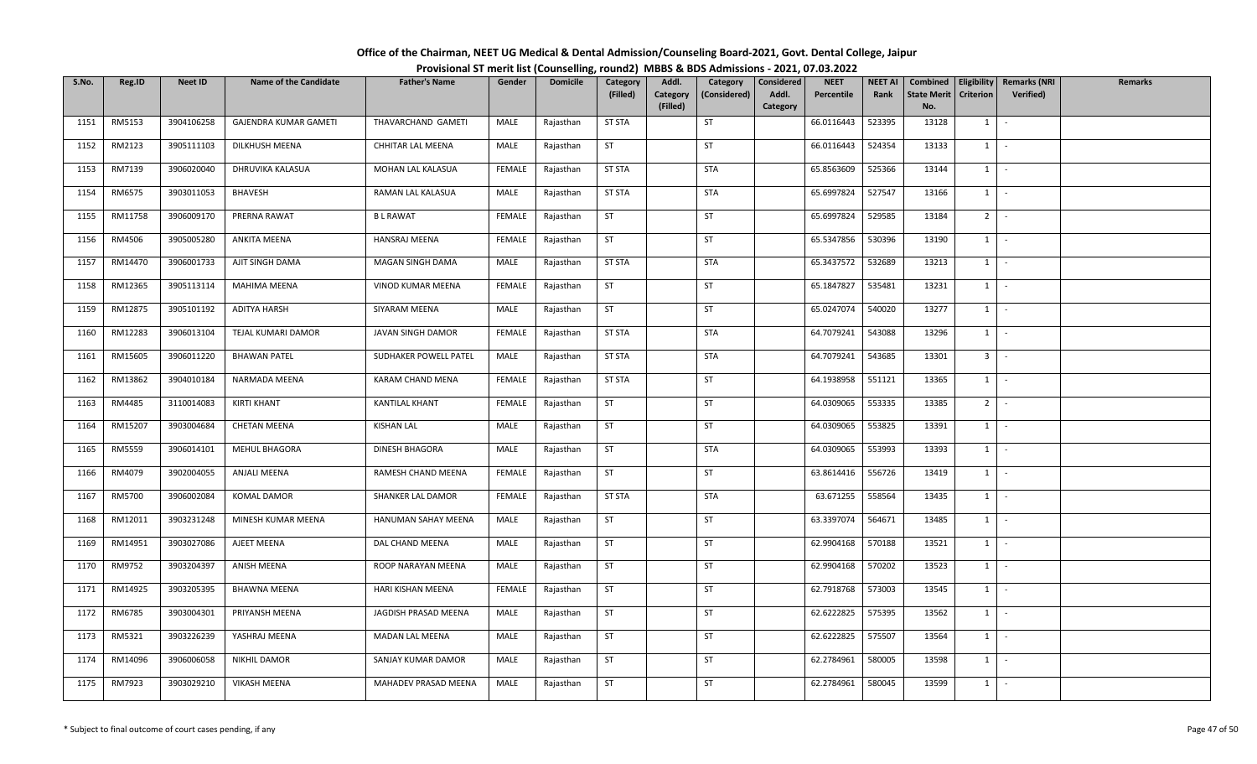| Office of the Chairman, NEET UG Medical & Dental Admission/Counseling Board-2021, Govt. Dental College, Jaipur |  |
|----------------------------------------------------------------------------------------------------------------|--|
| Provisional ST merit list (Counselling, round2) MBBS & BDS Admissions - 2021, 07.03.2022                       |  |

| S.No. | Reg.ID  | <b>Neet ID</b> | <b>Name of the Candidate</b> | <b>Father's Name</b>  | Gender        | <b>Domicile</b> | Category<br>(Filled) | Addl.<br>Category | Category<br>(Considered) | Considered<br>Addl. | <b>NEET</b><br>Percentile | <b>NEET AI</b><br>Rank | Combined<br><b>State Merit</b> | Criterion                    | Eligibility   Remarks (NRI<br>Verified) | <b>Remarks</b> |
|-------|---------|----------------|------------------------------|-----------------------|---------------|-----------------|----------------------|-------------------|--------------------------|---------------------|---------------------------|------------------------|--------------------------------|------------------------------|-----------------------------------------|----------------|
|       |         |                |                              |                       |               |                 |                      | (Filled)          |                          | Category            |                           |                        | No.                            |                              |                                         |                |
| 1151  | RM5153  | 3904106258     | GAJENDRA KUMAR GAMETI        | THAVARCHAND GAMETI    | MALE          | Rajasthan       | <b>ST STA</b>        |                   | ST                       |                     | 66.0116443                | 523395                 | 13128                          | $1 \quad$                    | $\sim$                                  |                |
| 1152  | RM2123  | 3905111103     | DILKHUSH MEENA               | CHHITAR LAL MEENA     | MALE          | Rajasthan       | ST                   |                   | <b>ST</b>                |                     | 66.0116443                | 524354                 | 13133                          | $1$   -                      |                                         |                |
| 1153  | RM7139  | 3906020040     | DHRUVIKA KALASUA             | MOHAN LAL KALASUA     | <b>FEMALE</b> | Rajasthan       | <b>ST STA</b>        |                   | <b>STA</b>               |                     | 65.8563609                | 525366                 | 13144                          | $1$ $\cdot$                  |                                         |                |
| 1154  | RM6575  | 3903011053     | <b>BHAVESH</b>               | RAMAN LAL KALASUA     | MALE          | Rajasthan       | <b>ST STA</b>        |                   | <b>STA</b>               |                     | 65.6997824                | 527547                 | 13166                          | $1$ $\vert$                  |                                         |                |
| 1155  | RM11758 | 3906009170     | PRERNA RAWAT                 | <b>BL RAWAT</b>       | FEMALE        | Rajasthan       | ST                   |                   | ST                       |                     | 65.6997824                | 529585                 | 13184                          | $2$ -                        |                                         |                |
| 1156  | RM4506  | 3905005280     | ANKITA MEENA                 | HANSRAJ MEENA         | FEMALE        | Rajasthan       | ST                   |                   | ST                       |                     | 65.5347856                | 530396                 | 13190                          | $1$ $\cdot$                  |                                         |                |
| 1157  | RM14470 | 3906001733     | AJIT SINGH DAMA              | MAGAN SINGH DAMA      | MALE          | Rajasthan       | <b>ST STA</b>        |                   | STA                      |                     | 65.3437572                | 532689                 | 13213                          | $1 \quad$                    | $\sim$                                  |                |
| 1158  | RM12365 | 3905113114     | MAHIMA MEENA                 | VINOD KUMAR MEENA     | FEMALE        | Rajasthan       | ST                   |                   | ST                       |                     | 65.1847827                | 535481                 | 13231                          | $1$ $\cdot$                  |                                         |                |
| 1159  | RM12875 | 3905101192     | ADITYA HARSH                 | SIYARAM MEENA         | MALE          | Rajasthan       | ST                   |                   | ST                       |                     | 65.0247074                | 540020                 | 13277                          | 1                            | $\sim$                                  |                |
| 1160  | RM12283 | 3906013104     | TEJAL KUMARI DAMOR           | JAVAN SINGH DAMOR     | FEMALE        | Rajasthan       | <b>ST STA</b>        |                   | <b>STA</b>               |                     | 64.7079241                | 543088                 | 13296                          | $1 \cdot$                    |                                         |                |
| 1161  | RM15605 | 3906011220     | <b>BHAWAN PATEL</b>          | SUDHAKER POWELL PATEL | MALE          | Rajasthan       | <b>ST STA</b>        |                   | <b>STA</b>               |                     | 64.7079241                | 543685                 | 13301                          | $3$ $\overline{\phantom{0}}$ |                                         |                |
| 1162  | RM13862 | 3904010184     | NARMADA MEENA                | KARAM CHAND MENA      | FEMALE        | Rajasthan       | <b>ST STA</b>        |                   | ST                       |                     | 64.1938958                | 551121                 | 13365                          | $1 \mid$                     | $\sim$                                  |                |
| 1163  | RM4485  | 3110014083     | KIRTI KHANT                  | <b>KANTILAL KHANT</b> | FEMALE        | Rajasthan       | ST                   |                   | ST                       |                     | 64.0309065                | 553335                 | 13385                          | $2^{\circ}$                  | $\sim$                                  |                |
| 1164  | RM15207 | 3903004684     | <b>CHETAN MEENA</b>          | <b>KISHAN LAL</b>     | MALE          | Rajasthan       | <b>ST</b>            |                   | ST                       |                     | 64.0309065                | 553825                 | 13391                          | $1 \mid$                     | $\sim$                                  |                |
| 1165  | RM5559  | 3906014101     | MEHUL BHAGORA                | DINESH BHAGORA        | MALE          | Rajasthan       | ST                   |                   | STA                      |                     | 64.0309065                | 553993                 | 13393                          | $1$ $-$                      |                                         |                |
| 1166  | RM4079  | 3902004055     | ANJALI MEENA                 | RAMESH CHAND MEENA    | FEMALE        | Rajasthan       | <b>ST</b>            |                   | ST                       |                     | 63.8614416                | 556726                 | 13419                          | $1$   -                      |                                         |                |
| 1167  | RM5700  | 3906002084     | <b>KOMAL DAMOR</b>           | SHANKER LAL DAMOR     | <b>FEMALE</b> | Rajasthan       | <b>ST STA</b>        |                   | STA                      |                     | 63.671255                 | 558564                 | 13435                          | $1 \mid$                     | $\sim$                                  |                |
| 1168  | RM12011 | 3903231248     | MINESH KUMAR MEENA           | HANUMAN SAHAY MEENA   | MALE          | Rajasthan       | ST                   |                   | ST                       |                     | 63.3397074                | 564671                 | 13485                          | 1                            | $\sim$                                  |                |
| 1169  | RM14951 | 3903027086     | AJEET MEENA                  | DAL CHAND MEENA       | MALE          | Rajasthan       | ST                   |                   | ST                       |                     | 62.9904168                | 570188                 | 13521                          | $1$ $\cdot$                  |                                         |                |
| 1170  | RM9752  | 3903204397     | ANISH MEENA                  | ROOP NARAYAN MEENA    | MALE          | Rajasthan       | <b>ST</b>            |                   | ST                       |                     | 62.9904168                | 570202                 | 13523                          | $1$ $\vert$ -                |                                         |                |
| 1171  | RM14925 | 3903205395     | <b>BHAWNA MEENA</b>          | HARI KISHAN MEENA     | FEMALE        | Rajasthan       | ST                   |                   | ST                       |                     | 62.7918768                | 573003                 | 13545                          | $1 \quad$                    | $\sim$                                  |                |
| 1172  | RM6785  | 3903004301     | PRIYANSH MEENA               | JAGDISH PRASAD MEENA  | MALE          | Rajasthan       | <b>ST</b>            |                   | ST                       |                     | 62.6222825                | 575395                 | 13562                          | $1 \mid$                     | $\sim$                                  |                |
| 1173  | RM5321  | 3903226239     | YASHRAJ MEENA                | MADAN LAL MEENA       | MALE          | Rajasthan       | ST                   |                   | ST                       |                     | 62.6222825                | 575507                 | 13564                          | $1$ $-$                      |                                         |                |
| 1174  | RM14096 | 3906006058     | NIKHIL DAMOR                 | SANJAY KUMAR DAMOR    | MALE          | Rajasthan       | <b>ST</b>            |                   | ST                       |                     | 62.2784961                | 580005                 | 13598                          | $1$ $\cdot$                  |                                         |                |
| 1175  | RM7923  | 3903029210     | VIKASH MEENA                 | MAHADEV PRASAD MEENA  | MALE          | Rajasthan       | ST                   |                   | ST                       |                     | 62.2784961                | 580045                 | 13599                          | $1 \vert$                    |                                         |                |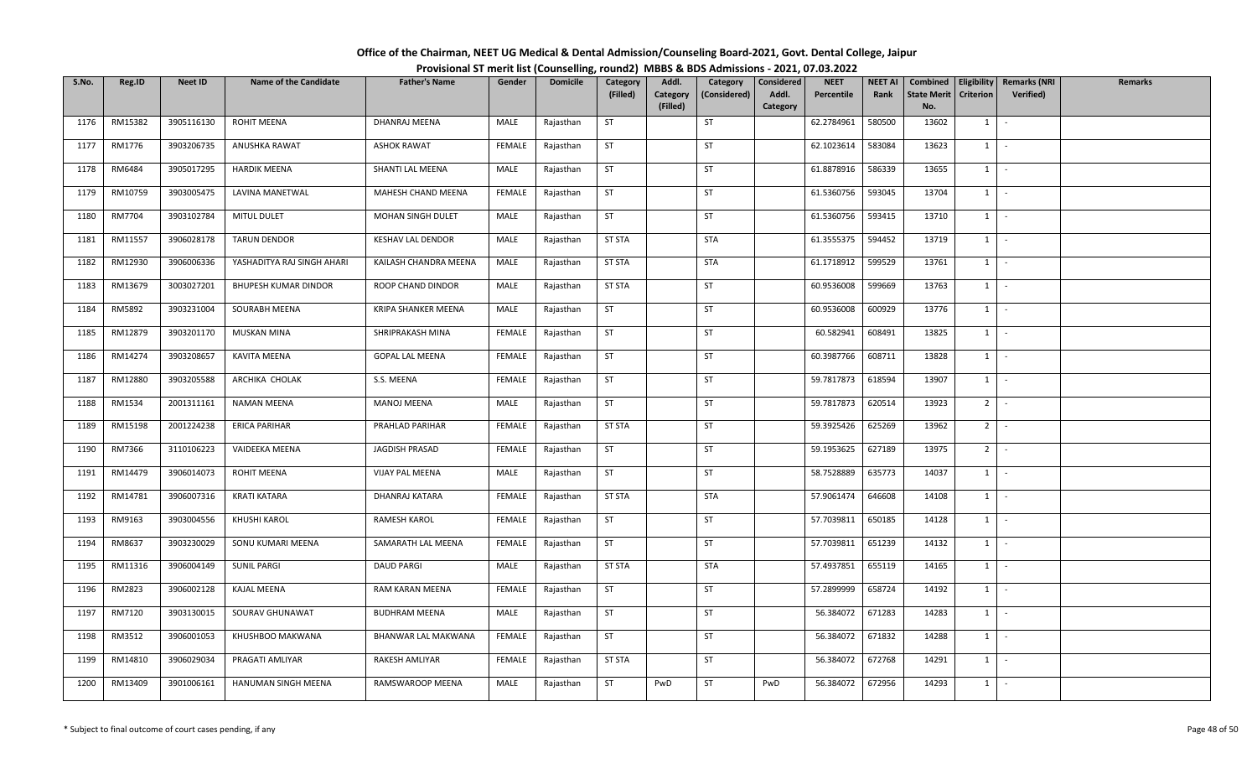| Office of the Chairman, NEET UG Medical & Dental Admission/Counseling Board-2021, Govt. Dental College, Jaipur |  |
|----------------------------------------------------------------------------------------------------------------|--|
| Provisional ST merit list (Counselling, round2) MBBS & BDS Admissions - 2021, 07.03.2022                       |  |

| S.No. | Reg.ID  | Neet ID    | <b>Name of the Candidate</b> | <b>Father's Name</b>       | Gender        | <b>Domicile</b> | Category<br>(Filled) | Addl.<br>Category | Category<br>(Considered) | Considered<br>Addl. | <b>NEET</b><br>Percentile | <b>NEET AI</b><br>Rank | Combined<br><b>State Merit</b> | Eligibility<br>Criterion | <b>Remarks (NRI</b><br>Verified) | <b>Remarks</b> |
|-------|---------|------------|------------------------------|----------------------------|---------------|-----------------|----------------------|-------------------|--------------------------|---------------------|---------------------------|------------------------|--------------------------------|--------------------------|----------------------------------|----------------|
|       |         |            |                              |                            |               |                 |                      | (Filled)          |                          | Category            |                           |                        | No.                            |                          |                                  |                |
| 1176  | RM15382 | 3905116130 | ROHIT MEENA                  | DHANRAJ MEENA              | MALE          | Rajasthan       | ST                   |                   | <b>ST</b>                |                     | 62.2784961                | 580500                 | 13602                          | $1 \quad$                | $\sim$                           |                |
| 1177  | RM1776  | 3903206735 | ANUSHKA RAWAT                | <b>ASHOK RAWAT</b>         | FEMALE        | Rajasthan       | ST                   |                   | ST                       |                     | 62.1023614                | 583084                 | 13623                          | $1$ $-$                  |                                  |                |
| 1178  | RM6484  | 3905017295 | <b>HARDIK MEENA</b>          | SHANTI LAL MEENA           | MALE          | Rajasthan       | <b>ST</b>            |                   | ST                       |                     | 61.8878916                | 586339                 | 13655                          | $1 \mid$                 | $\sim$                           |                |
| 1179  | RM10759 | 3903005475 | LAVINA MANETWAL              | MAHESH CHAND MEENA         | <b>FEMALE</b> | Rajasthan       | ST                   |                   | <b>ST</b>                |                     | 61.5360756                | 593045                 | 13704                          | $1$ $\vert$              |                                  |                |
| 1180  | RM7704  | 3903102784 | MITUL DULET                  | MOHAN SINGH DULET          | MALE          | Rajasthan       | ST                   |                   | ST                       |                     | 61.5360756                | 593415                 | 13710                          | $1$ $\cdot$              |                                  |                |
| 1181  | RM11557 | 3906028178 | <b>TARUN DENDOR</b>          | <b>KESHAV LAL DENDOR</b>   | MALE          | Rajasthan       | <b>ST STA</b>        |                   | <b>STA</b>               |                     | 61.3555375                | 594452                 | 13719                          | $1$ $-$                  |                                  |                |
| 1182  | RM12930 | 3906006336 | YASHADITYA RAJ SINGH AHARI   | KAILASH CHANDRA MEENA      | MALE          | Rajasthan       | <b>ST STA</b>        |                   | <b>STA</b>               |                     | 61.1718912                | 599529                 | 13761                          | $1 \mid$                 | $\sim$                           |                |
| 1183  | RM13679 | 3003027201 | BHUPESH KUMAR DINDOR         | ROOP CHAND DINDOR          | MALE          | Rajasthan       | <b>ST STA</b>        |                   | ST                       |                     | 60.9536008                | 599669                 | 13763                          | 1                        | $\sim$                           |                |
| 1184  | RM5892  | 3903231004 | SOURABH MEENA                | <b>KRIPA SHANKER MEENA</b> | MALE          | Rajasthan       | <b>ST</b>            |                   | <b>ST</b>                |                     | 60.9536008                | 600929                 | 13776                          | $1 \mid$                 | $\sim$                           |                |
| 1185  | RM12879 | 3903201170 | MUSKAN MINA                  | SHRIPRAKASH MINA           | FEMALE        | Rajasthan       | <b>ST</b>            |                   | ST                       |                     | 60.582941                 | 608491                 | 13825                          | $1$ $-$                  |                                  |                |
| 1186  | RM14274 | 3903208657 | KAVITA MEENA                 | <b>GOPAL LAL MEENA</b>     | FEMALE        | Rajasthan       | ST                   |                   | ST                       |                     | 60.3987766                | 608711                 | 13828                          | $1$ $\vert$              |                                  |                |
| 1187  | RM12880 | 3903205588 | ARCHIKA CHOLAK               | S.S. MEENA                 | <b>FEMALE</b> | Rajasthan       | <b>ST</b>            |                   | ST                       |                     | 59.7817873                | 618594                 | 13907                          | $1 \vert$                | $\sim$                           |                |
| 1188  | RM1534  | 2001311161 | <b>NAMAN MEENA</b>           | MANOJ MEENA                | MALE          | Rajasthan       | ST                   |                   | ST                       |                     | 59.7817873                | 620514                 | 13923                          | 2 <sup>1</sup>           | $\sim$                           |                |
| 1189  | RM15198 | 2001224238 | <b>ERICA PARIHAR</b>         | PRAHLAD PARIHAR            | FEMALE        | Rajasthan       | <b>ST STA</b>        |                   | ST                       |                     | 59.3925426                | 625269                 | 13962                          | $2$ -                    |                                  |                |
| 1190  | RM7366  | 3110106223 | VAIDEEKA MEENA               | JAGDISH PRASAD             | FEMALE        | Rajasthan       | ST                   |                   | ST                       |                     | 59.1953625                | 627189                 | 13975                          | $2^{\circ}$              | $\sim$                           |                |
| 1191  | RM14479 | 3906014073 | ROHIT MEENA                  | <b>VIJAY PAL MEENA</b>     | MALE          | Rajasthan       | ST                   |                   | <b>ST</b>                |                     | 58.7528889                | 635773                 | 14037                          | $1 \cdot$                |                                  |                |
| 1192  | RM14781 | 3906007316 | KRATI KATARA                 | DHANRAJ KATARA             | <b>FEMALE</b> | Rajasthan       | <b>ST STA</b>        |                   | STA                      |                     | 57.9061474                | 646608                 | 14108                          | 1                        | $\sim$                           |                |
| 1193  | RM9163  | 3903004556 | KHUSHI KAROL                 | RAMESH KAROL               | FEMALE        | Rajasthan       | ST                   |                   | ST                       |                     | 57.7039811                | 650185                 | 14128                          | $1$ $\vert$              |                                  |                |
| 1194  | RM8637  | 3903230029 | SONU KUMARI MEENA            | SAMARATH LAL MEENA         | <b>FEMALE</b> | Rajasthan       | ST                   |                   | ST                       |                     | 57.7039811                | 651239                 | 14132                          | $1$ $\vert$ $\vert$      |                                  |                |
| 1195  | RM11316 | 3906004149 | <b>SUNIL PARGI</b>           | <b>DAUD PARGI</b>          | MALE          | Rajasthan       | <b>ST STA</b>        |                   | <b>STA</b>               |                     | 57.4937851                | 655119                 | 14165                          | 1                        | $\sim$                           |                |
| 1196  | RM2823  | 3906002128 | KAJAL MEENA                  | RAM KARAN MEENA            | <b>FEMALE</b> | Rajasthan       | ST                   |                   | ST                       |                     | 57.2899999                | 658724                 | 14192                          | 1                        | $\sim$                           |                |
| 1197  | RM7120  | 3903130015 | SOURAV GHUNAWAT              | <b>BUDHRAM MEENA</b>       | MALE          | Rajasthan       | ST                   |                   | ST                       |                     | 56.384072                 | 671283                 | 14283                          | $1$ $\vert$ $\vert$      |                                  |                |
| 1198  | RM3512  | 3906001053 | KHUSHBOO MAKWANA             | BHANWAR LAL MAKWANA        | FEMALE        | Rajasthan       | ST                   |                   | <b>ST</b>                |                     | 56.384072                 | 671832                 | 14288                          | 1                        | $\sim$                           |                |
| 1199  | RM14810 | 3906029034 | PRAGATI AMLIYAR              | RAKESH AMLIYAR             | FEMALE        | Rajasthan       | <b>ST STA</b>        |                   | ST                       |                     | 56.384072                 | 672768                 | 14291                          | $1$ $-$                  |                                  |                |
| 1200  | RM13409 | 3901006161 | HANUMAN SINGH MEENA          | RAMSWAROOP MEENA           | MALE          | Rajasthan       | ST                   | PwD               | ST                       | PwD                 | 56.384072                 | 672956                 | 14293                          | $1$ $-$                  |                                  |                |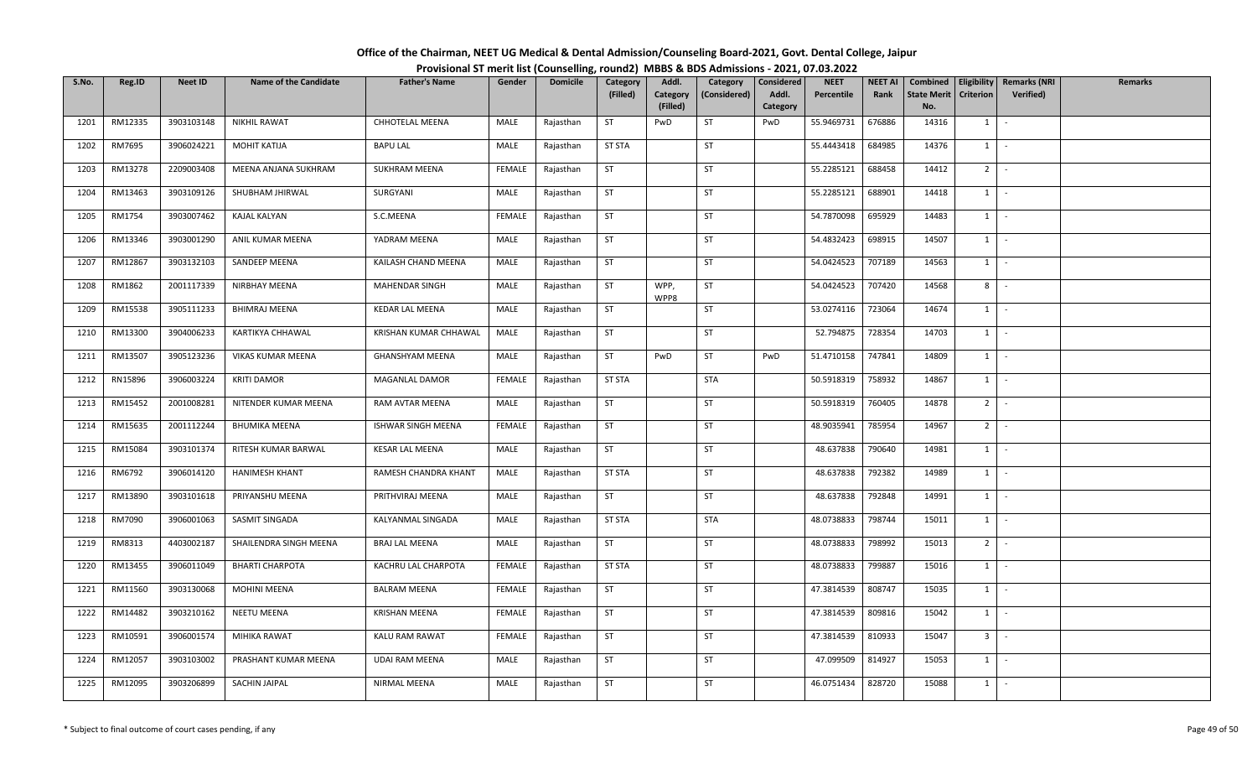| Office of the Chairman, NEET UG Medical & Dental Admission/Counseling Board-2021, Govt. Dental College, Jaipur |  |
|----------------------------------------------------------------------------------------------------------------|--|
| Provisional ST merit list (Counselling, round2) MBBS & BDS Admissions - 2021, 07.03.2022                       |  |

| S.No. | Reg.ID  | <b>Neet ID</b> | <b>Name of the Candidate</b> | <b>Father's Name</b>   | Gender        | <b>Domicile</b> | Category      | Addl.                | Category     | Considered        | <b>NEET</b> | <b>NEET AI</b> | Combined                  |                | Eligibility   Remarks (NRI | <b>Remarks</b> |
|-------|---------|----------------|------------------------------|------------------------|---------------|-----------------|---------------|----------------------|--------------|-------------------|-------------|----------------|---------------------------|----------------|----------------------------|----------------|
|       |         |                |                              |                        |               |                 | (Filled)      | Category<br>(Filled) | (Considered) | Addl.<br>Category | Percentile  | Rank           | <b>State Merit</b><br>No. | Criterion      | <b>Verified</b> )          |                |
| 1201  | RM12335 | 3903103148     | <b>NIKHIL RAWAT</b>          | CHHOTELAL MEENA        | MALE          | Rajasthan       | <b>ST</b>     | PwD                  | ST           | PwD               | 55.9469731  | 676886         | 14316                     | $1 \quad$      | $\sim$                     |                |
| 1202  | RM7695  | 3906024221     | <b>MOHIT KATIJA</b>          | <b>BAPU LAL</b>        | MALE          | Rajasthan       | <b>ST STA</b> |                      | <b>ST</b>    |                   | 55.4443418  | 684985         | 14376                     | $1 \mid$       | $\sim$                     |                |
| 1203  | RM13278 | 2209003408     | MEENA ANJANA SUKHRAM         | SUKHRAM MEENA          | <b>FEMALE</b> | Rajasthan       | <b>ST</b>     |                      | ST           |                   | 55.2285121  | 688458         | 14412                     | $2$ -          |                            |                |
| 1204  | RM13463 | 3903109126     | SHUBHAM JHIRWAL              | SURGYANI               | MALE          | Rajasthan       | ST            |                      | ST           |                   | 55.2285121  | 688901         | 14418                     | $1$ $\vert$    |                            |                |
| 1205  | RM1754  | 3903007462     | KAJAL KALYAN                 | S.C.MEENA              | <b>FEMALE</b> | Rajasthan       | <b>ST</b>     |                      | ST           |                   | 54.7870098  | 695929         | 14483                     | $1$ $\vert$    |                            |                |
| 1206  | RM13346 | 3903001290     | ANIL KUMAR MEENA             | YADRAM MEENA           | MALE          | Rajasthan       | ST            |                      | ST           |                   | 54.4832423  | 698915         | 14507                     | $1$ $\cdot$    |                            |                |
| 1207  | RM12867 | 3903132103     | SANDEEP MEENA                | KAILASH CHAND MEENA    | MALE          | Rajasthan       | ST            |                      | ST           |                   | 54.0424523  | 707189         | 14563                     | $1 \quad$      | $\sim$                     |                |
| 1208  | RM1862  | 2001117339     | NIRBHAY MEENA                | MAHENDAR SINGH         | MALE          | Rajasthan       | <b>ST</b>     | WPP,<br>WPP8         | ST           |                   | 54.0424523  | 707420         | 14568                     | 8              | $\sim$                     |                |
| 1209  | RM15538 | 3905111233     | <b>BHIMRAJ MEENA</b>         | <b>KEDAR LAL MEENA</b> | MALE          | Rajasthan       | ST            |                      | ST           |                   | 53.0274116  | 723064         | 14674                     | 1              | $\sim$                     |                |
| 1210  | RM13300 | 3904006233     | KARTIKYA CHHAWAL             | KRISHAN KUMAR CHHAWAL  | MALE          | Rajasthan       | ST            |                      | ST           |                   | 52.794875   | 728354         | 14703                     | $1 \cdot$      |                            |                |
| 1211  | RM13507 | 3905123236     | VIKAS KUMAR MEENA            | GHANSHYAM MEENA        | MALE          | Rajasthan       | ST            | PwD                  | ST           | PwD               | 51.4710158  | 747841         | 14809                     | $1$ $\vert$    |                            |                |
| 1212  | RN15896 | 3906003224     | <b>KRITI DAMOR</b>           | MAGANLAL DAMOR         | <b>FEMALE</b> | Rajasthan       | <b>ST STA</b> |                      | STA          |                   | 50.5918319  | 758932         | 14867                     | $1\phantom{0}$ | $\sim$                     |                |
| 1213  | RM15452 | 2001008281     | NITENDER KUMAR MEENA         | RAM AVTAR MEENA        | MALE          | Rajasthan       | ST            |                      | ST           |                   | 50.5918319  | 760405         | 14878                     | 2 <sup>1</sup> | $\sim$                     |                |
| 1214  | RM15635 | 2001112244     | <b>BHUMIKA MEENA</b>         | ISHWAR SINGH MEENA     | FEMALE        | Rajasthan       | <b>ST</b>     |                      | ST           |                   | 48.9035941  | 785954         | 14967                     | $2$ -          |                            |                |
| 1215  | RM15084 | 3903101374     | RITESH KUMAR BARWAL          | <b>KESAR LAL MEENA</b> | MALE          | Rajasthan       | ST            |                      | ST           |                   | 48.637838   | 790640         | 14981                     | $1$ $-$        |                            |                |
| 1216  | RM6792  | 3906014120     | HANIMESH KHANT               | RAMESH CHANDRA KHANT   | MALE          | Rajasthan       | <b>ST STA</b> |                      | <b>ST</b>    |                   | 48.637838   | 792382         | 14989                     | $1$   -        |                            |                |
| 1217  | RM13890 | 3903101618     | PRIYANSHU MEENA              | PRITHVIRAJ MEENA       | MALE          | Rajasthan       | <b>ST</b>     |                      | ST           |                   | 48.637838   | 792848         | 14991                     | $1 \mid$       | $\sim$                     |                |
| 1218  | RM7090  | 3906001063     | SASMIT SINGADA               | KALYANMAL SINGADA      | MALE          | Rajasthan       | <b>ST STA</b> |                      | <b>STA</b>   |                   | 48.0738833  | 798744         | 15011                     | 1              | $\sim$                     |                |
| 1219  | RM8313  | 4403002187     | SHAILENDRA SINGH MEENA       | <b>BRAJ LAL MEENA</b>  | MALE          | Rajasthan       | ST            |                      | ST           |                   | 48.0738833  | 798992         | 15013                     | $2$ -          |                            |                |
| 1220  | RM13455 | 3906011049     | <b>BHARTI CHARPOTA</b>       | KACHRU LAL CHARPOTA    | FEMALE        | Rajasthan       | <b>ST STA</b> |                      | ST           |                   | 48.0738833  | 799887         | 15016                     | $1$ $\vert$ -  |                            |                |
| 1221  | RM11560 | 3903130068     | <b>MOHINI MEENA</b>          | <b>BALRAM MEENA</b>    | FEMALE        | Rajasthan       | <b>ST</b>     |                      | <b>ST</b>    |                   | 47.3814539  | 808747         | 15035                     | $1 \quad$      | $\sim$                     |                |
| 1222  | RM14482 | 3903210162     | <b>NEETU MEENA</b>           | <b>KRISHAN MEENA</b>   | FEMALE        | Rajasthan       | <b>ST</b>     |                      | ST           |                   | 47.3814539  | 809816         | 15042                     | 1              | $\sim$                     |                |
| 1223  | RM10591 | 3906001574     | MIHIKA RAWAT                 | KALU RAM RAWAT         | FEMALE        | Rajasthan       | ST            |                      | ST           |                   | 47.3814539  | 810933         | 15047                     | 3 <sup>1</sup> | $\sim$                     |                |
| 1224  | RM12057 | 3903103002     | PRASHANT KUMAR MEENA         | <b>UDAI RAM MEENA</b>  | MALE          | Rajasthan       | <b>ST</b>     |                      | ST           |                   | 47.099509   | 814927         | 15053                     | $1$ $-$        |                            |                |
| 1225  | RM12095 | 3903206899     | SACHIN JAIPAL                | NIRMAL MEENA           | MALE          | Rajasthan       | ST            |                      | ST           |                   | 46.0751434  | 828720         | 15088                     | $1 \quad$      |                            |                |